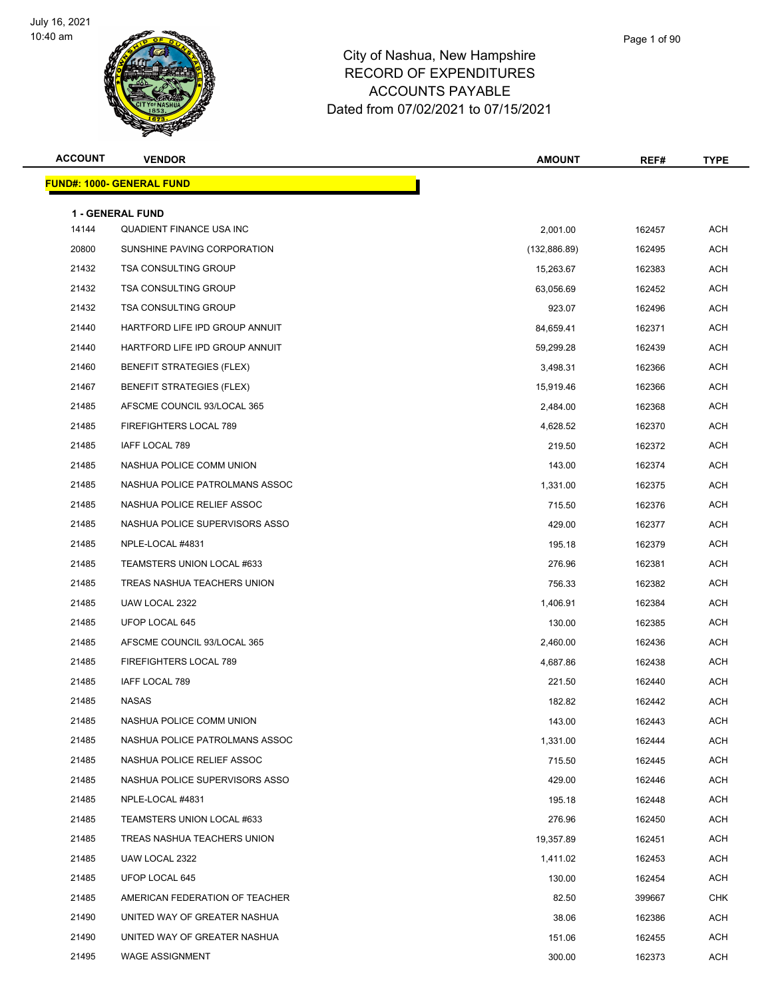

| <b>ACCOUNT</b> | <b>VENDOR</b>                                       | <b>AMOUNT</b> | REF#   | TYPE       |
|----------------|-----------------------------------------------------|---------------|--------|------------|
|                | <u> FUND#: 1000- GENERAL FUND</u>                   |               |        |            |
|                |                                                     |               |        |            |
| 14144          | <b>1 - GENERAL FUND</b><br>QUADIENT FINANCE USA INC | 2,001.00      | 162457 | <b>ACH</b> |
| 20800          | SUNSHINE PAVING CORPORATION                         | (132, 886.89) | 162495 | <b>ACH</b> |
| 21432          | <b>TSA CONSULTING GROUP</b>                         | 15,263.67     | 162383 | <b>ACH</b> |
| 21432          | <b>TSA CONSULTING GROUP</b>                         | 63,056.69     | 162452 | <b>ACH</b> |
| 21432          | <b>TSA CONSULTING GROUP</b>                         | 923.07        | 162496 | <b>ACH</b> |
| 21440          | HARTFORD LIFE IPD GROUP ANNUIT                      | 84,659.41     | 162371 | <b>ACH</b> |
| 21440          | HARTFORD LIFE IPD GROUP ANNUIT                      | 59,299.28     | 162439 | <b>ACH</b> |
| 21460          | <b>BENEFIT STRATEGIES (FLEX)</b>                    | 3,498.31      | 162366 | <b>ACH</b> |
| 21467          | <b>BENEFIT STRATEGIES (FLEX)</b>                    | 15,919.46     | 162366 | <b>ACH</b> |
| 21485          | AFSCME COUNCIL 93/LOCAL 365                         | 2,484.00      | 162368 | <b>ACH</b> |
| 21485          | FIREFIGHTERS LOCAL 789                              | 4,628.52      | 162370 | <b>ACH</b> |
| 21485          | IAFF LOCAL 789                                      | 219.50        | 162372 | ACH        |
| 21485          | NASHUA POLICE COMM UNION                            | 143.00        | 162374 | <b>ACH</b> |
| 21485          | NASHUA POLICE PATROLMANS ASSOC                      | 1,331.00      | 162375 | <b>ACH</b> |
| 21485          | NASHUA POLICE RELIEF ASSOC                          | 715.50        | 162376 | <b>ACH</b> |
| 21485          | NASHUA POLICE SUPERVISORS ASSO                      | 429.00        | 162377 | <b>ACH</b> |
| 21485          | NPLE-LOCAL #4831                                    | 195.18        | 162379 | ACH        |
| 21485          | TEAMSTERS UNION LOCAL #633                          | 276.96        | 162381 | <b>ACH</b> |
| 21485          | TREAS NASHUA TEACHERS UNION                         | 756.33        | 162382 | <b>ACH</b> |
| 21485          | UAW LOCAL 2322                                      | 1,406.91      | 162384 | <b>ACH</b> |
| 21485          | UFOP LOCAL 645                                      | 130.00        | 162385 | <b>ACH</b> |
| 21485          | AFSCME COUNCIL 93/LOCAL 365                         | 2,460.00      | 162436 | <b>ACH</b> |
| 21485          | FIREFIGHTERS LOCAL 789                              | 4,687.86      | 162438 | <b>ACH</b> |
| 21485          | IAFF LOCAL 789                                      | 221.50        | 162440 | ACH        |
| 21485          | <b>NASAS</b>                                        | 182.82        | 162442 | <b>ACH</b> |
| 21485          | NASHUA POLICE COMM UNION                            | 143.00        | 162443 | ACH        |
| 21485          | NASHUA POLICE PATROLMANS ASSOC                      | 1,331.00      | 162444 | ACH        |
| 21485          | NASHUA POLICE RELIEF ASSOC                          | 715.50        | 162445 | <b>ACH</b> |
| 21485          | NASHUA POLICE SUPERVISORS ASSO                      | 429.00        | 162446 | ACH        |
| 21485          | NPLE-LOCAL #4831                                    | 195.18        | 162448 | ACH        |
| 21485          | TEAMSTERS UNION LOCAL #633                          | 276.96        | 162450 | ACH        |
| 21485          | TREAS NASHUA TEACHERS UNION                         | 19,357.89     | 162451 | ACH        |
| 21485          | UAW LOCAL 2322                                      | 1,411.02      | 162453 | ACH        |
| 21485          | UFOP LOCAL 645                                      | 130.00        | 162454 | ACH        |
| 21485          | AMERICAN FEDERATION OF TEACHER                      | 82.50         | 399667 | <b>CHK</b> |
| 21490          | UNITED WAY OF GREATER NASHUA                        | 38.06         | 162386 | ACH        |
| 21490          | UNITED WAY OF GREATER NASHUA                        | 151.06        | 162455 | ACH        |
| 21495          | <b>WAGE ASSIGNMENT</b>                              | 300.00        | 162373 | <b>ACH</b> |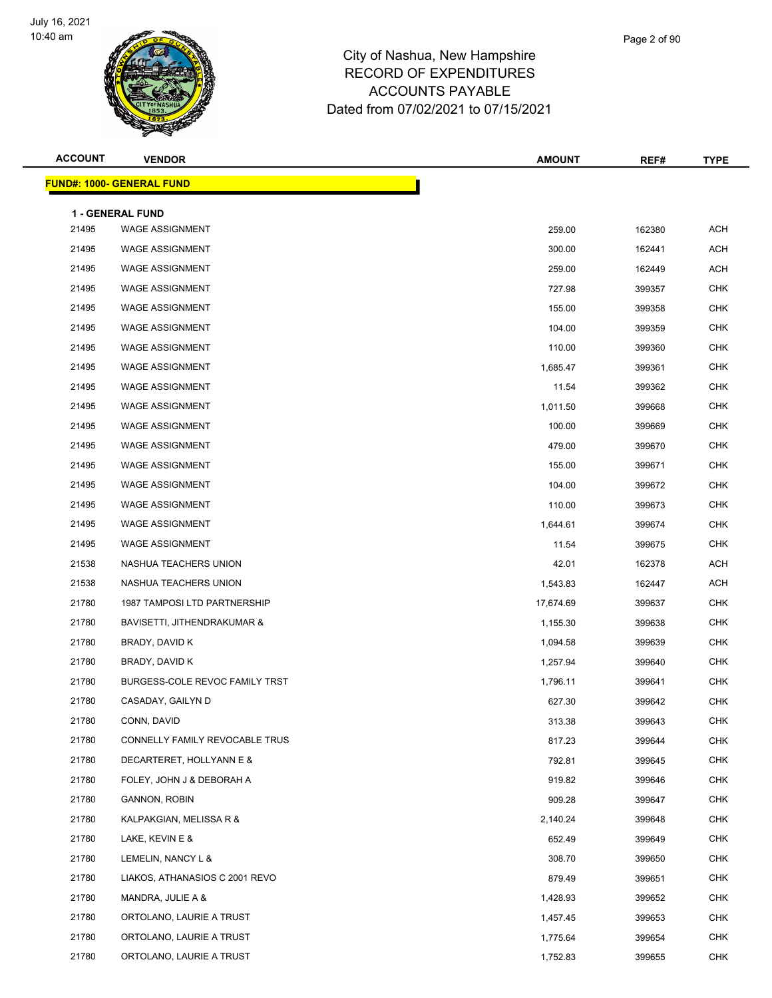

| <b>ACCOUNT</b> | <b>VENDOR</b>                       | <b>AMOUNT</b> | REF#   | <b>TYPE</b> |
|----------------|-------------------------------------|---------------|--------|-------------|
|                | <u> FUND#: 1000- GENERAL FUND</u>   |               |        |             |
|                | 1 - GENERAL FUND                    |               |        |             |
| 21495          | <b>WAGE ASSIGNMENT</b>              | 259.00        | 162380 | <b>ACH</b>  |
| 21495          | <b>WAGE ASSIGNMENT</b>              | 300.00        | 162441 | <b>ACH</b>  |
| 21495          | <b>WAGE ASSIGNMENT</b>              | 259.00        | 162449 | ACH         |
| 21495          | <b>WAGE ASSIGNMENT</b>              | 727.98        | 399357 | <b>CHK</b>  |
| 21495          | <b>WAGE ASSIGNMENT</b>              | 155.00        | 399358 | <b>CHK</b>  |
| 21495          | <b>WAGE ASSIGNMENT</b>              | 104.00        | 399359 | <b>CHK</b>  |
| 21495          | <b>WAGE ASSIGNMENT</b>              | 110.00        | 399360 | <b>CHK</b>  |
| 21495          | <b>WAGE ASSIGNMENT</b>              | 1,685.47      | 399361 | <b>CHK</b>  |
| 21495          | <b>WAGE ASSIGNMENT</b>              | 11.54         | 399362 | <b>CHK</b>  |
| 21495          | <b>WAGE ASSIGNMENT</b>              | 1,011.50      | 399668 | <b>CHK</b>  |
| 21495          | <b>WAGE ASSIGNMENT</b>              | 100.00        | 399669 | <b>CHK</b>  |
| 21495          | <b>WAGE ASSIGNMENT</b>              | 479.00        | 399670 | <b>CHK</b>  |
| 21495          | <b>WAGE ASSIGNMENT</b>              | 155.00        | 399671 | <b>CHK</b>  |
| 21495          | <b>WAGE ASSIGNMENT</b>              | 104.00        | 399672 | <b>CHK</b>  |
| 21495          | <b>WAGE ASSIGNMENT</b>              | 110.00        | 399673 | <b>CHK</b>  |
| 21495          | <b>WAGE ASSIGNMENT</b>              | 1,644.61      | 399674 | <b>CHK</b>  |
| 21495          | <b>WAGE ASSIGNMENT</b>              | 11.54         | 399675 | <b>CHK</b>  |
| 21538          | NASHUA TEACHERS UNION               | 42.01         | 162378 | ACH         |
| 21538          | NASHUA TEACHERS UNION               | 1,543.83      | 162447 | <b>ACH</b>  |
| 21780          | <b>1987 TAMPOSI LTD PARTNERSHIP</b> | 17,674.69     | 399637 | <b>CHK</b>  |
| 21780          | BAVISETTI, JITHENDRAKUMAR &         | 1,155.30      | 399638 | <b>CHK</b>  |
| 21780          | BRADY, DAVID K                      | 1,094.58      | 399639 | <b>CHK</b>  |
| 21780          | BRADY, DAVID K                      | 1,257.94      | 399640 | <b>CHK</b>  |
| 21780          | BURGESS-COLE REVOC FAMILY TRST      | 1,796.11      | 399641 | <b>CHK</b>  |
| 21780          | CASADAY, GAILYN D                   | 627.30        | 399642 | <b>CHK</b>  |
| 21780          | CONN, DAVID                         | 313.38        | 399643 | <b>CHK</b>  |
| 21780          | CONNELLY FAMILY REVOCABLE TRUS      | 817.23        | 399644 | <b>CHK</b>  |
| 21780          | DECARTERET, HOLLYANN E &            | 792.81        | 399645 | <b>CHK</b>  |
| 21780          | FOLEY, JOHN J & DEBORAH A           | 919.82        | 399646 | <b>CHK</b>  |
| 21780          | <b>GANNON, ROBIN</b>                | 909.28        | 399647 | <b>CHK</b>  |
| 21780          | KALPAKGIAN, MELISSA R &             | 2,140.24      | 399648 | <b>CHK</b>  |
| 21780          | LAKE, KEVIN E &                     | 652.49        | 399649 | <b>CHK</b>  |
| 21780          | LEMELIN, NANCY L &                  | 308.70        | 399650 | <b>CHK</b>  |
| 21780          | LIAKOS, ATHANASIOS C 2001 REVO      | 879.49        | 399651 | <b>CHK</b>  |
| 21780          | MANDRA, JULIE A &                   | 1,428.93      | 399652 | <b>CHK</b>  |
| 21780          | ORTOLANO, LAURIE A TRUST            | 1,457.45      | 399653 | <b>CHK</b>  |
| 21780          | ORTOLANO, LAURIE A TRUST            | 1,775.64      | 399654 | <b>CHK</b>  |
| 21780          | ORTOLANO, LAURIE A TRUST            | 1,752.83      | 399655 | <b>CHK</b>  |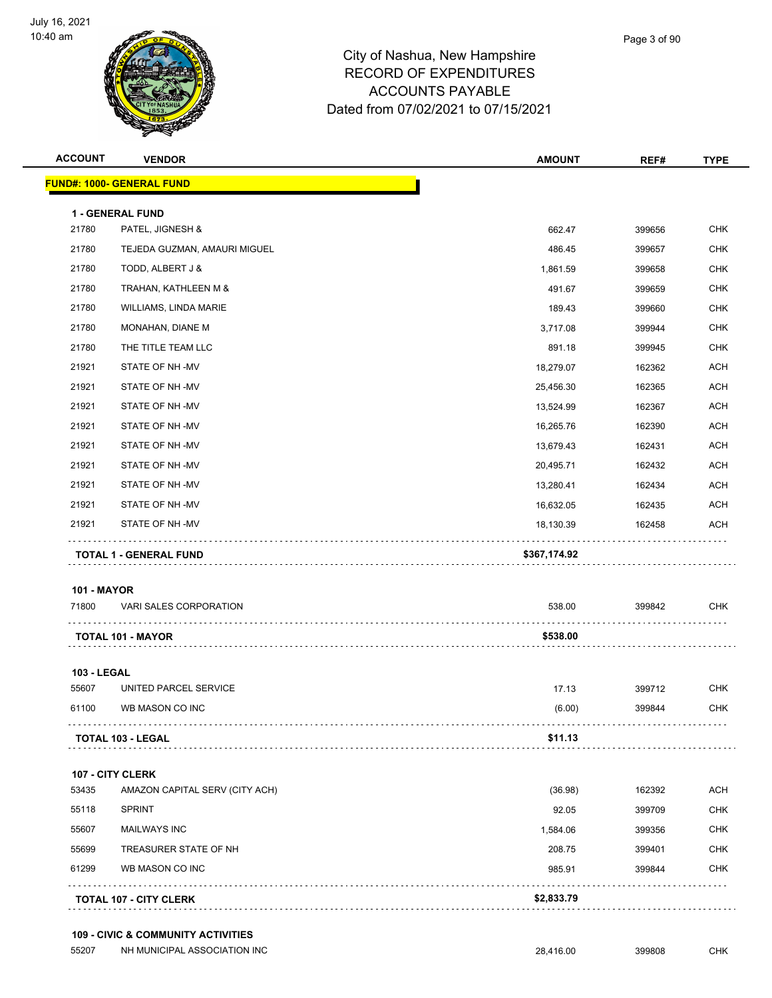

| <b>ACCOUNT</b>     | <b>VENDOR</b>                     | <b>AMOUNT</b> | REF#   | <b>TYPE</b> |
|--------------------|-----------------------------------|---------------|--------|-------------|
|                    | <u> FUND#: 1000- GENERAL FUND</u> |               |        |             |
|                    | 1 - GENERAL FUND                  |               |        |             |
| 21780              | PATEL, JIGNESH &                  | 662.47        | 399656 | <b>CHK</b>  |
| 21780              | TEJEDA GUZMAN, AMAURI MIGUEL      | 486.45        | 399657 | <b>CHK</b>  |
| 21780              | TODD, ALBERT J &                  | 1,861.59      | 399658 | <b>CHK</b>  |
| 21780              | TRAHAN, KATHLEEN M &              | 491.67        | 399659 | <b>CHK</b>  |
| 21780              | WILLIAMS, LINDA MARIE             | 189.43        | 399660 | <b>CHK</b>  |
| 21780              | MONAHAN, DIANE M                  | 3,717.08      | 399944 | <b>CHK</b>  |
| 21780              | THE TITLE TEAM LLC                | 891.18        | 399945 | <b>CHK</b>  |
| 21921              | STATE OF NH-MV                    | 18,279.07     | 162362 | <b>ACH</b>  |
| 21921              | STATE OF NH-MV                    | 25,456.30     | 162365 | <b>ACH</b>  |
| 21921              | STATE OF NH-MV                    | 13,524.99     | 162367 | ACH         |
| 21921              | STATE OF NH-MV                    | 16,265.76     | 162390 | <b>ACH</b>  |
| 21921              | STATE OF NH-MV                    | 13,679.43     | 162431 | <b>ACH</b>  |
| 21921              | STATE OF NH-MV                    | 20,495.71     | 162432 | <b>ACH</b>  |
| 21921              | STATE OF NH-MV                    | 13,280.41     | 162434 | <b>ACH</b>  |
| 21921              | STATE OF NH-MV                    | 16,632.05     | 162435 | <b>ACH</b>  |
| 21921              | STATE OF NH-MV                    | 18,130.39     | 162458 | ACH         |
|                    | TOTAL 1 - GENERAL FUND            | \$367,174.92  | .      |             |
| <b>101 - MAYOR</b> |                                   |               |        |             |
| 71800              | VARI SALES CORPORATION            | 538.00        | 399842 | <b>CHK</b>  |
|                    | TOTAL 101 - MAYOR                 | \$538.00      |        |             |
| 103 - LEGAL        |                                   |               |        |             |
| 55607              | UNITED PARCEL SERVICE             | 17.13         | 399712 | <b>CHK</b>  |
| 61100              | WB MASON CO INC                   | (6.00)        | 399844 | <b>CHK</b>  |
|                    | TOTAL 103 - LEGAL                 | \$11.13       |        |             |
|                    | 107 - CITY CLERK                  |               |        |             |
|                    | AMAZON CAPITAL SERV (CITY ACH)    | (36.98)       | 162392 | ACH         |
| 53435              |                                   |               |        |             |
| 55118              | <b>SPRINT</b>                     | 92.05         | 399709 | <b>CHK</b>  |
| 55607              | <b>MAILWAYS INC</b>               | 1,584.06      | 399356 | <b>CHK</b>  |
| 55699              | TREASURER STATE OF NH             | 208.75        | 399401 | <b>CHK</b>  |
| 61299              | WB MASON CO INC                   | 985.91        | 399844 | <b>CHK</b>  |

#### **109 - CIVIC & COMMUNITY ACTIVITIES**

55207 NH MUNICIPAL ASSOCIATION INC 28,416.00 399808 CHK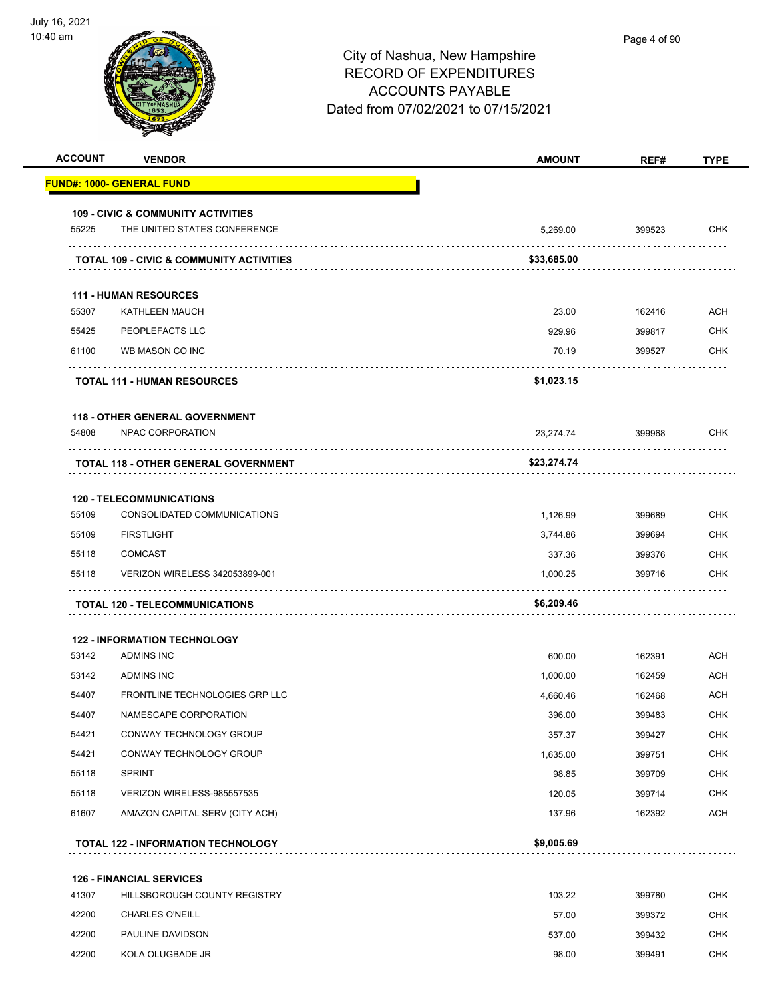|       | <b>VENDOR</b>                                                   | <b>AMOUNT</b> | REF#   | <b>TYPE</b>                                                                                                                                                   |
|-------|-----------------------------------------------------------------|---------------|--------|---------------------------------------------------------------------------------------------------------------------------------------------------------------|
|       | <u> FUND#: 1000- GENERAL FUND</u>                               |               |        |                                                                                                                                                               |
|       | <b>109 - CIVIC &amp; COMMUNITY ACTIVITIES</b>                   |               |        |                                                                                                                                                               |
| 55225 | THE UNITED STATES CONFERENCE                                    | 5.269.00      | 399523 | <b>CHK</b>                                                                                                                                                    |
|       | <b>TOTAL 109 - CIVIC &amp; COMMUNITY ACTIVITIES</b>             | \$33,685.00   |        |                                                                                                                                                               |
|       | <b>111 - HUMAN RESOURCES</b>                                    |               |        |                                                                                                                                                               |
| 55307 | KATHLEEN MAUCH                                                  | 23.00         | 162416 | <b>ACH</b>                                                                                                                                                    |
| 55425 | PEOPLEFACTS LLC                                                 | 929.96        | 399817 | <b>CHK</b>                                                                                                                                                    |
| 61100 | WB MASON CO INC                                                 | 70.19         | 399527 | <b>CHK</b>                                                                                                                                                    |
|       | <b>TOTAL 111 - HUMAN RESOURCES</b>                              | \$1,023.15    |        |                                                                                                                                                               |
|       | <b>118 - OTHER GENERAL GOVERNMENT</b>                           |               |        |                                                                                                                                                               |
| 54808 | NPAC CORPORATION                                                | 23,274.74     | 399968 | <b>CHK</b>                                                                                                                                                    |
|       | <b>TOTAL 118 - OTHER GENERAL GOVERNMENT</b>                     | \$23,274.74   | .      |                                                                                                                                                               |
|       |                                                                 |               |        |                                                                                                                                                               |
| 55109 | <b>120 - TELECOMMUNICATIONS</b><br>CONSOLIDATED COMMUNICATIONS  | 1,126.99      | 399689 | <b>CHK</b>                                                                                                                                                    |
| 55109 | <b>FIRSTLIGHT</b>                                               | 3,744.86      | 399694 | <b>CHK</b>                                                                                                                                                    |
| 55118 | <b>COMCAST</b>                                                  | 337.36        | 399376 | <b>CHK</b>                                                                                                                                                    |
| 55118 | VERIZON WIRELESS 342053899-001                                  | 1,000.25      | 399716 | <b>CHK</b>                                                                                                                                                    |
|       | <b>TOTAL 120 - TELECOMMUNICATIONS</b>                           | \$6,209.46    |        |                                                                                                                                                               |
|       |                                                                 |               |        |                                                                                                                                                               |
|       | <b>122 - INFORMATION TECHNOLOGY</b>                             |               |        |                                                                                                                                                               |
| 53142 | ADMINS INC                                                      |               |        |                                                                                                                                                               |
|       |                                                                 | 600.00        | 162391 |                                                                                                                                                               |
| 53142 | ADMINS INC                                                      | 1,000.00      | 162459 |                                                                                                                                                               |
| 54407 | FRONTLINE TECHNOLOGIES GRP LLC                                  | 4,660.46      | 162468 |                                                                                                                                                               |
| 54407 | NAMESCAPE CORPORATION                                           | 396.00        | 399483 |                                                                                                                                                               |
| 54421 | CONWAY TECHNOLOGY GROUP                                         | 357.37        | 399427 |                                                                                                                                                               |
| 54421 | CONWAY TECHNOLOGY GROUP                                         | 1,635.00      | 399751 |                                                                                                                                                               |
| 55118 | <b>SPRINT</b>                                                   | 98.85         | 399709 |                                                                                                                                                               |
| 55118 | VERIZON WIRELESS-985557535                                      | 120.05        | 399714 |                                                                                                                                                               |
| 61607 | AMAZON CAPITAL SERV (CITY ACH)                                  | 137.96        | 162392 |                                                                                                                                                               |
|       | <b>TOTAL 122 - INFORMATION TECHNOLOGY</b>                       | \$9,005.69    |        |                                                                                                                                                               |
|       |                                                                 |               |        |                                                                                                                                                               |
| 41307 | <b>126 - FINANCIAL SERVICES</b><br>HILLSBOROUGH COUNTY REGISTRY | 103.22        | 399780 |                                                                                                                                                               |
| 42200 | <b>CHARLES O'NEILL</b>                                          | 57.00         | 399372 |                                                                                                                                                               |
| 42200 | PAULINE DAVIDSON                                                | 537.00        | 399432 | <b>ACH</b><br><b>ACH</b><br>ACH<br><b>CHK</b><br><b>CHK</b><br><b>CHK</b><br><b>CHK</b><br><b>CHK</b><br><b>ACH</b><br><b>CHK</b><br><b>CHK</b><br><b>CHK</b> |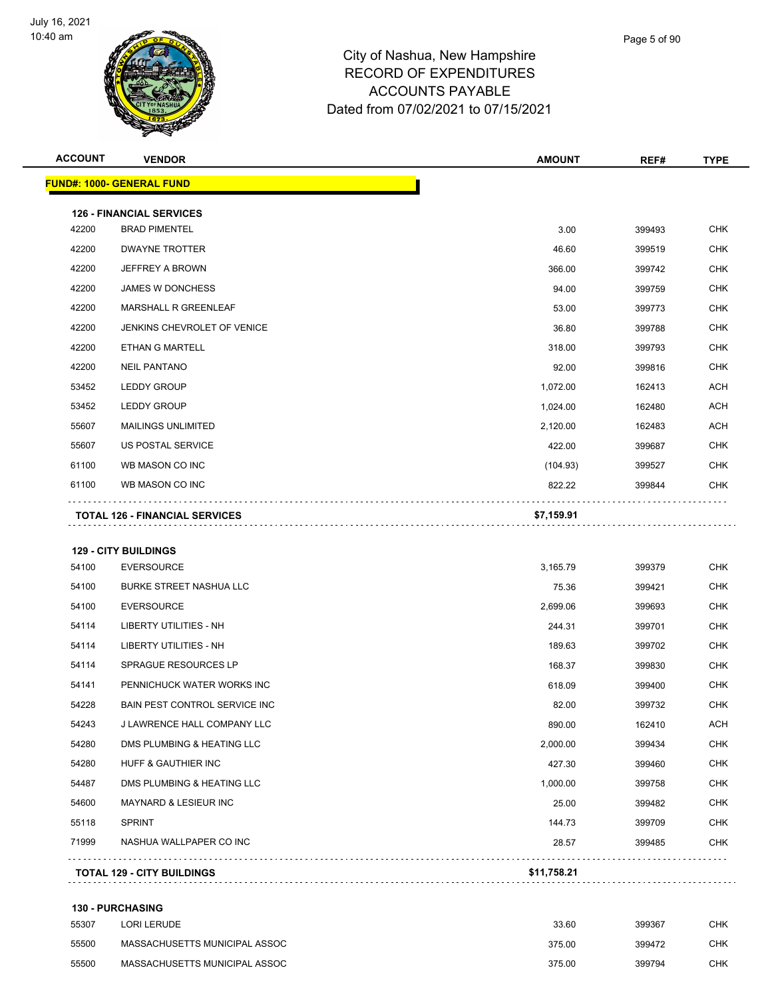

|                | <b>VENDOR</b>                                             | <b>AMOUNT</b>      | REF#             | <b>TYPE</b>                                                                                                         |
|----------------|-----------------------------------------------------------|--------------------|------------------|---------------------------------------------------------------------------------------------------------------------|
|                | <b>FUND#: 1000- GENERAL FUND</b>                          |                    |                  |                                                                                                                     |
|                | <b>126 - FINANCIAL SERVICES</b>                           |                    |                  |                                                                                                                     |
| 42200          | <b>BRAD PIMENTEL</b>                                      | 3.00               | 399493           | <b>CHK</b>                                                                                                          |
| 42200          | <b>DWAYNE TROTTER</b>                                     | 46.60              | 399519           | CHK                                                                                                                 |
| 42200          | JEFFREY A BROWN                                           | 366.00             | 399742           | <b>CHK</b>                                                                                                          |
| 42200          | JAMES W DONCHESS                                          | 94.00              | 399759           | CHK                                                                                                                 |
| 42200          | MARSHALL R GREENLEAF                                      | 53.00              | 399773           | <b>CHK</b>                                                                                                          |
| 42200          | JENKINS CHEVROLET OF VENICE                               | 36.80              | 399788           | CHK                                                                                                                 |
| 42200          | ETHAN G MARTELL                                           | 318.00             | 399793           | CHK                                                                                                                 |
| 42200          | <b>NEIL PANTANO</b>                                       | 92.00              | 399816           | <b>CHK</b>                                                                                                          |
| 53452          | <b>LEDDY GROUP</b>                                        | 1,072.00           | 162413           | <b>ACH</b>                                                                                                          |
| 53452          | <b>LEDDY GROUP</b>                                        | 1,024.00           | 162480           | ACH                                                                                                                 |
| 55607          | <b>MAILINGS UNLIMITED</b>                                 | 2,120.00           | 162483           | <b>ACH</b>                                                                                                          |
| 55607          | US POSTAL SERVICE                                         | 422.00             | 399687           | CHK                                                                                                                 |
| 61100          | WB MASON CO INC                                           | (104.93)           | 399527           | <b>CHK</b>                                                                                                          |
| 61100          | WB MASON CO INC                                           | 822.22             | 399844           | CHK                                                                                                                 |
|                |                                                           |                    |                  |                                                                                                                     |
|                | <b>TOTAL 126 - FINANCIAL SERVICES</b>                     | \$7,159.91         |                  |                                                                                                                     |
|                |                                                           |                    |                  |                                                                                                                     |
|                | <b>129 - CITY BUILDINGS</b>                               |                    |                  |                                                                                                                     |
| 54100          | <b>EVERSOURCE</b>                                         | 3,165.79           | 399379           |                                                                                                                     |
| 54100          | <b>BURKE STREET NASHUA LLC</b>                            | 75.36              | 399421           |                                                                                                                     |
| 54100          | <b>EVERSOURCE</b>                                         | 2,699.06           | 399693           |                                                                                                                     |
| 54114          | LIBERTY UTILITIES - NH                                    | 244.31             | 399701           | <b>CHK</b><br><b>CHK</b><br>CHK<br><b>CHK</b>                                                                       |
| 54114          | LIBERTY UTILITIES - NH                                    | 189.63             | 399702           |                                                                                                                     |
| 54114          | <b>SPRAGUE RESOURCES LP</b>                               | 168.37             | 399830           |                                                                                                                     |
| 54141          | PENNICHUCK WATER WORKS INC                                | 618.09             | 399400           |                                                                                                                     |
| 54228          | BAIN PEST CONTROL SERVICE INC                             | 82.00              | 399732           |                                                                                                                     |
| 54243          | J LAWRENCE HALL COMPANY LLC<br>DMS PLUMBING & HEATING LLC | 890.00             | 162410           |                                                                                                                     |
| 54280          | HUFF & GAUTHIER INC                                       | 2,000.00           | 399434           |                                                                                                                     |
| 54280<br>54487 | DMS PLUMBING & HEATING LLC                                | 427.30<br>1,000.00 | 399460<br>399758 |                                                                                                                     |
| 54600          | MAYNARD & LESIEUR INC                                     | 25.00              | 399482           | <b>CHK</b><br><b>CHK</b><br><b>CHK</b><br><b>CHK</b><br><b>ACH</b><br><b>CHK</b><br><b>CHK</b><br>CHK<br><b>CHK</b> |
| 55118          | <b>SPRINT</b>                                             | 144.73             | 399709           |                                                                                                                     |
| 71999          | NASHUA WALLPAPER CO INC                                   | 28.57              | 399485           | <b>CHK</b><br><b>CHK</b>                                                                                            |

| 55307 | LORI LERUDE                   | 33.60  | 399367 | <b>CHK</b> |
|-------|-------------------------------|--------|--------|------------|
| 55500 | MASSACHUSETTS MUNICIPAL ASSOC | 375.00 | 399472 | снк        |
| 55500 | MASSACHUSETTS MUNICIPAL ASSOC | 375.00 | 399794 | <b>CHK</b> |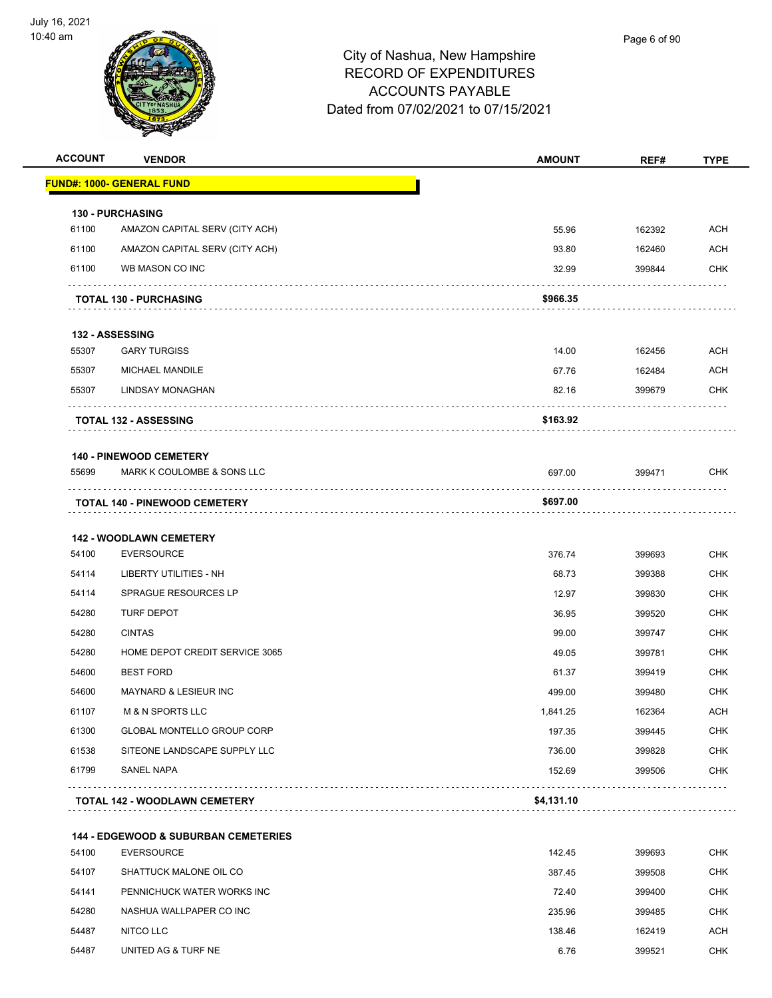

| <b>ACCOUNT</b> | <b>VENDOR</b>                                   | <b>AMOUNT</b> | REF#   | TYPE       |
|----------------|-------------------------------------------------|---------------|--------|------------|
|                | <u> FUND#: 1000- GENERAL FUND</u>               |               |        |            |
|                | <b>130 - PURCHASING</b>                         |               |        |            |
| 61100          | AMAZON CAPITAL SERV (CITY ACH)                  | 55.96         | 162392 | <b>ACH</b> |
| 61100          | AMAZON CAPITAL SERV (CITY ACH)                  | 93.80         | 162460 | <b>ACH</b> |
| 61100          | WB MASON CO INC                                 | 32.99         | 399844 | <b>CHK</b> |
|                | <b>TOTAL 130 - PURCHASING</b>                   | \$966.35      |        |            |
|                | <b>132 - ASSESSING</b>                          |               |        |            |
| 55307          | <b>GARY TURGISS</b>                             | 14.00         | 162456 | <b>ACH</b> |
| 55307          | MICHAEL MANDILE                                 | 67.76         | 162484 | <b>ACH</b> |
| 55307          | LINDSAY MONAGHAN                                | 82.16         | 399679 | <b>CHK</b> |
|                | <b>TOTAL 132 - ASSESSING</b>                    | \$163.92      |        |            |
|                | <b>140 - PINEWOOD CEMETERY</b>                  |               |        |            |
| 55699          | MARK K COULOMBE & SONS LLC                      | 697.00        | 399471 | <b>CHK</b> |
|                | <b>TOTAL 140 - PINEWOOD CEMETERY</b>            | \$697.00      |        |            |
|                | <b>142 - WOODLAWN CEMETERY</b>                  |               |        |            |
| 54100          | <b>EVERSOURCE</b>                               | 376.74        | 399693 | <b>CHK</b> |
| 54114          | LIBERTY UTILITIES - NH                          | 68.73         | 399388 | <b>CHK</b> |
| 54114          | <b>SPRAGUE RESOURCES LP</b>                     | 12.97         | 399830 | <b>CHK</b> |
| 54280          | <b>TURF DEPOT</b>                               | 36.95         | 399520 | <b>CHK</b> |
| 54280          | <b>CINTAS</b>                                   | 99.00         | 399747 | <b>CHK</b> |
| 54280          | HOME DEPOT CREDIT SERVICE 3065                  | 49.05         | 399781 | <b>CHK</b> |
| 54600          | <b>BEST FORD</b>                                | 61.37         | 399419 | <b>CHK</b> |
| 54600          | <b>MAYNARD &amp; LESIEUR INC</b>                | 499.00        | 399480 | <b>CHK</b> |
| 61107          | M & N SPORTS LLC                                | 1,841.25      | 162364 | <b>ACH</b> |
| 61300          | <b>GLOBAL MONTELLO GROUP CORP</b>               | 197.35        | 399445 | <b>CHK</b> |
| 61538          | SITEONE LANDSCAPE SUPPLY LLC                    | 736.00        | 399828 | <b>CHK</b> |
| 61799          | SANEL NAPA                                      | 152.69        | 399506 | <b>CHK</b> |
|                | <b>TOTAL 142 - WOODLAWN CEMETERY</b><br>.       | \$4,131.10    |        |            |
|                | <b>144 - EDGEWOOD &amp; SUBURBAN CEMETERIES</b> |               |        |            |
| 54100          | <b>EVERSOURCE</b>                               | 142.45        | 399693 | <b>CHK</b> |
| 54107          | SHATTUCK MALONE OIL CO                          | 387.45        | 399508 | <b>CHK</b> |
| 54141          | PENNICHUCK WATER WORKS INC                      | 72.40         | 399400 | <b>CHK</b> |
| 54280          | NASHUA WALLPAPER CO INC                         | 235.96        | 399485 | CHK        |
| 54487          | NITCO LLC                                       | 138.46        | 162419 | ACH        |

54487 UNITED AG & TURF NE **6.76** 399521 CHK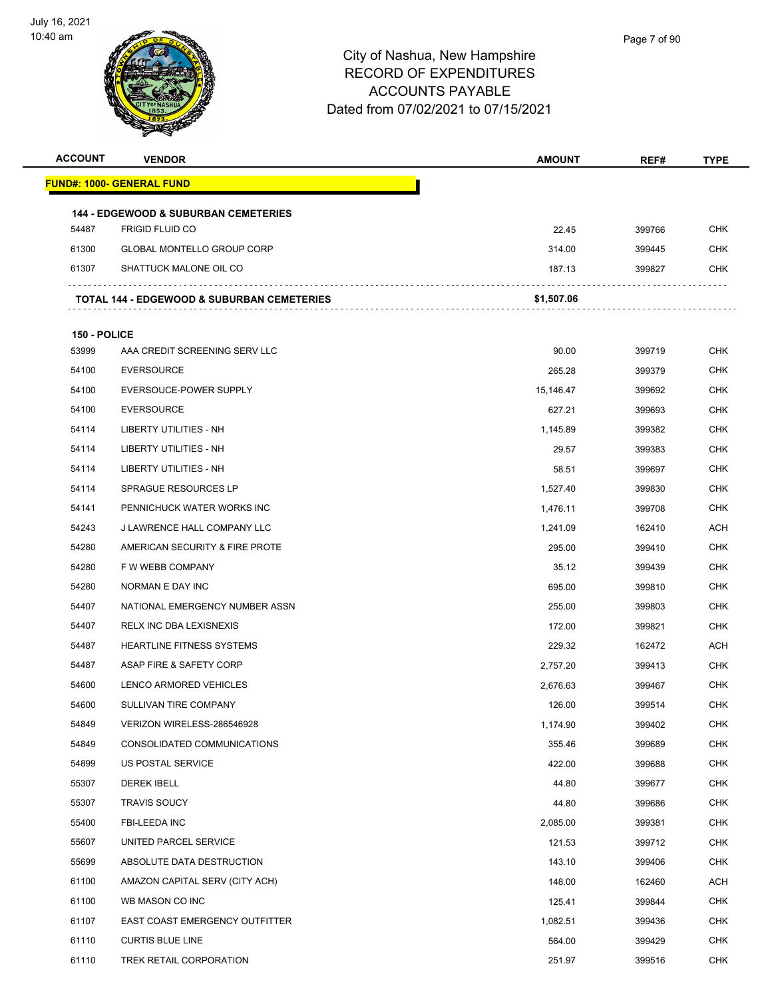

| <b>ACCOUNT</b> | <b>VENDOR</b>                                         | <b>AMOUNT</b> | REF#   | <b>TYPE</b> |
|----------------|-------------------------------------------------------|---------------|--------|-------------|
|                | FUND#: 1000- GENERAL FUND                             |               |        |             |
|                | <b>144 - EDGEWOOD &amp; SUBURBAN CEMETERIES</b>       |               |        |             |
| 54487          | <b>FRIGID FLUID CO</b>                                | 22.45         | 399766 | <b>CHK</b>  |
| 61300          | <b>GLOBAL MONTELLO GROUP CORP</b>                     | 314.00        | 399445 | <b>CHK</b>  |
| 61307          | SHATTUCK MALONE OIL CO                                | 187.13        | 399827 | CHK         |
|                | <b>TOTAL 144 - EDGEWOOD &amp; SUBURBAN CEMETERIES</b> | \$1,507.06    |        |             |
| 150 - POLICE   |                                                       |               |        |             |
| 53999          | AAA CREDIT SCREENING SERV LLC                         | 90.00         | 399719 | <b>CHK</b>  |
| 54100          | <b>EVERSOURCE</b>                                     | 265.28        | 399379 | <b>CHK</b>  |
| 54100          | EVERSOUCE-POWER SUPPLY                                | 15,146.47     | 399692 | CHK         |
| 54100          | <b>EVERSOURCE</b>                                     | 627.21        | 399693 | <b>CHK</b>  |
| 54114          | <b>LIBERTY UTILITIES - NH</b>                         | 1,145.89      | 399382 | <b>CHK</b>  |
| 54114          | LIBERTY UTILITIES - NH                                | 29.57         | 399383 | <b>CHK</b>  |
| 54114          | LIBERTY UTILITIES - NH                                | 58.51         | 399697 | <b>CHK</b>  |
| 54114          | SPRAGUE RESOURCES LP                                  | 1,527.40      | 399830 | CHK         |
| 54141          | PENNICHUCK WATER WORKS INC                            | 1,476.11      | 399708 | <b>CHK</b>  |
| 54243          | J LAWRENCE HALL COMPANY LLC                           | 1,241.09      | 162410 | ACH         |
| 54280          | AMERICAN SECURITY & FIRE PROTE                        | 295.00        | 399410 | <b>CHK</b>  |
| 54280          | F W WEBB COMPANY                                      | 35.12         | 399439 | <b>CHK</b>  |
| 54280          | NORMAN E DAY INC                                      | 695.00        | 399810 | CHK         |
| 54407          | NATIONAL EMERGENCY NUMBER ASSN                        | 255.00        | 399803 | <b>CHK</b>  |
| 54407          | RELX INC DBA LEXISNEXIS                               | 172.00        | 399821 | CHK         |
| 54487          | <b>HEARTLINE FITNESS SYSTEMS</b>                      | 229.32        | 162472 | ACH         |
| 54487          | ASAP FIRE & SAFETY CORP                               | 2,757.20      | 399413 | <b>CHK</b>  |
| 54600          | LENCO ARMORED VEHICLES                                | 2,676.63      | 399467 | <b>CHK</b>  |
| 54600          | SULLIVAN TIRE COMPANY                                 | 126.00        | 399514 | <b>CHK</b>  |
| 54849          | VERIZON WIRELESS-286546928                            | 1,174.90      | 399402 | <b>CHK</b>  |
| 54849          | CONSOLIDATED COMMUNICATIONS                           | 355.46        | 399689 | <b>CHK</b>  |
| 54899          | US POSTAL SERVICE                                     | 422.00        | 399688 | <b>CHK</b>  |
| 55307          | <b>DEREK IBELL</b>                                    | 44.80         | 399677 | <b>CHK</b>  |
| 55307          | <b>TRAVIS SOUCY</b>                                   | 44.80         | 399686 | <b>CHK</b>  |
| 55400          | FBI-LEEDA INC                                         | 2,085.00      | 399381 | <b>CHK</b>  |
| 55607          | UNITED PARCEL SERVICE                                 | 121.53        | 399712 | <b>CHK</b>  |
| 55699          | ABSOLUTE DATA DESTRUCTION                             | 143.10        | 399406 | <b>CHK</b>  |
| 61100          | AMAZON CAPITAL SERV (CITY ACH)                        | 148.00        | 162460 | ACH         |
| 61100          | WB MASON CO INC                                       | 125.41        | 399844 | <b>CHK</b>  |
| 61107          | EAST COAST EMERGENCY OUTFITTER                        | 1,082.51      | 399436 | <b>CHK</b>  |
| 61110          | <b>CURTIS BLUE LINE</b>                               | 564.00        | 399429 | <b>CHK</b>  |
| 61110          | TREK RETAIL CORPORATION                               | 251.97        | 399516 | <b>CHK</b>  |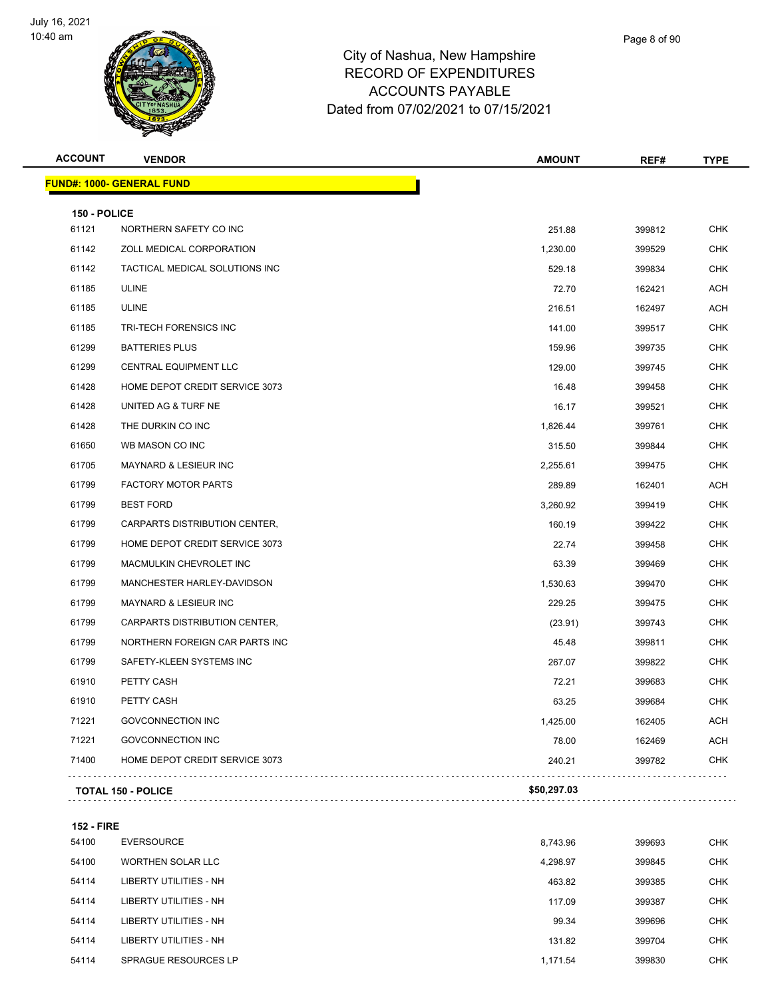

| <b>ACCOUNT</b> | <b>VENDOR</b>                    | <b>AMOUNT</b> | REF#   | <b>TYPE</b> |
|----------------|----------------------------------|---------------|--------|-------------|
|                | <b>FUND#: 1000- GENERAL FUND</b> |               |        |             |
| 150 - POLICE   |                                  |               |        |             |
| 61121          | NORTHERN SAFETY CO INC           | 251.88        | 399812 | <b>CHK</b>  |
| 61142          | ZOLL MEDICAL CORPORATION         | 1,230.00      | 399529 | <b>CHK</b>  |
| 61142          | TACTICAL MEDICAL SOLUTIONS INC   | 529.18        | 399834 | <b>CHK</b>  |
| 61185          | <b>ULINE</b>                     | 72.70         | 162421 | ACH         |
| 61185          | <b>ULINE</b>                     | 216.51        | 162497 | <b>ACH</b>  |
| 61185          | TRI-TECH FORENSICS INC           | 141.00        | 399517 | <b>CHK</b>  |
| 61299          | <b>BATTERIES PLUS</b>            | 159.96        | 399735 | <b>CHK</b>  |
| 61299          | <b>CENTRAL EQUIPMENT LLC</b>     | 129.00        | 399745 | <b>CHK</b>  |
| 61428          | HOME DEPOT CREDIT SERVICE 3073   | 16.48         | 399458 | <b>CHK</b>  |
| 61428          | UNITED AG & TURF NE              | 16.17         | 399521 | <b>CHK</b>  |
| 61428          | THE DURKIN CO INC                | 1,826.44      | 399761 | <b>CHK</b>  |
| 61650          | WB MASON CO INC                  | 315.50        | 399844 | <b>CHK</b>  |
| 61705          | MAYNARD & LESIEUR INC            | 2,255.61      | 399475 | <b>CHK</b>  |
| 61799          | FACTORY MOTOR PARTS              | 289.89        | 162401 | <b>ACH</b>  |
| 61799          | <b>BEST FORD</b>                 | 3,260.92      | 399419 | <b>CHK</b>  |
| 61799          | CARPARTS DISTRIBUTION CENTER,    | 160.19        | 399422 | <b>CHK</b>  |
| 61799          | HOME DEPOT CREDIT SERVICE 3073   | 22.74         | 399458 | <b>CHK</b>  |
| 61799          | MACMULKIN CHEVROLET INC          | 63.39         | 399469 | <b>CHK</b>  |
| 61799          | MANCHESTER HARLEY-DAVIDSON       | 1,530.63      | 399470 | <b>CHK</b>  |
| 61799          | MAYNARD & LESIEUR INC            | 229.25        | 399475 | <b>CHK</b>  |
| 61799          | CARPARTS DISTRIBUTION CENTER,    | (23.91)       | 399743 | <b>CHK</b>  |
| 61799          | NORTHERN FOREIGN CAR PARTS INC   | 45.48         | 399811 | <b>CHK</b>  |
| 61799          | SAFETY-KLEEN SYSTEMS INC         | 267.07        | 399822 | <b>CHK</b>  |
| 61910          | PETTY CASH                       | 72.21         | 399683 | <b>CHK</b>  |
| 61910          | PETTY CASH                       | 63.25         | 399684 | <b>CHK</b>  |
| 71221          | <b>GOVCONNECTION INC</b>         | 1,425.00      | 162405 | <b>ACH</b>  |
| 71221          | <b>GOVCONNECTION INC</b>         | 78.00         | 162469 | <b>ACH</b>  |
| 71400          | HOME DEPOT CREDIT SERVICE 3073   | 240.21        | 399782 | <b>CHK</b>  |
|                | <b>TOTAL 150 - POLICE</b>        | \$50,297.03   |        |             |
|                |                                  |               |        |             |

**152 - FIRE**

| 54100 | <b>EVERSOURCE</b>           | 8,743.96 | 399693 | <b>CHK</b> |
|-------|-----------------------------|----------|--------|------------|
| 54100 | WORTHEN SOLAR LLC           | 4.298.97 | 399845 | <b>CHK</b> |
| 54114 | LIBERTY UTILITIES - NH      | 463.82   | 399385 | <b>CHK</b> |
| 54114 | LIBERTY UTILITIES - NH      | 117.09   | 399387 | <b>CHK</b> |
| 54114 | LIBERTY UTILITIES - NH      | 99.34    | 399696 | <b>CHK</b> |
| 54114 | LIBERTY UTILITIES - NH      | 131.82   | 399704 | <b>CHK</b> |
| 54114 | <b>SPRAGUE RESOURCES LP</b> | 1.171.54 | 399830 | <b>CHK</b> |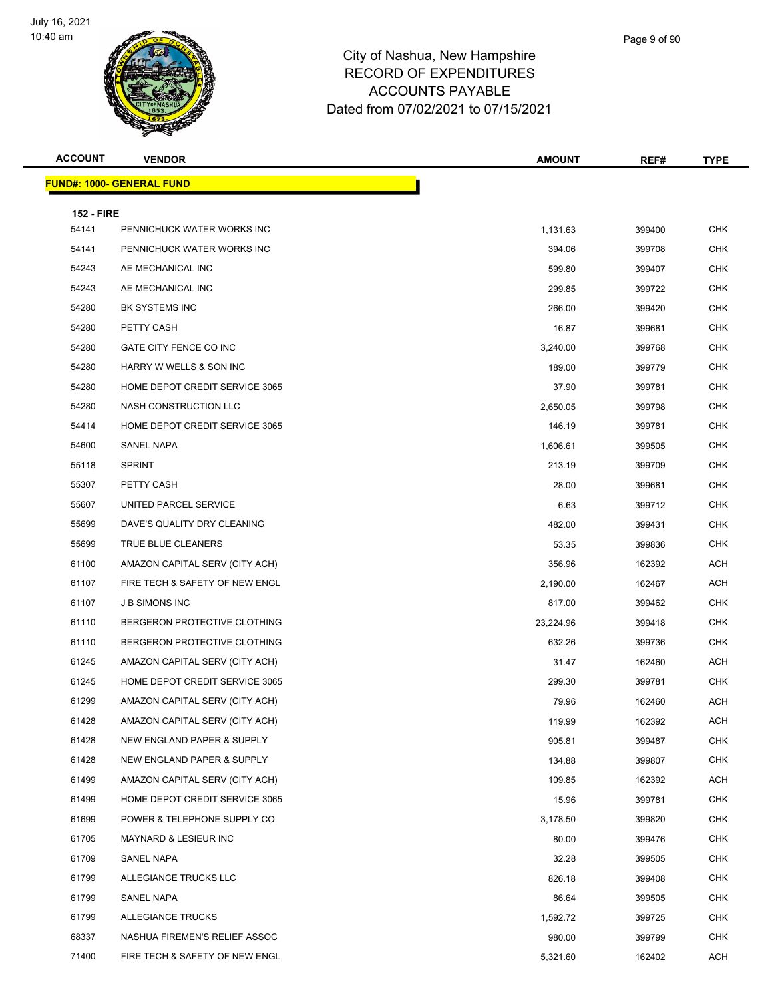

| <b>ACCOUNT</b>             | <b>VENDOR</b>                     | <b>AMOUNT</b> | REF#   | <b>TYPE</b> |
|----------------------------|-----------------------------------|---------------|--------|-------------|
|                            | <u> FUND#: 1000- GENERAL FUND</u> |               |        |             |
|                            |                                   |               |        |             |
| <b>152 - FIRE</b><br>54141 | PENNICHUCK WATER WORKS INC        | 1,131.63      | 399400 | <b>CHK</b>  |
| 54141                      | PENNICHUCK WATER WORKS INC        | 394.06        | 399708 | <b>CHK</b>  |
| 54243                      | AE MECHANICAL INC                 | 599.80        | 399407 | <b>CHK</b>  |
| 54243                      | AE MECHANICAL INC                 | 299.85        | 399722 | <b>CHK</b>  |
| 54280                      | BK SYSTEMS INC                    | 266.00        | 399420 | <b>CHK</b>  |
| 54280                      | PETTY CASH                        | 16.87         | 399681 | <b>CHK</b>  |
| 54280                      | GATE CITY FENCE CO INC            | 3,240.00      | 399768 | <b>CHK</b>  |
| 54280                      | HARRY W WELLS & SON INC           | 189.00        | 399779 | <b>CHK</b>  |
| 54280                      | HOME DEPOT CREDIT SERVICE 3065    | 37.90         | 399781 | <b>CHK</b>  |
| 54280                      | NASH CONSTRUCTION LLC             | 2,650.05      | 399798 | <b>CHK</b>  |
| 54414                      | HOME DEPOT CREDIT SERVICE 3065    | 146.19        | 399781 | <b>CHK</b>  |
| 54600                      | <b>SANEL NAPA</b>                 | 1,606.61      | 399505 | <b>CHK</b>  |
| 55118                      | <b>SPRINT</b>                     | 213.19        | 399709 | <b>CHK</b>  |
| 55307                      | PETTY CASH                        | 28.00         | 399681 | <b>CHK</b>  |
| 55607                      | UNITED PARCEL SERVICE             | 6.63          | 399712 | <b>CHK</b>  |
| 55699                      | DAVE'S QUALITY DRY CLEANING       | 482.00        | 399431 | <b>CHK</b>  |
| 55699                      | TRUE BLUE CLEANERS                | 53.35         | 399836 | <b>CHK</b>  |
| 61100                      | AMAZON CAPITAL SERV (CITY ACH)    | 356.96        | 162392 | <b>ACH</b>  |
| 61107                      | FIRE TECH & SAFETY OF NEW ENGL    | 2,190.00      | 162467 | <b>ACH</b>  |
| 61107                      | <b>JB SIMONS INC</b>              | 817.00        | 399462 | <b>CHK</b>  |
| 61110                      | BERGERON PROTECTIVE CLOTHING      | 23,224.96     | 399418 | <b>CHK</b>  |
| 61110                      | BERGERON PROTECTIVE CLOTHING      | 632.26        | 399736 | <b>CHK</b>  |
| 61245                      | AMAZON CAPITAL SERV (CITY ACH)    | 31.47         | 162460 | <b>ACH</b>  |
| 61245                      | HOME DEPOT CREDIT SERVICE 3065    | 299.30        | 399781 | <b>CHK</b>  |
| 61299                      | AMAZON CAPITAL SERV (CITY ACH)    | 79.96         | 162460 | <b>ACH</b>  |
| 61428                      | AMAZON CAPITAL SERV (CITY ACH)    | 119.99        | 162392 | <b>ACH</b>  |
| 61428                      | NEW ENGLAND PAPER & SUPPLY        | 905.81        | 399487 | <b>CHK</b>  |
| 61428                      | NEW ENGLAND PAPER & SUPPLY        | 134.88        | 399807 | <b>CHK</b>  |
| 61499                      | AMAZON CAPITAL SERV (CITY ACH)    | 109.85        | 162392 | <b>ACH</b>  |
| 61499                      | HOME DEPOT CREDIT SERVICE 3065    | 15.96         | 399781 | <b>CHK</b>  |
| 61699                      | POWER & TELEPHONE SUPPLY CO       | 3,178.50      | 399820 | <b>CHK</b>  |
| 61705                      | MAYNARD & LESIEUR INC             | 80.00         | 399476 | <b>CHK</b>  |
| 61709                      | <b>SANEL NAPA</b>                 | 32.28         | 399505 | <b>CHK</b>  |
| 61799                      | ALLEGIANCE TRUCKS LLC             | 826.18        | 399408 | <b>CHK</b>  |
| 61799                      | SANEL NAPA                        | 86.64         | 399505 | CHK         |
| 61799                      | ALLEGIANCE TRUCKS                 | 1,592.72      | 399725 | <b>CHK</b>  |
| 68337                      | NASHUA FIREMEN'S RELIEF ASSOC     | 980.00        | 399799 | <b>CHK</b>  |
| 71400                      | FIRE TECH & SAFETY OF NEW ENGL    | 5,321.60      | 162402 | <b>ACH</b>  |
|                            |                                   |               |        |             |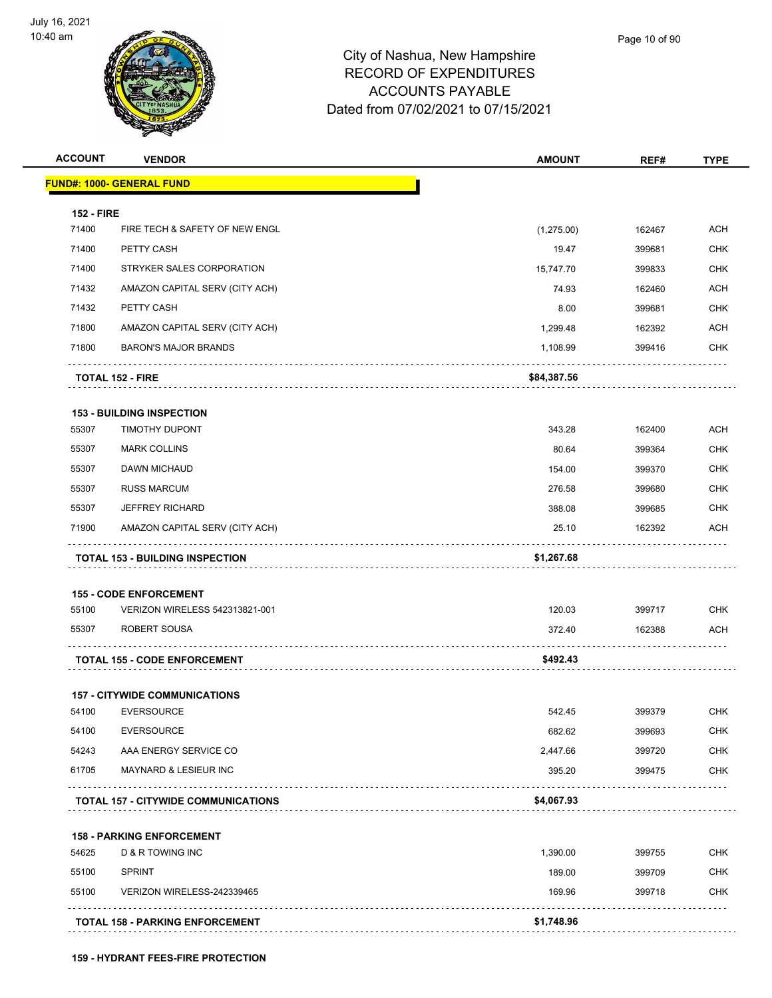

| <b>ACCOUNT</b>    | <b>VENDOR</b>                              | <b>AMOUNT</b> | REF#   | <b>TYPE</b> |
|-------------------|--------------------------------------------|---------------|--------|-------------|
|                   | <u> FUND#: 1000- GENERAL FUND</u>          |               |        |             |
| <b>152 - FIRE</b> |                                            |               |        |             |
| 71400             | FIRE TECH & SAFETY OF NEW ENGL             | (1,275.00)    | 162467 | <b>ACH</b>  |
| 71400             | PETTY CASH                                 | 19.47         | 399681 | <b>CHK</b>  |
| 71400             | STRYKER SALES CORPORATION                  | 15,747.70     | 399833 | <b>CHK</b>  |
| 71432             | AMAZON CAPITAL SERV (CITY ACH)             | 74.93         | 162460 | <b>ACH</b>  |
| 71432             | PETTY CASH                                 | 8.00          | 399681 | <b>CHK</b>  |
| 71800             | AMAZON CAPITAL SERV (CITY ACH)             | 1,299.48      | 162392 | <b>ACH</b>  |
| 71800             | <b>BARON'S MAJOR BRANDS</b>                | 1,108.99      | 399416 | <b>CHK</b>  |
|                   | <b>TOTAL 152 - FIRE</b>                    | \$84,387.56   |        |             |
|                   | <b>153 - BUILDING INSPECTION</b>           |               |        |             |
| 55307             | TIMOTHY DUPONT                             | 343.28        | 162400 | <b>ACH</b>  |
| 55307             | <b>MARK COLLINS</b>                        | 80.64         | 399364 | <b>CHK</b>  |
| 55307             | DAWN MICHAUD                               | 154.00        | 399370 | <b>CHK</b>  |
| 55307             | <b>RUSS MARCUM</b>                         | 276.58        | 399680 | <b>CHK</b>  |
| 55307             | <b>JEFFREY RICHARD</b>                     | 388.08        | 399685 | <b>CHK</b>  |
| 71900             | AMAZON CAPITAL SERV (CITY ACH)             | 25.10         | 162392 | <b>ACH</b>  |
|                   | <b>TOTAL 153 - BUILDING INSPECTION</b>     | \$1,267.68    |        |             |
|                   | <b>155 - CODE ENFORCEMENT</b>              |               |        |             |
| 55100             | VERIZON WIRELESS 542313821-001             | 120.03        | 399717 | <b>CHK</b>  |
| 55307             | ROBERT SOUSA                               | 372.40        | 162388 | ACH         |
|                   | <b>TOTAL 155 - CODE ENFORCEMENT</b>        | \$492.43      |        |             |
|                   | <b>157 - CITYWIDE COMMUNICATIONS</b>       |               |        |             |
| 54100             | <b>EVERSOURCE</b>                          | 542.45        | 399379 | CHK         |
| 54100             | <b>EVERSOURCE</b>                          | 682.62        | 399693 | <b>CHK</b>  |
| 54243             | AAA ENERGY SERVICE CO                      | 2,447.66      | 399720 | <b>CHK</b>  |
| 61705             | MAYNARD & LESIEUR INC                      | 395.20        | 399475 | CHK         |
|                   | <b>TOTAL 157 - CITYWIDE COMMUNICATIONS</b> | \$4,067.93    |        |             |
|                   | <b>158 - PARKING ENFORCEMENT</b>           |               |        |             |
| 54625             | <b>D &amp; R TOWING INC</b>                | 1,390.00      | 399755 | <b>CHK</b>  |
| 55100             | <b>SPRINT</b>                              | 189.00        | 399709 | <b>CHK</b>  |
| 55100             | VERIZON WIRELESS-242339465                 | 169.96        | 399718 | <b>CHK</b>  |
|                   |                                            |               |        |             |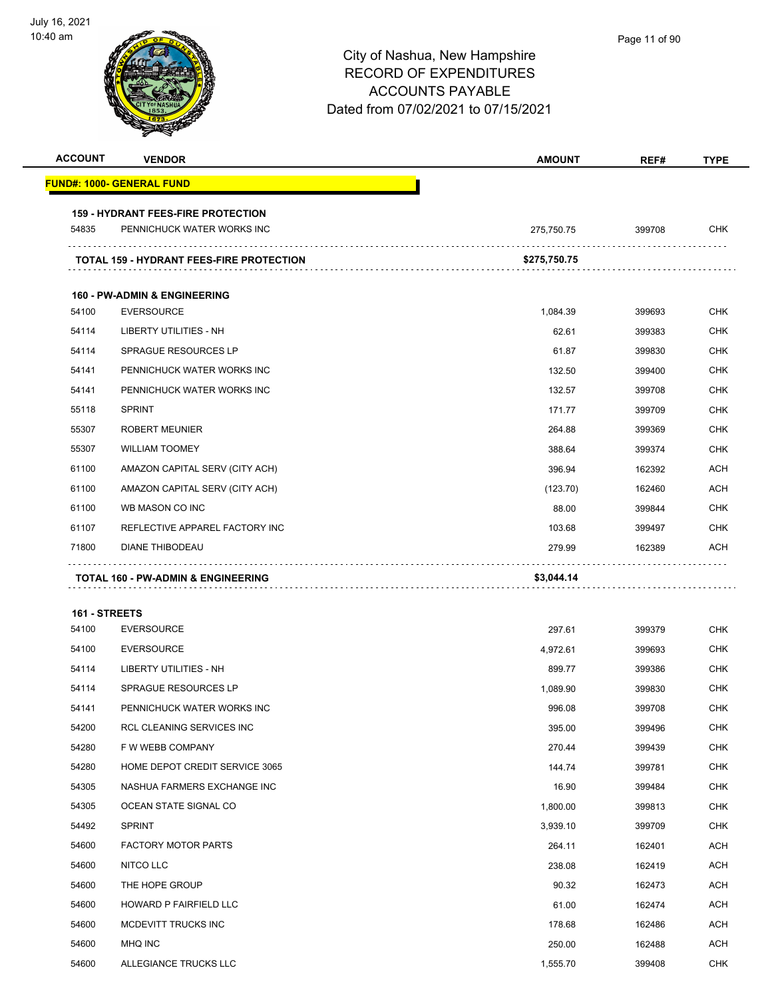| <b>ACCOUNT</b>         | <b>VENDOR</b>                                   | <b>AMOUNT</b> | REF#   | <b>TYPE</b> |
|------------------------|-------------------------------------------------|---------------|--------|-------------|
|                        | <b>FUND#: 1000- GENERAL FUND</b>                |               |        |             |
|                        | <b>159 - HYDRANT FEES-FIRE PROTECTION</b>       |               |        |             |
| 54835                  | PENNICHUCK WATER WORKS INC                      | 275,750.75    | 399708 | <b>CHK</b>  |
|                        | <b>TOTAL 159 - HYDRANT FEES-FIRE PROTECTION</b> | \$275,750.75  |        |             |
|                        | <b>160 - PW-ADMIN &amp; ENGINEERING</b>         |               |        |             |
| 54100                  | <b>EVERSOURCE</b>                               | 1,084.39      | 399693 | <b>CHK</b>  |
| 54114                  | <b>LIBERTY UTILITIES - NH</b>                   | 62.61         | 399383 | <b>CHK</b>  |
| 54114                  | <b>SPRAGUE RESOURCES LP</b>                     | 61.87         | 399830 | <b>CHK</b>  |
| 54141                  | PENNICHUCK WATER WORKS INC                      | 132.50        | 399400 | <b>CHK</b>  |
| 54141                  | PENNICHUCK WATER WORKS INC                      | 132.57        | 399708 | <b>CHK</b>  |
| 55118                  | <b>SPRINT</b>                                   | 171.77        | 399709 | <b>CHK</b>  |
| 55307                  | <b>ROBERT MEUNIER</b>                           | 264.88        | 399369 | <b>CHK</b>  |
| 55307                  | <b>WILLIAM TOOMEY</b>                           | 388.64        | 399374 | <b>CHK</b>  |
| 61100                  | AMAZON CAPITAL SERV (CITY ACH)                  | 396.94        | 162392 | <b>ACH</b>  |
| 61100                  | AMAZON CAPITAL SERV (CITY ACH)                  | (123.70)      | 162460 | <b>ACH</b>  |
| 61100                  | WB MASON CO INC                                 | 88.00         | 399844 | <b>CHK</b>  |
| 61107                  | REFLECTIVE APPAREL FACTORY INC                  | 103.68        | 399497 | <b>CHK</b>  |
| 71800                  | <b>DIANE THIBODEAU</b>                          | 279.99        | 162389 | ACH         |
|                        | TOTAL 160 - PW-ADMIN & ENGINEERING              | \$3,044.14    |        |             |
|                        |                                                 |               |        |             |
| 161 - STREETS<br>54100 | <b>EVERSOURCE</b>                               | 297.61        | 399379 | <b>CHK</b>  |
| 54100                  | <b>EVERSOURCE</b>                               | 4,972.61      | 399693 | <b>CHK</b>  |
| 54114                  | LIBERTY UTILITIES - NH                          | 899.77        | 399386 | <b>CHK</b>  |
| 54114                  | <b>SPRAGUE RESOURCES LP</b>                     | 1,089.90      | 399830 | <b>CHK</b>  |
| 54141                  | PENNICHUCK WATER WORKS INC                      | 996.08        | 399708 | <b>CHK</b>  |
| 54200                  | RCL CLEANING SERVICES INC                       | 395.00        | 399496 | <b>CHK</b>  |
| 54280                  | F W WEBB COMPANY                                | 270.44        | 399439 | <b>CHK</b>  |
| 54280                  | HOME DEPOT CREDIT SERVICE 3065                  | 144.74        | 399781 | <b>CHK</b>  |
| 54305                  | NASHUA FARMERS EXCHANGE INC                     | 16.90         | 399484 | <b>CHK</b>  |
| 54305                  | OCEAN STATE SIGNAL CO                           | 1,800.00      | 399813 | <b>CHK</b>  |
| 54492                  | <b>SPRINT</b>                                   | 3,939.10      | 399709 | <b>CHK</b>  |
| 54600                  | <b>FACTORY MOTOR PARTS</b>                      | 264.11        | 162401 | <b>ACH</b>  |
| 54600                  | NITCO LLC                                       | 238.08        | 162419 | <b>ACH</b>  |
| 54600                  | THE HOPE GROUP                                  | 90.32         | 162473 | <b>ACH</b>  |
| 54600                  | HOWARD P FAIRFIELD LLC                          | 61.00         | 162474 | <b>ACH</b>  |
| 54600                  | MCDEVITT TRUCKS INC                             | 178.68        | 162486 | <b>ACH</b>  |
| 54600                  | MHQ INC                                         | 250.00        | 162488 | <b>ACH</b>  |
| 54600                  | ALLEGIANCE TRUCKS LLC                           | 1,555.70      | 399408 | <b>CHK</b>  |
|                        |                                                 |               |        |             |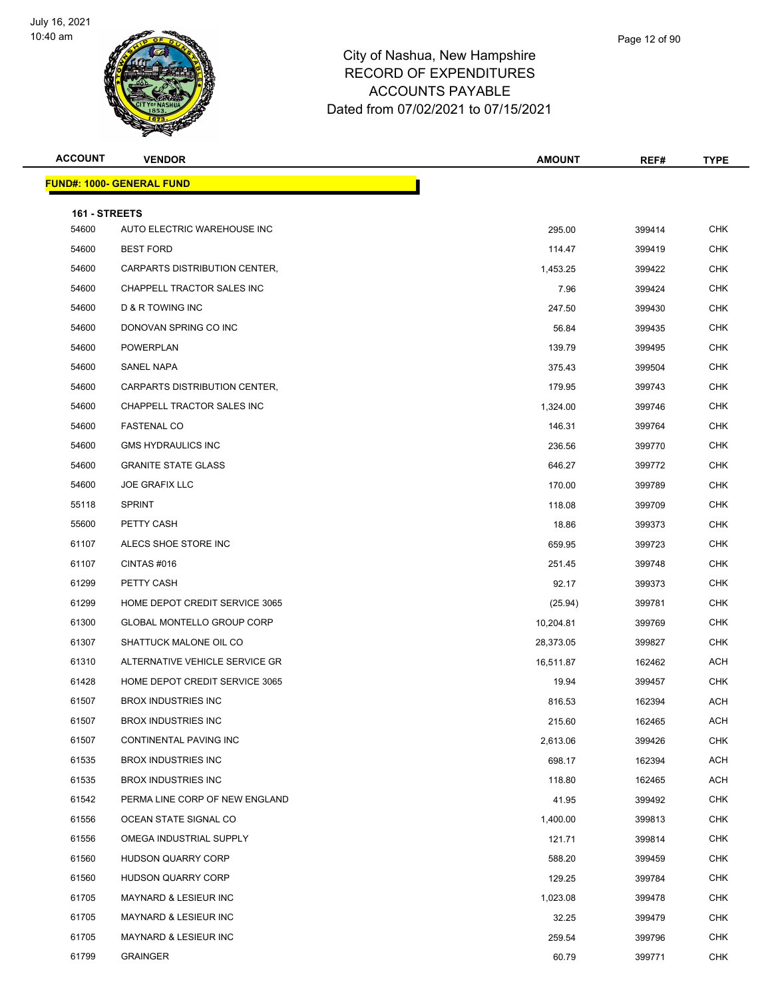

| <b>ACCOUNT</b>         | <b>VENDOR</b>                     | <b>AMOUNT</b> | REF#   | <b>TYPE</b> |
|------------------------|-----------------------------------|---------------|--------|-------------|
|                        | <b>FUND#: 1000- GENERAL FUND</b>  |               |        |             |
|                        |                                   |               |        |             |
| 161 - STREETS<br>54600 | AUTO ELECTRIC WAREHOUSE INC       | 295.00        | 399414 | <b>CHK</b>  |
| 54600                  | <b>BEST FORD</b>                  | 114.47        | 399419 | <b>CHK</b>  |
| 54600                  | CARPARTS DISTRIBUTION CENTER,     | 1,453.25      | 399422 | <b>CHK</b>  |
| 54600                  | CHAPPELL TRACTOR SALES INC        | 7.96          | 399424 | <b>CHK</b>  |
| 54600                  | D & R TOWING INC                  | 247.50        | 399430 | <b>CHK</b>  |
| 54600                  | DONOVAN SPRING CO INC             | 56.84         | 399435 | CHK         |
| 54600                  | POWERPLAN                         | 139.79        | 399495 | <b>CHK</b>  |
| 54600                  | SANEL NAPA                        | 375.43        | 399504 | <b>CHK</b>  |
| 54600                  | CARPARTS DISTRIBUTION CENTER,     | 179.95        | 399743 | CHK         |
| 54600                  | <b>CHAPPELL TRACTOR SALES INC</b> | 1,324.00      | 399746 | <b>CHK</b>  |
| 54600                  | <b>FASTENAL CO</b>                | 146.31        | 399764 | <b>CHK</b>  |
| 54600                  | <b>GMS HYDRAULICS INC</b>         | 236.56        | 399770 | CHK         |
| 54600                  | <b>GRANITE STATE GLASS</b>        | 646.27        | 399772 | <b>CHK</b>  |
| 54600                  | <b>JOE GRAFIX LLC</b>             | 170.00        | 399789 | <b>CHK</b>  |
| 55118                  | <b>SPRINT</b>                     | 118.08        | 399709 | <b>CHK</b>  |
| 55600                  | PETTY CASH                        | 18.86         | 399373 | CHK         |
| 61107                  | ALECS SHOE STORE INC              | 659.95        | 399723 | CHK         |
| 61107                  | CINTAS#016                        | 251.45        | 399748 | <b>CHK</b>  |
| 61299                  | PETTY CASH                        | 92.17         | 399373 | CHK         |
| 61299                  | HOME DEPOT CREDIT SERVICE 3065    | (25.94)       | 399781 | <b>CHK</b>  |
| 61300                  | <b>GLOBAL MONTELLO GROUP CORP</b> | 10,204.81     | 399769 | <b>CHK</b>  |
| 61307                  | SHATTUCK MALONE OIL CO            | 28,373.05     | 399827 | CHK         |
| 61310                  | ALTERNATIVE VEHICLE SERVICE GR    | 16,511.87     | 162462 | ACH         |
| 61428                  | HOME DEPOT CREDIT SERVICE 3065    | 19.94         | 399457 | <b>CHK</b>  |
| 61507                  | <b>BROX INDUSTRIES INC</b>        | 816.53        | 162394 | <b>ACH</b>  |
| 61507                  | <b>BROX INDUSTRIES INC</b>        | 215.60        | 162465 | ACH         |
| 61507                  | CONTINENTAL PAVING INC            | 2,613.06      | 399426 | <b>CHK</b>  |
| 61535                  | <b>BROX INDUSTRIES INC</b>        | 698.17        | 162394 | ACH         |
| 61535                  | <b>BROX INDUSTRIES INC</b>        | 118.80        | 162465 | <b>ACH</b>  |
| 61542                  | PERMA LINE CORP OF NEW ENGLAND    | 41.95         | 399492 | <b>CHK</b>  |
| 61556                  | OCEAN STATE SIGNAL CO             | 1,400.00      | 399813 | <b>CHK</b>  |
| 61556                  | OMEGA INDUSTRIAL SUPPLY           | 121.71        | 399814 | CHK         |
| 61560                  | HUDSON QUARRY CORP                | 588.20        | 399459 | <b>CHK</b>  |
| 61560                  | <b>HUDSON QUARRY CORP</b>         | 129.25        | 399784 | <b>CHK</b>  |
| 61705                  | MAYNARD & LESIEUR INC             | 1,023.08      | 399478 | <b>CHK</b>  |
| 61705                  | MAYNARD & LESIEUR INC             | 32.25         | 399479 | <b>CHK</b>  |
| 61705                  | MAYNARD & LESIEUR INC             | 259.54        | 399796 | <b>CHK</b>  |
| 61799                  | <b>GRAINGER</b>                   | 60.79         | 399771 | <b>CHK</b>  |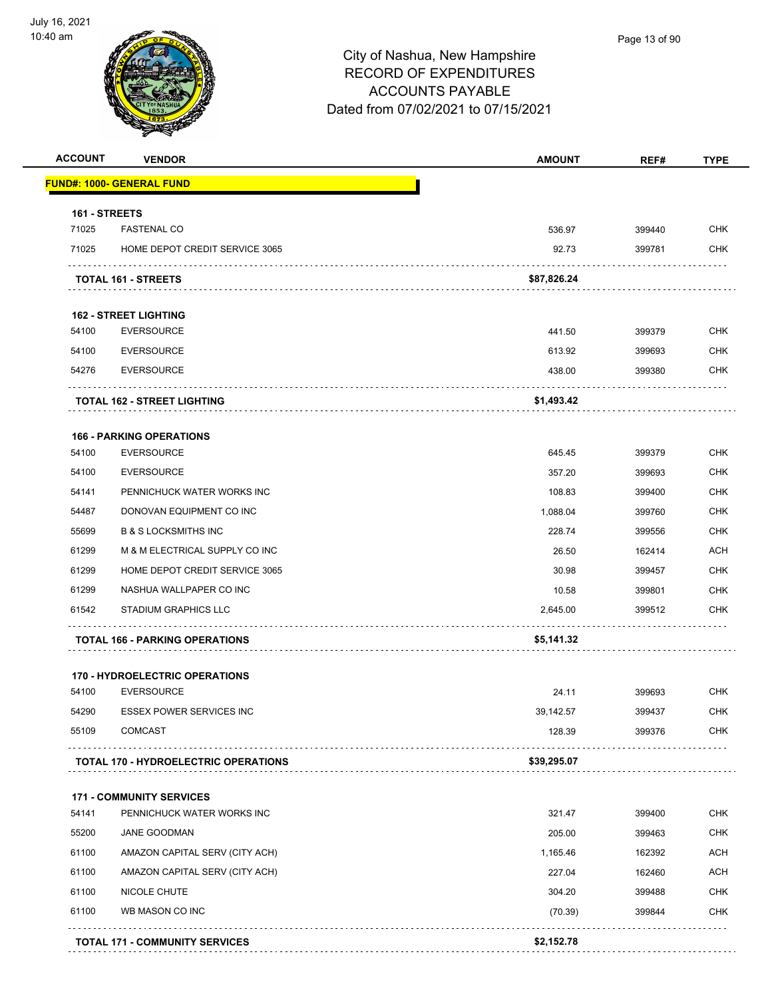

| <b>ACCOUNT</b> | <b>VENDOR</b>                               | <b>AMOUNT</b> | REF#   | <b>TYPE</b> |
|----------------|---------------------------------------------|---------------|--------|-------------|
|                | <u> FUND#: 1000- GENERAL FUND</u>           |               |        |             |
| 161 - STREETS  |                                             |               |        |             |
| 71025          | <b>FASTENAL CO</b>                          | 536.97        | 399440 | <b>CHK</b>  |
| 71025          | HOME DEPOT CREDIT SERVICE 3065              | 92.73         | 399781 | <b>CHK</b>  |
|                | <b>TOTAL 161 - STREETS</b>                  | \$87,826.24   |        |             |
|                | <b>162 - STREET LIGHTING</b>                |               |        |             |
| 54100          | <b>EVERSOURCE</b>                           | 441.50        | 399379 | <b>CHK</b>  |
| 54100          | <b>EVERSOURCE</b>                           | 613.92        | 399693 | <b>CHK</b>  |
| 54276          | <b>EVERSOURCE</b>                           | 438.00        | 399380 | <b>CHK</b>  |
|                | <b>TOTAL 162 - STREET LIGHTING</b>          | \$1,493.42    |        |             |
|                | <b>166 - PARKING OPERATIONS</b>             |               |        |             |
| 54100          | <b>EVERSOURCE</b>                           | 645.45        | 399379 | <b>CHK</b>  |
| 54100          | <b>EVERSOURCE</b>                           | 357.20        | 399693 | <b>CHK</b>  |
| 54141          | PENNICHUCK WATER WORKS INC                  | 108.83        | 399400 | <b>CHK</b>  |
| 54487          | DONOVAN EQUIPMENT CO INC                    | 1,088.04      | 399760 | <b>CHK</b>  |
| 55699          | <b>B &amp; S LOCKSMITHS INC</b>             | 228.74        | 399556 | <b>CHK</b>  |
| 61299          | M & M ELECTRICAL SUPPLY CO INC              | 26.50         | 162414 | <b>ACH</b>  |
| 61299          | HOME DEPOT CREDIT SERVICE 3065              | 30.98         | 399457 | <b>CHK</b>  |
| 61299          | NASHUA WALLPAPER CO INC                     | 10.58         | 399801 | <b>CHK</b>  |
| 61542          | <b>STADIUM GRAPHICS LLC</b>                 | 2,645.00      | 399512 | <b>CHK</b>  |
|                | <b>TOTAL 166 - PARKING OPERATIONS</b>       | \$5,141.32    |        |             |
|                | 170 - HYDROELECTRIC OPERATIONS              |               |        |             |
| 54100          | <b>EVERSOURCE</b>                           | 24.11         | 399693 | <b>CHK</b>  |
| 54290          | <b>ESSEX POWER SERVICES INC</b>             | 39,142.57     | 399437 | <b>CHK</b>  |
| 55109          | <b>COMCAST</b>                              | 128.39        | 399376 | <b>CHK</b>  |
|                | <b>TOTAL 170 - HYDROELECTRIC OPERATIONS</b> | \$39,295.07   |        |             |
|                | <b>171 - COMMUNITY SERVICES</b>             |               |        |             |
| 54141          | PENNICHUCK WATER WORKS INC                  | 321.47        | 399400 | <b>CHK</b>  |
| 55200          | JANE GOODMAN                                | 205.00        | 399463 | <b>CHK</b>  |
| 61100          | AMAZON CAPITAL SERV (CITY ACH)              | 1,165.46      | 162392 | <b>ACH</b>  |
| 61100          | AMAZON CAPITAL SERV (CITY ACH)              | 227.04        | 162460 | <b>ACH</b>  |
| 61100          | NICOLE CHUTE                                | 304.20        | 399488 | <b>CHK</b>  |
| 61100          | WB MASON CO INC                             | (70.39)       | 399844 | <b>CHK</b>  |
|                | <b>TOTAL 171 - COMMUNITY SERVICES</b>       | \$2,152.78    |        |             |
|                |                                             |               |        |             |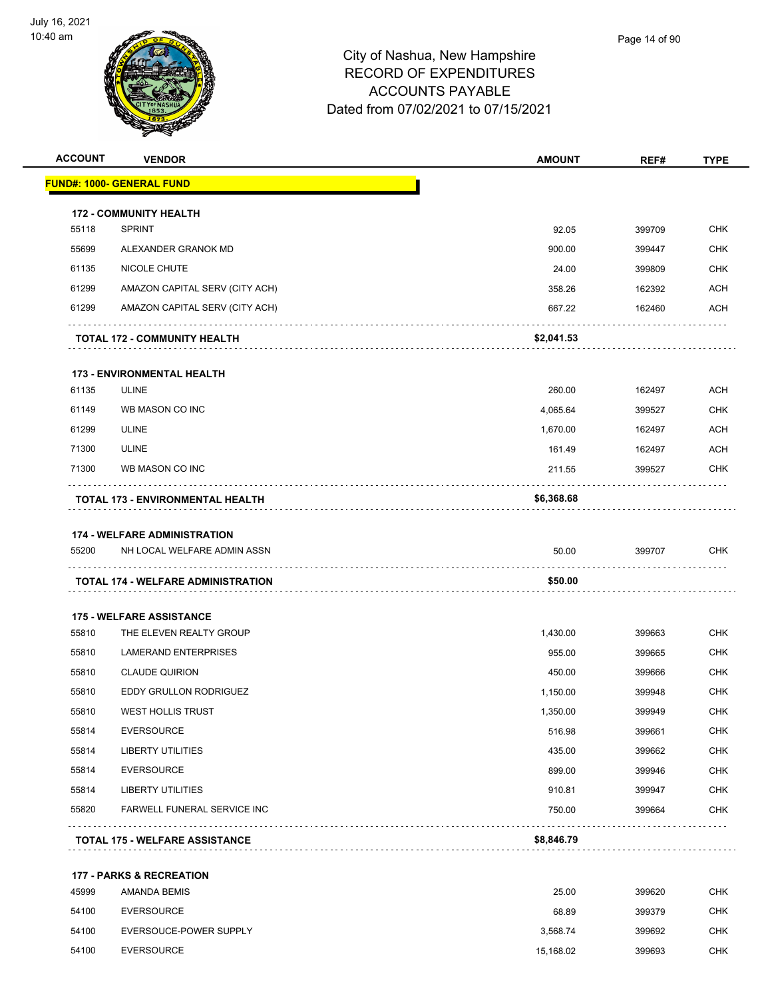

| <b>ACCOUNT</b> | <b>VENDOR</b>                                                            | <b>AMOUNT</b>    | REF#        | <b>TYPE</b> |
|----------------|--------------------------------------------------------------------------|------------------|-------------|-------------|
|                | <u> FUND#: 1000- GENERAL FUND</u>                                        |                  |             |             |
|                | <b>172 - COMMUNITY HEALTH</b>                                            |                  |             |             |
| 55118          | <b>SPRINT</b>                                                            | 92.05            | 399709      | <b>CHK</b>  |
| 55699          | ALEXANDER GRANOK MD                                                      | 900.00           | 399447      | <b>CHK</b>  |
| 61135          | NICOLE CHUTE                                                             | 24.00            | 399809      | <b>CHK</b>  |
| 61299          | AMAZON CAPITAL SERV (CITY ACH)                                           | 358.26           | 162392      | <b>ACH</b>  |
| 61299          | AMAZON CAPITAL SERV (CITY ACH)                                           | 667.22           | 162460      | <b>ACH</b>  |
|                | <b>TOTAL 172 - COMMUNITY HEALTH</b>                                      | \$2,041.53       |             |             |
|                | <b>173 - ENVIRONMENTAL HEALTH</b>                                        |                  |             |             |
| 61135          | <b>ULINE</b>                                                             | 260.00           | 162497      | <b>ACH</b>  |
| 61149          | WB MASON CO INC                                                          | 4,065.64         | 399527      | <b>CHK</b>  |
| 61299          | <b>ULINE</b>                                                             | 1,670.00         | 162497      | <b>ACH</b>  |
| 71300          | <b>ULINE</b>                                                             | 161.49           | 162497      | <b>ACH</b>  |
| 71300          | WB MASON CO INC                                                          | 211.55           | 399527      | <b>CHK</b>  |
|                | TOTAL 173 - ENVIRONMENTAL HEALTH                                         | \$6,368.68       |             |             |
| 55200          | NH LOCAL WELFARE ADMIN ASSN<br><b>TOTAL 174 - WELFARE ADMINISTRATION</b> | 50.00<br>\$50.00 | 399707<br>. | <b>CHK</b>  |
|                | <b>175 - WELFARE ASSISTANCE</b>                                          |                  |             |             |
| 55810          | THE ELEVEN REALTY GROUP                                                  | 1,430.00         | 399663      | <b>CHK</b>  |
| 55810          | <b>LAMERAND ENTERPRISES</b>                                              | 955.00           | 399665      | <b>CHK</b>  |
| 55810          | <b>CLAUDE QUIRION</b>                                                    | 450.00           | 399666      | <b>CHK</b>  |
| 55810          | <b>EDDY GRULLON RODRIGUEZ</b>                                            | 1,150.00         | 399948      | <b>CHK</b>  |
| 55810          | WEST HOLLIS TRUST                                                        | 1,350.00         | 399949      | <b>CHK</b>  |
| 55814          | <b>EVERSOURCE</b>                                                        | 516.98           | 399661      | <b>CHK</b>  |
| 55814          | LIBERTY UTILITIES                                                        | 435.00           | 399662      | <b>CHK</b>  |
| 55814          | <b>EVERSOURCE</b>                                                        | 899.00           | 399946      | <b>CHK</b>  |
| 55814          | LIBERTY UTILITIES                                                        | 910.81           | 399947      | <b>CHK</b>  |
| 55820          | <b>FARWELL FUNERAL SERVICE INC</b>                                       | 750.00           | 399664      | <b>CHK</b>  |
|                | <b>TOTAL 175 - WELFARE ASSISTANCE</b>                                    | \$8,846.79       |             |             |
|                | <b>177 - PARKS &amp; RECREATION</b>                                      |                  |             |             |
| 45999          | AMANDA BEMIS                                                             | 25.00            | 399620      | <b>CHK</b>  |
| 54100          | <b>EVERSOURCE</b>                                                        | 68.89            | 399379      | <b>CHK</b>  |
| 54100          | EVERSOUCE-POWER SUPPLY                                                   | 3,568.74         | 399692      | <b>CHK</b>  |

54100 EVERSOURCE 15,168.02 399693 CHK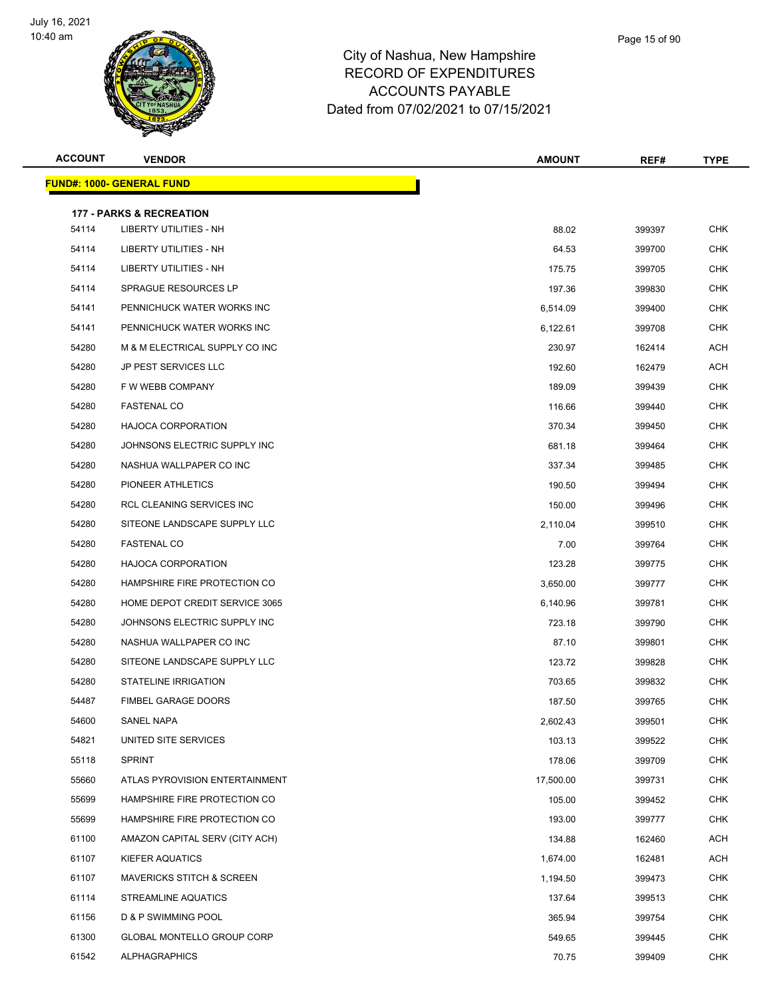

| Page 15 of 90 |  |
|---------------|--|
|               |  |

| <b>ACCOUNT</b> | <b>VENDOR</b>                        | <b>AMOUNT</b> | REF#   | <b>TYPE</b> |
|----------------|--------------------------------------|---------------|--------|-------------|
|                | <u> FUND#: 1000- GENERAL FUND</u>    |               |        |             |
|                | <b>177 - PARKS &amp; RECREATION</b>  |               |        |             |
| 54114          | LIBERTY UTILITIES - NH               | 88.02         | 399397 | <b>CHK</b>  |
| 54114          | LIBERTY UTILITIES - NH               | 64.53         | 399700 | <b>CHK</b>  |
| 54114          | LIBERTY UTILITIES - NH               | 175.75        | 399705 | <b>CHK</b>  |
| 54114          | SPRAGUE RESOURCES LP                 | 197.36        | 399830 | <b>CHK</b>  |
| 54141          | PENNICHUCK WATER WORKS INC           | 6,514.09      | 399400 | <b>CHK</b>  |
| 54141          | PENNICHUCK WATER WORKS INC           | 6,122.61      | 399708 | <b>CHK</b>  |
| 54280          | M & M ELECTRICAL SUPPLY CO INC       | 230.97        | 162414 | ACH         |
| 54280          | <b>JP PEST SERVICES LLC</b>          | 192.60        | 162479 | ACH         |
| 54280          | F W WEBB COMPANY                     | 189.09        | 399439 | <b>CHK</b>  |
| 54280          | <b>FASTENAL CO</b>                   | 116.66        | 399440 | <b>CHK</b>  |
| 54280          | <b>HAJOCA CORPORATION</b>            | 370.34        | 399450 | <b>CHK</b>  |
| 54280          | JOHNSONS ELECTRIC SUPPLY INC         | 681.18        | 399464 | <b>CHK</b>  |
| 54280          | NASHUA WALLPAPER CO INC              | 337.34        | 399485 | <b>CHK</b>  |
| 54280          | PIONEER ATHLETICS                    | 190.50        | 399494 | <b>CHK</b>  |
| 54280          | RCL CLEANING SERVICES INC            | 150.00        | 399496 | <b>CHK</b>  |
| 54280          | SITEONE LANDSCAPE SUPPLY LLC         | 2,110.04      | 399510 | <b>CHK</b>  |
| 54280          | <b>FASTENAL CO</b>                   | 7.00          | 399764 | <b>CHK</b>  |
| 54280          | <b>HAJOCA CORPORATION</b>            | 123.28        | 399775 | <b>CHK</b>  |
| 54280          | HAMPSHIRE FIRE PROTECTION CO         | 3,650.00      | 399777 | <b>CHK</b>  |
| 54280          | HOME DEPOT CREDIT SERVICE 3065       | 6,140.96      | 399781 | <b>CHK</b>  |
| 54280          | JOHNSONS ELECTRIC SUPPLY INC         | 723.18        | 399790 | <b>CHK</b>  |
| 54280          | NASHUA WALLPAPER CO INC              | 87.10         | 399801 | <b>CHK</b>  |
| 54280          | SITEONE LANDSCAPE SUPPLY LLC         | 123.72        | 399828 | <b>CHK</b>  |
| 54280          | <b>STATELINE IRRIGATION</b>          | 703.65        | 399832 | <b>CHK</b>  |
| 54487          | <b>FIMBEL GARAGE DOORS</b>           | 187.50        | 399765 | <b>CHK</b>  |
| 54600          | SANEL NAPA                           | 2,602.43      | 399501 | <b>CHK</b>  |
| 54821          | UNITED SITE SERVICES                 | 103.13        | 399522 | <b>CHK</b>  |
| 55118          | <b>SPRINT</b>                        | 178.06        | 399709 | CHK         |
| 55660          | ATLAS PYROVISION ENTERTAINMENT       | 17,500.00     | 399731 | <b>CHK</b>  |
| 55699          | HAMPSHIRE FIRE PROTECTION CO         | 105.00        | 399452 | <b>CHK</b>  |
| 55699          | HAMPSHIRE FIRE PROTECTION CO         | 193.00        | 399777 | <b>CHK</b>  |
| 61100          | AMAZON CAPITAL SERV (CITY ACH)       | 134.88        | 162460 | <b>ACH</b>  |
| 61107          | <b>KIEFER AQUATICS</b>               | 1,674.00      | 162481 | ACH         |
| 61107          | <b>MAVERICKS STITCH &amp; SCREEN</b> | 1,194.50      | 399473 | <b>CHK</b>  |
| 61114          | STREAMLINE AQUATICS                  | 137.64        | 399513 | <b>CHK</b>  |
| 61156          | D & P SWIMMING POOL                  | 365.94        | 399754 | CHK         |
| 61300          | <b>GLOBAL MONTELLO GROUP CORP</b>    | 549.65        | 399445 | <b>CHK</b>  |
| 61542          | <b>ALPHAGRAPHICS</b>                 | 70.75         | 399409 | <b>CHK</b>  |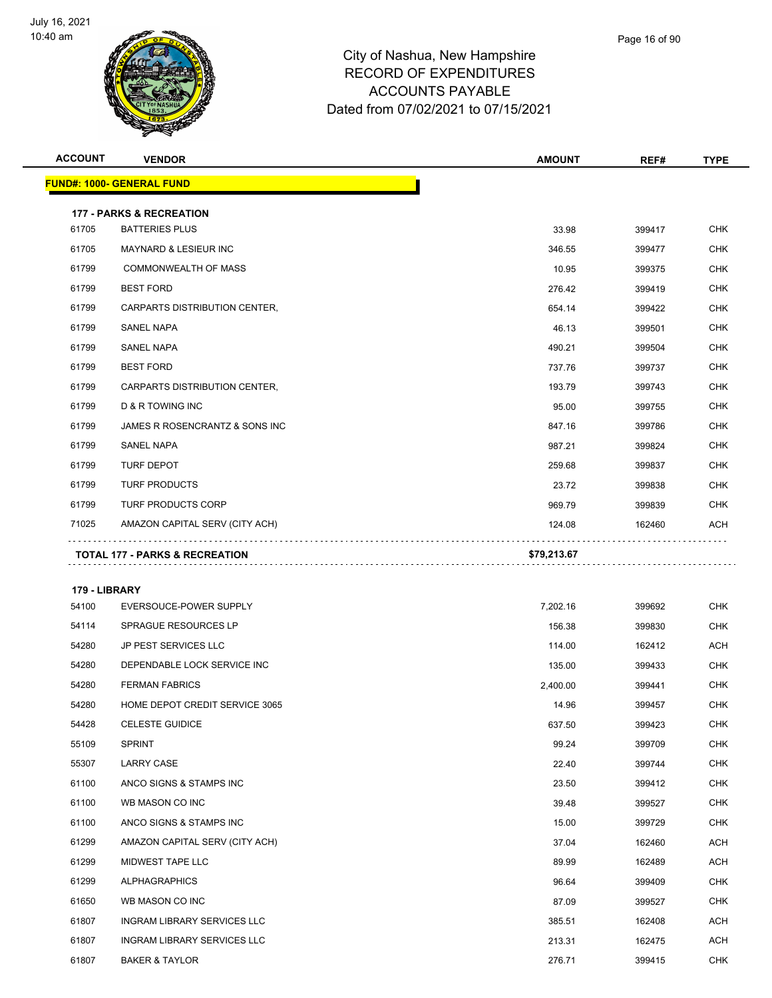

| <b>ACCOUNT</b>         | <b>VENDOR</b>                             | <b>AMOUNT</b> | REF#   | <b>TYPE</b> |
|------------------------|-------------------------------------------|---------------|--------|-------------|
|                        | <u> FUND#: 1000- GENERAL FUND</u>         |               |        |             |
|                        | <b>177 - PARKS &amp; RECREATION</b>       |               |        |             |
| 61705                  | <b>BATTERIES PLUS</b>                     | 33.98         | 399417 | <b>CHK</b>  |
| 61705                  | <b>MAYNARD &amp; LESIEUR INC</b>          | 346.55        | 399477 | <b>CHK</b>  |
| 61799                  | <b>COMMONWEALTH OF MASS</b>               | 10.95         | 399375 | CHK         |
| 61799                  | <b>BEST FORD</b>                          | 276.42        | 399419 | <b>CHK</b>  |
| 61799                  | CARPARTS DISTRIBUTION CENTER,             | 654.14        | 399422 | <b>CHK</b>  |
| 61799                  | <b>SANEL NAPA</b>                         | 46.13         | 399501 | <b>CHK</b>  |
| 61799                  | <b>SANEL NAPA</b>                         | 490.21        | 399504 | <b>CHK</b>  |
| 61799                  | <b>BEST FORD</b>                          | 737.76        | 399737 | CHK         |
| 61799                  | CARPARTS DISTRIBUTION CENTER,             | 193.79        | 399743 | <b>CHK</b>  |
| 61799                  | D & R TOWING INC                          | 95.00         | 399755 | <b>CHK</b>  |
| 61799                  | JAMES R ROSENCRANTZ & SONS INC            | 847.16        | 399786 | <b>CHK</b>  |
| 61799                  | <b>SANEL NAPA</b>                         | 987.21        | 399824 | <b>CHK</b>  |
| 61799                  | TURF DEPOT                                | 259.68        | 399837 | <b>CHK</b>  |
| 61799                  | <b>TURF PRODUCTS</b>                      | 23.72         | 399838 | <b>CHK</b>  |
| 61799                  | TURF PRODUCTS CORP                        | 969.79        | 399839 | CHK         |
| 71025                  | AMAZON CAPITAL SERV (CITY ACH)            | 124.08        | 162460 | ACH         |
|                        | <b>TOTAL 177 - PARKS &amp; RECREATION</b> | \$79,213.67   |        |             |
|                        |                                           |               |        |             |
| 179 - LIBRARY<br>54100 | EVERSOUCE-POWER SUPPLY                    | 7,202.16      | 399692 | <b>CHK</b>  |
| 54114                  | <b>SPRAGUE RESOURCES LP</b>               | 156.38        | 399830 | CHK         |
| 54280                  | <b>JP PEST SERVICES LLC</b>               | 114.00        | 162412 | <b>ACH</b>  |
| 54280                  | DEPENDABLE LOCK SERVICE INC               | 135.00        | 399433 | CHK         |
| 54280                  | <b>FERMAN FABRICS</b>                     | 2,400.00      | 399441 | <b>CHK</b>  |
| 54280                  | HOME DEPOT CREDIT SERVICE 3065            | 14.96         | 399457 | <b>CHK</b>  |
| 54428                  | <b>CELESTE GUIDICE</b>                    | 637.50        | 399423 | CHK         |
| 55109                  | <b>SPRINT</b>                             | 99.24         | 399709 | <b>CHK</b>  |
| 55307                  | LARRY CASE                                | 22.40         | 399744 | <b>CHK</b>  |
| 61100                  | ANCO SIGNS & STAMPS INC                   | 23.50         | 399412 | <b>CHK</b>  |
| 61100                  | WB MASON CO INC                           | 39.48         | 399527 | <b>CHK</b>  |
| 61100                  | ANCO SIGNS & STAMPS INC                   | 15.00         | 399729 | <b>CHK</b>  |
| 61299                  | AMAZON CAPITAL SERV (CITY ACH)            | 37.04         | 162460 | <b>ACH</b>  |
| 61299                  | MIDWEST TAPE LLC                          | 89.99         | 162489 | <b>ACH</b>  |
| 61299                  | <b>ALPHAGRAPHICS</b>                      | 96.64         | 399409 | <b>CHK</b>  |
| 61650                  | WB MASON CO INC                           | 87.09         | 399527 | <b>CHK</b>  |
| 61807                  | INGRAM LIBRARY SERVICES LLC               | 385.51        | 162408 | ACH         |
| 61807                  | INGRAM LIBRARY SERVICES LLC               | 213.31        | 162475 | <b>ACH</b>  |
| 61807                  | <b>BAKER &amp; TAYLOR</b>                 | 276.71        | 399415 | <b>CHK</b>  |
|                        |                                           |               |        |             |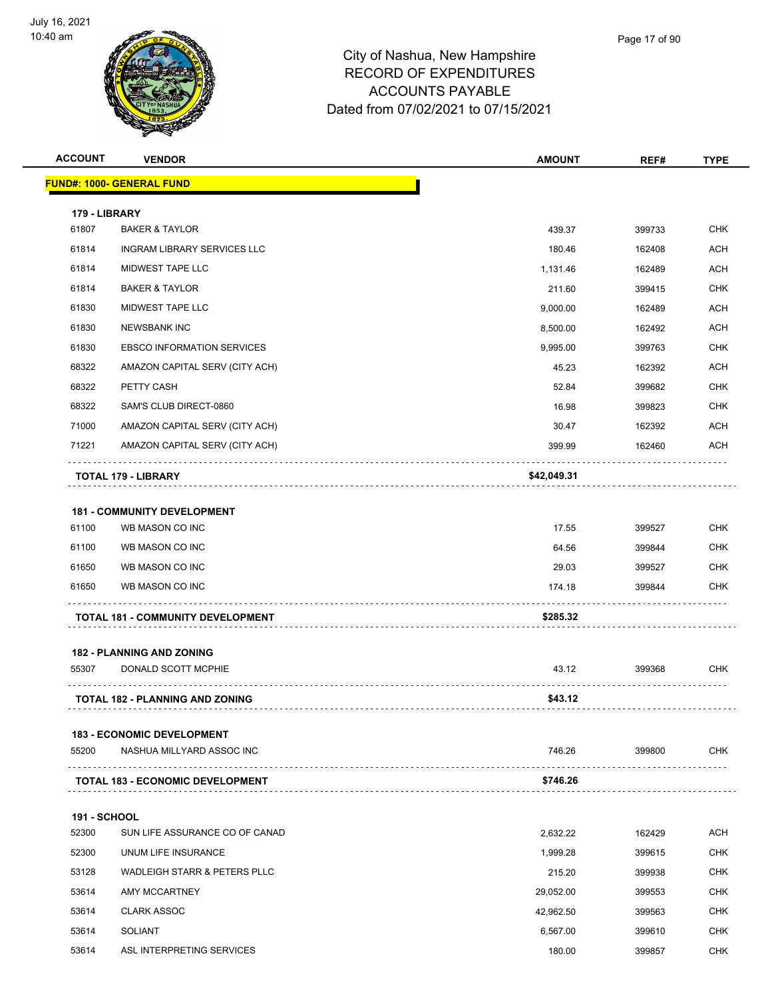

| <b>ACCOUNT</b>      | <b>VENDOR</b>                            | <b>AMOUNT</b> | REF#   | <b>TYPE</b> |
|---------------------|------------------------------------------|---------------|--------|-------------|
|                     | <u> FUND#: 1000- GENERAL FUND</u>        |               |        |             |
| 179 - LIBRARY       |                                          |               |        |             |
| 61807               | <b>BAKER &amp; TAYLOR</b>                | 439.37        | 399733 | <b>CHK</b>  |
| 61814               | INGRAM LIBRARY SERVICES LLC              | 180.46        | 162408 | <b>ACH</b>  |
| 61814               | MIDWEST TAPE LLC                         | 1,131.46      | 162489 | <b>ACH</b>  |
| 61814               | <b>BAKER &amp; TAYLOR</b>                | 211.60        | 399415 | <b>CHK</b>  |
| 61830               | <b>MIDWEST TAPE LLC</b>                  | 9,000.00      | 162489 | ACH         |
| 61830               | <b>NEWSBANK INC</b>                      | 8,500.00      | 162492 | <b>ACH</b>  |
| 61830               | <b>EBSCO INFORMATION SERVICES</b>        | 9,995.00      | 399763 | <b>CHK</b>  |
| 68322               | AMAZON CAPITAL SERV (CITY ACH)           | 45.23         | 162392 | ACH         |
| 68322               | PETTY CASH                               | 52.84         | 399682 | <b>CHK</b>  |
| 68322               | SAM'S CLUB DIRECT-0860                   | 16.98         | 399823 | <b>CHK</b>  |
| 71000               | AMAZON CAPITAL SERV (CITY ACH)           | 30.47         | 162392 | <b>ACH</b>  |
| 71221               | AMAZON CAPITAL SERV (CITY ACH)           | 399.99        | 162460 | <b>ACH</b>  |
|                     |                                          |               |        |             |
|                     | <b>TOTAL 179 - LIBRARY</b>               | \$42,049.31   |        |             |
|                     | <b>181 - COMMUNITY DEVELOPMENT</b>       |               |        |             |
| 61100               | WB MASON CO INC                          | 17.55         | 399527 | CHK         |
| 61100               | WB MASON CO INC                          | 64.56         | 399844 | <b>CHK</b>  |
| 61650               | WB MASON CO INC                          | 29.03         | 399527 | <b>CHK</b>  |
| 61650               | WB MASON CO INC                          | 174.18        | 399844 | <b>CHK</b>  |
|                     | <b>TOTAL 181 - COMMUNITY DEVELOPMENT</b> | \$285.32      |        |             |
|                     | <b>182 - PLANNING AND ZONING</b>         |               |        |             |
| 55307               | DONALD SCOTT MCPHIE                      | 43.12         | 399368 | <b>CHK</b>  |
|                     |                                          |               |        |             |
|                     | <b>TOTAL 182 - PLANNING AND ZONING</b>   | \$43.12       |        |             |
|                     | <b>183 - ECONOMIC DEVELOPMENT</b>        |               |        |             |
| 55200               | NASHUA MILLYARD ASSOC INC                | 746.26        | 399800 | <b>CHK</b>  |
|                     | <b>TOTAL 183 - ECONOMIC DEVELOPMENT</b>  | \$746.26      |        |             |
| <b>191 - SCHOOL</b> |                                          |               |        |             |
| 52300               | SUN LIFE ASSURANCE CO OF CANAD           | 2,632.22      | 162429 | <b>ACH</b>  |
| 52300               | UNUM LIFE INSURANCE                      | 1,999.28      | 399615 | <b>CHK</b>  |
| 53128               | <b>WADLEIGH STARR &amp; PETERS PLLC</b>  | 215.20        | 399938 | <b>CHK</b>  |
| 53614               | AMY MCCARTNEY                            | 29,052.00     | 399553 | <b>CHK</b>  |
| 53614               | <b>CLARK ASSOC</b>                       | 42,962.50     | 399563 | CHK         |
| 53614               | <b>SOLIANT</b>                           | 6,567.00      | 399610 | <b>CHK</b>  |
| 53614               | ASL INTERPRETING SERVICES                | 180.00        | 399857 | CHK         |
|                     |                                          |               |        |             |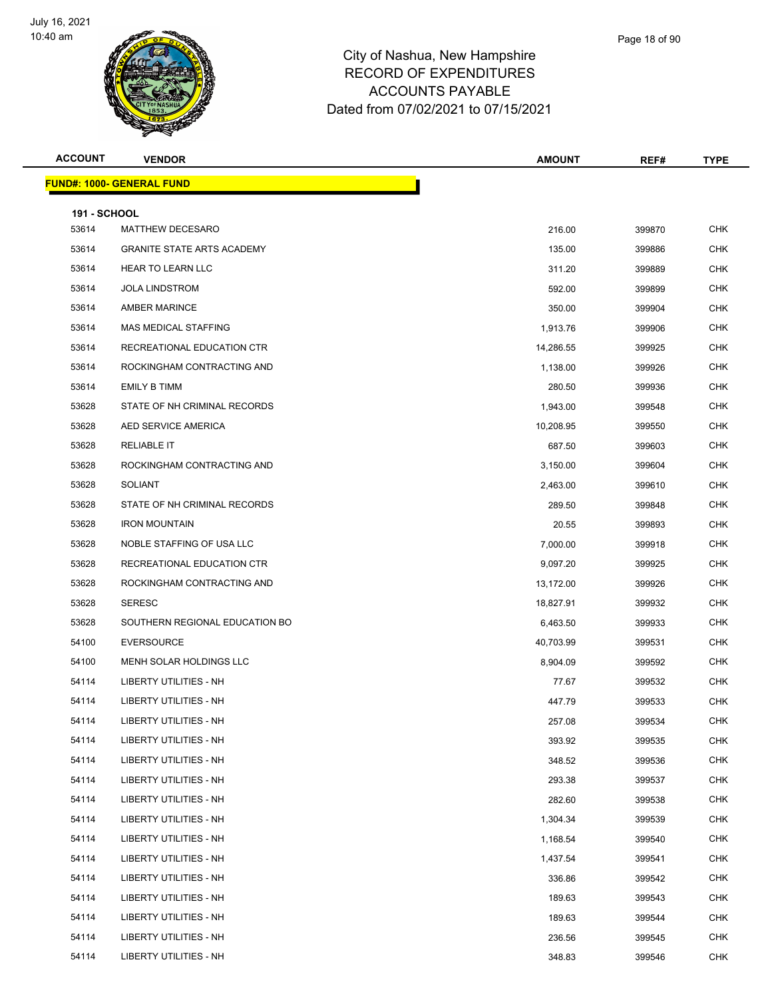

Page 18 of 90

| <b>ACCOUNT</b>               | <b>VENDOR</b>                     | <b>AMOUNT</b> | REF#   | <b>TYPE</b> |
|------------------------------|-----------------------------------|---------------|--------|-------------|
|                              | <u> FUND#: 1000- GENERAL FUND</u> |               |        |             |
|                              |                                   |               |        |             |
| <b>191 - SCHOOL</b><br>53614 | MATTHEW DECESARO                  | 216.00        | 399870 | <b>CHK</b>  |
| 53614                        | <b>GRANITE STATE ARTS ACADEMY</b> | 135.00        | 399886 | <b>CHK</b>  |
| 53614                        | <b>HEAR TO LEARN LLC</b>          | 311.20        | 399889 | <b>CHK</b>  |
| 53614                        | <b>JOLA LINDSTROM</b>             | 592.00        | 399899 | <b>CHK</b>  |
| 53614                        | <b>AMBER MARINCE</b>              | 350.00        | 399904 | <b>CHK</b>  |
| 53614                        | MAS MEDICAL STAFFING              | 1,913.76      | 399906 | <b>CHK</b>  |
| 53614                        | RECREATIONAL EDUCATION CTR        | 14,286.55     | 399925 | <b>CHK</b>  |
| 53614                        | ROCKINGHAM CONTRACTING AND        | 1,138.00      | 399926 | <b>CHK</b>  |
| 53614                        | <b>EMILY B TIMM</b>               | 280.50        | 399936 | <b>CHK</b>  |
| 53628                        | STATE OF NH CRIMINAL RECORDS      | 1,943.00      | 399548 | <b>CHK</b>  |
| 53628                        | AED SERVICE AMERICA               | 10,208.95     | 399550 | <b>CHK</b>  |
| 53628                        | <b>RELIABLE IT</b>                | 687.50        | 399603 | <b>CHK</b>  |
| 53628                        | ROCKINGHAM CONTRACTING AND        | 3,150.00      | 399604 | <b>CHK</b>  |
| 53628                        | <b>SOLIANT</b>                    | 2,463.00      | 399610 | <b>CHK</b>  |
| 53628                        | STATE OF NH CRIMINAL RECORDS      | 289.50        | 399848 | <b>CHK</b>  |
| 53628                        | <b>IRON MOUNTAIN</b>              | 20.55         | 399893 | <b>CHK</b>  |
| 53628                        | NOBLE STAFFING OF USA LLC         | 7,000.00      | 399918 | <b>CHK</b>  |
| 53628                        | RECREATIONAL EDUCATION CTR        | 9,097.20      | 399925 | <b>CHK</b>  |
| 53628                        | ROCKINGHAM CONTRACTING AND        | 13,172.00     | 399926 | <b>CHK</b>  |
| 53628                        | <b>SERESC</b>                     | 18,827.91     | 399932 | <b>CHK</b>  |
| 53628                        | SOUTHERN REGIONAL EDUCATION BO    | 6,463.50      | 399933 | <b>CHK</b>  |
| 54100                        | <b>EVERSOURCE</b>                 | 40,703.99     | 399531 | <b>CHK</b>  |
| 54100                        | MENH SOLAR HOLDINGS LLC           | 8,904.09      | 399592 | <b>CHK</b>  |
| 54114                        | LIBERTY UTILITIES - NH            | 77.67         | 399532 | <b>CHK</b>  |
| 54114                        | LIBERTY UTILITIES - NH            | 447.79        | 399533 | CHK         |
| 54114                        | LIBERTY UTILITIES - NH            | 257.08        | 399534 | <b>CHK</b>  |
| 54114                        | LIBERTY UTILITIES - NH            | 393.92        | 399535 | <b>CHK</b>  |
| 54114                        | LIBERTY UTILITIES - NH            | 348.52        | 399536 | <b>CHK</b>  |
| 54114                        | <b>LIBERTY UTILITIES - NH</b>     | 293.38        | 399537 | <b>CHK</b>  |
| 54114                        | <b>LIBERTY UTILITIES - NH</b>     | 282.60        | 399538 | <b>CHK</b>  |
| 54114                        | LIBERTY UTILITIES - NH            | 1,304.34      | 399539 | <b>CHK</b>  |
| 54114                        | <b>LIBERTY UTILITIES - NH</b>     | 1,168.54      | 399540 | <b>CHK</b>  |
| 54114                        | <b>LIBERTY UTILITIES - NH</b>     | 1,437.54      | 399541 | <b>CHK</b>  |
| 54114                        | LIBERTY UTILITIES - NH            | 336.86        | 399542 | <b>CHK</b>  |
| 54114                        | LIBERTY UTILITIES - NH            | 189.63        | 399543 | <b>CHK</b>  |
| 54114                        | LIBERTY UTILITIES - NH            | 189.63        | 399544 | CHK         |
| 54114                        | LIBERTY UTILITIES - NH            | 236.56        | 399545 | <b>CHK</b>  |
| 54114                        | LIBERTY UTILITIES - NH            | 348.83        | 399546 | <b>CHK</b>  |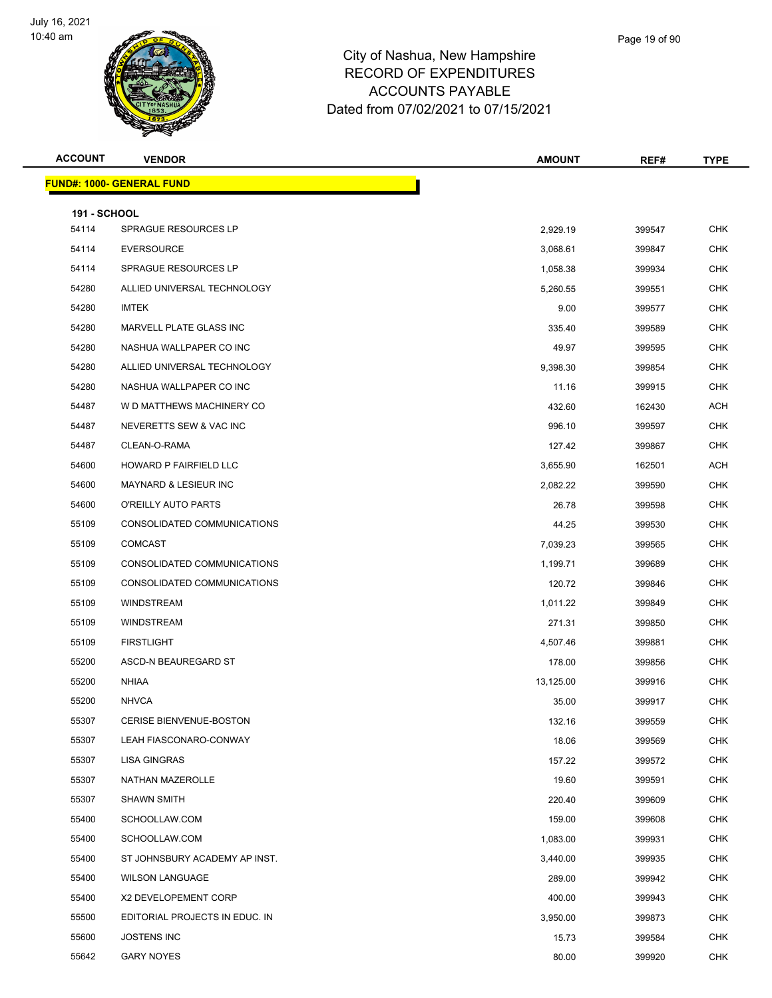

| Page 19 of 90 |  |
|---------------|--|
|               |  |
|               |  |

| <b>ACCOUNT</b>      | <b>VENDOR</b>                    | <b>AMOUNT</b> | REF#   | <b>TYPE</b> |
|---------------------|----------------------------------|---------------|--------|-------------|
|                     | <b>FUND#: 1000- GENERAL FUND</b> |               |        |             |
| <b>191 - SCHOOL</b> |                                  |               |        |             |
| 54114               | <b>SPRAGUE RESOURCES LP</b>      | 2,929.19      | 399547 | <b>CHK</b>  |
| 54114               | <b>EVERSOURCE</b>                | 3,068.61      | 399847 | <b>CHK</b>  |
| 54114               | SPRAGUE RESOURCES LP             | 1,058.38      | 399934 | <b>CHK</b>  |
| 54280               | ALLIED UNIVERSAL TECHNOLOGY      | 5,260.55      | 399551 | <b>CHK</b>  |
| 54280               | <b>IMTEK</b>                     | 9.00          | 399577 | <b>CHK</b>  |
| 54280               | MARVELL PLATE GLASS INC          | 335.40        | 399589 | <b>CHK</b>  |
| 54280               | NASHUA WALLPAPER CO INC          | 49.97         | 399595 | <b>CHK</b>  |
| 54280               | ALLIED UNIVERSAL TECHNOLOGY      | 9,398.30      | 399854 | <b>CHK</b>  |
| 54280               | NASHUA WALLPAPER CO INC          | 11.16         | 399915 | <b>CHK</b>  |
| 54487               | W D MATTHEWS MACHINERY CO        | 432.60        | 162430 | <b>ACH</b>  |
| 54487               | NEVERETTS SEW & VAC INC          | 996.10        | 399597 | <b>CHK</b>  |
| 54487               | CLEAN-O-RAMA                     | 127.42        | 399867 | <b>CHK</b>  |
| 54600               | <b>HOWARD P FAIRFIELD LLC</b>    | 3,655.90      | 162501 | ACH         |
| 54600               | MAYNARD & LESIEUR INC            | 2,082.22      | 399590 | <b>CHK</b>  |
| 54600               | O'REILLY AUTO PARTS              | 26.78         | 399598 | <b>CHK</b>  |
| 55109               | CONSOLIDATED COMMUNICATIONS      | 44.25         | 399530 | <b>CHK</b>  |
| 55109               | <b>COMCAST</b>                   | 7,039.23      | 399565 | <b>CHK</b>  |
| 55109               | CONSOLIDATED COMMUNICATIONS      | 1,199.71      | 399689 | <b>CHK</b>  |
| 55109               | CONSOLIDATED COMMUNICATIONS      | 120.72        | 399846 | <b>CHK</b>  |
| 55109               | WINDSTREAM                       | 1,011.22      | 399849 | <b>CHK</b>  |
| 55109               | WINDSTREAM                       | 271.31        | 399850 | <b>CHK</b>  |
| 55109               | <b>FIRSTLIGHT</b>                | 4,507.46      | 399881 | <b>CHK</b>  |
| 55200               | ASCD-N BEAUREGARD ST             | 178.00        | 399856 | <b>CHK</b>  |
| 55200               | <b>NHIAA</b>                     | 13,125.00     | 399916 | <b>CHK</b>  |
| 55200               | <b>NHVCA</b>                     | 35.00         | 399917 | <b>CHK</b>  |
| 55307               | <b>CERISE BIENVENUE-BOSTON</b>   | 132.16        | 399559 | <b>CHK</b>  |
| 55307               | LEAH FIASCONARO-CONWAY           | 18.06         | 399569 | <b>CHK</b>  |
| 55307               | LISA GINGRAS                     | 157.22        | 399572 | <b>CHK</b>  |
| 55307               | NATHAN MAZEROLLE                 | 19.60         | 399591 | <b>CHK</b>  |
| 55307               | <b>SHAWN SMITH</b>               | 220.40        | 399609 | <b>CHK</b>  |
| 55400               | SCHOOLLAW.COM                    | 159.00        | 399608 | <b>CHK</b>  |
| 55400               | SCHOOLLAW.COM                    | 1,083.00      | 399931 | <b>CHK</b>  |
| 55400               | ST JOHNSBURY ACADEMY AP INST.    | 3,440.00      | 399935 | <b>CHK</b>  |
| 55400               | <b>WILSON LANGUAGE</b>           | 289.00        | 399942 | CHK         |
| 55400               | X2 DEVELOPEMENT CORP             | 400.00        | 399943 | <b>CHK</b>  |
| 55500               | EDITORIAL PROJECTS IN EDUC. IN   | 3,950.00      | 399873 | <b>CHK</b>  |
| 55600               | <b>JOSTENS INC</b>               | 15.73         | 399584 | CHK         |
| 55642               | <b>GARY NOYES</b>                | 80.00         | 399920 | <b>CHK</b>  |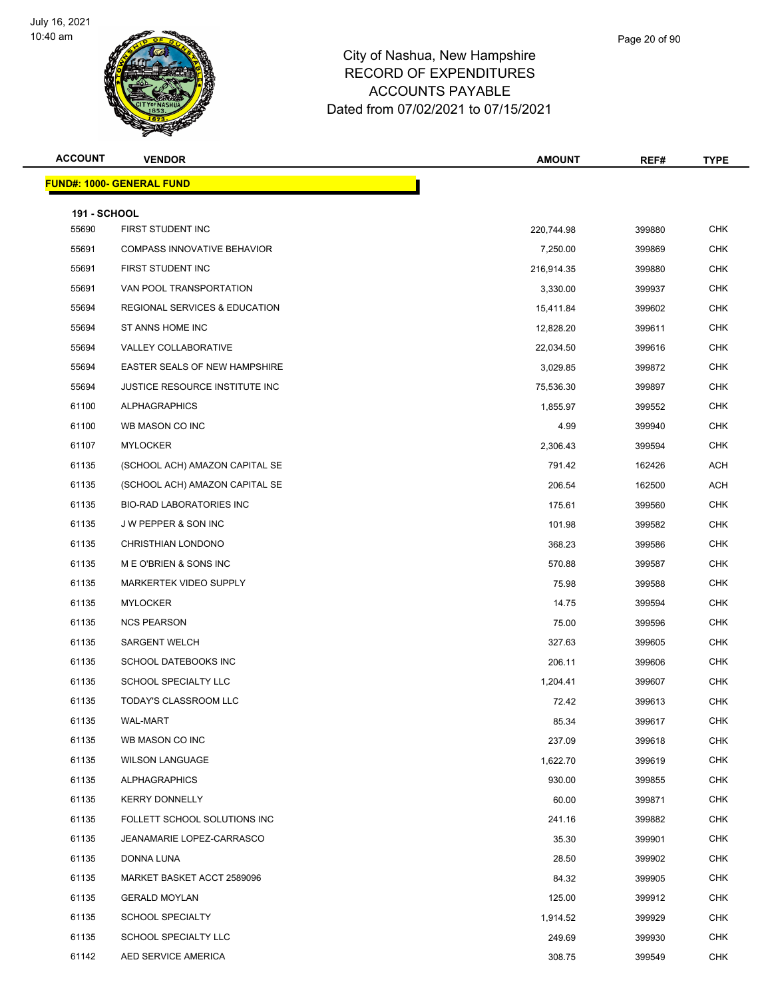

| Page 20 of 90 |  |
|---------------|--|
|               |  |
|               |  |

| <b>ACCOUNT</b>               | <b>VENDOR</b>                      | <b>AMOUNT</b> | REF#   | <b>TYPE</b> |
|------------------------------|------------------------------------|---------------|--------|-------------|
|                              | <u> FUND#: 1000- GENERAL FUND</u>  |               |        |             |
|                              |                                    |               |        |             |
| <b>191 - SCHOOL</b><br>55690 | FIRST STUDENT INC                  | 220,744.98    | 399880 | <b>CHK</b>  |
| 55691                        | <b>COMPASS INNOVATIVE BEHAVIOR</b> | 7,250.00      | 399869 | <b>CHK</b>  |
| 55691                        | FIRST STUDENT INC                  | 216,914.35    | 399880 | CHK         |
| 55691                        | VAN POOL TRANSPORTATION            | 3,330.00      | 399937 | <b>CHK</b>  |
| 55694                        | REGIONAL SERVICES & EDUCATION      | 15,411.84     | 399602 | <b>CHK</b>  |
| 55694                        | ST ANNS HOME INC                   | 12,828.20     | 399611 | <b>CHK</b>  |
| 55694                        | VALLEY COLLABORATIVE               | 22,034.50     | 399616 | <b>CHK</b>  |
| 55694                        | EASTER SEALS OF NEW HAMPSHIRE      | 3,029.85      | 399872 | <b>CHK</b>  |
| 55694                        | JUSTICE RESOURCE INSTITUTE INC     | 75,536.30     | 399897 | <b>CHK</b>  |
| 61100                        | <b>ALPHAGRAPHICS</b>               | 1,855.97      | 399552 | <b>CHK</b>  |
| 61100                        | WB MASON CO INC                    | 4.99          | 399940 | <b>CHK</b>  |
| 61107                        | <b>MYLOCKER</b>                    | 2,306.43      | 399594 | <b>CHK</b>  |
| 61135                        | (SCHOOL ACH) AMAZON CAPITAL SE     | 791.42        | 162426 | ACH         |
| 61135                        | (SCHOOL ACH) AMAZON CAPITAL SE     | 206.54        | 162500 | ACH         |
| 61135                        | <b>BIO-RAD LABORATORIES INC</b>    | 175.61        | 399560 | <b>CHK</b>  |
| 61135                        | J W PEPPER & SON INC               | 101.98        | 399582 | <b>CHK</b>  |
| 61135                        | CHRISTHIAN LONDONO                 | 368.23        | 399586 | <b>CHK</b>  |
| 61135                        | M E O'BRIEN & SONS INC             | 570.88        | 399587 | <b>CHK</b>  |
| 61135                        | MARKERTEK VIDEO SUPPLY             | 75.98         | 399588 | <b>CHK</b>  |
| 61135                        | <b>MYLOCKER</b>                    | 14.75         | 399594 | <b>CHK</b>  |
| 61135                        | <b>NCS PEARSON</b>                 | 75.00         | 399596 | <b>CHK</b>  |
| 61135                        | <b>SARGENT WELCH</b>               | 327.63        | 399605 | <b>CHK</b>  |
| 61135                        | SCHOOL DATEBOOKS INC               | 206.11        | 399606 | CHK         |
| 61135                        | SCHOOL SPECIALTY LLC               | 1,204.41      | 399607 | <b>CHK</b>  |
| 61135                        | TODAY'S CLASSROOM LLC              | 72.42         | 399613 | <b>CHK</b>  |
| 61135                        | <b>WAL-MART</b>                    | 85.34         | 399617 | <b>CHK</b>  |
| 61135                        | WB MASON CO INC                    | 237.09        | 399618 | <b>CHK</b>  |
| 61135                        | <b>WILSON LANGUAGE</b>             | 1,622.70      | 399619 | <b>CHK</b>  |
| 61135                        | <b>ALPHAGRAPHICS</b>               | 930.00        | 399855 | <b>CHK</b>  |
| 61135                        | <b>KERRY DONNELLY</b>              | 60.00         | 399871 | <b>CHK</b>  |
| 61135                        | FOLLETT SCHOOL SOLUTIONS INC       | 241.16        | 399882 | <b>CHK</b>  |
| 61135                        | JEANAMARIE LOPEZ-CARRASCO          | 35.30         | 399901 | <b>CHK</b>  |
| 61135                        | DONNA LUNA                         | 28.50         | 399902 | CHK         |
| 61135                        | MARKET BASKET ACCT 2589096         | 84.32         | 399905 | <b>CHK</b>  |
| 61135                        | <b>GERALD MOYLAN</b>               | 125.00        | 399912 | CHK         |
| 61135                        | <b>SCHOOL SPECIALTY</b>            | 1,914.52      | 399929 | <b>CHK</b>  |
| 61135                        | SCHOOL SPECIALTY LLC               | 249.69        | 399930 | <b>CHK</b>  |
| 61142                        | AED SERVICE AMERICA                | 308.75        | 399549 | <b>CHK</b>  |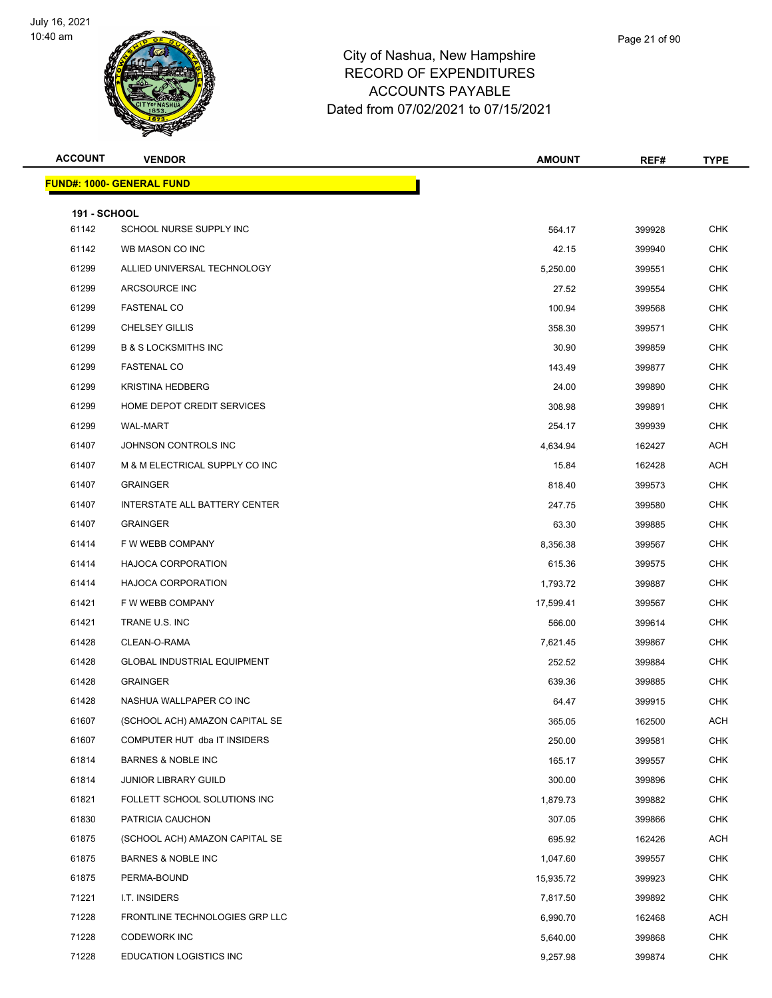

| Page 21 of 90 |  |
|---------------|--|
|               |  |

| <b>ACCOUNT</b>               | <b>VENDOR</b>                      | <b>AMOUNT</b> | REF#   | <b>TYPE</b> |
|------------------------------|------------------------------------|---------------|--------|-------------|
|                              | <u> FUND#: 1000- GENERAL FUND</u>  |               |        |             |
|                              |                                    |               |        |             |
| <b>191 - SCHOOL</b><br>61142 | SCHOOL NURSE SUPPLY INC            | 564.17        | 399928 | <b>CHK</b>  |
| 61142                        | WB MASON CO INC                    | 42.15         | 399940 | <b>CHK</b>  |
| 61299                        | ALLIED UNIVERSAL TECHNOLOGY        | 5,250.00      | 399551 | CHK         |
| 61299                        | ARCSOURCE INC                      | 27.52         | 399554 | <b>CHK</b>  |
| 61299                        | <b>FASTENAL CO</b>                 | 100.94        | 399568 | <b>CHK</b>  |
| 61299                        | <b>CHELSEY GILLIS</b>              | 358.30        | 399571 | <b>CHK</b>  |
| 61299                        | <b>B &amp; S LOCKSMITHS INC</b>    | 30.90         | 399859 | <b>CHK</b>  |
| 61299                        | <b>FASTENAL CO</b>                 | 143.49        | 399877 | <b>CHK</b>  |
| 61299                        | <b>KRISTINA HEDBERG</b>            | 24.00         | 399890 | <b>CHK</b>  |
| 61299                        | HOME DEPOT CREDIT SERVICES         | 308.98        | 399891 | <b>CHK</b>  |
| 61299                        | <b>WAL-MART</b>                    | 254.17        | 399939 | <b>CHK</b>  |
| 61407                        | JOHNSON CONTROLS INC               | 4,634.94      | 162427 | ACH         |
| 61407                        | M & M ELECTRICAL SUPPLY CO INC     | 15.84         | 162428 | ACH         |
| 61407                        | <b>GRAINGER</b>                    | 818.40        | 399573 | <b>CHK</b>  |
| 61407                        | INTERSTATE ALL BATTERY CENTER      | 247.75        | 399580 | <b>CHK</b>  |
| 61407                        | <b>GRAINGER</b>                    | 63.30         | 399885 | <b>CHK</b>  |
| 61414                        | F W WEBB COMPANY                   | 8,356.38      | 399567 | <b>CHK</b>  |
| 61414                        | <b>HAJOCA CORPORATION</b>          | 615.36        | 399575 | <b>CHK</b>  |
| 61414                        | <b>HAJOCA CORPORATION</b>          | 1,793.72      | 399887 | <b>CHK</b>  |
| 61421                        | F W WEBB COMPANY                   | 17,599.41     | 399567 | <b>CHK</b>  |
| 61421                        | TRANE U.S. INC                     | 566.00        | 399614 | <b>CHK</b>  |
| 61428                        | CLEAN-O-RAMA                       | 7,621.45      | 399867 | <b>CHK</b>  |
| 61428                        | <b>GLOBAL INDUSTRIAL EQUIPMENT</b> | 252.52        | 399884 | CHK         |
| 61428                        | <b>GRAINGER</b>                    | 639.36        | 399885 | <b>CHK</b>  |
| 61428                        | NASHUA WALLPAPER CO INC            | 64.47         | 399915 | <b>CHK</b>  |
| 61607                        | (SCHOOL ACH) AMAZON CAPITAL SE     | 365.05        | 162500 | <b>ACH</b>  |
| 61607                        | COMPUTER HUT dba IT INSIDERS       | 250.00        | 399581 | <b>CHK</b>  |
| 61814                        | <b>BARNES &amp; NOBLE INC</b>      | 165.17        | 399557 | <b>CHK</b>  |
| 61814                        | <b>JUNIOR LIBRARY GUILD</b>        | 300.00        | 399896 | <b>CHK</b>  |
| 61821                        | FOLLETT SCHOOL SOLUTIONS INC       | 1,879.73      | 399882 | <b>CHK</b>  |
| 61830                        | PATRICIA CAUCHON                   | 307.05        | 399866 | <b>CHK</b>  |
| 61875                        | (SCHOOL ACH) AMAZON CAPITAL SE     | 695.92        | 162426 | ACH         |
| 61875                        | <b>BARNES &amp; NOBLE INC</b>      | 1,047.60      | 399557 | <b>CHK</b>  |
| 61875                        | PERMA-BOUND                        | 15,935.72     | 399923 | <b>CHK</b>  |
| 71221                        | I.T. INSIDERS                      | 7,817.50      | 399892 | <b>CHK</b>  |
| 71228                        | FRONTLINE TECHNOLOGIES GRP LLC     | 6,990.70      | 162468 | ACH         |
| 71228                        | <b>CODEWORK INC</b>                | 5,640.00      | 399868 | <b>CHK</b>  |
| 71228                        | <b>EDUCATION LOGISTICS INC</b>     | 9,257.98      | 399874 | <b>CHK</b>  |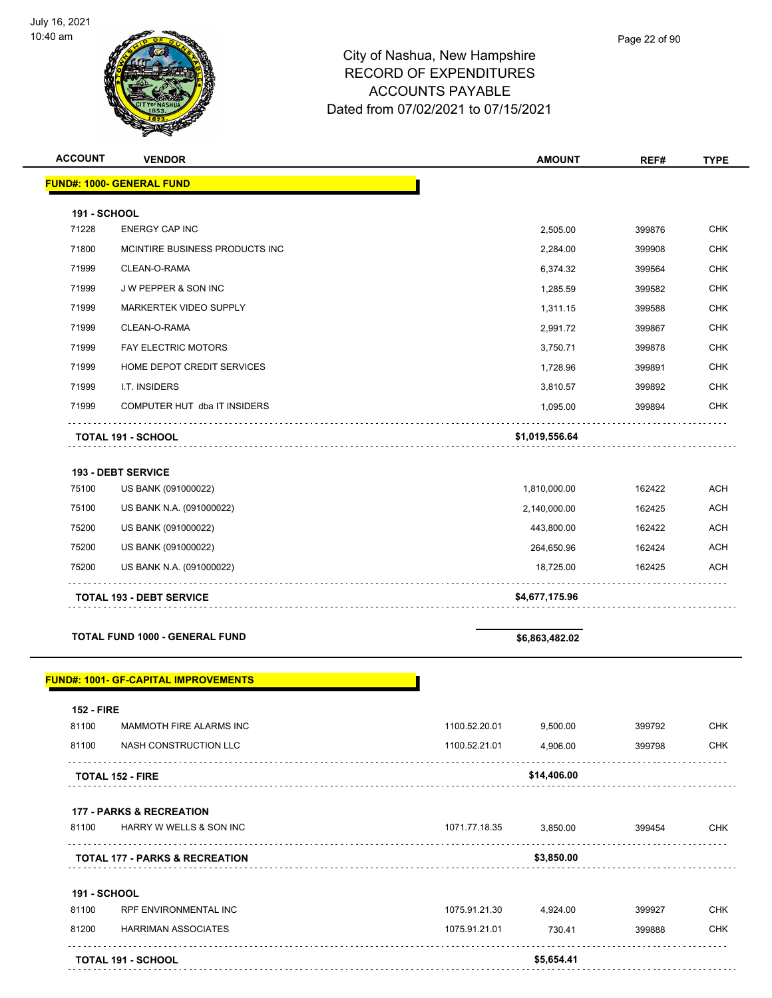

| <b>ACCOUNT</b> | <b>VENDOR</b>                    | <b>AMOUNT</b>  | REF#   | <b>TYPE</b> |
|----------------|----------------------------------|----------------|--------|-------------|
|                | <b>FUND#: 1000- GENERAL FUND</b> |                |        |             |
| 191 - SCHOOL   |                                  |                |        |             |
| 71228          | <b>ENERGY CAP INC</b>            | 2,505.00       | 399876 | <b>CHK</b>  |
| 71800          | MCINTIRE BUSINESS PRODUCTS INC   | 2,284.00       | 399908 | <b>CHK</b>  |
| 71999          | CLEAN-O-RAMA                     | 6,374.32       | 399564 | <b>CHK</b>  |
| 71999          | J W PEPPER & SON INC             | 1,285.59       | 399582 | <b>CHK</b>  |
| 71999          | <b>MARKERTEK VIDEO SUPPLY</b>    | 1,311.15       | 399588 | <b>CHK</b>  |
| 71999          | CLEAN-O-RAMA                     | 2,991.72       | 399867 | <b>CHK</b>  |
| 71999          | <b>FAY ELECTRIC MOTORS</b>       | 3,750.71       | 399878 | <b>CHK</b>  |
| 71999          | HOME DEPOT CREDIT SERVICES       | 1,728.96       | 399891 | <b>CHK</b>  |
| 71999          | I.T. INSIDERS                    | 3,810.57       | 399892 | <b>CHK</b>  |
| 71999          | COMPUTER HUT dba IT INSIDERS     | 1,095.00       | 399894 | <b>CHK</b>  |
|                | <b>TOTAL 191 - SCHOOL</b>        | \$1,019,556.64 |        |             |
|                | <b>193 - DEBT SERVICE</b>        |                |        |             |
| 75100          | US BANK (091000022)              | 1,810,000.00   | 162422 | <b>ACH</b>  |
| 75100          | US BANK N.A. (091000022)         | 2,140,000.00   | 162425 | <b>ACH</b>  |

|       | <b>TOTAL 193 - DEBT SERVICE</b> | \$4,677,175.96 |        |            |
|-------|---------------------------------|----------------|--------|------------|
| 75200 | US BANK N.A. (091000022)        | 18.725.00      | 162425 | <b>ACH</b> |
| 75200 | US BANK (091000022)             | 264.650.96     | 162424 | <b>ACH</b> |
| 75200 | US BANK (091000022)             | 443.800.00     | 162422 | <b>ACH</b> |
|       |                                 |                |        |            |

**TOTAL FUND 1000 - GENERAL FUND \$6,863,482.02** 

#### **FUND#: 1001- GF-CAPITAL IMPROVEMENTS**

| <b>152 - FIRE</b>   |                                           |               |             |        |            |
|---------------------|-------------------------------------------|---------------|-------------|--------|------------|
| 81100               | <b>MAMMOTH FIRE ALARMS INC</b>            | 1100.52.20.01 | 9,500.00    | 399792 | <b>CHK</b> |
| 81100               | NASH CONSTRUCTION LLC                     | 1100.52.21.01 | 4,906.00    | 399798 | <b>CHK</b> |
|                     | <b>TOTAL 152 - FIRE</b>                   |               | \$14,406.00 |        |            |
|                     | <b>177 - PARKS &amp; RECREATION</b>       |               |             |        |            |
| 81100               | <b>HARRY W WELLS &amp; SON INC</b>        | 1071.77.18.35 | 3,850.00    | 399454 | <b>CHK</b> |
|                     | <b>TOTAL 177 - PARKS &amp; RECREATION</b> |               | \$3,850.00  |        |            |
| <b>191 - SCHOOL</b> |                                           |               |             |        |            |
| 81100               | <b>RPF ENVIRONMENTAL INC</b>              | 1075.91.21.30 | 4,924.00    | 399927 | <b>CHK</b> |
| 81200               | <b>HARRIMAN ASSOCIATES</b>                | 1075.91.21.01 | 730.41      | 399888 | <b>CHK</b> |
|                     | <b>TOTAL 191 - SCHOOL</b>                 |               | \$5,654.41  |        |            |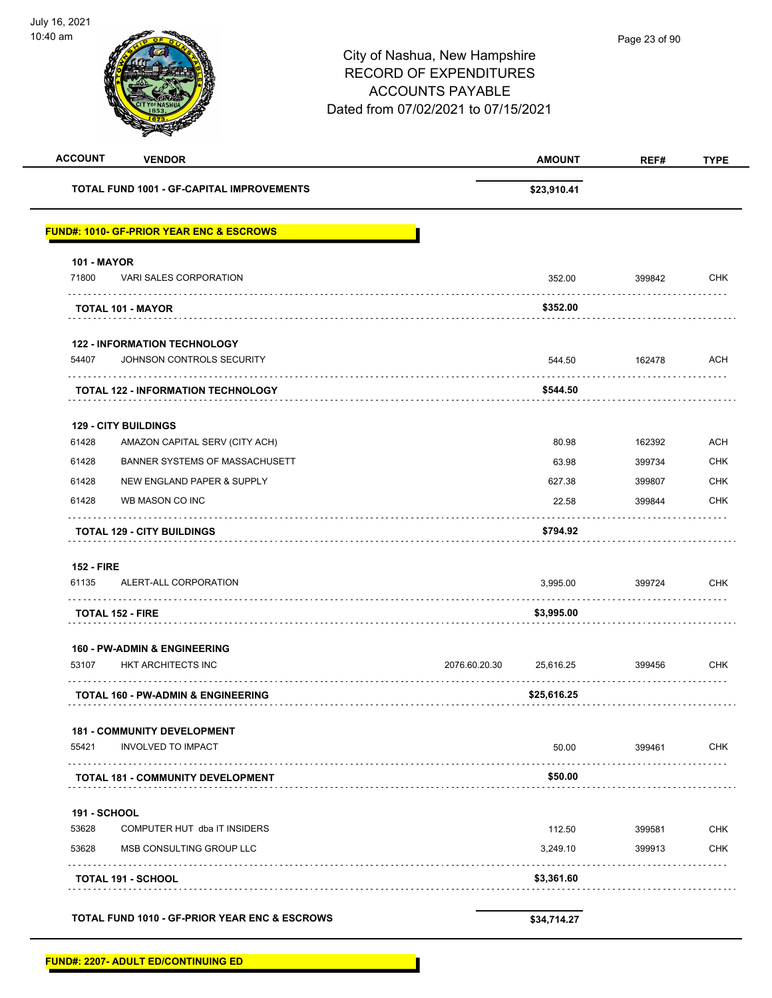| <b>ACCOUNT</b>                                   | <b>VENDOR</b>                                            | <b>AMOUNT</b>              | REF#   | <b>TYPE</b> |
|--------------------------------------------------|----------------------------------------------------------|----------------------------|--------|-------------|
| <b>TOTAL FUND 1001 - GF-CAPITAL IMPROVEMENTS</b> |                                                          | \$23,910.41                |        |             |
|                                                  | <b>FUND#: 1010- GF-PRIOR YEAR ENC &amp; ESCROWS</b>      |                            |        |             |
| <b>101 - MAYOR</b>                               |                                                          |                            |        |             |
| 71800                                            | VARI SALES CORPORATION                                   | 352.00                     | 399842 | <b>CHK</b>  |
| <b>TOTAL 101 - MAYOR</b>                         |                                                          | \$352.00                   |        |             |
|                                                  | <b>122 - INFORMATION TECHNOLOGY</b>                      |                            |        |             |
| 54407                                            | JOHNSON CONTROLS SECURITY                                | 544.50                     | 162478 | <b>ACH</b>  |
|                                                  | <b>TOTAL 122 - INFORMATION TECHNOLOGY</b>                | \$544.50                   | .      |             |
| <b>129 - CITY BUILDINGS</b>                      |                                                          |                            |        |             |
| 61428                                            | AMAZON CAPITAL SERV (CITY ACH)                           | 80.98                      | 162392 | <b>ACH</b>  |
| 61428                                            | BANNER SYSTEMS OF MASSACHUSETT                           | 63.98                      | 399734 | <b>CHK</b>  |
| 61428                                            | NEW ENGLAND PAPER & SUPPLY                               | 627.38                     | 399807 | <b>CHK</b>  |
| 61428                                            | WB MASON CO INC                                          | 22.58                      | 399844 | <b>CHK</b>  |
|                                                  | <b>TOTAL 129 - CITY BUILDINGS</b>                        | \$794.92                   |        |             |
| <b>152 - FIRE</b>                                |                                                          |                            |        |             |
| 61135                                            | ALERT-ALL CORPORATION                                    | 3,995.00                   | 399724 | <b>CHK</b>  |
| <b>TOTAL 152 - FIRE</b>                          |                                                          | \$3,995.00                 |        |             |
|                                                  | <b>160 - PW-ADMIN &amp; ENGINEERING</b>                  |                            |        |             |
| 53107                                            | HKT ARCHITECTS INC                                       | 2076.60.20.30<br>25.616.25 | 399456 | <b>CHK</b>  |
|                                                  | <b>TOTAL 160 - PW-ADMIN &amp; ENGINEERING</b>            | \$25,616.25                |        |             |
|                                                  | <b>181 - COMMUNITY DEVELOPMENT</b>                       |                            |        |             |
| 55421                                            | <b>INVOLVED TO IMPACT</b>                                | 50.00                      | 399461 | CHK         |
|                                                  | <b>TOTAL 181 - COMMUNITY DEVELOPMENT</b>                 | \$50.00                    |        |             |
| 191 - SCHOOL                                     |                                                          |                            |        |             |
| 53628                                            | COMPUTER HUT dba IT INSIDERS                             | 112.50                     | 399581 | <b>CHK</b>  |
| 53628                                            | MSB CONSULTING GROUP LLC                                 | 3,249.10                   | 399913 | <b>CHK</b>  |
| TOTAL 191 - SCHOOL                               |                                                          | \$3,361.60                 |        |             |
|                                                  | <b>TOTAL FUND 1010 - GF-PRIOR YEAR ENC &amp; ESCROWS</b> | \$34,714.27                |        |             |

**FUND#: 2207- ADULT ED/CONTINUING ED**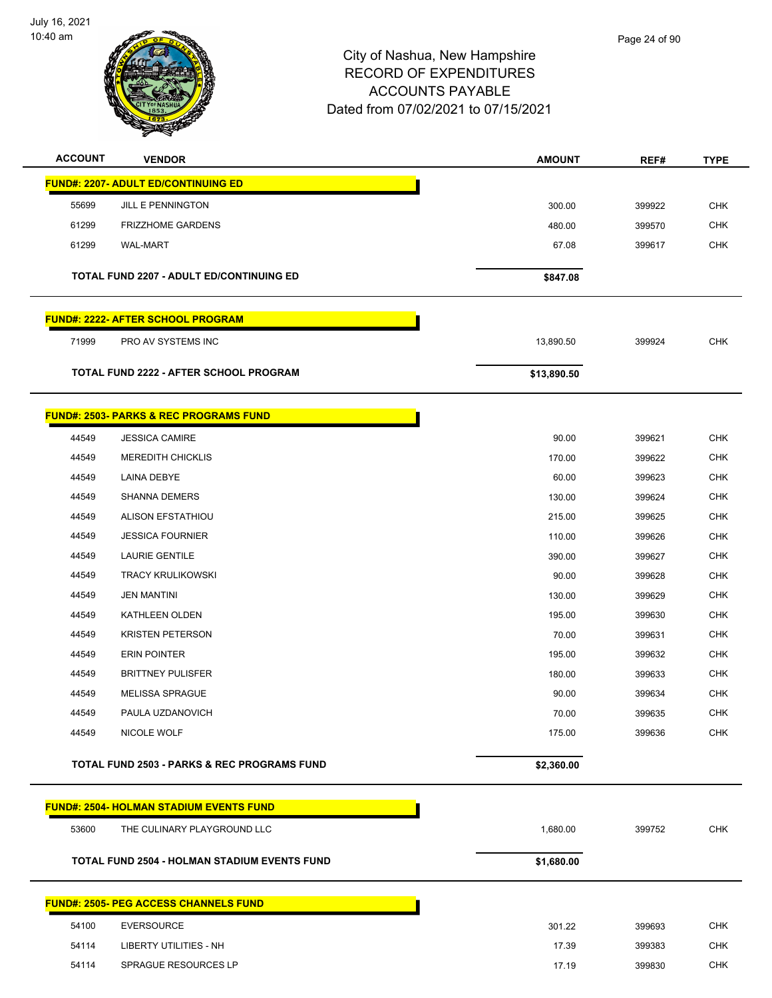

| <b>ACCOUNT</b> | <b>VENDOR</b>                                          | <b>AMOUNT</b> | REF#   | TYPE       |
|----------------|--------------------------------------------------------|---------------|--------|------------|
|                | <b>FUND#: 2207- ADULT ED/CONTINUING ED</b>             |               |        |            |
| 55699          | JILL E PENNINGTON                                      | 300.00        | 399922 | <b>CHK</b> |
| 61299          | <b>FRIZZHOME GARDENS</b>                               | 480.00        | 399570 | <b>CHK</b> |
| 61299          | <b>WAL-MART</b>                                        | 67.08         | 399617 | <b>CHK</b> |
|                | <b>TOTAL FUND 2207 - ADULT ED/CONTINUING ED</b>        |               |        |            |
|                |                                                        | \$847.08      |        |            |
|                | FUND#: 2222- AFTER SCHOOL PROGRAM                      |               |        |            |
| 71999          | PRO AV SYSTEMS INC                                     | 13,890.50     | 399924 | <b>CHK</b> |
|                | TOTAL FUND 2222 - AFTER SCHOOL PROGRAM                 | \$13,890.50   |        |            |
|                | <b>FUND#: 2503- PARKS &amp; REC PROGRAMS FUND</b>      |               |        |            |
| 44549          | <b>JESSICA CAMIRE</b>                                  | 90.00         | 399621 | <b>CHK</b> |
| 44549          | <b>MEREDITH CHICKLIS</b>                               | 170.00        | 399622 | <b>CHK</b> |
| 44549          | LAINA DEBYE                                            | 60.00         | 399623 | <b>CHK</b> |
| 44549          | <b>SHANNA DEMERS</b>                                   | 130.00        | 399624 | <b>CHK</b> |
| 44549          | ALISON EFSTATHIOU                                      | 215.00        | 399625 | <b>CHK</b> |
| 44549          | <b>JESSICA FOURNIER</b>                                | 110.00        | 399626 | <b>CHK</b> |
| 44549          | <b>LAURIE GENTILE</b>                                  | 390.00        | 399627 | <b>CHK</b> |
| 44549          | <b>TRACY KRULIKOWSKI</b>                               | 90.00         | 399628 | <b>CHK</b> |
| 44549          | <b>JEN MANTINI</b>                                     | 130.00        | 399629 | <b>CHK</b> |
| 44549          | KATHLEEN OLDEN                                         | 195.00        | 399630 | <b>CHK</b> |
| 44549          | <b>KRISTEN PETERSON</b>                                | 70.00         | 399631 | CHK        |
| 44549          | <b>ERIN POINTER</b>                                    | 195.00        | 399632 | <b>CHK</b> |
| 44549          | <b>BRITTNEY PULISFER</b>                               | 180.00        | 399633 | <b>CHK</b> |
| 44549          | <b>MELISSA SPRAGUE</b>                                 | 90.00         | 399634 | <b>CHK</b> |
| 44549          | PAULA UZDANOVICH                                       | 70.00         | 399635 | <b>CHK</b> |
| 44549          | NICOLE WOLF                                            | 175.00        | 399636 | CHK        |
|                | <b>TOTAL FUND 2503 - PARKS &amp; REC PROGRAMS FUND</b> | \$2,360.00    |        |            |
|                | <b>FUND#: 2504- HOLMAN STADIUM EVENTS FUND</b>         |               |        |            |
| 53600          | THE CULINARY PLAYGROUND LLC                            | 1,680.00      | 399752 | <b>CHK</b> |
|                | <b>TOTAL FUND 2504 - HOLMAN STADIUM EVENTS FUND</b>    | \$1,680.00    |        |            |
|                | <b>FUND#: 2505- PEG ACCESS CHANNELS FUND</b>           |               |        |            |
| 54100          | <b>EVERSOURCE</b>                                      | 301.22        | 399693 | <b>CHK</b> |
| 54114          | <b>LIBERTY UTILITIES - NH</b>                          | 17.39         | 399383 | <b>CHK</b> |
| 54114          | SPRAGUE RESOURCES LP                                   | 17.19         | 399830 | <b>CHK</b> |
|                |                                                        |               |        |            |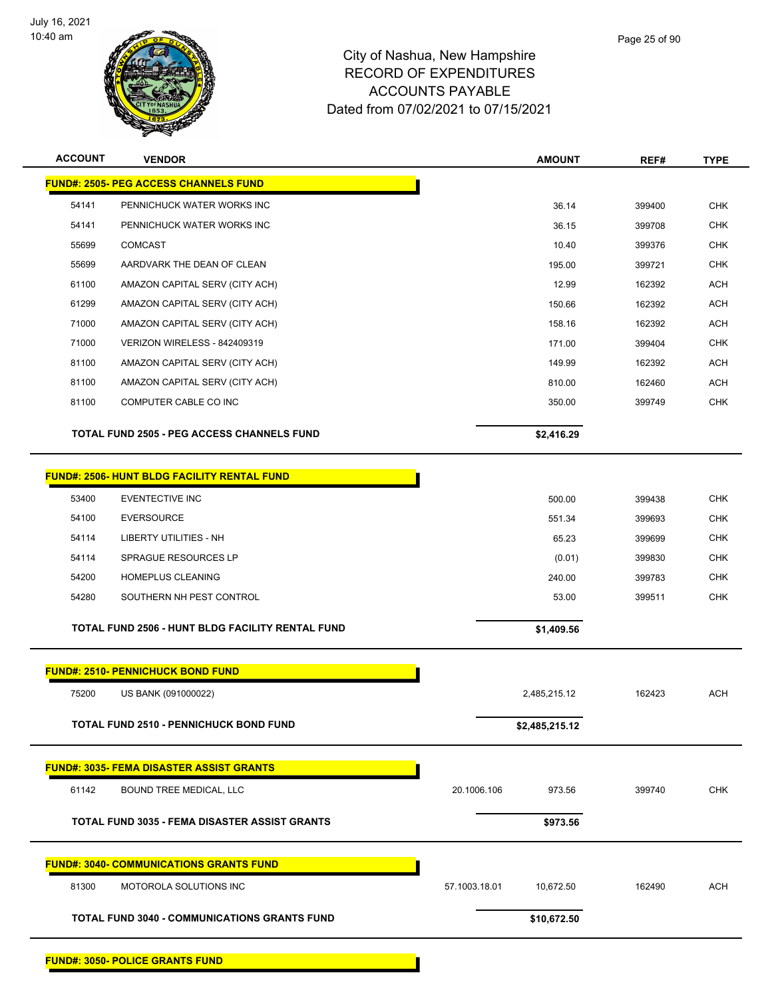

| <b>ACCOUNT</b> | <b>VENDOR</b>                                        | <b>AMOUNT</b>              | REF#   | <b>TYPE</b> |
|----------------|------------------------------------------------------|----------------------------|--------|-------------|
|                | <b>FUND#: 2505- PEG ACCESS CHANNELS FUND</b>         |                            |        |             |
| 54141          | PENNICHUCK WATER WORKS INC                           | 36.14                      | 399400 | <b>CHK</b>  |
| 54141          | PENNICHUCK WATER WORKS INC                           | 36.15                      | 399708 | <b>CHK</b>  |
| 55699          | <b>COMCAST</b>                                       | 10.40                      | 399376 | <b>CHK</b>  |
| 55699          | AARDVARK THE DEAN OF CLEAN                           | 195.00                     | 399721 | <b>CHK</b>  |
| 61100          | AMAZON CAPITAL SERV (CITY ACH)                       | 12.99                      | 162392 | <b>ACH</b>  |
| 61299          | AMAZON CAPITAL SERV (CITY ACH)                       | 150.66                     | 162392 | <b>ACH</b>  |
| 71000          | AMAZON CAPITAL SERV (CITY ACH)                       | 158.16                     | 162392 | <b>ACH</b>  |
| 71000          | VERIZON WIRELESS - 842409319                         | 171.00                     | 399404 | <b>CHK</b>  |
| 81100          | AMAZON CAPITAL SERV (CITY ACH)                       | 149.99                     | 162392 | <b>ACH</b>  |
| 81100          | AMAZON CAPITAL SERV (CITY ACH)                       | 810.00                     | 162460 | <b>ACH</b>  |
| 81100          | COMPUTER CABLE CO INC                                | 350.00                     | 399749 | <b>CHK</b>  |
|                | <b>TOTAL FUND 2505 - PEG ACCESS CHANNELS FUND</b>    | \$2,416.29                 |        |             |
|                | <b>FUND#: 2506- HUNT BLDG FACILITY RENTAL FUND</b>   |                            |        |             |
| 53400          | EVENTECTIVE INC                                      | 500.00                     | 399438 | <b>CHK</b>  |
| 54100          | <b>EVERSOURCE</b>                                    | 551.34                     | 399693 | <b>CHK</b>  |
| 54114          | <b>LIBERTY UTILITIES - NH</b>                        | 65.23                      | 399699 | <b>CHK</b>  |
| 54114          | SPRAGUE RESOURCES LP                                 | (0.01)                     | 399830 | <b>CHK</b>  |
| 54200          | HOMEPLUS CLEANING                                    | 240.00                     | 399783 | <b>CHK</b>  |
| 54280          | SOUTHERN NH PEST CONTROL                             | 53.00                      | 399511 | <b>CHK</b>  |
|                | TOTAL FUND 2506 - HUNT BLDG FACILITY RENTAL FUND     | \$1,409.56                 |        |             |
|                | <b>FUND#: 2510- PENNICHUCK BOND FUND</b>             |                            |        |             |
| 75200          | US BANK (091000022)                                  | 2,485,215.12               | 162423 | <b>ACH</b>  |
|                | TOTAL FUND 2510 - PENNICHUCK BOND FUND               | \$2,485,215.12             |        |             |
|                | <b>FUND#: 3035- FEMA DISASTER ASSIST GRANTS</b>      |                            |        |             |
| 61142          | BOUND TREE MEDICAL, LLC                              | 20.1006.106<br>973.56      | 399740 | <b>CHK</b>  |
|                | <b>TOTAL FUND 3035 - FEMA DISASTER ASSIST GRANTS</b> | \$973.56                   |        |             |
|                | <b>FUND#: 3040- COMMUNICATIONS GRANTS FUND</b>       |                            |        |             |
| 81300          | MOTOROLA SOLUTIONS INC                               | 57.1003.18.01<br>10,672.50 | 162490 | <b>ACH</b>  |
|                | <b>TOTAL FUND 3040 - COMMUNICATIONS GRANTS FUND</b>  | \$10,672.50                |        |             |
|                |                                                      |                            |        |             |

**FUND#: 3050- POLICE GRANTS FUND**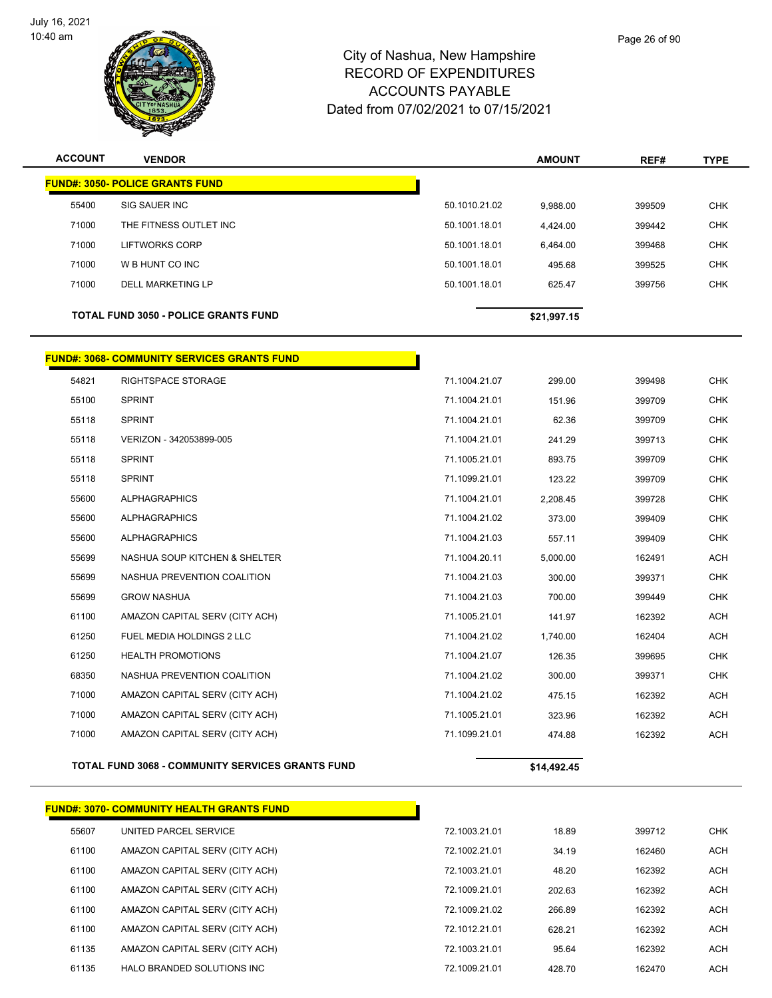

| <b>ACCOUNT</b> | <b>VENDOR</b>                                      |               | <b>AMOUNT</b> | REF#   | <b>TYPE</b> |
|----------------|----------------------------------------------------|---------------|---------------|--------|-------------|
|                | <u> FUND#: 3050- POLICE GRANTS FUND</u>            |               |               |        |             |
| 55400          | SIG SAUER INC                                      | 50.1010.21.02 | 9,988.00      | 399509 | <b>CHK</b>  |
| 71000          | THE FITNESS OUTLET INC                             | 50.1001.18.01 | 4,424.00      | 399442 | <b>CHK</b>  |
| 71000          | LIFTWORKS CORP                                     | 50.1001.18.01 | 6,464.00      | 399468 | <b>CHK</b>  |
| 71000          | W B HUNT CO INC                                    | 50.1001.18.01 | 495.68        | 399525 | <b>CHK</b>  |
| 71000          | <b>DELL MARKETING LP</b>                           | 50.1001.18.01 | 625.47        | 399756 | <b>CHK</b>  |
|                | <b>TOTAL FUND 3050 - POLICE GRANTS FUND</b>        |               | \$21,997.15   |        |             |
|                | <b>FUND#: 3068- COMMUNITY SERVICES GRANTS FUND</b> |               |               |        |             |
| 54821          | <b>RIGHTSPACE STORAGE</b>                          | 71.1004.21.07 | 299.00        | 399498 | <b>CHK</b>  |
| 55100          | <b>SPRINT</b>                                      | 71.1004.21.01 | 151.96        | 399709 | <b>CHK</b>  |
| 55118          | <b>SPRINT</b>                                      | 71.1004.21.01 | 62.36         | 399709 | <b>CHK</b>  |
| 55118          | VERIZON - 342053899-005                            | 71.1004.21.01 | 241.29        | 399713 | <b>CHK</b>  |
| 55118          | <b>SPRINT</b>                                      | 71.1005.21.01 | 893.75        | 399709 | <b>CHK</b>  |
| 55118          | <b>SPRINT</b>                                      | 71.1099.21.01 | 123.22        | 399709 | <b>CHK</b>  |
| 55600          | <b>ALPHAGRAPHICS</b>                               | 71.1004.21.01 | 2,208.45      | 399728 | <b>CHK</b>  |
| 55600          | <b>ALPHAGRAPHICS</b>                               | 71.1004.21.02 | 373.00        | 399409 | <b>CHK</b>  |
| 55600          | <b>ALPHAGRAPHICS</b>                               | 71.1004.21.03 | 557.11        | 399409 | <b>CHK</b>  |
| 55699          | NASHUA SOUP KITCHEN & SHELTER                      | 71.1004.20.11 | 5,000.00      | 162491 | <b>ACH</b>  |
| 55699          | NASHUA PREVENTION COALITION                        | 71.1004.21.03 | 300.00        | 399371 | <b>CHK</b>  |
| 55699          | <b>GROW NASHUA</b>                                 | 71.1004.21.03 | 700.00        | 399449 | <b>CHK</b>  |
| 61100          | AMAZON CAPITAL SERV (CITY ACH)                     | 71.1005.21.01 | 141.97        | 162392 | <b>ACH</b>  |
| 61250          | FUEL MEDIA HOLDINGS 2 LLC                          | 71.1004.21.02 | 1,740.00      | 162404 | <b>ACH</b>  |
| 61250          | <b>HEALTH PROMOTIONS</b>                           | 71.1004.21.07 | 126.35        | 399695 | <b>CHK</b>  |
| 68350          | NASHUA PREVENTION COALITION                        | 71.1004.21.02 | 300.00        | 399371 | <b>CHK</b>  |
| 71000          | AMAZON CAPITAL SERV (CITY ACH)                     | 71.1004.21.02 | 475.15        | 162392 | <b>ACH</b>  |
| 71000          | AMAZON CAPITAL SERV (CITY ACH)                     | 71.1005.21.01 | 323.96        | 162392 | <b>ACH</b>  |
| 71000          | AMAZON CAPITAL SERV (CITY ACH)                     | 71.1099.21.01 | 474.88        | 162392 | <b>ACH</b>  |

#### **TOTAL FUND 3068 - COMMUNITY SERVICES GRANTS FUND \$14,492.45**

|       | <b>FUND#: 3070- COMMUNITY HEALTH GRANTS FUND</b> |               |        |        |            |
|-------|--------------------------------------------------|---------------|--------|--------|------------|
| 55607 | UNITED PARCEL SERVICE                            | 72.1003.21.01 | 18.89  | 399712 | <b>CHK</b> |
| 61100 | AMAZON CAPITAL SERV (CITY ACH)                   | 72.1002.21.01 | 34.19  | 162460 | <b>ACH</b> |
| 61100 | AMAZON CAPITAL SERV (CITY ACH)                   | 72.1003.21.01 | 48.20  | 162392 | <b>ACH</b> |
| 61100 | AMAZON CAPITAL SERV (CITY ACH)                   | 72.1009.21.01 | 202.63 | 162392 | <b>ACH</b> |
| 61100 | AMAZON CAPITAL SERV (CITY ACH)                   | 72.1009.21.02 | 266.89 | 162392 | <b>ACH</b> |
| 61100 | AMAZON CAPITAL SERV (CITY ACH)                   | 72.1012.21.01 | 628.21 | 162392 | <b>ACH</b> |
| 61135 | AMAZON CAPITAL SERV (CITY ACH)                   | 72.1003.21.01 | 95.64  | 162392 | <b>ACH</b> |
| 61135 | HALO BRANDED SOLUTIONS INC.                      | 72.1009.21.01 | 428.70 | 162470 | <b>ACH</b> |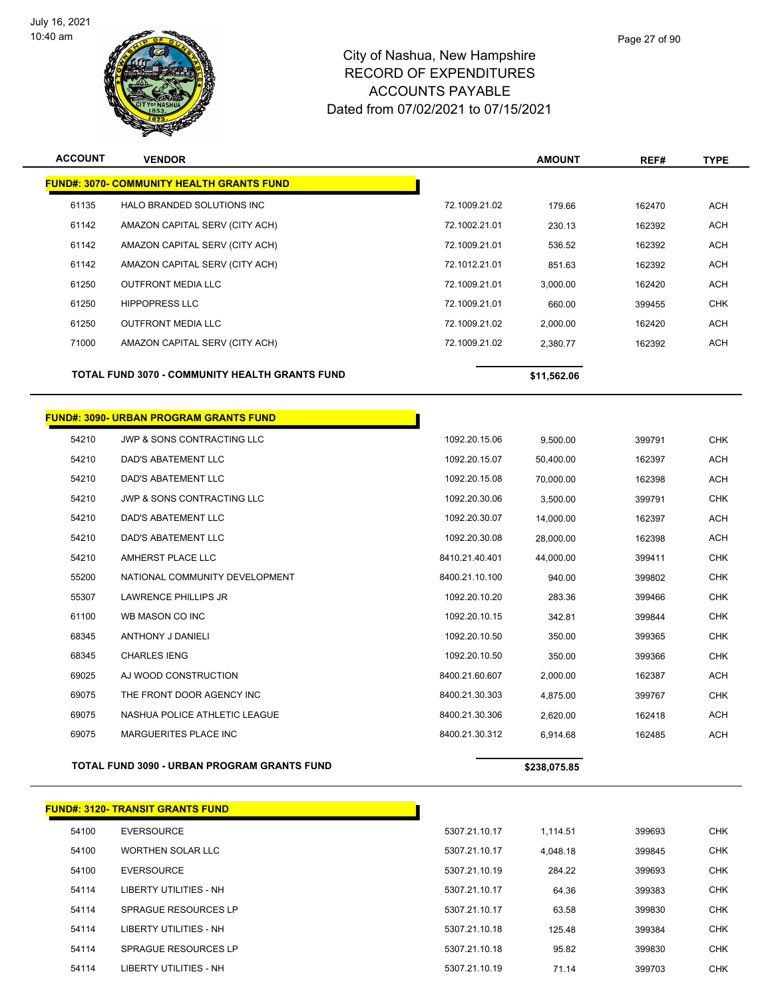

| <b>ACCOUNT</b> | <b>VENDOR</b>                                    |                | <b>AMOUNT</b> | REF#   | <b>TYPE</b> |
|----------------|--------------------------------------------------|----------------|---------------|--------|-------------|
|                | <b>FUND#: 3070- COMMUNITY HEALTH GRANTS FUND</b> |                |               |        |             |
| 61135          | HALO BRANDED SOLUTIONS INC                       | 72.1009.21.02  | 179.66        | 162470 | <b>ACH</b>  |
| 61142          | AMAZON CAPITAL SERV (CITY ACH)                   | 72.1002.21.01  | 230.13        | 162392 | <b>ACH</b>  |
| 61142          | AMAZON CAPITAL SERV (CITY ACH)                   | 72.1009.21.01  | 536.52        | 162392 | <b>ACH</b>  |
| 61142          | AMAZON CAPITAL SERV (CITY ACH)                   | 72.1012.21.01  | 851.63        | 162392 | <b>ACH</b>  |
| 61250          | <b>OUTFRONT MEDIA LLC</b>                        | 72.1009.21.01  | 3,000.00      | 162420 | ACH         |
| 61250          | <b>HIPPOPRESS LLC</b>                            | 72.1009.21.01  | 660.00        | 399455 | CHK         |
| 61250          | <b>OUTFRONT MEDIA LLC</b>                        | 72.1009.21.02  | 2,000.00      | 162420 | <b>ACH</b>  |
| 71000          | AMAZON CAPITAL SERV (CITY ACH)                   | 72.1009.21.02  | 2,380.77      | 162392 | <b>ACH</b>  |
|                | TOTAL FUND 3070 - COMMUNITY HEALTH GRANTS FUND   |                | \$11,562.06   |        |             |
|                | <b>FUND#: 3090- URBAN PROGRAM GRANTS FUND</b>    |                |               |        |             |
| 54210          | JWP & SONS CONTRACTING LLC                       | 1092.20.15.06  | 9,500.00      | 399791 | <b>CHK</b>  |
| 54210          | DAD'S ABATEMENT LLC                              | 1092.20.15.07  | 50,400.00     | 162397 | <b>ACH</b>  |
| 54210          | <b>DAD'S ABATEMENT LLC</b>                       | 1092.20.15.08  | 70,000.00     | 162398 | <b>ACH</b>  |
| 54210          | JWP & SONS CONTRACTING LLC                       | 1092.20.30.06  | 3,500.00      | 399791 | <b>CHK</b>  |
| 54210          | DAD'S ABATEMENT LLC                              | 1092.20.30.07  | 14,000.00     | 162397 | ACH         |
| 54210          | DAD'S ABATEMENT LLC                              | 1092.20.30.08  | 28,000.00     | 162398 | <b>ACH</b>  |
| 54210          | AMHERST PLACE LLC                                | 8410.21.40.401 | 44,000.00     | 399411 | <b>CHK</b>  |
| 55200          | NATIONAL COMMUNITY DEVELOPMENT                   | 8400.21.10.100 | 940.00        | 399802 | <b>CHK</b>  |
| 55307          | LAWRENCE PHILLIPS JR                             | 1092.20.10.20  | 283.36        | 399466 | <b>CHK</b>  |
| 61100          | WB MASON CO INC                                  | 1092.20.10.15  | 342.81        | 399844 | <b>CHK</b>  |
| 68345          | <b>ANTHONY J DANIELI</b>                         | 1092.20.10.50  | 350.00        | 399365 | <b>CHK</b>  |
| 68345          | <b>CHARLES IENG</b>                              | 1092.20.10.50  | 350.00        | 399366 | <b>CHK</b>  |
| 69025          | AJ WOOD CONSTRUCTION                             | 8400.21.60.607 | 2,000.00      | 162387 | <b>ACH</b>  |
| 69075          | THE FRONT DOOR AGENCY INC                        | 8400.21.30.303 | 4,875.00      | 399767 | <b>CHK</b>  |
| 69075          | NASHUA POLICE ATHLETIC LEAGUE                    | 8400.21.30.306 | 2,620.00      | 162418 | <b>ACH</b>  |
| 69075          | MARGUERITES PLACE INC                            | 8400.21.30.312 | 6,914.68      | 162485 | <b>ACH</b>  |
|                | TOTAL FUND 3090 - URBAN PROGRAM GRANTS FUND      |                | \$238,075.85  |        |             |

|       | <b>FUND#: 3120- TRANSIT GRANTS FUND</b> |               |          |        |
|-------|-----------------------------------------|---------------|----------|--------|
| 54100 | <b>EVERSOURCE</b>                       | 5307.21.10.17 | 1.114.51 | 399693 |
| 54100 | <b>WORTHEN SOLAR LLC</b>                | 5307.21.10.17 | 4.048.18 | 399845 |
| 54100 | EVERSOURCE                              | 5307.21.10.19 | 284.22   | 399693 |
| 54114 | LIBERTY UTILITIES - NH                  | 5307.21.10.17 | 64.36    | 399383 |
| 54114 | SPRAGUE RESOURCES LP                    | 5307.21.10.17 | 63.58    | 399830 |
| 54114 | LIBERTY UTILITIES - NH                  | 5307.21.10.18 | 125.48   | 399384 |
| 54114 | <b>SPRAGUE RESOURCES LP</b>             | 5307.21.10.18 | 95.82    | 399830 |
| 54114 | LIBERTY UTILITIES - NH                  | 5307.21.10.19 | 71.14    | 399703 |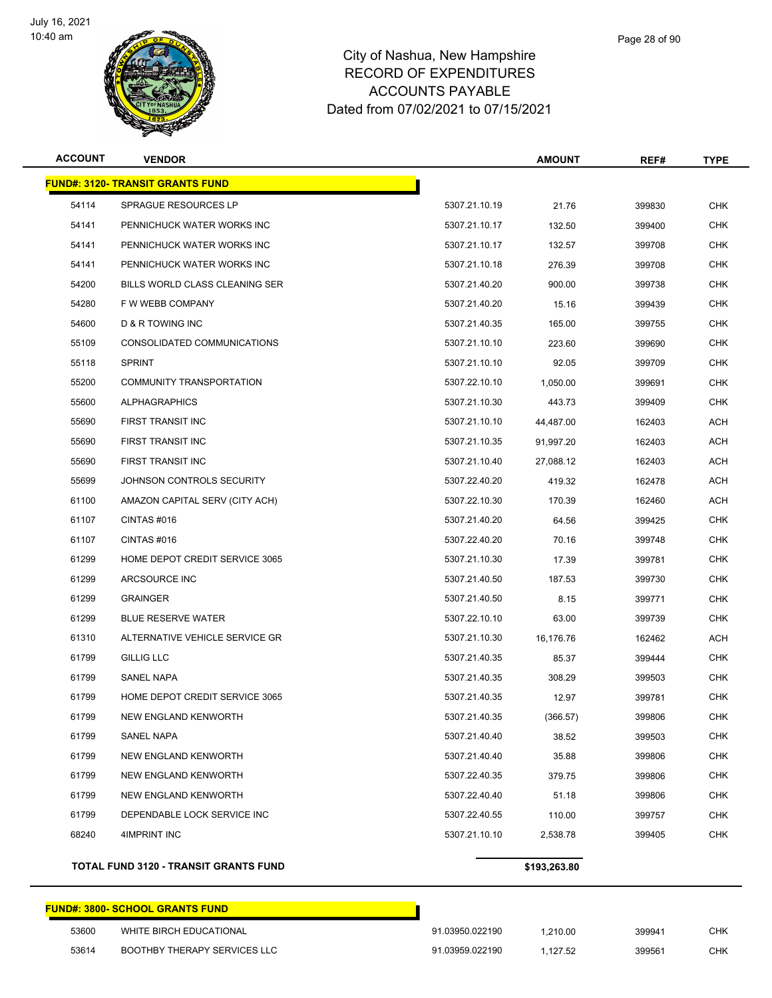

| <b>ACCOUNT</b> | <b>VENDOR</b>                           |               | <b>AMOUNT</b> | REF#   | TYPE       |
|----------------|-----------------------------------------|---------------|---------------|--------|------------|
|                | <b>FUND#: 3120- TRANSIT GRANTS FUND</b> |               |               |        |            |
| 54114          | <b>SPRAGUE RESOURCES LP</b>             | 5307.21.10.19 | 21.76         | 399830 | <b>CHK</b> |
| 54141          | PENNICHUCK WATER WORKS INC              | 5307.21.10.17 | 132.50        | 399400 | <b>CHK</b> |
| 54141          | PENNICHUCK WATER WORKS INC              | 5307.21.10.17 | 132.57        | 399708 | CHK        |
| 54141          | PENNICHUCK WATER WORKS INC              | 5307.21.10.18 | 276.39        | 399708 | <b>CHK</b> |
| 54200          | BILLS WORLD CLASS CLEANING SER          | 5307.21.40.20 | 900.00        | 399738 | <b>CHK</b> |
| 54280          | F W WEBB COMPANY                        | 5307.21.40.20 | 15.16         | 399439 | CHK        |
| 54600          | D & R TOWING INC                        | 5307.21.40.35 | 165.00        | 399755 | <b>CHK</b> |
| 55109          | CONSOLIDATED COMMUNICATIONS             | 5307.21.10.10 | 223.60        | 399690 | <b>CHK</b> |
| 55118          | <b>SPRINT</b>                           | 5307.21.10.10 | 92.05         | 399709 | <b>CHK</b> |
| 55200          | COMMUNITY TRANSPORTATION                | 5307.22.10.10 | 1,050.00      | 399691 | <b>CHK</b> |
| 55600          | <b>ALPHAGRAPHICS</b>                    | 5307.21.10.30 | 443.73        | 399409 | CHK        |
| 55690          | FIRST TRANSIT INC                       | 5307.21.10.10 | 44,487.00     | 162403 | ACH        |
| 55690          | FIRST TRANSIT INC                       | 5307.21.10.35 | 91,997.20     | 162403 | ACH        |
| 55690          | FIRST TRANSIT INC                       | 5307.21.10.40 | 27,088.12     | 162403 | <b>ACH</b> |
| 55699          | JOHNSON CONTROLS SECURITY               | 5307.22.40.20 | 419.32        | 162478 | ACH        |
| 61100          | AMAZON CAPITAL SERV (CITY ACH)          | 5307.22.10.30 | 170.39        | 162460 | ACH        |
| 61107          | CINTAS#016                              | 5307.21.40.20 | 64.56         | 399425 | <b>CHK</b> |
| 61107          | CINTAS #016                             | 5307.22.40.20 | 70.16         | 399748 | CHK        |
| 61299          | HOME DEPOT CREDIT SERVICE 3065          | 5307.21.10.30 | 17.39         | 399781 | <b>CHK</b> |
| 61299          | ARCSOURCE INC                           | 5307.21.40.50 | 187.53        | 399730 | <b>CHK</b> |
| 61299          | <b>GRAINGER</b>                         | 5307.21.40.50 | 8.15          | 399771 | <b>CHK</b> |
| 61299          | <b>BLUE RESERVE WATER</b>               | 5307.22.10.10 | 63.00         | 399739 | <b>CHK</b> |
| 61310          | ALTERNATIVE VEHICLE SERVICE GR          | 5307.21.10.30 | 16,176.76     | 162462 | ACH        |
| 61799          | <b>GILLIG LLC</b>                       | 5307.21.40.35 | 85.37         | 399444 | <b>CHK</b> |
| 61799          | <b>SANEL NAPA</b>                       | 5307.21.40.35 | 308.29        | 399503 | <b>CHK</b> |
| 61799          | HOME DEPOT CREDIT SERVICE 3065          | 5307.21.40.35 | 12.97         | 399781 | CHK        |
| 61799          | NEW ENGLAND KENWORTH                    | 5307.21.40.35 | (366.57)      | 399806 | <b>CHK</b> |
| 61799          | SANEL NAPA                              | 5307.21.40.40 | 38.52         | 399503 | <b>CHK</b> |
| 61799          | NEW ENGLAND KENWORTH                    | 5307.21.40.40 | 35.88         | 399806 | <b>CHK</b> |
| 61799          | NEW ENGLAND KENWORTH                    | 5307.22.40.35 | 379.75        | 399806 | <b>CHK</b> |
| 61799          | NEW ENGLAND KENWORTH                    | 5307.22.40.40 | 51.18         | 399806 | CHK        |
| 61799          | DEPENDABLE LOCK SERVICE INC             | 5307.22.40.55 | 110.00        | 399757 | <b>CHK</b> |
| 68240          | 4IMPRINT INC                            | 5307.21.10.10 | 2,538.78      | 399405 | <b>CHK</b> |
|                |                                         |               |               |        |            |

**TOTAL FUND 3120 - TRANSIT GRANTS FUND 6193,263.80** 

# **FUND#: 3800- SCHOOL GRANTS FUND** WHITE BIRCH EDUCATIONAL 91.03950.022190 1,210.00 399941 CHK BOOTHBY THERAPY SERVICES LLC 91.03959.022190 1,127.52 399561 CHK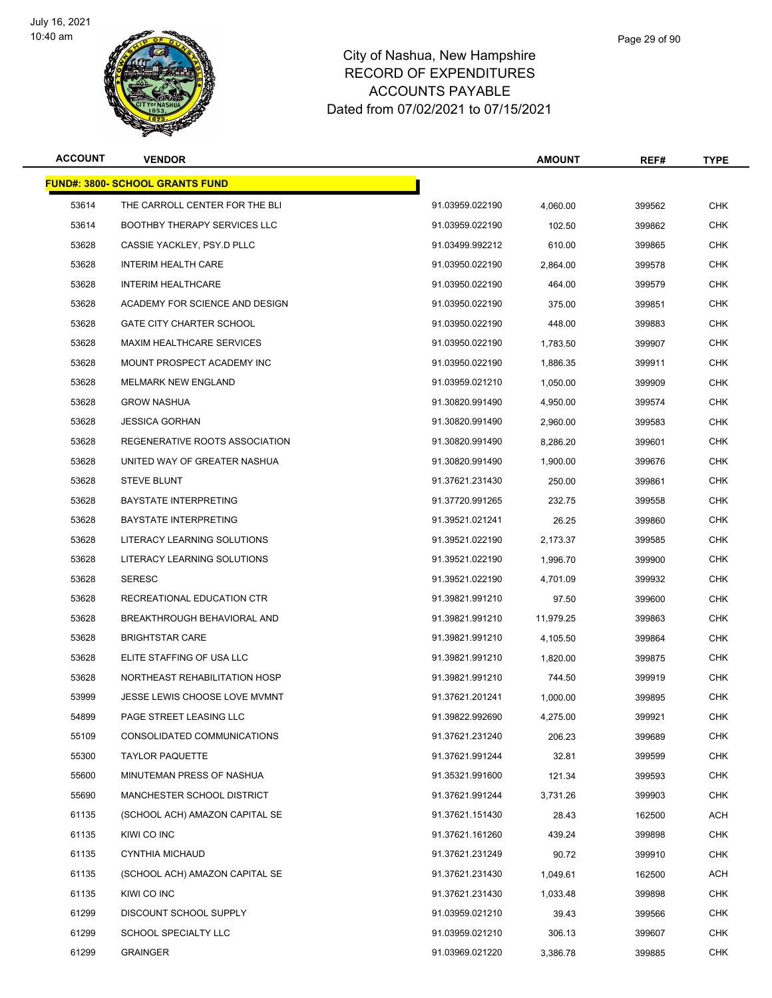

| <b>ACCOUNT</b> | <b>VENDOR</b>                           |                 | <b>AMOUNT</b> | REF#   | <b>TYPE</b> |
|----------------|-----------------------------------------|-----------------|---------------|--------|-------------|
|                | <u> FUND#: 3800- SCHOOL GRANTS FUND</u> |                 |               |        |             |
| 53614          | THE CARROLL CENTER FOR THE BLI          | 91.03959.022190 | 4,060.00      | 399562 | <b>CHK</b>  |
| 53614          | <b>BOOTHBY THERAPY SERVICES LLC</b>     | 91.03959.022190 | 102.50        | 399862 | <b>CHK</b>  |
| 53628          | CASSIE YACKLEY, PSY.D PLLC              | 91.03499.992212 | 610.00        | 399865 | CHK         |
| 53628          | <b>INTERIM HEALTH CARE</b>              | 91.03950.022190 | 2,864.00      | 399578 | CHK         |
| 53628          | <b>INTERIM HEALTHCARE</b>               | 91.03950.022190 | 464.00        | 399579 | <b>CHK</b>  |
| 53628          | ACADEMY FOR SCIENCE AND DESIGN          | 91.03950.022190 | 375.00        | 399851 | CHK         |
| 53628          | <b>GATE CITY CHARTER SCHOOL</b>         | 91.03950.022190 | 448.00        | 399883 | <b>CHK</b>  |
| 53628          | MAXIM HEALTHCARE SERVICES               | 91.03950.022190 | 1,783.50      | 399907 | CHK         |
| 53628          | MOUNT PROSPECT ACADEMY INC              | 91.03950.022190 | 1,886.35      | 399911 | CHK         |
| 53628          | <b>MELMARK NEW ENGLAND</b>              | 91.03959.021210 | 1,050.00      | 399909 | <b>CHK</b>  |
| 53628          | <b>GROW NASHUA</b>                      | 91.30820.991490 | 4,950.00      | 399574 | CHK         |
| 53628          | <b>JESSICA GORHAN</b>                   | 91.30820.991490 | 2,960.00      | 399583 | <b>CHK</b>  |
| 53628          | REGENERATIVE ROOTS ASSOCIATION          | 91.30820.991490 | 8,286.20      | 399601 | CHK         |
| 53628          | UNITED WAY OF GREATER NASHUA            | 91.30820.991490 | 1,900.00      | 399676 | CHK         |
| 53628          | <b>STEVE BLUNT</b>                      | 91.37621.231430 | 250.00        | 399861 | CHK         |
| 53628          | <b>BAYSTATE INTERPRETING</b>            | 91.37720.991265 | 232.75        | 399558 | CHK         |
| 53628          | <b>BAYSTATE INTERPRETING</b>            | 91.39521.021241 | 26.25         | 399860 | <b>CHK</b>  |
| 53628          | LITERACY LEARNING SOLUTIONS             | 91.39521.022190 | 2,173.37      | 399585 | CHK         |
| 53628          | LITERACY LEARNING SOLUTIONS             | 91.39521.022190 | 1,996.70      | 399900 | CHK         |
| 53628          | <b>SERESC</b>                           | 91.39521.022190 | 4,701.09      | 399932 | <b>CHK</b>  |
| 53628          | RECREATIONAL EDUCATION CTR              | 91.39821.991210 | 97.50         | 399600 | CHK         |
| 53628          | BREAKTHROUGH BEHAVIORAL AND             | 91.39821.991210 | 11,979.25     | 399863 | <b>CHK</b>  |
| 53628          | <b>BRIGHTSTAR CARE</b>                  | 91.39821.991210 | 4,105.50      | 399864 | CHK         |
| 53628          | ELITE STAFFING OF USA LLC               | 91.39821.991210 | 1,820.00      | 399875 | CHK         |
| 53628          | NORTHEAST REHABILITATION HOSP           | 91.39821.991210 | 744.50        | 399919 | CHK         |
| 53999          | JESSE LEWIS CHOOSE LOVE MVMNT           | 91.37621.201241 | 1,000.00      | 399895 | CHK         |
| 54899          | PAGE STREET LEASING LLC                 | 91.39822.992690 | 4,275.00      | 399921 | <b>CHK</b>  |
| 55109          | CONSOLIDATED COMMUNICATIONS             | 91.37621.231240 | 206.23        | 399689 | <b>CHK</b>  |
| 55300          | <b>TAYLOR PAQUETTE</b>                  | 91.37621.991244 | 32.81         | 399599 | <b>CHK</b>  |
| 55600          | MINUTEMAN PRESS OF NASHUA               | 91.35321.991600 | 121.34        | 399593 | <b>CHK</b>  |
| 55690          | MANCHESTER SCHOOL DISTRICT              | 91.37621.991244 | 3,731.26      | 399903 | <b>CHK</b>  |
| 61135          | (SCHOOL ACH) AMAZON CAPITAL SE          | 91.37621.151430 | 28.43         | 162500 | ACH         |
| 61135          | KIWI CO INC                             | 91.37621.161260 | 439.24        | 399898 | CHK         |
| 61135          | <b>CYNTHIA MICHAUD</b>                  | 91.37621.231249 | 90.72         | 399910 | <b>CHK</b>  |
| 61135          | (SCHOOL ACH) AMAZON CAPITAL SE          | 91.37621.231430 | 1,049.61      | 162500 | ACH         |
| 61135          | KIWI CO INC                             | 91.37621.231430 | 1,033.48      | 399898 | <b>CHK</b>  |
| 61299          | DISCOUNT SCHOOL SUPPLY                  | 91.03959.021210 | 39.43         | 399566 | <b>CHK</b>  |
| 61299          | SCHOOL SPECIALTY LLC                    | 91.03959.021210 | 306.13        | 399607 | CHK         |
| 61299          | <b>GRAINGER</b>                         | 91.03969.021220 | 3,386.78      | 399885 | <b>CHK</b>  |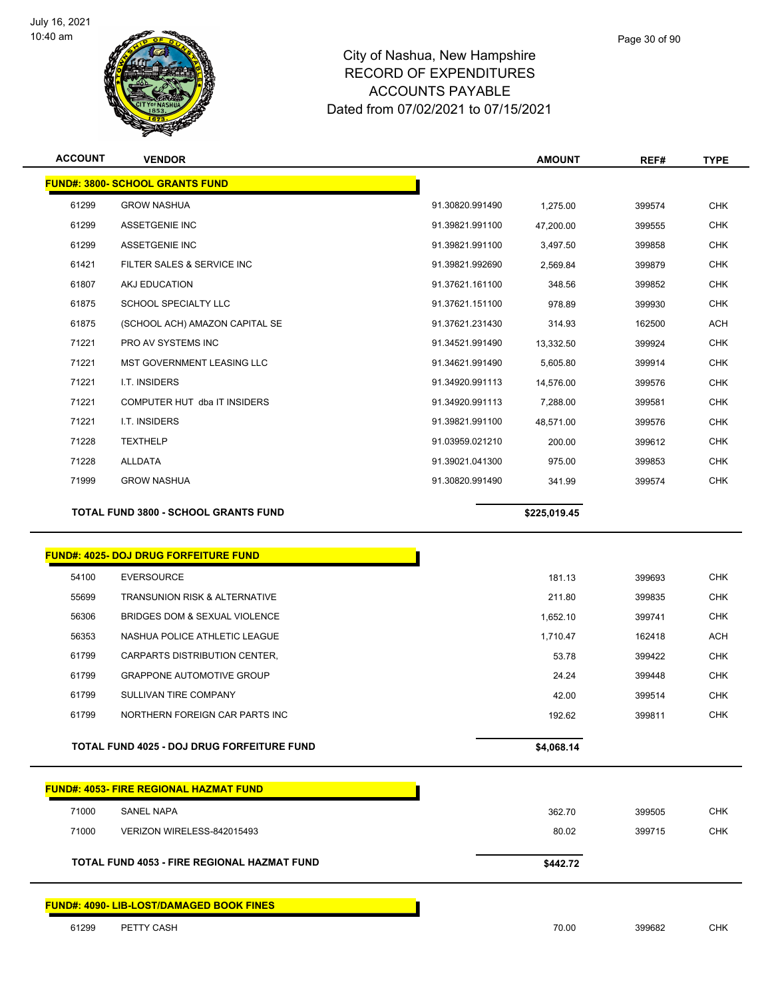

| <b>ACCOUNT</b> | <b>VENDOR</b>                          |                 | <b>AMOUNT</b> | REF#   | <b>TYPE</b> |
|----------------|----------------------------------------|-----------------|---------------|--------|-------------|
|                | <b>FUND#: 3800- SCHOOL GRANTS FUND</b> |                 |               |        |             |
| 61299          | <b>GROW NASHUA</b>                     | 91.30820.991490 | 1,275.00      | 399574 | <b>CHK</b>  |
| 61299          | ASSETGENIE INC                         | 91.39821.991100 | 47,200.00     | 399555 | <b>CHK</b>  |
| 61299          | ASSETGENIE INC                         | 91.39821.991100 | 3,497.50      | 399858 | <b>CHK</b>  |
| 61421          | FILTER SALES & SERVICE INC             | 91.39821.992690 | 2,569.84      | 399879 | <b>CHK</b>  |
| 61807          | AKJ EDUCATION                          | 91.37621.161100 | 348.56        | 399852 | <b>CHK</b>  |
| 61875          | <b>SCHOOL SPECIALTY LLC</b>            | 91.37621.151100 | 978.89        | 399930 | <b>CHK</b>  |
| 61875          | (SCHOOL ACH) AMAZON CAPITAL SE         | 91.37621.231430 | 314.93        | 162500 | ACH         |
| 71221          | PRO AV SYSTEMS INC                     | 91.34521.991490 | 13,332.50     | 399924 | <b>CHK</b>  |
| 71221          | <b>MST GOVERNMENT LEASING LLC</b>      | 91.34621.991490 | 5,605.80      | 399914 | <b>CHK</b>  |
| 71221          | I.T. INSIDERS                          | 91.34920.991113 | 14.576.00     | 399576 | <b>CHK</b>  |
| 71221          | COMPUTER HUT dba IT INSIDERS           | 91.34920.991113 | 7,288.00      | 399581 | <b>CHK</b>  |
| 71221          | I.T. INSIDERS                          | 91.39821.991100 | 48,571.00     | 399576 | <b>CHK</b>  |
| 71228          | <b>TEXTHELP</b>                        | 91.03959.021210 | 200.00        | 399612 | <b>CHK</b>  |
| 71228          | <b>ALLDATA</b>                         | 91.39021.041300 | 975.00        | 399853 | <b>CHK</b>  |

GROW NASHUA 91.30820.991490 341.99 399574 CHK

h

**TOTAL FUND 3800 - SCHOOL GRANTS FUND \$225,019.45** 

#### **FUND#: 4025- DOJ DRUG FORFEITURE FUND**

| 54100 | <b>EVERSOURCE</b>                          | 181.13     | 399693 | <b>CHK</b> |
|-------|--------------------------------------------|------------|--------|------------|
| 55699 | <b>TRANSUNION RISK &amp; ALTERNATIVE</b>   | 211.80     | 399835 | <b>CHK</b> |
| 56306 | BRIDGES DOM & SEXUAL VIOLENCE              | 1.652.10   | 399741 | <b>CHK</b> |
| 56353 | NASHUA POLICE ATHLETIC LEAGUE              | 1.710.47   | 162418 | <b>ACH</b> |
| 61799 | CARPARTS DISTRIBUTION CENTER,              | 53.78      | 399422 | <b>CHK</b> |
| 61799 | <b>GRAPPONE AUTOMOTIVE GROUP</b>           | 24.24      | 399448 | <b>CHK</b> |
| 61799 | SULLIVAN TIRE COMPANY                      | 42.00      | 399514 | <b>CHK</b> |
| 61799 | NORTHERN FOREIGN CAR PARTS INC             | 192.62     | 399811 | <b>CHK</b> |
|       |                                            |            |        |            |
|       | TOTAL FUND 4025 - DOJ DRUG FORFEITURE FUND | \$4,068,14 |        |            |

|       | <b>FUND#: 4053- FIRE REGIONAL HAZMAT FUND</b>   |          |        |            |
|-------|-------------------------------------------------|----------|--------|------------|
| 71000 | SANEL NAPA                                      | 362.70   | 399505 | <b>CHK</b> |
| 71000 | VERIZON WIRELESS-842015493                      | 80.02    | 399715 | <b>CHK</b> |
|       | TOTAL FUND 4053 - FIRE REGIONAL HAZMAT FUND     | \$442.72 |        |            |
|       | <b>FUND#: 4090- LIB-LOST/DAMAGED BOOK FINES</b> |          |        |            |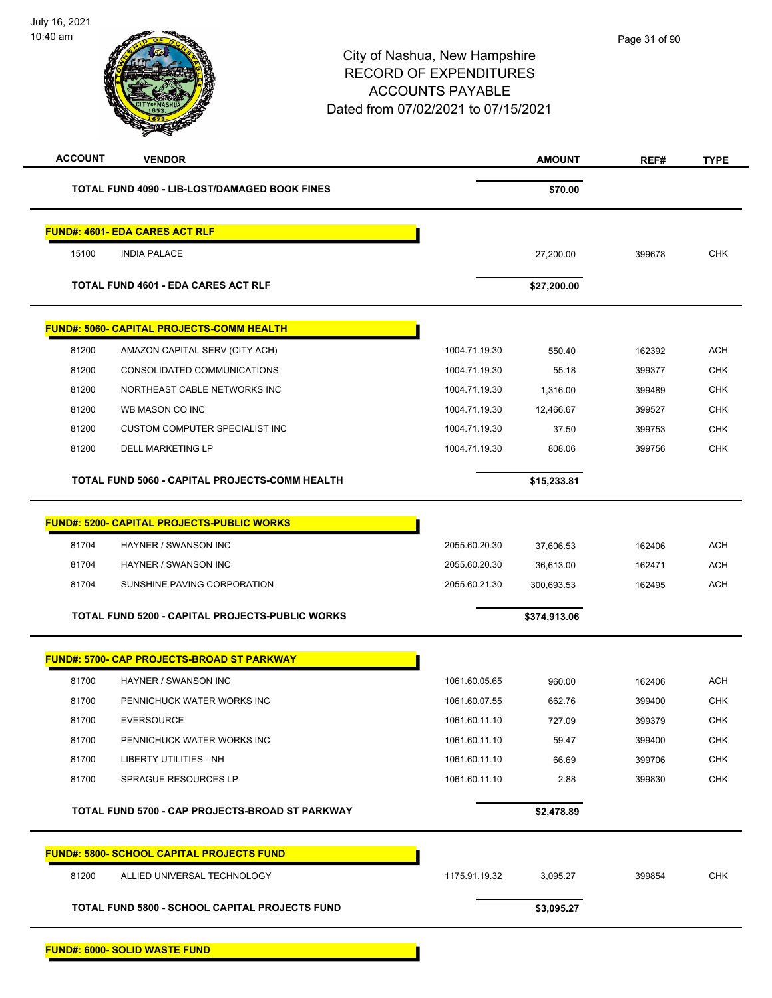July 16, 2021 10:40 am



| <b>ACCOUNT</b> | <b>VENDOR</b>                                          |               | <b>AMOUNT</b> | REF#   | <b>TYPE</b> |
|----------------|--------------------------------------------------------|---------------|---------------|--------|-------------|
|                | TOTAL FUND 4090 - LIB-LOST/DAMAGED BOOK FINES          |               | \$70.00       |        |             |
|                | <b>FUND#: 4601- EDA CARES ACT RLF</b>                  |               |               |        |             |
| 15100          | <b>INDIA PALACE</b>                                    |               | 27,200.00     | 399678 | <b>CHK</b>  |
|                | <b>TOTAL FUND 4601 - EDA CARES ACT RLF</b>             |               | \$27,200.00   |        |             |
|                | FUND#: 5060- CAPITAL PROJECTS-COMM HEALTH              |               |               |        |             |
| 81200          | AMAZON CAPITAL SERV (CITY ACH)                         | 1004.71.19.30 | 550.40        | 162392 | <b>ACH</b>  |
| 81200          | CONSOLIDATED COMMUNICATIONS                            | 1004.71.19.30 | 55.18         | 399377 | <b>CHK</b>  |
| 81200          | NORTHEAST CABLE NETWORKS INC                           | 1004.71.19.30 | 1,316.00      | 399489 | <b>CHK</b>  |
| 81200          | WB MASON CO INC                                        | 1004.71.19.30 | 12,466.67     | 399527 | <b>CHK</b>  |
| 81200          | <b>CUSTOM COMPUTER SPECIALIST INC</b>                  | 1004.71.19.30 | 37.50         | 399753 | <b>CHK</b>  |
| 81200          | <b>DELL MARKETING LP</b>                               | 1004.71.19.30 | 808.06        | 399756 | <b>CHK</b>  |
|                | TOTAL FUND 5060 - CAPITAL PROJECTS-COMM HEALTH         |               | \$15,233.81   |        |             |
|                | <b>FUND#: 5200- CAPITAL PROJECTS-PUBLIC WORKS</b>      |               |               |        |             |
| 81704          | HAYNER / SWANSON INC                                   | 2055.60.20.30 | 37,606.53     | 162406 | <b>ACH</b>  |
| 81704          | HAYNER / SWANSON INC                                   | 2055.60.20.30 | 36,613.00     | 162471 | <b>ACH</b>  |
| 81704          | SUNSHINE PAVING CORPORATION                            | 2055.60.21.30 | 300,693.53    | 162495 | <b>ACH</b>  |
|                | <b>TOTAL FUND 5200 - CAPITAL PROJECTS-PUBLIC WORKS</b> |               | \$374,913.06  |        |             |
|                | <b>FUND#: 5700- CAP PROJECTS-BROAD ST PARKWAY</b>      |               |               |        |             |
| 81700          | HAYNER / SWANSON INC                                   | 1061.60.05.65 | 960.00        | 162406 | <b>ACH</b>  |
| 81700          | PENNICHUCK WATER WORKS INC                             | 1061.60.07.55 | 662.76        | 399400 | <b>CHK</b>  |
| 81700          | <b>EVERSOURCE</b>                                      | 1061.60.11.10 | 727.09        | 399379 | <b>CHK</b>  |
| 81700          | PENNICHUCK WATER WORKS INC                             | 1061.60.11.10 | 59.47         | 399400 | <b>CHK</b>  |
| 81700          | LIBERTY UTILITIES - NH                                 | 1061.60.11.10 | 66.69         | 399706 | CHK         |
| 81700          | SPRAGUE RESOURCES LP                                   | 1061.60.11.10 | 2.88          | 399830 | <b>CHK</b>  |
|                | TOTAL FUND 5700 - CAP PROJECTS-BROAD ST PARKWAY        |               | \$2,478.89    |        |             |
|                | <b>FUND#: 5800- SCHOOL CAPITAL PROJECTS FUND</b>       |               |               |        |             |
| 81200          | ALLIED UNIVERSAL TECHNOLOGY                            | 1175.91.19.32 | 3,095.27      | 399854 | <b>CHK</b>  |
|                | <b>TOTAL FUND 5800 - SCHOOL CAPITAL PROJECTS FUND</b>  |               | \$3,095.27    |        |             |
|                | <b>FUND#: 6000- SOLID WASTE FUND</b>                   |               |               |        |             |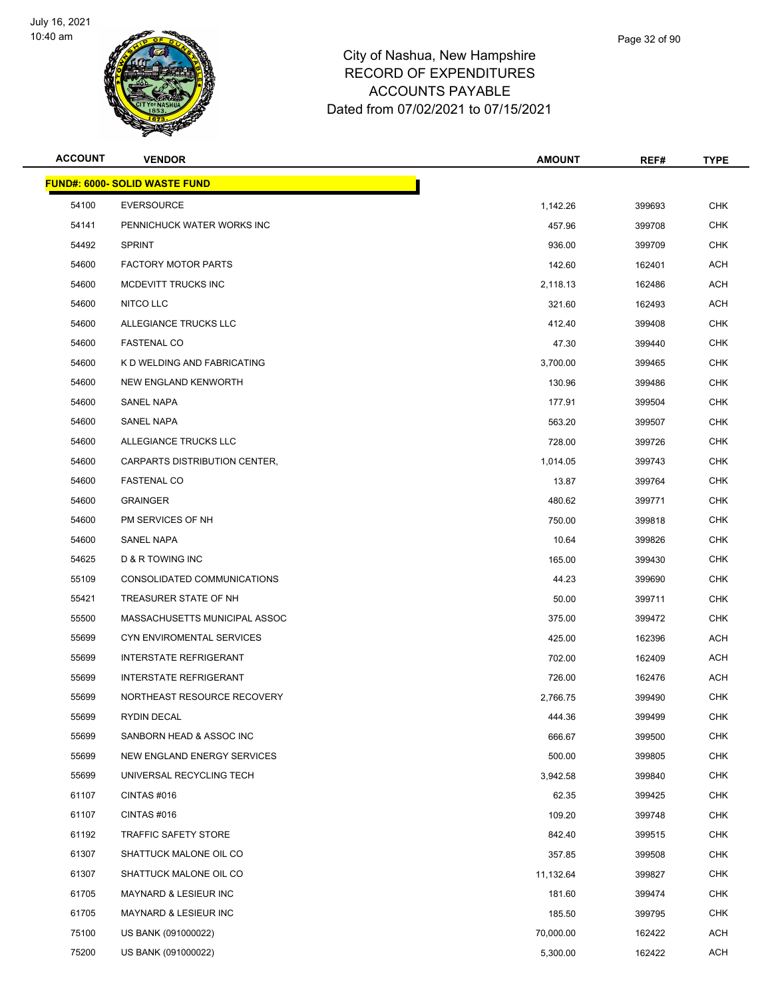

| <b>ACCOUNT</b> | <b>VENDOR</b>                        | <b>AMOUNT</b> | REF#   | <b>TYPE</b> |
|----------------|--------------------------------------|---------------|--------|-------------|
|                | <b>FUND#: 6000- SOLID WASTE FUND</b> |               |        |             |
| 54100          | <b>EVERSOURCE</b>                    | 1,142.26      | 399693 | <b>CHK</b>  |
| 54141          | PENNICHUCK WATER WORKS INC           | 457.96        | 399708 | <b>CHK</b>  |
| 54492          | <b>SPRINT</b>                        | 936.00        | 399709 | <b>CHK</b>  |
| 54600          | <b>FACTORY MOTOR PARTS</b>           | 142.60        | 162401 | <b>ACH</b>  |
| 54600          | MCDEVITT TRUCKS INC                  | 2,118.13      | 162486 | <b>ACH</b>  |
| 54600          | NITCO LLC                            | 321.60        | 162493 | <b>ACH</b>  |
| 54600          | ALLEGIANCE TRUCKS LLC                | 412.40        | 399408 | <b>CHK</b>  |
| 54600          | <b>FASTENAL CO</b>                   | 47.30         | 399440 | <b>CHK</b>  |
| 54600          | K D WELDING AND FABRICATING          | 3,700.00      | 399465 | <b>CHK</b>  |
| 54600          | NEW ENGLAND KENWORTH                 | 130.96        | 399486 | <b>CHK</b>  |
| 54600          | SANEL NAPA                           | 177.91        | 399504 | <b>CHK</b>  |
| 54600          | SANEL NAPA                           | 563.20        | 399507 | <b>CHK</b>  |
| 54600          | ALLEGIANCE TRUCKS LLC                | 728.00        | 399726 | <b>CHK</b>  |
| 54600          | CARPARTS DISTRIBUTION CENTER,        | 1,014.05      | 399743 | <b>CHK</b>  |
| 54600          | <b>FASTENAL CO</b>                   | 13.87         | 399764 | <b>CHK</b>  |
| 54600          | <b>GRAINGER</b>                      | 480.62        | 399771 | <b>CHK</b>  |
| 54600          | PM SERVICES OF NH                    | 750.00        | 399818 | <b>CHK</b>  |
| 54600          | SANEL NAPA                           | 10.64         | 399826 | <b>CHK</b>  |
| 54625          | D & R TOWING INC                     | 165.00        | 399430 | <b>CHK</b>  |
| 55109          | CONSOLIDATED COMMUNICATIONS          | 44.23         | 399690 | <b>CHK</b>  |
| 55421          | TREASURER STATE OF NH                | 50.00         | 399711 | <b>CHK</b>  |
| 55500          | MASSACHUSETTS MUNICIPAL ASSOC        | 375.00        | 399472 | <b>CHK</b>  |
| 55699          | CYN ENVIROMENTAL SERVICES            | 425.00        | 162396 | <b>ACH</b>  |
| 55699          | <b>INTERSTATE REFRIGERANT</b>        | 702.00        | 162409 | <b>ACH</b>  |
| 55699          | <b>INTERSTATE REFRIGERANT</b>        | 726.00        | 162476 | ACH         |
| 55699          | NORTHEAST RESOURCE RECOVERY          | 2,766.75      | 399490 | <b>CHK</b>  |
| 55699          | RYDIN DECAL                          | 444.36        | 399499 | <b>CHK</b>  |
| 55699          | SANBORN HEAD & ASSOC INC             | 666.67        | 399500 | <b>CHK</b>  |
| 55699          | NEW ENGLAND ENERGY SERVICES          | 500.00        | 399805 | CHK         |
| 55699          | UNIVERSAL RECYCLING TECH             | 3,942.58      | 399840 | <b>CHK</b>  |
| 61107          | CINTAS #016                          | 62.35         | 399425 | <b>CHK</b>  |
| 61107          | CINTAS#016                           | 109.20        | 399748 | CHK         |
| 61192          | TRAFFIC SAFETY STORE                 | 842.40        | 399515 | <b>CHK</b>  |
| 61307          | SHATTUCK MALONE OIL CO               | 357.85        | 399508 | <b>CHK</b>  |
| 61307          | SHATTUCK MALONE OIL CO               | 11,132.64     | 399827 | CHK         |
| 61705          | MAYNARD & LESIEUR INC                | 181.60        | 399474 | <b>CHK</b>  |
| 61705          | MAYNARD & LESIEUR INC                | 185.50        | 399795 | <b>CHK</b>  |
| 75100          | US BANK (091000022)                  | 70,000.00     | 162422 | ACH         |
| 75200          | US BANK (091000022)                  | 5,300.00      | 162422 | <b>ACH</b>  |
|                |                                      |               |        |             |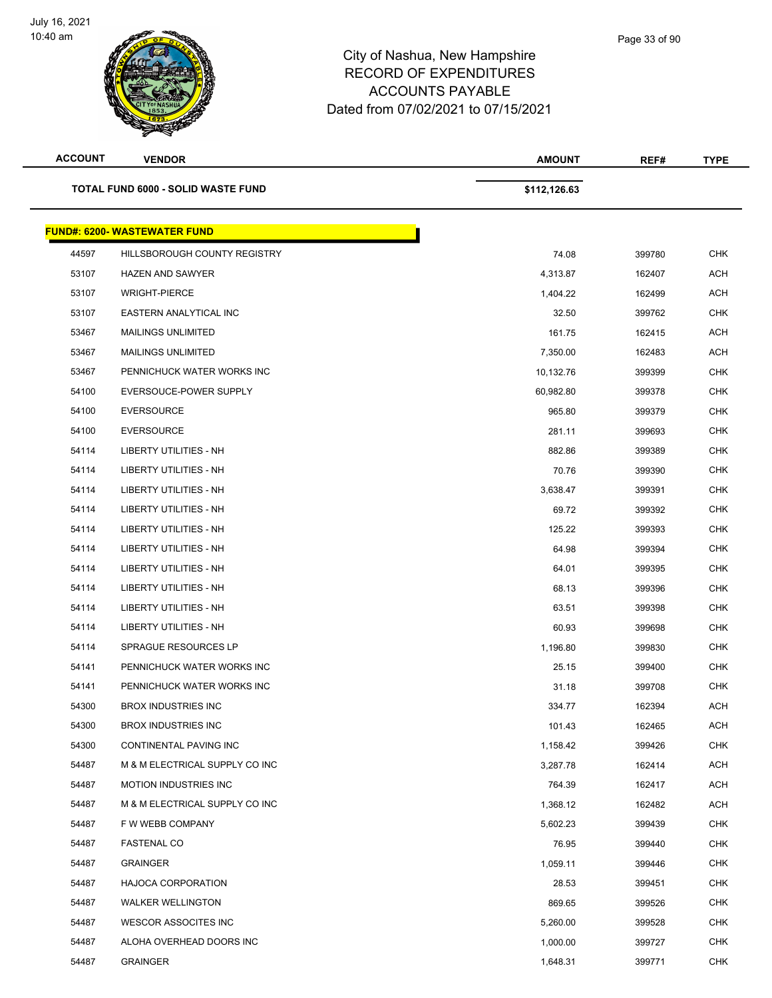| ւււթշւաշ     |  |  |
|--------------|--|--|
| <b>TURES</b> |  |  |
| 3LE.         |  |  |
| )7/15/2021   |  |  |
|              |  |  |

| <b>ACCOUNT</b> | <b>VENDOR</b>                       | <b>AMOUNT</b> | REF#   | <b>TYPE</b> |
|----------------|-------------------------------------|---------------|--------|-------------|
|                | TOTAL FUND 6000 - SOLID WASTE FUND  | \$112,126.63  |        |             |
|                | <b>FUND#: 6200- WASTEWATER FUND</b> |               |        |             |
| 44597          | HILLSBOROUGH COUNTY REGISTRY        | 74.08         | 399780 | <b>CHK</b>  |
| 53107          | <b>HAZEN AND SAWYER</b>             | 4,313.87      | 162407 | <b>ACH</b>  |
| 53107          | <b>WRIGHT-PIERCE</b>                | 1,404.22      | 162499 | <b>ACH</b>  |
| 53107          | EASTERN ANALYTICAL INC              | 32.50         | 399762 | <b>CHK</b>  |
| 53467          | MAILINGS UNLIMITED                  | 161.75        | 162415 | <b>ACH</b>  |
| 53467          | <b>MAILINGS UNLIMITED</b>           | 7,350.00      | 162483 | <b>ACH</b>  |
| 53467          | PENNICHUCK WATER WORKS INC          | 10,132.76     | 399399 | <b>CHK</b>  |
| 54100          | EVERSOUCE-POWER SUPPLY              | 60,982.80     | 399378 | <b>CHK</b>  |
| 54100          | <b>EVERSOURCE</b>                   | 965.80        | 399379 | <b>CHK</b>  |
| 54100          | <b>EVERSOURCE</b>                   | 281.11        | 399693 | <b>CHK</b>  |
| 54114          | LIBERTY UTILITIES - NH              | 882.86        | 399389 | <b>CHK</b>  |
| 54114          | LIBERTY UTILITIES - NH              | 70.76         | 399390 | <b>CHK</b>  |
| 54114          | LIBERTY UTILITIES - NH              | 3,638.47      | 399391 | <b>CHK</b>  |
| 54114          | LIBERTY UTILITIES - NH              | 69.72         | 399392 | <b>CHK</b>  |
| 54114          | <b>LIBERTY UTILITIES - NH</b>       | 125.22        | 399393 | <b>CHK</b>  |
| 54114          | LIBERTY UTILITIES - NH              | 64.98         | 399394 | <b>CHK</b>  |
| 54114          | LIBERTY UTILITIES - NH              | 64.01         | 399395 | <b>CHK</b>  |
| 54114          | LIBERTY UTILITIES - NH              | 68.13         | 399396 | <b>CHK</b>  |
| 54114          | <b>LIBERTY UTILITIES - NH</b>       | 63.51         | 399398 | <b>CHK</b>  |
| 54114          | <b>LIBERTY UTILITIES - NH</b>       | 60.93         | 399698 | <b>CHK</b>  |
| 54114          | <b>SPRAGUE RESOURCES LP</b>         | 1,196.80      | 399830 | <b>CHK</b>  |
| 54141          | PENNICHUCK WATER WORKS INC          | 25.15         | 399400 | <b>CHK</b>  |
| 54141          | PENNICHUCK WATER WORKS INC          | 31.18         | 399708 | <b>CHK</b>  |
| 54300          | <b>BROX INDUSTRIES INC</b>          | 334.77        | 162394 | <b>ACH</b>  |
| 54300          | <b>BROX INDUSTRIES INC</b>          | 101.43        | 162465 | <b>ACH</b>  |
| 54300          | CONTINENTAL PAVING INC              | 1,158.42      | 399426 | <b>CHK</b>  |
| 54487          | M & M ELECTRICAL SUPPLY CO INC      | 3,287.78      | 162414 | ACH         |
| 54487          | <b>MOTION INDUSTRIES INC</b>        | 764.39        | 162417 | ACH         |
| 54487          | M & M ELECTRICAL SUPPLY CO INC      | 1,368.12      | 162482 | ACH         |
| 54487          | F W WEBB COMPANY                    | 5,602.23      | 399439 | <b>CHK</b>  |
| 54487          | <b>FASTENAL CO</b>                  | 76.95         | 399440 | <b>CHK</b>  |
| 54487          | <b>GRAINGER</b>                     | 1,059.11      | 399446 | CHK         |
| 54487          | <b>HAJOCA CORPORATION</b>           | 28.53         | 399451 | <b>CHK</b>  |
| 54487          | <b>WALKER WELLINGTON</b>            | 869.65        | 399526 | <b>CHK</b>  |
| 54487          | WESCOR ASSOCITES INC                | 5,260.00      | 399528 | <b>CHK</b>  |
| 54487          | ALOHA OVERHEAD DOORS INC            | 1,000.00      | 399727 | CHK         |
| 54487          | <b>GRAINGER</b>                     | 1,648.31      | 399771 | <b>CHK</b>  |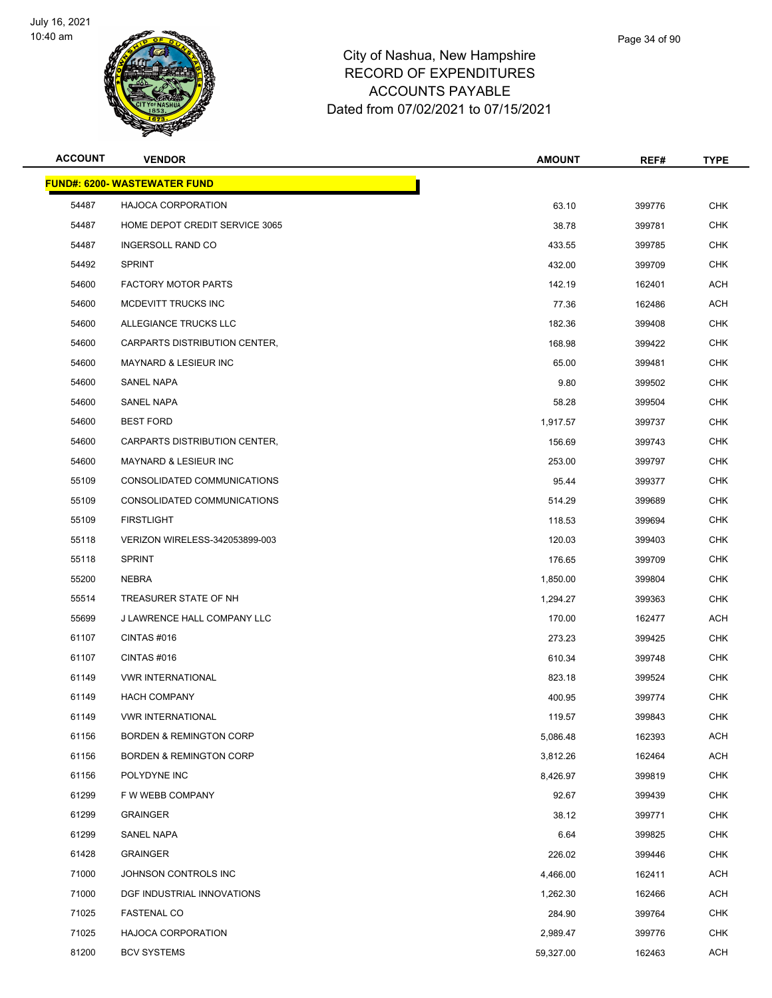

| <b>ACCOUNT</b> | <b>VENDOR</b>                       | <b>AMOUNT</b> | REF#   | TYPE       |
|----------------|-------------------------------------|---------------|--------|------------|
|                | <b>FUND#: 6200- WASTEWATER FUND</b> |               |        |            |
| 54487          | HAJOCA CORPORATION                  | 63.10         | 399776 | <b>CHK</b> |
| 54487          | HOME DEPOT CREDIT SERVICE 3065      | 38.78         | 399781 | <b>CHK</b> |
| 54487          | <b>INGERSOLL RAND CO</b>            | 433.55        | 399785 | <b>CHK</b> |
| 54492          | <b>SPRINT</b>                       | 432.00        | 399709 | <b>CHK</b> |
| 54600          | <b>FACTORY MOTOR PARTS</b>          | 142.19        | 162401 | ACH        |
| 54600          | MCDEVITT TRUCKS INC                 | 77.36         | 162486 | ACH        |
| 54600          | ALLEGIANCE TRUCKS LLC               | 182.36        | 399408 | <b>CHK</b> |
| 54600          | CARPARTS DISTRIBUTION CENTER,       | 168.98        | 399422 | <b>CHK</b> |
| 54600          | <b>MAYNARD &amp; LESIEUR INC</b>    | 65.00         | 399481 | <b>CHK</b> |
| 54600          | <b>SANEL NAPA</b>                   | 9.80          | 399502 | <b>CHK</b> |
| 54600          | <b>SANEL NAPA</b>                   | 58.28         | 399504 | CHK        |
| 54600          | <b>BEST FORD</b>                    | 1,917.57      | 399737 | <b>CHK</b> |
| 54600          | CARPARTS DISTRIBUTION CENTER,       | 156.69        | 399743 | CHK        |
| 54600          | <b>MAYNARD &amp; LESIEUR INC</b>    | 253.00        | 399797 | <b>CHK</b> |
| 55109          | CONSOLIDATED COMMUNICATIONS         | 95.44         | 399377 | <b>CHK</b> |
| 55109          | CONSOLIDATED COMMUNICATIONS         | 514.29        | 399689 | <b>CHK</b> |
| 55109          | <b>FIRSTLIGHT</b>                   | 118.53        | 399694 | <b>CHK</b> |
| 55118          | VERIZON WIRELESS-342053899-003      | 120.03        | 399403 | <b>CHK</b> |
| 55118          | <b>SPRINT</b>                       | 176.65        | 399709 | <b>CHK</b> |
| 55200          | NEBRA                               | 1,850.00      | 399804 | <b>CHK</b> |
| 55514          | TREASURER STATE OF NH               | 1,294.27      | 399363 | <b>CHK</b> |
| 55699          | J LAWRENCE HALL COMPANY LLC         | 170.00        | 162477 | ACH        |
| 61107          | <b>CINTAS #016</b>                  | 273.23        | 399425 | CHK        |
| 61107          | CINTAS#016                          | 610.34        | 399748 | <b>CHK</b> |
| 61149          | <b>VWR INTERNATIONAL</b>            | 823.18        | 399524 | <b>CHK</b> |
| 61149          | <b>HACH COMPANY</b>                 | 400.95        | 399774 | CHK        |
| 61149          | <b>VWR INTERNATIONAL</b>            | 119.57        | 399843 | <b>CHK</b> |
| 61156          | <b>BORDEN &amp; REMINGTON CORP</b>  | 5,086.48      | 162393 | <b>ACH</b> |
| 61156          | <b>BORDEN &amp; REMINGTON CORP</b>  | 3,812.26      | 162464 | <b>ACH</b> |
| 61156          | POLYDYNE INC                        | 8,426.97      | 399819 | <b>CHK</b> |
| 61299          | F W WEBB COMPANY                    | 92.67         | 399439 | <b>CHK</b> |
| 61299          | <b>GRAINGER</b>                     | 38.12         | 399771 | <b>CHK</b> |
| 61299          | SANEL NAPA                          | 6.64          | 399825 | <b>CHK</b> |
| 61428          | <b>GRAINGER</b>                     | 226.02        | 399446 | <b>CHK</b> |
| 71000          | JOHNSON CONTROLS INC                | 4,466.00      | 162411 | ACH        |
| 71000          | DGF INDUSTRIAL INNOVATIONS          | 1,262.30      | 162466 | ACH        |
| 71025          | <b>FASTENAL CO</b>                  | 284.90        | 399764 | <b>CHK</b> |
| 71025          | <b>HAJOCA CORPORATION</b>           | 2,989.47      | 399776 | <b>CHK</b> |
| 81200          | <b>BCV SYSTEMS</b>                  | 59,327.00     | 162463 | ACH        |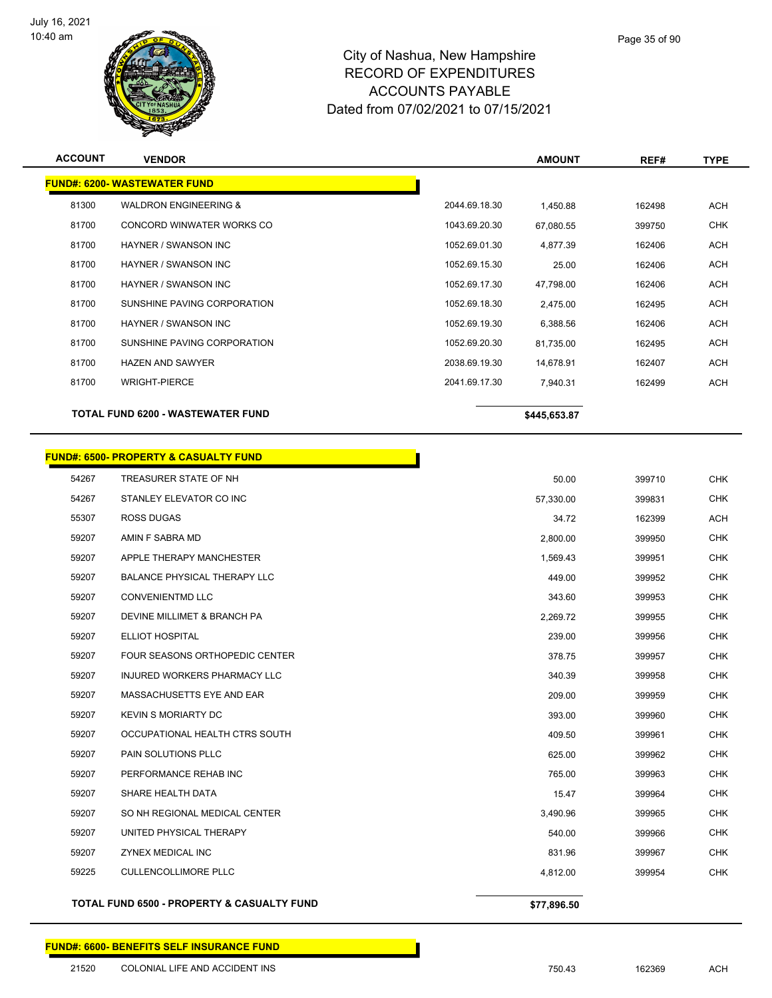

**ACCOUNT VENDOR AMOUNT REF# TYPE**

|       | <b>FUND#: 6200- WASTEWATER FUND</b>              |               |              |        |            |
|-------|--------------------------------------------------|---------------|--------------|--------|------------|
| 81300 | <b>WALDRON ENGINEERING &amp;</b>                 | 2044.69.18.30 | 1,450.88     | 162498 | <b>ACH</b> |
| 81700 | CONCORD WINWATER WORKS CO                        | 1043.69.20.30 | 67,080.55    | 399750 | <b>CHK</b> |
| 81700 | HAYNER / SWANSON INC                             | 1052.69.01.30 | 4,877.39     | 162406 | <b>ACH</b> |
| 81700 | HAYNER / SWANSON INC                             | 1052.69.15.30 | 25.00        | 162406 | <b>ACH</b> |
| 81700 | HAYNER / SWANSON INC                             | 1052.69.17.30 | 47,798.00    | 162406 | <b>ACH</b> |
| 81700 | SUNSHINE PAVING CORPORATION                      | 1052.69.18.30 | 2,475.00     | 162495 | <b>ACH</b> |
| 81700 | <b>HAYNER / SWANSON INC</b>                      | 1052.69.19.30 | 6,388.56     | 162406 | <b>ACH</b> |
| 81700 | SUNSHINE PAVING CORPORATION                      | 1052.69.20.30 | 81,735.00    | 162495 | <b>ACH</b> |
| 81700 | <b>HAZEN AND SAWYER</b>                          | 2038.69.19.30 | 14,678.91    | 162407 | <b>ACH</b> |
| 81700 | <b>WRIGHT-PIERCE</b>                             | 2041.69.17.30 | 7,940.31     | 162499 | <b>ACH</b> |
|       | <b>TOTAL FUND 6200 - WASTEWATER FUND</b>         |               | \$445,653.87 |        |            |
|       | <b>FUND#: 6500- PROPERTY &amp; CASUALTY FUND</b> |               |              |        |            |
| 54267 | TREASURER STATE OF NH                            |               | 50.00        | 399710 | <b>CHK</b> |
| 54267 | STANLEY ELEVATOR CO INC                          |               | 57,330.00    | 399831 | <b>CHK</b> |
| 55307 | <b>ROSS DUGAS</b>                                |               | 34.72        | 162399 | <b>ACH</b> |
| 59207 | AMIN F SABRA MD                                  |               | 2,800.00     | 399950 | <b>CHK</b> |
| 59207 | APPLE THERAPY MANCHESTER                         |               | 1,569.43     | 399951 | <b>CHK</b> |
| 59207 | <b>BALANCE PHYSICAL THERAPY LLC</b>              |               | 449.00       | 399952 | <b>CHK</b> |
| 59207 | <b>CONVENIENTMD LLC</b>                          |               | 343.60       | 399953 | <b>CHK</b> |
| 59207 | DEVINE MILLIMET & BRANCH PA                      |               | 2,269.72     | 399955 | <b>CHK</b> |
| 59207 | <b>ELLIOT HOSPITAL</b>                           |               | 239.00       | 399956 | <b>CHK</b> |
| 59207 | FOUR SEASONS ORTHOPEDIC CENTER                   |               | 378.75       | 399957 | <b>CHK</b> |
| 59207 | INJURED WORKERS PHARMACY LLC                     |               | 340.39       | 399958 | <b>CHK</b> |
| 59207 | MASSACHUSETTS EYE AND EAR                        |               | 209.00       | 399959 | <b>CHK</b> |
| 59207 | <b>KEVIN S MORIARTY DC</b>                       |               | 393.00       | 399960 | <b>CHK</b> |
| 59207 | OCCUPATIONAL HEALTH CTRS SOUTH                   |               | 409.50       | 399961 | <b>CHK</b> |
| 59207 | PAIN SOLUTIONS PLLC                              |               | 625.00       | 399962 | <b>CHK</b> |
| 59207 | PERFORMANCE REHAB INC                            |               | 765.00       | 399963 | <b>CHK</b> |
| 59207 | SHARE HEALTH DATA                                |               | 15.47        | 399964 | <b>CHK</b> |
| 59207 | SO NH REGIONAL MEDICAL CENTER                    |               | 3.490.96     | 399965 | <b>CHK</b> |

 UNITED PHYSICAL THERAPY 540.00 399966 CHK ZYNEX MEDICAL INC 831.96 399967 CHK CULLENCOLLIMORE PLLC 4,812.00 399954 CHK

**TOTAL FUND 6500 - PROPERTY & CASUALTY FUND \$77,896.50**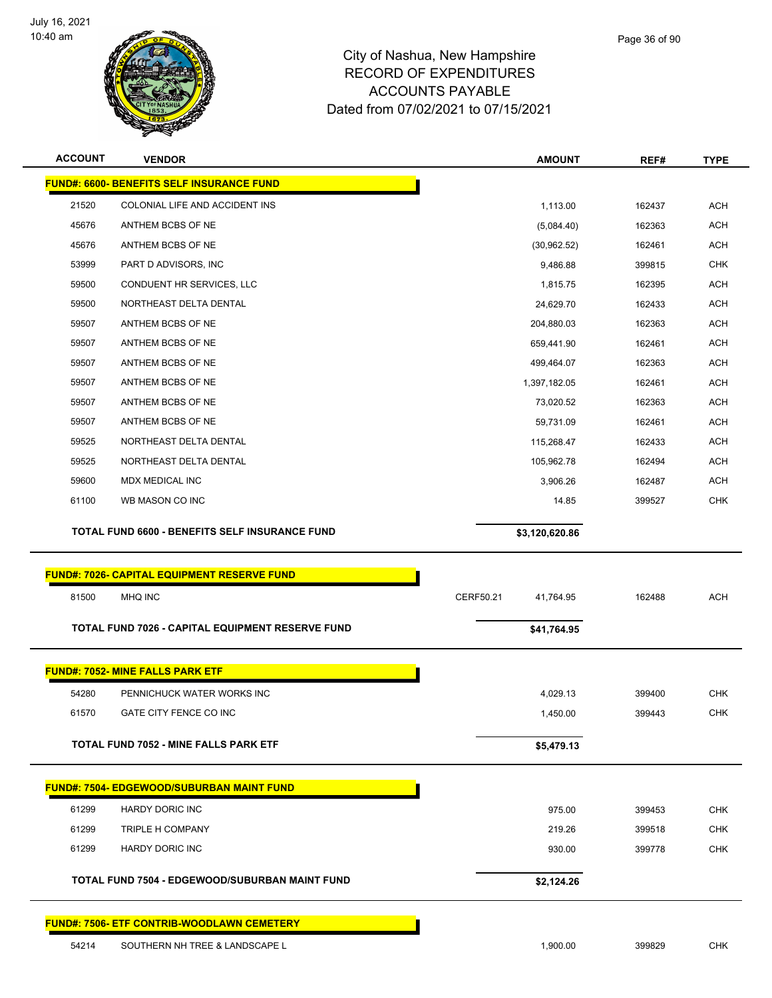

|       | <b>VENDOR</b>                                         | <b>AMOUNT</b>          | REF#   | TYPE       |
|-------|-------------------------------------------------------|------------------------|--------|------------|
|       | <b>FUND#: 6600- BENEFITS SELF INSURANCE FUND</b>      |                        |        |            |
| 21520 | COLONIAL LIFE AND ACCIDENT INS                        | 1,113.00               | 162437 | ACH        |
| 45676 | ANTHEM BCBS OF NE                                     | (5,084.40)             | 162363 | <b>ACH</b> |
| 45676 | ANTHEM BCBS OF NE                                     | (30, 962.52)           | 162461 | ACH        |
| 53999 | PART D ADVISORS, INC                                  | 9,486.88               | 399815 | <b>CHK</b> |
| 59500 | CONDUENT HR SERVICES, LLC                             | 1,815.75               | 162395 | ACH        |
| 59500 | NORTHEAST DELTA DENTAL                                | 24,629.70              | 162433 | ACH        |
| 59507 | ANTHEM BCBS OF NE                                     | 204,880.03             | 162363 | <b>ACH</b> |
| 59507 | ANTHEM BCBS OF NE                                     | 659,441.90             | 162461 | ACH        |
| 59507 | ANTHEM BCBS OF NE                                     | 499,464.07             | 162363 | ACH        |
| 59507 | ANTHEM BCBS OF NE                                     | 1,397,182.05           | 162461 | <b>ACH</b> |
| 59507 | ANTHEM BCBS OF NE                                     | 73,020.52              | 162363 | ACH        |
| 59507 | ANTHEM BCBS OF NE                                     | 59,731.09              | 162461 | <b>ACH</b> |
| 59525 | NORTHEAST DELTA DENTAL                                | 115,268.47             | 162433 | ACH        |
| 59525 | NORTHEAST DELTA DENTAL                                | 105,962.78             | 162494 | <b>ACH</b> |
| 59600 | <b>MDX MEDICAL INC</b>                                | 3,906.26               | 162487 | <b>ACH</b> |
| 61100 | WB MASON CO INC                                       | 14.85                  | 399527 | <b>CHK</b> |
|       | TOTAL FUND 6600 - BENEFITS SELF INSURANCE FUND        | \$3,120,620.86         |        |            |
|       | <b>FUND#: 7026- CAPITAL EQUIPMENT RESERVE FUND</b>    |                        |        |            |
| 81500 | <b>MHQ INC</b>                                        | CERF50.21<br>41,764.95 | 162488 | <b>ACH</b> |
|       | TOTAL FUND 7026 - CAPITAL EQUIPMENT RESERVE FUND      | \$41,764.95            |        |            |
|       | <b>FUND#: 7052- MINE FALLS PARK ETF</b>               |                        |        |            |
| 54280 | PENNICHUCK WATER WORKS INC                            | 4,029.13               | 399400 | <b>CHK</b> |
| 61570 | GATE CITY FENCE CO INC                                | 1,450.00               | 399443 | <b>CHK</b> |
|       | <b>TOTAL FUND 7052 - MINE FALLS PARK ETF</b>          | \$5,479.13             |        |            |
|       | <b>FUND#: 7504- EDGEWOOD/SUBURBAN MAINT FUND</b>      |                        |        |            |
| 61299 | <b>HARDY DORIC INC</b>                                | 975.00                 | 399453 | <b>CHK</b> |
| 61299 | TRIPLE H COMPANY                                      | 219.26                 | 399518 | CHK        |
| 61299 | <b>HARDY DORIC INC</b>                                | 930.00                 | 399778 | <b>CHK</b> |
|       | <b>TOTAL FUND 7504 - EDGEWOOD/SUBURBAN MAINT FUND</b> | \$2,124.26             |        |            |
|       | <b>FUND#: 7506- ETF CONTRIB-WOODLAWN CEMETERY</b>     |                        |        |            |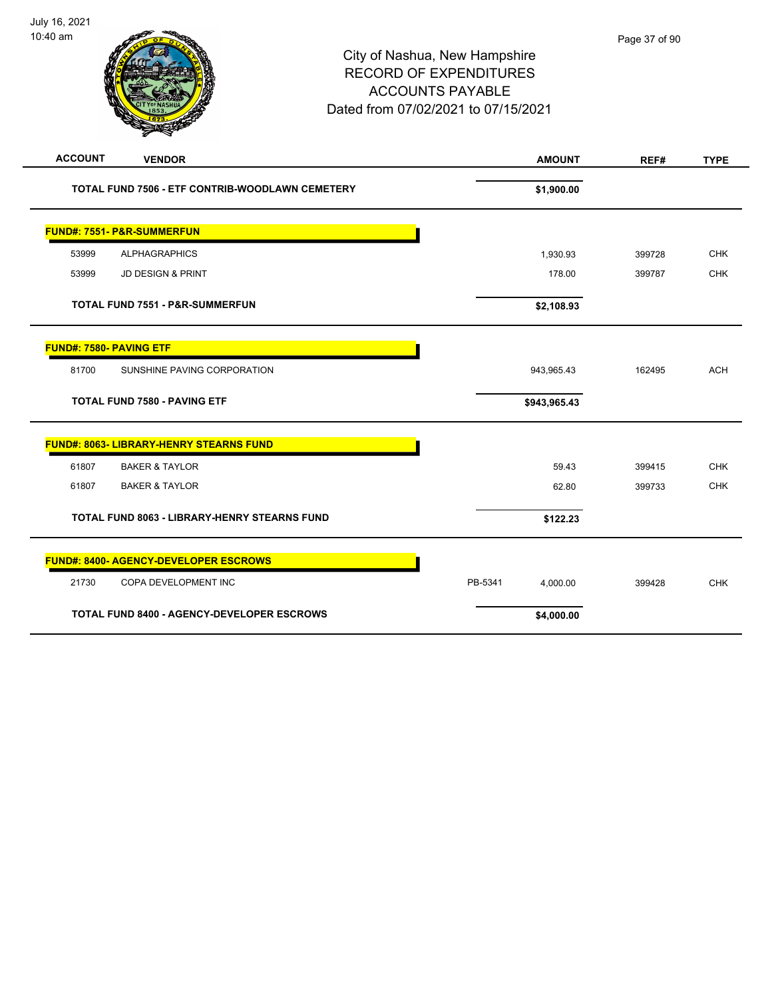# City of Nashua, New Hampshire RECORD OF EXPENDITURES ACCOUNTS PAYABLE Dated from 07/02/2021 to 07/15/2021

| <b>ACCOUNT</b><br><b>VENDOR</b>                     | <b>AMOUNT</b>       | REF#   | <b>TYPE</b> |
|-----------------------------------------------------|---------------------|--------|-------------|
| TOTAL FUND 7506 - ETF CONTRIB-WOODLAWN CEMETERY     | \$1,900.00          |        |             |
| <b>FUND#: 7551- P&amp;R-SUMMERFUN</b>               |                     |        |             |
| 53999<br><b>ALPHAGRAPHICS</b>                       | 1,930.93            | 399728 | <b>CHK</b>  |
| 53999<br><b>JD DESIGN &amp; PRINT</b>               | 178.00              | 399787 | <b>CHK</b>  |
| <b>TOTAL FUND 7551 - P&amp;R-SUMMERFUN</b>          | \$2,108.93          |        |             |
| <b>FUND#: 7580- PAVING ETF</b>                      |                     |        |             |
| SUNSHINE PAVING CORPORATION<br>81700                | 943,965.43          | 162495 | <b>ACH</b>  |
| <b>TOTAL FUND 7580 - PAVING ETF</b>                 | \$943,965.43        |        |             |
| <b>FUND#: 8063- LIBRARY-HENRY STEARNS FUND</b>      |                     |        |             |
| 61807<br><b>BAKER &amp; TAYLOR</b>                  | 59.43               | 399415 | <b>CHK</b>  |
| <b>BAKER &amp; TAYLOR</b><br>61807                  | 62.80               | 399733 | <b>CHK</b>  |
| <b>TOTAL FUND 8063 - LIBRARY-HENRY STEARNS FUND</b> | \$122.23            |        |             |
| <b>FUND#: 8400- AGENCY-DEVELOPER ESCROWS</b>        |                     |        |             |
| 21730<br>COPA DEVELOPMENT INC                       | PB-5341<br>4,000.00 | 399428 | <b>CHK</b>  |
| <b>TOTAL FUND 8400 - AGENCY-DEVELOPER ESCROWS</b>   | \$4,000.00          |        |             |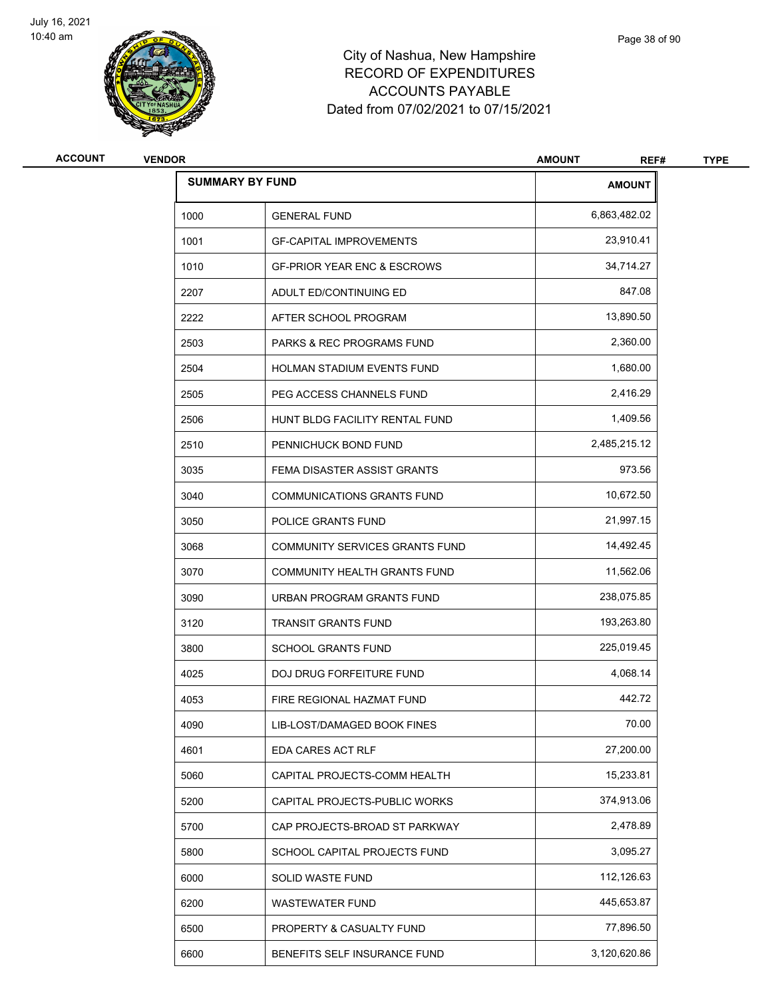

# City of Nashua, New Hampshire RECORD OF EXPENDITURES ACCOUNTS PAYABLE Dated from 07/02/2021 to 07/15/2021

| <b>ACCOUNT</b> | <b>VENDOR</b> |                                        | <b>AMOUNT</b><br>REF# | <b>TYPE</b> |
|----------------|---------------|----------------------------------------|-----------------------|-------------|
|                |               | <b>SUMMARY BY FUND</b>                 | <b>AMOUNT</b>         |             |
|                | 1000          | <b>GENERAL FUND</b>                    | 6,863,482.02          |             |
|                | 1001          | <b>GF-CAPITAL IMPROVEMENTS</b>         | 23,910.41             |             |
|                | 1010          | <b>GF-PRIOR YEAR ENC &amp; ESCROWS</b> | 34,714.27             |             |
|                | 2207          | ADULT ED/CONTINUING ED                 | 847.08                |             |
|                | 2222          | AFTER SCHOOL PROGRAM                   | 13,890.50             |             |
|                | 2503          | PARKS & REC PROGRAMS FUND              | 2,360.00              |             |
|                | 2504          | HOLMAN STADIUM EVENTS FUND             | 1,680.00              |             |
|                | 2505          | PEG ACCESS CHANNELS FUND               | 2,416.29              |             |
|                | 2506          | HUNT BLDG FACILITY RENTAL FUND         | 1,409.56              |             |
|                | 2510          | PENNICHUCK BOND FUND                   | 2,485,215.12          |             |
|                | 3035          | FEMA DISASTER ASSIST GRANTS            | 973.56                |             |
|                | 3040          | <b>COMMUNICATIONS GRANTS FUND</b>      | 10,672.50             |             |
|                | 3050          | POLICE GRANTS FUND                     | 21,997.15             |             |
|                | 3068          | <b>COMMUNITY SERVICES GRANTS FUND</b>  | 14,492.45             |             |
|                | 3070          | COMMUNITY HEALTH GRANTS FUND           | 11,562.06             |             |
|                | 3090          | URBAN PROGRAM GRANTS FUND              | 238,075.85            |             |
|                | 3120          | <b>TRANSIT GRANTS FUND</b>             | 193,263.80            |             |
|                | 3800          | <b>SCHOOL GRANTS FUND</b>              | 225,019.45            |             |
|                | 4025          | DOJ DRUG FORFEITURE FUND               | 4,068.14              |             |
|                | 4053          | FIRE REGIONAL HAZMAT FUND              | 442.72                |             |
|                | 4090          | LIB-LOST/DAMAGED BOOK FINES            | 70.00                 |             |
|                | 4601          | EDA CARES ACT RLF                      | 27,200.00             |             |
|                | 5060          | CAPITAL PROJECTS-COMM HEALTH           | 15,233.81             |             |
|                | 5200          | CAPITAL PROJECTS-PUBLIC WORKS          | 374,913.06            |             |
|                | 5700          | CAP PROJECTS-BROAD ST PARKWAY          | 2,478.89              |             |
|                | 5800          | SCHOOL CAPITAL PROJECTS FUND           | 3,095.27              |             |
|                | 6000          | SOLID WASTE FUND                       | 112,126.63            |             |
|                | 6200          | <b>WASTEWATER FUND</b>                 | 445,653.87            |             |
|                | 6500          | PROPERTY & CASUALTY FUND               | 77,896.50             |             |
|                | 6600          | BENEFITS SELF INSURANCE FUND           | 3,120,620.86          |             |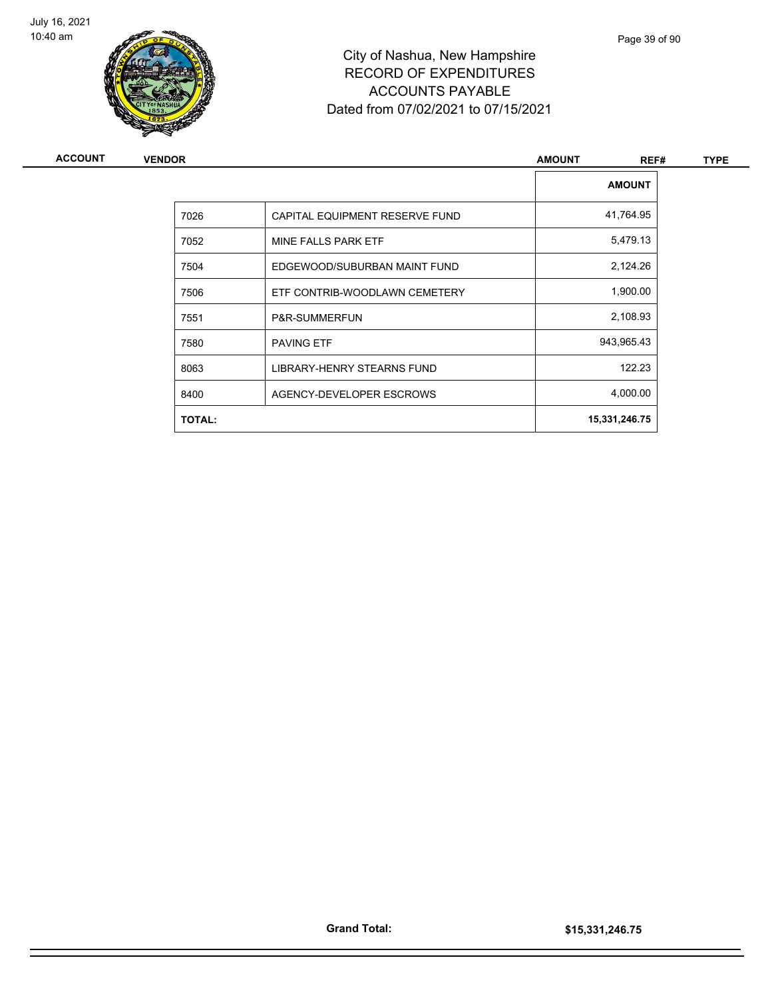

# City of Nashua, New Hampshire RECORD OF EXPENDITURES ACCOUNTS PAYABLE Dated from 07/02/2021 to 07/15/2021

| ACCOUNT | <b>VENDOR</b> |                                | <b>AMOUNT</b><br>REF# | <b>TYPE</b> |
|---------|---------------|--------------------------------|-----------------------|-------------|
|         |               |                                | <b>AMOUNT</b>         |             |
|         | 7026          | CAPITAL EQUIPMENT RESERVE FUND | 41,764.95             |             |
|         | 7052          | MINE FALLS PARK ETF            | 5,479.13              |             |
|         | 7504          | EDGEWOOD/SUBURBAN MAINT FUND   | 2,124.26              |             |
|         | 7506          | ETF CONTRIB-WOODLAWN CEMETERY  | 1,900.00              |             |
|         | 7551          | P&R-SUMMERFUN                  | 2,108.93              |             |
|         | 7580          | <b>PAVING ETF</b>              | 943,965.43            |             |
|         | 8063          | LIBRARY-HENRY STEARNS FUND     | 122.23                |             |
|         | 8400          | AGENCY-DEVELOPER ESCROWS       | 4,000.00              |             |
|         | <b>TOTAL:</b> |                                | 15,331,246.75         |             |
|         |               |                                |                       |             |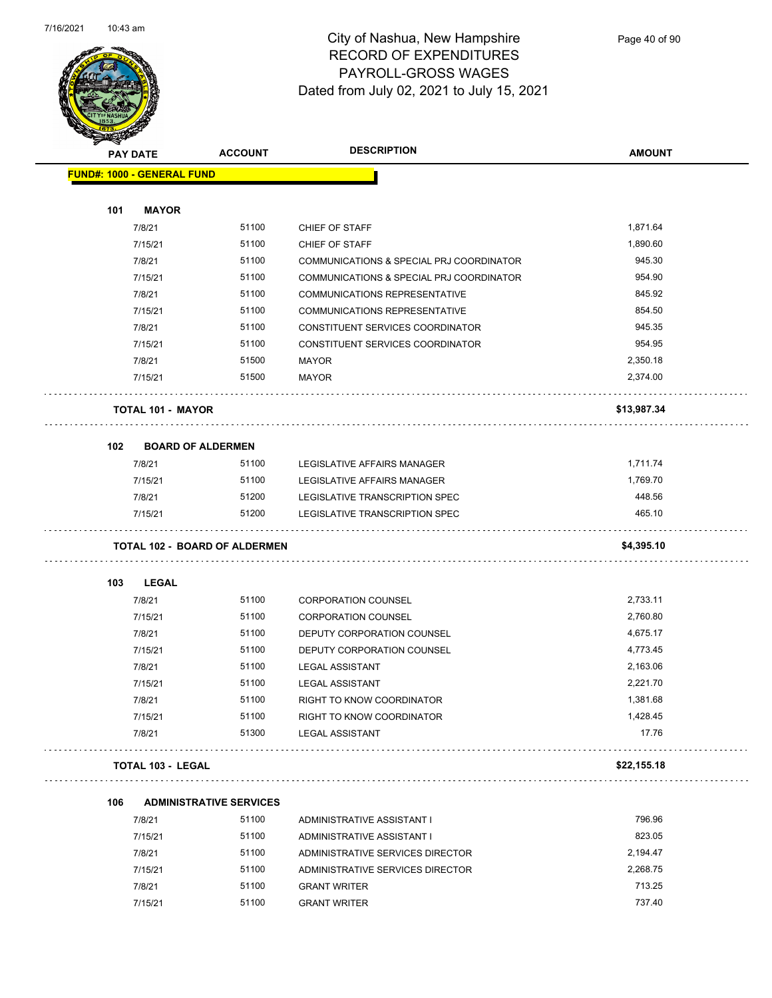

Page 40 of 90

|     | <b>PAY DATE</b>                      | <b>ACCOUNT</b> | <b>DESCRIPTION</b>                       | <b>AMOUNT</b> |
|-----|--------------------------------------|----------------|------------------------------------------|---------------|
|     | <b>FUND#: 1000 - GENERAL FUND</b>    |                |                                          |               |
|     |                                      |                |                                          |               |
| 101 | <b>MAYOR</b>                         |                |                                          |               |
|     | 7/8/21                               | 51100          | CHIEF OF STAFF                           | 1,871.64      |
|     | 7/15/21                              | 51100          | CHIEF OF STAFF                           | 1,890.60      |
|     | 7/8/21                               | 51100          | COMMUNICATIONS & SPECIAL PRJ COORDINATOR | 945.30        |
|     | 7/15/21                              | 51100          | COMMUNICATIONS & SPECIAL PRJ COORDINATOR | 954.90        |
|     | 7/8/21                               | 51100          | <b>COMMUNICATIONS REPRESENTATIVE</b>     | 845.92        |
|     | 7/15/21                              | 51100          | <b>COMMUNICATIONS REPRESENTATIVE</b>     | 854.50        |
|     | 7/8/21                               | 51100          | CONSTITUENT SERVICES COORDINATOR         | 945.35        |
|     | 7/15/21                              | 51100          | CONSTITUENT SERVICES COORDINATOR         | 954.95        |
|     | 7/8/21                               | 51500          | <b>MAYOR</b>                             | 2,350.18      |
|     | 7/15/21                              | 51500          | <b>MAYOR</b>                             | 2,374.00      |
|     | <b>TOTAL 101 - MAYOR</b>             |                |                                          | \$13,987.34   |
| 102 | <b>BOARD OF ALDERMEN</b>             |                |                                          |               |
|     | 7/8/21                               | 51100          | <b>LEGISLATIVE AFFAIRS MANAGER</b>       | 1,711.74      |
|     | 7/15/21                              | 51100          | LEGISLATIVE AFFAIRS MANAGER              | 1,769.70      |
|     | 7/8/21                               | 51200          | LEGISLATIVE TRANSCRIPTION SPEC           | 448.56        |
|     | 7/15/21                              | 51200          | LEGISLATIVE TRANSCRIPTION SPEC           | 465.10        |
|     | <b>TOTAL 102 - BOARD OF ALDERMEN</b> |                |                                          | \$4,395.10    |
| 103 | <b>LEGAL</b>                         |                |                                          |               |
|     | 7/8/21                               | 51100          | <b>CORPORATION COUNSEL</b>               | 2,733.11      |
|     | 7/15/21                              | 51100          | <b>CORPORATION COUNSEL</b>               | 2,760.80      |
|     | 7/8/21                               | 51100          | DEPUTY CORPORATION COUNSEL               | 4,675.17      |
|     | 7/15/21                              | 51100          | DEPUTY CORPORATION COUNSEL               | 4,773.45      |
|     | 7/8/21                               | 51100          | <b>LEGAL ASSISTANT</b>                   | 2,163.06      |
|     | 7/15/21                              | 51100          | <b>LEGAL ASSISTANT</b>                   | 2,221.70      |
|     | 7/8/21                               | 51100          | RIGHT TO KNOW COORDINATOR                | 1,381.68      |
|     | 7/15/21                              | 51100          | RIGHT TO KNOW COORDINATOR                | 1,428.45      |
|     | 7/8/21                               | 51300          | <b>LEGAL ASSISTANT</b>                   | 17.76         |
|     | <b>TOTAL 103 - LEGAL</b>             |                |                                          | \$22,155.18   |
|     |                                      |                |                                          |               |
| 106 | <b>ADMINISTRATIVE SERVICES</b>       | 51100          |                                          | 796.96        |
|     | 7/8/21                               |                | ADMINISTRATIVE ASSISTANT I               |               |
|     | 7/15/21                              | 51100          | ADMINISTRATIVE ASSISTANT I               | 823.05        |
|     | 7/8/21                               | 51100          | ADMINISTRATIVE SERVICES DIRECTOR         | 2,194.47      |
|     | 7/15/21                              | 51100          | ADMINISTRATIVE SERVICES DIRECTOR         | 2,268.75      |
|     | 7/8/21                               | 51100          | <b>GRANT WRITER</b>                      | 713.25        |
|     | 7/15/21                              | 51100          | <b>GRANT WRITER</b>                      | 737.40        |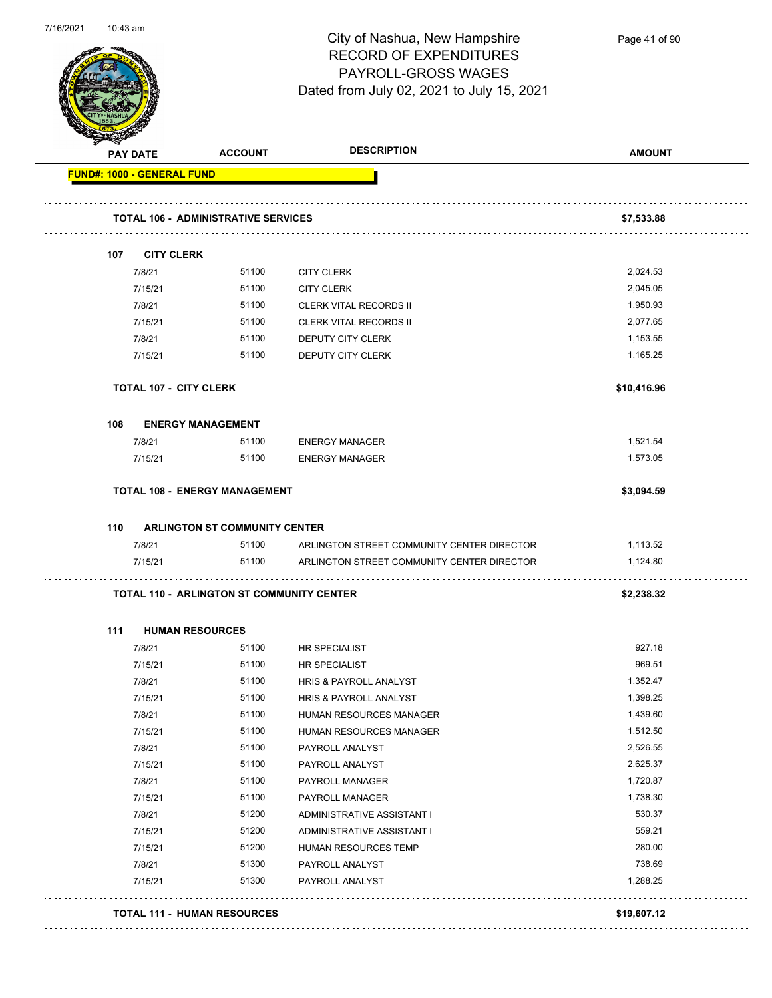

Page 41 of 90

|     | PAY DATE                          | <b>ACCOUNT</b>                                   | <b>DESCRIPTION</b>                               | <b>AMOUNT</b> |
|-----|-----------------------------------|--------------------------------------------------|--------------------------------------------------|---------------|
|     | <b>FUND#: 1000 - GENERAL FUND</b> |                                                  |                                                  |               |
|     |                                   | <b>TOTAL 106 - ADMINISTRATIVE SERVICES</b>       |                                                  | \$7,533.88    |
|     | 107 CITY CLERK                    |                                                  |                                                  |               |
|     | 7/8/21                            | 51100                                            | <b>CITY CLERK</b>                                | 2,024.53      |
|     | 7/15/21                           | 51100                                            | <b>CITY CLERK</b>                                | 2,045.05      |
|     | 7/8/21                            | 51100                                            | <b>CLERK VITAL RECORDS II</b>                    | 1,950.93      |
|     | 7/15/21                           | 51100                                            | <b>CLERK VITAL RECORDS II</b>                    | 2,077.65      |
|     | 7/8/21                            | 51100                                            | DEPUTY CITY CLERK                                | 1,153.55      |
|     | 7/15/21                           | 51100                                            | DEPUTY CITY CLERK                                | 1,165.25      |
|     | <b>TOTAL 107 - CITY CLERK</b>     |                                                  |                                                  | \$10,416.96   |
| 108 |                                   | <b>ENERGY MANAGEMENT</b>                         |                                                  |               |
|     | 7/8/21                            | 51100                                            | <b>ENERGY MANAGER</b>                            | 1,521.54      |
|     | 7/15/21                           | 51100                                            | <b>ENERGY MANAGER</b>                            | 1,573.05      |
|     |                                   | <b>TOTAL 108 - ENERGY MANAGEMENT</b>             |                                                  | \$3,094.59    |
|     |                                   |                                                  |                                                  |               |
|     | 7/8/21                            | 110 ARLINGTON ST COMMUNITY CENTER                | 51100 ARLINGTON STREET COMMUNITY CENTER DIRECTOR | 1,113.52      |
|     | 7/15/21                           | 51100                                            | ARLINGTON STREET COMMUNITY CENTER DIRECTOR       | 1,124.80      |
|     |                                   |                                                  |                                                  |               |
|     |                                   | <b>TOTAL 110 - ARLINGTON ST COMMUNITY CENTER</b> |                                                  | \$2,238.32    |
| 111 | <b>HUMAN RESOURCES</b>            |                                                  |                                                  |               |
|     | 7/8/21                            | 51100                                            | HR SPECIALIST                                    | 927.18        |
|     | 7/15/21                           | 51100                                            | HR SPECIALIST                                    | 969.51        |
|     | 7/8/21                            | 51100                                            | <b>HRIS &amp; PAYROLL ANALYST</b>                | 1,352.47      |
|     | 7/15/21                           | 51100                                            | HRIS & PAYROLL ANALYST                           | 1,398.25      |
|     | 7/8/21                            | 51100                                            | HUMAN RESOURCES MANAGER                          | 1,439.60      |
|     | 7/15/21                           | 51100                                            | HUMAN RESOURCES MANAGER                          | 1,512.50      |
|     | 7/8/21                            | 51100                                            | PAYROLL ANALYST                                  | 2,526.55      |
|     | 7/15/21                           | 51100                                            | PAYROLL ANALYST                                  | 2,625.37      |
|     | 7/8/21                            | 51100                                            | PAYROLL MANAGER                                  | 1,720.87      |
|     | 7/15/21                           | 51100                                            | PAYROLL MANAGER                                  | 1,738.30      |
|     | 7/8/21                            | 51200                                            | ADMINISTRATIVE ASSISTANT I                       | 530.37        |
|     | 7/15/21                           | 51200                                            | ADMINISTRATIVE ASSISTANT I                       | 559.21        |
|     | 7/15/21                           | 51200                                            | HUMAN RESOURCES TEMP                             | 280.00        |
|     | 7/8/21                            | 51300                                            | PAYROLL ANALYST                                  | 738.69        |
|     | 7/15/21                           | 51300                                            | PAYROLL ANALYST                                  | 1,288.25      |
|     |                                   |                                                  |                                                  |               |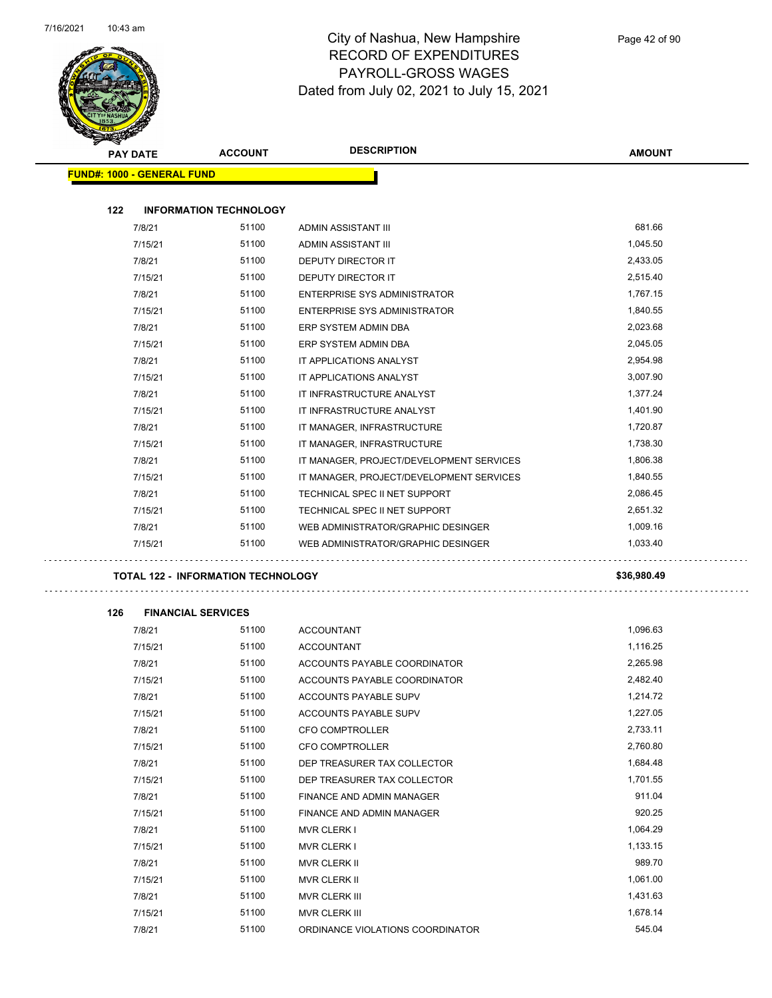

 $\overline{\phantom{0}}$ 

| <b>PAY DATE</b>                   | <b>ACCOUNT</b>                            | <b>DESCRIPTION</b>                                           | <b>AMOUNT</b>        |
|-----------------------------------|-------------------------------------------|--------------------------------------------------------------|----------------------|
| <b>FUND#: 1000 - GENERAL FUND</b> |                                           |                                                              |                      |
| 122                               |                                           |                                                              |                      |
|                                   | <b>INFORMATION TECHNOLOGY</b><br>51100    |                                                              | 681.66               |
| 7/8/21                            | 51100                                     | ADMIN ASSISTANT III                                          | 1,045.50             |
| 7/15/21<br>7/8/21                 | 51100                                     | ADMIN ASSISTANT III                                          | 2,433.05             |
| 7/15/21                           | 51100                                     | DEPUTY DIRECTOR IT<br><b>DEPUTY DIRECTOR IT</b>              | 2,515.40             |
| 7/8/21                            | 51100                                     |                                                              | 1,767.15             |
| 7/15/21                           | 51100                                     | ENTERPRISE SYS ADMINISTRATOR<br>ENTERPRISE SYS ADMINISTRATOR | 1,840.55             |
| 7/8/21                            | 51100                                     | ERP SYSTEM ADMIN DBA                                         | 2,023.68             |
| 7/15/21                           | 51100                                     | ERP SYSTEM ADMIN DBA                                         | 2,045.05             |
| 7/8/21                            | 51100                                     | IT APPLICATIONS ANALYST                                      | 2,954.98             |
| 7/15/21                           | 51100                                     | IT APPLICATIONS ANALYST                                      | 3,007.90             |
| 7/8/21                            | 51100                                     | IT INFRASTRUCTURE ANALYST                                    | 1,377.24             |
| 7/15/21                           | 51100                                     | IT INFRASTRUCTURE ANALYST                                    | 1,401.90             |
| 7/8/21                            | 51100                                     | IT MANAGER, INFRASTRUCTURE                                   | 1,720.87             |
| 7/15/21                           | 51100                                     | IT MANAGER, INFRASTRUCTURE                                   | 1,738.30             |
| 7/8/21                            | 51100                                     | IT MANAGER, PROJECT/DEVELOPMENT SERVICES                     | 1,806.38             |
| 7/15/21                           | 51100                                     | IT MANAGER, PROJECT/DEVELOPMENT SERVICES                     | 1,840.55             |
| 7/8/21                            | 51100                                     | TECHNICAL SPEC II NET SUPPORT                                | 2,086.45             |
| 7/15/21                           | 51100                                     | TECHNICAL SPEC II NET SUPPORT                                | 2,651.32             |
| 7/8/21                            | 51100                                     | WEB ADMINISTRATOR/GRAPHIC DESINGER                           | 1,009.16             |
| 7/15/21                           | 51100                                     | WEB ADMINISTRATOR/GRAPHIC DESINGER                           | 1,033.40             |
|                                   |                                           |                                                              |                      |
|                                   | <b>TOTAL 122 - INFORMATION TECHNOLOGY</b> |                                                              | \$36,980.49          |
|                                   |                                           |                                                              |                      |
| 126                               | <b>FINANCIAL SERVICES</b>                 |                                                              |                      |
| 7/8/21                            | 51100                                     | <b>ACCOUNTANT</b>                                            | 1,096.63<br>1,116.25 |
| 7/15/21                           | 51100<br>51100                            | <b>ACCOUNTANT</b>                                            |                      |
| 7/8/21                            |                                           | ACCOUNTS PAYABLE COORDINATOR                                 | 2,265.98             |
| 7/15/21                           | 51100<br>51100                            | ACCOUNTS PAYABLE COORDINATOR                                 | 2,482.40<br>1,214.72 |
| 7/8/21                            | 51100                                     | ACCOUNTS PAYABLE SUPV                                        | 1,227.05             |
| 7/15/21                           | 51100                                     | ACCOUNTS PAYABLE SUPV                                        | 2,733.11             |
| 7/8/21<br>7/15/21                 | 51100                                     | CFO COMPTROLLER<br>CFO COMPTROLLER                           | 2,760.80             |
| 7/8/21                            | 51100                                     | DEP TREASURER TAX COLLECTOR                                  | 1,684.48             |
| 7/15/21                           | 51100                                     | DEP TREASURER TAX COLLECTOR                                  | 1,701.55             |
| 7/8/21                            | 51100                                     |                                                              | 911.04               |
| 7/15/21                           | 51100                                     | FINANCE AND ADMIN MANAGER<br>FINANCE AND ADMIN MANAGER       | 920.25               |
| 7/8/21                            | 51100                                     |                                                              | 1,064.29             |
| 7/15/21                           | 51100                                     | <b>MVR CLERK I</b><br><b>MVR CLERK I</b>                     | 1,133.15             |
| 7/8/21                            | 51100                                     | MVR CLERK II                                                 | 989.70               |
| 7/15/21                           | 51100                                     | MVR CLERK II                                                 | 1,061.00             |
| 7/8/21                            | 51100                                     | MVR CLERK III                                                | 1,431.63             |
| 7/15/21                           | 51100                                     | MVR CLERK III                                                | 1,678.14             |
| 7/8/21                            | 51100                                     | ORDINANCE VIOLATIONS COORDINATOR                             | 545.04               |
|                                   |                                           |                                                              |                      |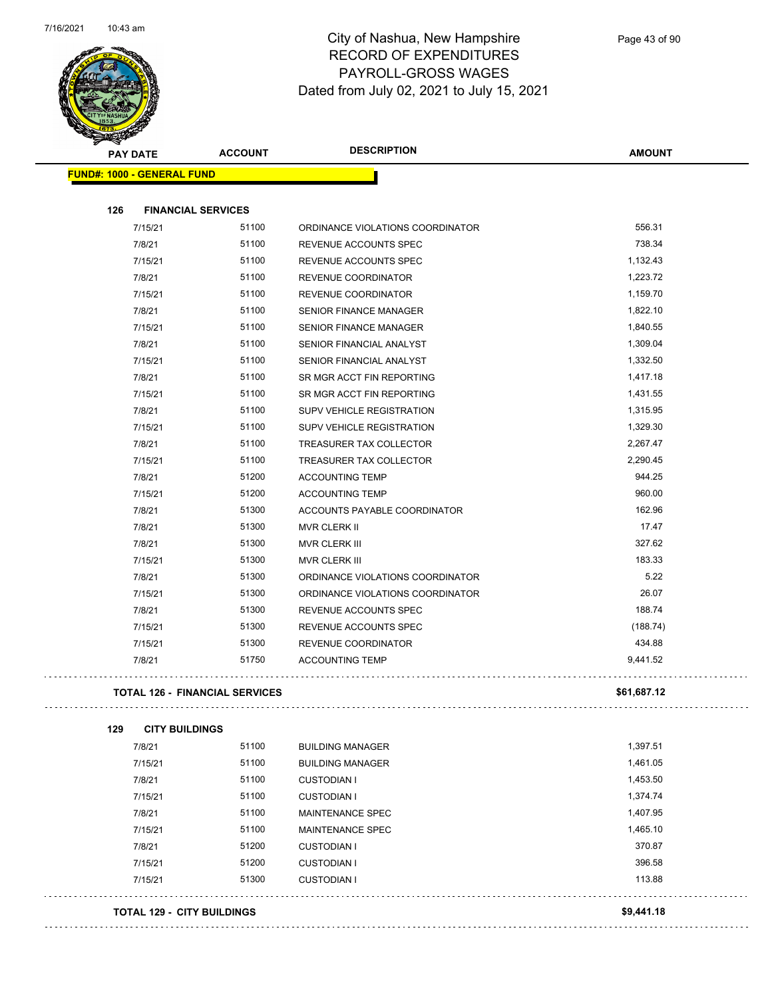

| <b>SANGAL</b> |                                   |                                       | <b>DESCRIPTION</b>                                   |                    |
|---------------|-----------------------------------|---------------------------------------|------------------------------------------------------|--------------------|
|               | <b>PAY DATE</b>                   | <b>ACCOUNT</b>                        |                                                      | <b>AMOUNT</b>      |
|               | <b>FUND#: 1000 - GENERAL FUND</b> |                                       |                                                      |                    |
| 126           |                                   | <b>FINANCIAL SERVICES</b>             |                                                      |                    |
|               | 7/15/21                           | 51100                                 | ORDINANCE VIOLATIONS COORDINATOR                     | 556.31             |
|               | 7/8/21                            | 51100                                 | REVENUE ACCOUNTS SPEC                                | 738.34             |
|               | 7/15/21                           | 51100                                 | REVENUE ACCOUNTS SPEC                                | 1,132.43           |
|               | 7/8/21                            | 51100                                 | REVENUE COORDINATOR                                  | 1,223.72           |
|               | 7/15/21                           | 51100                                 | REVENUE COORDINATOR                                  | 1,159.70           |
|               | 7/8/21                            | 51100                                 | <b>SENIOR FINANCE MANAGER</b>                        | 1,822.10           |
|               | 7/15/21                           | 51100                                 | <b>SENIOR FINANCE MANAGER</b>                        | 1,840.55           |
|               | 7/8/21                            | 51100                                 | SENIOR FINANCIAL ANALYST                             | 1,309.04           |
|               | 7/15/21                           | 51100                                 | SENIOR FINANCIAL ANALYST                             | 1,332.50           |
|               | 7/8/21                            | 51100                                 | SR MGR ACCT FIN REPORTING                            | 1,417.18           |
|               | 7/15/21                           | 51100                                 |                                                      | 1,431.55           |
|               |                                   | 51100                                 | SR MGR ACCT FIN REPORTING                            | 1,315.95           |
|               | 7/8/21                            | 51100                                 | SUPV VEHICLE REGISTRATION                            | 1,329.30           |
|               | 7/15/21                           | 51100                                 | SUPV VEHICLE REGISTRATION<br>TREASURER TAX COLLECTOR |                    |
|               | 7/8/21                            | 51100                                 |                                                      | 2,267.47           |
|               | 7/15/21                           |                                       | <b>TREASURER TAX COLLECTOR</b>                       | 2,290.45<br>944.25 |
|               | 7/8/21                            | 51200                                 | <b>ACCOUNTING TEMP</b>                               | 960.00             |
|               | 7/15/21                           | 51200                                 | <b>ACCOUNTING TEMP</b>                               |                    |
|               | 7/8/21                            | 51300                                 | ACCOUNTS PAYABLE COORDINATOR                         | 162.96             |
|               | 7/8/21                            | 51300                                 | <b>MVR CLERK II</b>                                  | 17.47              |
|               | 7/8/21                            | 51300                                 | <b>MVR CLERK III</b>                                 | 327.62             |
|               | 7/15/21                           | 51300                                 | MVR CLERK III                                        | 183.33             |
|               | 7/8/21                            | 51300                                 | ORDINANCE VIOLATIONS COORDINATOR                     | 5.22               |
|               | 7/15/21                           | 51300                                 | ORDINANCE VIOLATIONS COORDINATOR                     | 26.07              |
|               | 7/8/21                            | 51300                                 | REVENUE ACCOUNTS SPEC                                | 188.74             |
|               | 7/15/21                           | 51300                                 | <b>REVENUE ACCOUNTS SPEC</b>                         | (188.74)           |
|               | 7/15/21                           | 51300                                 | REVENUE COORDINATOR                                  | 434.88             |
|               | 7/8/21                            | 51750                                 | <b>ACCOUNTING TEMP</b>                               | 9,441.52           |
|               |                                   | <b>TOTAL 126 - FINANCIAL SERVICES</b> |                                                      | \$61,687.12        |
| 129           | <b>CITY BUILDINGS</b>             |                                       |                                                      |                    |
|               | 7/8/21                            | 51100                                 | <b>BUILDING MANAGER</b>                              | 1,397.51           |
|               | 7/15/21                           | 51100                                 | <b>BUILDING MANAGER</b>                              | 1,461.05           |
|               | 7/8/21                            | 51100                                 | <b>CUSTODIAN I</b>                                   | 1,453.50           |
|               | 7/15/21                           | 51100                                 | <b>CUSTODIAN I</b>                                   | 1,374.74           |
|               | 7/8/21                            | 51100                                 | MAINTENANCE SPEC                                     | 1,407.95           |
|               | 7/15/21                           | 51100                                 | <b>MAINTENANCE SPEC</b>                              | 1,465.10           |
|               | 7/8/21                            | 51200                                 | <b>CUSTODIAN I</b>                                   | 370.87             |
|               | 7/15/21                           | 51200                                 | <b>CUSTODIAN I</b>                                   | 396.58             |
|               | 7/15/21                           | 51300                                 | <b>CUSTODIAN I</b>                                   | 113.88             |
|               |                                   | <b>TOTAL 129 - CITY BUILDINGS</b>     |                                                      | \$9,441.18         |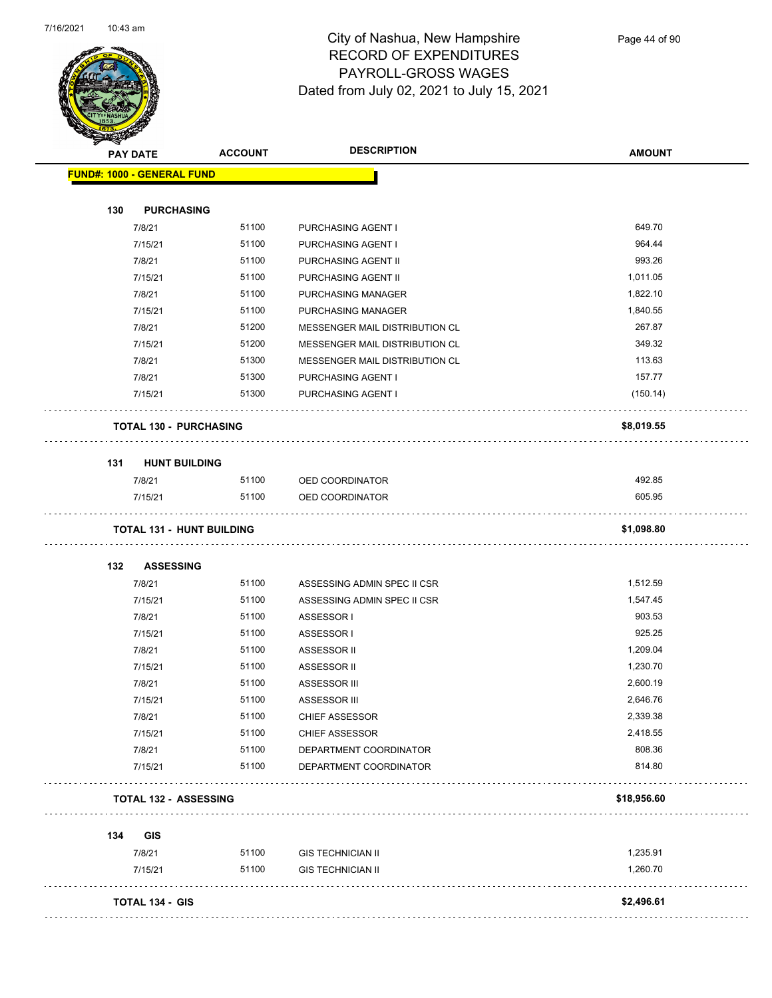

Page 44 of 90

|     | <b>PAY DATE</b>                  | <b>ACCOUNT</b> | <b>DESCRIPTION</b>                       | <b>AMOUNT</b>        |
|-----|----------------------------------|----------------|------------------------------------------|----------------------|
|     | FUND#: 1000 - GENERAL FUND       |                |                                          |                      |
|     |                                  |                |                                          |                      |
| 130 | <b>PURCHASING</b>                |                |                                          |                      |
|     | 7/8/21                           | 51100          | PURCHASING AGENT I                       | 649.70<br>964.44     |
|     | 7/15/21                          | 51100          | PURCHASING AGENT I                       |                      |
|     | 7/8/21<br>7/15/21                | 51100<br>51100 | PURCHASING AGENT II                      | 993.26<br>1,011.05   |
|     |                                  |                | PURCHASING AGENT II                      |                      |
|     | 7/8/21<br>7/15/21                | 51100<br>51100 | PURCHASING MANAGER<br>PURCHASING MANAGER | 1,822.10<br>1,840.55 |
|     | 7/8/21                           | 51200          | MESSENGER MAIL DISTRIBUTION CL           | 267.87               |
|     | 7/15/21                          | 51200          | MESSENGER MAIL DISTRIBUTION CL           | 349.32               |
|     | 7/8/21                           | 51300          | MESSENGER MAIL DISTRIBUTION CL           | 113.63               |
|     | 7/8/21                           | 51300          |                                          | 157.77               |
|     | 7/15/21                          | 51300          | PURCHASING AGENT I<br>PURCHASING AGENT I | (150.14)             |
|     |                                  |                |                                          |                      |
|     | <b>TOTAL 130 - PURCHASING</b>    |                |                                          | \$8,019.55           |
| 131 | <b>HUNT BUILDING</b>             |                |                                          |                      |
|     | 7/8/21                           | 51100          | OED COORDINATOR                          | 492.85               |
|     | 7/15/21                          | 51100          | OED COORDINATOR                          | 605.95               |
|     | <b>TOTAL 131 - HUNT BUILDING</b> |                |                                          | \$1,098.80           |
|     |                                  |                |                                          |                      |
| 132 | <b>ASSESSING</b>                 |                |                                          |                      |
|     | 7/8/21                           | 51100          | ASSESSING ADMIN SPEC II CSR              | 1,512.59             |
|     | 7/15/21                          | 51100          | ASSESSING ADMIN SPEC II CSR              | 1,547.45             |
|     | 7/8/21                           | 51100          | ASSESSOR I                               | 903.53               |
|     | 7/15/21                          | 51100          | ASSESSOR I                               | 925.25               |
|     | 7/8/21                           | 51100          | ASSESSOR II                              | 1,209.04             |
|     | 7/15/21                          | 51100<br>51100 | ASSESSOR II                              | 1,230.70<br>2,600.19 |
|     | 7/8/21                           | 51100          | <b>ASSESSOR III</b><br>ASSESSOR III      | 2,646.76             |
|     | 7/15/21<br>7/8/21                | 51100          | <b>CHIEF ASSESSOR</b>                    | 2,339.38             |
|     | 7/15/21                          | 51100          | <b>CHIEF ASSESSOR</b>                    | 2,418.55             |
|     | 7/8/21                           | 51100          | DEPARTMENT COORDINATOR                   | 808.36               |
|     | 7/15/21                          | 51100          | DEPARTMENT COORDINATOR                   | 814.80               |
|     | <b>TOTAL 132 - ASSESSING</b>     |                |                                          | \$18,956.60          |
|     |                                  |                |                                          |                      |
|     | GIS                              |                |                                          |                      |
| 134 | 7/8/21                           | 51100          | <b>GIS TECHNICIAN II</b>                 | 1,235.91             |
|     |                                  |                |                                          |                      |
|     | 7/15/21                          | 51100          | <b>GIS TECHNICIAN II</b>                 | 1,260.70             |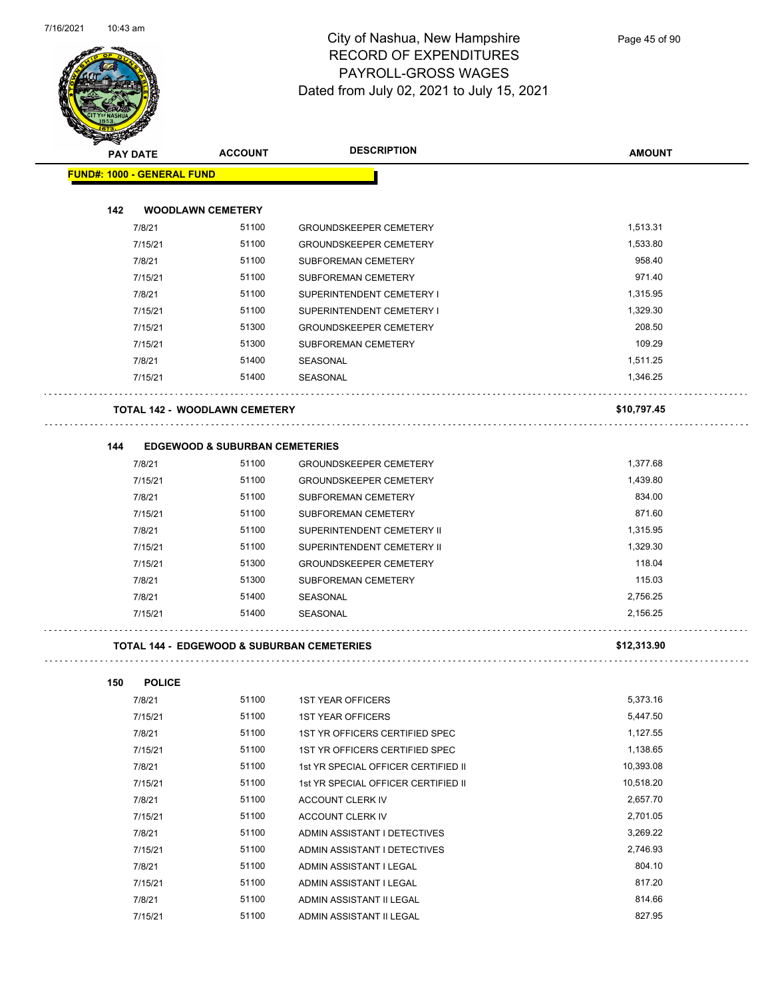

Page 45 of 90

| <b>SARALLA</b><br><b>PAY DATE</b> | <b>ACCOUNT</b>                                        | <b>DESCRIPTION</b>                  | <b>AMOUNT</b> |
|-----------------------------------|-------------------------------------------------------|-------------------------------------|---------------|
| <b>FUND#: 1000 - GENERAL FUND</b> |                                                       |                                     |               |
|                                   |                                                       |                                     |               |
| 142                               | <b>WOODLAWN CEMETERY</b>                              |                                     |               |
| 7/8/21                            | 51100                                                 | <b>GROUNDSKEEPER CEMETERY</b>       | 1,513.31      |
| 7/15/21                           | 51100                                                 | <b>GROUNDSKEEPER CEMETERY</b>       | 1,533.80      |
| 7/8/21                            | 51100                                                 | <b>SUBFOREMAN CEMETERY</b>          | 958.40        |
| 7/15/21                           | 51100                                                 | <b>SUBFOREMAN CEMETERY</b>          | 971.40        |
| 7/8/21                            | 51100                                                 | SUPERINTENDENT CEMETERY I           | 1,315.95      |
| 7/15/21                           | 51100                                                 | SUPERINTENDENT CEMETERY I           | 1,329.30      |
| 7/15/21                           | 51300                                                 | <b>GROUNDSKEEPER CEMETERY</b>       | 208.50        |
| 7/15/21                           | 51300                                                 | <b>SUBFOREMAN CEMETERY</b>          | 109.29        |
| 7/8/21                            | 51400                                                 | SEASONAL                            | 1,511.25      |
| 7/15/21                           | 51400                                                 | SEASONAL                            | 1,346.25      |
|                                   | <b>TOTAL 142 - WOODLAWN CEMETERY</b>                  |                                     | \$10,797.45   |
| 144                               | <b>EDGEWOOD &amp; SUBURBAN CEMETERIES</b>             |                                     |               |
| 7/8/21                            | 51100                                                 | <b>GROUNDSKEEPER CEMETERY</b>       | 1,377.68      |
| 7/15/21                           | 51100                                                 | <b>GROUNDSKEEPER CEMETERY</b>       | 1,439.80      |
| 7/8/21                            | 51100                                                 | SUBFOREMAN CEMETERY                 | 834.00        |
| 7/15/21                           | 51100                                                 | SUBFOREMAN CEMETERY                 | 871.60        |
| 7/8/21                            | 51100                                                 | SUPERINTENDENT CEMETERY II          | 1,315.95      |
| 7/15/21                           | 51100                                                 | SUPERINTENDENT CEMETERY II          | 1,329.30      |
| 7/15/21                           | 51300                                                 | <b>GROUNDSKEEPER CEMETERY</b>       | 118.04        |
| 7/8/21                            | 51300                                                 | SUBFOREMAN CEMETERY                 | 115.03        |
| 7/8/21                            | 51400                                                 | SEASONAL                            | 2,756.25      |
| 7/15/21                           | 51400                                                 | SEASONAL                            | 2,156.25      |
|                                   | <b>TOTAL 144 - EDGEWOOD &amp; SUBURBAN CEMETERIES</b> |                                     | \$12,313.90   |
| 150                               | <b>POLICE</b>                                         |                                     |               |
| 7/8/21                            | 51100                                                 | 1ST YEAR OFFICERS                   | 5,373.16      |
| 7/15/21                           | 51100                                                 | <b>1ST YEAR OFFICERS</b>            | 5,447.50      |
| 7/8/21                            | 51100                                                 | 1ST YR OFFICERS CERTIFIED SPEC      | 1,127.55      |
| 7/15/21                           | 51100                                                 | 1ST YR OFFICERS CERTIFIED SPEC      | 1,138.65      |
| 7/8/21                            | 51100                                                 | 1st YR SPECIAL OFFICER CERTIFIED II | 10,393.08     |
| 7/15/21                           | 51100                                                 | 1st YR SPECIAL OFFICER CERTIFIED II | 10,518.20     |
| 7/8/21                            | 51100                                                 | ACCOUNT CLERK IV                    | 2,657.70      |

| 51100<br>5,373.16<br>7/8/21<br><b>1ST YEAR OFFICERS</b><br>51100<br>5,447.50<br><b>1ST YEAR OFFICERS</b><br>7/15/21<br>1,127.55<br>51100<br>1ST YR OFFICERS CERTIFIED SPEC<br>7/8/21<br>51100<br>1.138.65<br>1ST YR OFFICERS CERTIFIED SPEC<br>7/15/21<br>51100<br>10,393.08<br>1st YR SPECIAL OFFICER CERTIFIED II<br>7/8/21<br>51100<br>10,518.20<br>7/15/21<br>1st YR SPECIAL OFFICER CERTIFIED II<br>51100<br>2,657.70<br>7/8/21<br>ACCOUNT CLERK IV<br>51100<br>2,701.05<br>7/15/21<br>ACCOUNT CLERK IV<br>51100<br>3.269.22<br>7/8/21<br>ADMIN ASSISTANT I DETECTIVES<br>51100<br>2,746.93<br>7/15/21<br>ADMIN ASSISTANT I DETECTIVES<br>51100<br>804.10<br>ADMIN ASSISTANT I LEGAL<br>7/8/21<br>51100<br>817.20<br>7/15/21<br>ADMIN ASSISTANT I LEGAL<br>51100<br>814.66<br>7/8/21<br>ADMIN ASSISTANT II LEGAL<br>51100<br>827.95<br>ADMIN ASSISTANT II LEGAL<br>7/15/21 |  |  |
|---------------------------------------------------------------------------------------------------------------------------------------------------------------------------------------------------------------------------------------------------------------------------------------------------------------------------------------------------------------------------------------------------------------------------------------------------------------------------------------------------------------------------------------------------------------------------------------------------------------------------------------------------------------------------------------------------------------------------------------------------------------------------------------------------------------------------------------------------------------------------------|--|--|
|                                                                                                                                                                                                                                                                                                                                                                                                                                                                                                                                                                                                                                                                                                                                                                                                                                                                                 |  |  |
|                                                                                                                                                                                                                                                                                                                                                                                                                                                                                                                                                                                                                                                                                                                                                                                                                                                                                 |  |  |
|                                                                                                                                                                                                                                                                                                                                                                                                                                                                                                                                                                                                                                                                                                                                                                                                                                                                                 |  |  |
|                                                                                                                                                                                                                                                                                                                                                                                                                                                                                                                                                                                                                                                                                                                                                                                                                                                                                 |  |  |
|                                                                                                                                                                                                                                                                                                                                                                                                                                                                                                                                                                                                                                                                                                                                                                                                                                                                                 |  |  |
|                                                                                                                                                                                                                                                                                                                                                                                                                                                                                                                                                                                                                                                                                                                                                                                                                                                                                 |  |  |
|                                                                                                                                                                                                                                                                                                                                                                                                                                                                                                                                                                                                                                                                                                                                                                                                                                                                                 |  |  |
|                                                                                                                                                                                                                                                                                                                                                                                                                                                                                                                                                                                                                                                                                                                                                                                                                                                                                 |  |  |
|                                                                                                                                                                                                                                                                                                                                                                                                                                                                                                                                                                                                                                                                                                                                                                                                                                                                                 |  |  |
|                                                                                                                                                                                                                                                                                                                                                                                                                                                                                                                                                                                                                                                                                                                                                                                                                                                                                 |  |  |
|                                                                                                                                                                                                                                                                                                                                                                                                                                                                                                                                                                                                                                                                                                                                                                                                                                                                                 |  |  |
|                                                                                                                                                                                                                                                                                                                                                                                                                                                                                                                                                                                                                                                                                                                                                                                                                                                                                 |  |  |
|                                                                                                                                                                                                                                                                                                                                                                                                                                                                                                                                                                                                                                                                                                                                                                                                                                                                                 |  |  |
|                                                                                                                                                                                                                                                                                                                                                                                                                                                                                                                                                                                                                                                                                                                                                                                                                                                                                 |  |  |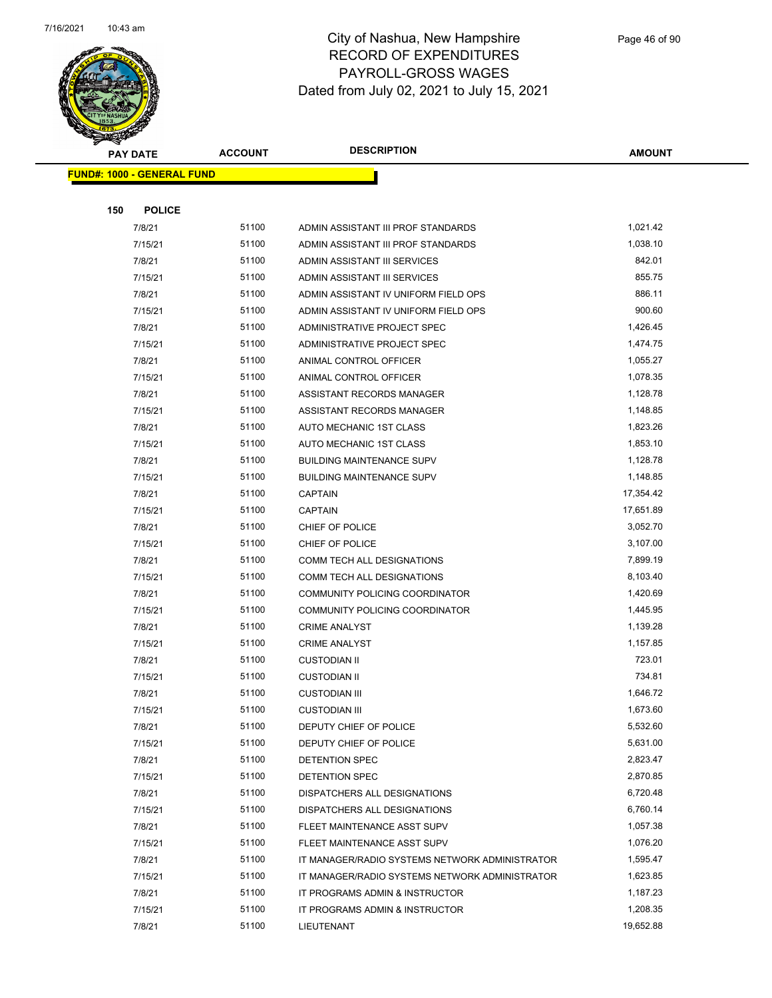

|     | <b>PAY DATE</b>                   | <b>ACCOUNT</b> | <b>DESCRIPTION</b>                             | <b>AMOUNT</b> |  |
|-----|-----------------------------------|----------------|------------------------------------------------|---------------|--|
|     | <b>FUND#: 1000 - GENERAL FUND</b> |                |                                                |               |  |
|     |                                   |                |                                                |               |  |
| 150 | <b>POLICE</b>                     |                |                                                |               |  |
|     | 7/8/21                            | 51100          | ADMIN ASSISTANT III PROF STANDARDS             | 1,021.42      |  |
|     | 7/15/21                           | 51100          | ADMIN ASSISTANT III PROF STANDARDS             | 1,038.10      |  |
|     | 7/8/21                            | 51100          | ADMIN ASSISTANT III SERVICES                   | 842.01        |  |
|     | 7/15/21                           | 51100          | ADMIN ASSISTANT III SERVICES                   | 855.75        |  |
|     | 7/8/21                            | 51100          | ADMIN ASSISTANT IV UNIFORM FIELD OPS           | 886.11        |  |
|     | 7/15/21                           | 51100          | ADMIN ASSISTANT IV UNIFORM FIELD OPS           | 900.60        |  |
|     | 7/8/21                            | 51100          | ADMINISTRATIVE PROJECT SPEC                    | 1,426.45      |  |
|     | 7/15/21                           | 51100          | ADMINISTRATIVE PROJECT SPEC                    | 1,474.75      |  |
|     | 7/8/21                            | 51100          | ANIMAL CONTROL OFFICER                         | 1,055.27      |  |
|     | 7/15/21                           | 51100          | ANIMAL CONTROL OFFICER                         | 1,078.35      |  |
|     | 7/8/21                            | 51100          | ASSISTANT RECORDS MANAGER                      | 1,128.78      |  |
|     | 7/15/21                           | 51100          | ASSISTANT RECORDS MANAGER                      | 1,148.85      |  |
|     | 7/8/21                            | 51100          | AUTO MECHANIC 1ST CLASS                        | 1,823.26      |  |
|     | 7/15/21                           | 51100          | AUTO MECHANIC 1ST CLASS                        | 1,853.10      |  |
|     | 7/8/21                            | 51100          | <b>BUILDING MAINTENANCE SUPV</b>               | 1,128.78      |  |
|     | 7/15/21                           | 51100          | <b>BUILDING MAINTENANCE SUPV</b>               | 1,148.85      |  |
|     | 7/8/21                            | 51100          | <b>CAPTAIN</b>                                 | 17,354.42     |  |
|     | 7/15/21                           | 51100          | <b>CAPTAIN</b>                                 | 17,651.89     |  |
|     | 7/8/21                            | 51100          | CHIEF OF POLICE                                | 3,052.70      |  |
|     | 7/15/21                           | 51100          | CHIEF OF POLICE                                | 3,107.00      |  |
|     | 7/8/21                            | 51100          | COMM TECH ALL DESIGNATIONS                     | 7,899.19      |  |
|     | 7/15/21                           | 51100          | COMM TECH ALL DESIGNATIONS                     | 8,103.40      |  |
|     | 7/8/21                            | 51100          | COMMUNITY POLICING COORDINATOR                 | 1,420.69      |  |
|     | 7/15/21                           | 51100          | COMMUNITY POLICING COORDINATOR                 | 1,445.95      |  |
|     | 7/8/21                            | 51100          | <b>CRIME ANALYST</b>                           | 1,139.28      |  |
|     | 7/15/21                           | 51100          | <b>CRIME ANALYST</b>                           | 1,157.85      |  |
|     | 7/8/21                            | 51100          | <b>CUSTODIAN II</b>                            | 723.01        |  |
|     | 7/15/21                           | 51100          | <b>CUSTODIAN II</b>                            | 734.81        |  |
|     | 7/8/21                            | 51100          | <b>CUSTODIAN III</b>                           | 1,646.72      |  |
|     | 7/15/21                           | 51100          | <b>CUSTODIAN III</b>                           | 1,673.60      |  |
|     | 7/8/21                            | 51100          | DEPUTY CHIEF OF POLICE                         | 5,532.60      |  |
|     | 7/15/21                           | 51100          | DEPUTY CHIEF OF POLICE                         | 5,631.00      |  |
|     | 7/8/21                            | 51100          | DETENTION SPEC                                 | 2,823.47      |  |
|     | 7/15/21                           | 51100          | DETENTION SPEC                                 | 2,870.85      |  |
|     | 7/8/21                            | 51100          | DISPATCHERS ALL DESIGNATIONS                   | 6,720.48      |  |
|     | 7/15/21                           | 51100          | DISPATCHERS ALL DESIGNATIONS                   | 6,760.14      |  |
|     | 7/8/21                            | 51100          | FLEET MAINTENANCE ASST SUPV                    | 1,057.38      |  |
|     | 7/15/21                           | 51100          | FLEET MAINTENANCE ASST SUPV                    | 1,076.20      |  |
|     | 7/8/21                            | 51100          | IT MANAGER/RADIO SYSTEMS NETWORK ADMINISTRATOR | 1,595.47      |  |
|     | 7/15/21                           | 51100          | IT MANAGER/RADIO SYSTEMS NETWORK ADMINISTRATOR | 1,623.85      |  |
|     | 7/8/21                            | 51100          | IT PROGRAMS ADMIN & INSTRUCTOR                 | 1,187.23      |  |
|     | 7/15/21                           | 51100          | IT PROGRAMS ADMIN & INSTRUCTOR                 | 1,208.35      |  |
|     | 7/8/21                            | 51100          | LIEUTENANT                                     | 19,652.88     |  |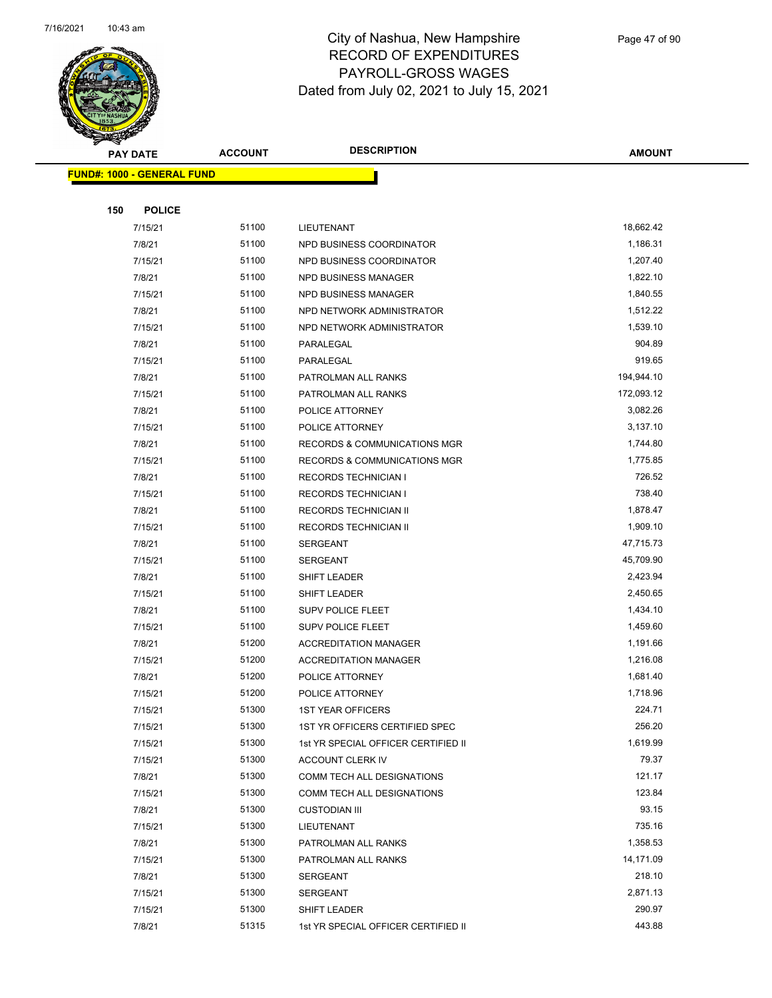

|     | <b>PAY DATE</b>                   | <b>ACCOUNT</b> | <b>DESCRIPTION</b>                                 | <b>AMOUNT</b>      |
|-----|-----------------------------------|----------------|----------------------------------------------------|--------------------|
|     | <b>FUND#: 1000 - GENERAL FUND</b> |                |                                                    |                    |
|     |                                   |                |                                                    |                    |
| 150 | <b>POLICE</b>                     |                |                                                    |                    |
|     | 7/15/21                           | 51100          | LIEUTENANT                                         | 18,662.42          |
|     | 7/8/21                            | 51100          | NPD BUSINESS COORDINATOR                           | 1,186.31           |
|     | 7/15/21                           | 51100          | NPD BUSINESS COORDINATOR                           | 1,207.40           |
|     | 7/8/21                            | 51100          | NPD BUSINESS MANAGER                               | 1,822.10           |
|     | 7/15/21                           | 51100          | NPD BUSINESS MANAGER                               | 1,840.55           |
|     | 7/8/21                            | 51100          | NPD NETWORK ADMINISTRATOR                          | 1,512.22           |
|     | 7/15/21                           | 51100          | NPD NETWORK ADMINISTRATOR                          | 1,539.10           |
|     | 7/8/21                            | 51100          | PARALEGAL                                          | 904.89             |
|     | 7/15/21                           | 51100          | PARALEGAL                                          | 919.65             |
|     | 7/8/21                            | 51100          | PATROLMAN ALL RANKS                                | 194,944.10         |
|     | 7/15/21                           | 51100          | PATROLMAN ALL RANKS                                | 172,093.12         |
|     | 7/8/21                            | 51100          | POLICE ATTORNEY                                    | 3,082.26           |
|     | 7/15/21                           | 51100          | POLICE ATTORNEY                                    | 3,137.10           |
|     | 7/8/21                            | 51100          | RECORDS & COMMUNICATIONS MGR                       | 1,744.80           |
|     | 7/15/21                           | 51100          | <b>RECORDS &amp; COMMUNICATIONS MGR</b>            | 1,775.85           |
|     | 7/8/21                            | 51100          | <b>RECORDS TECHNICIAN I</b>                        | 726.52             |
|     | 7/15/21                           | 51100          | <b>RECORDS TECHNICIAN I</b>                        | 738.40             |
|     | 7/8/21                            | 51100          | RECORDS TECHNICIAN II                              | 1,878.47           |
|     | 7/15/21                           | 51100          | RECORDS TECHNICIAN II                              | 1,909.10           |
|     | 7/8/21                            | 51100          | <b>SERGEANT</b>                                    | 47,715.73          |
|     | 7/15/21                           | 51100          | <b>SERGEANT</b>                                    | 45,709.90          |
|     | 7/8/21                            | 51100          | SHIFT LEADER                                       | 2,423.94           |
|     | 7/15/21                           | 51100          | SHIFT LEADER                                       | 2,450.65           |
|     | 7/8/21                            | 51100          | <b>SUPV POLICE FLEET</b>                           | 1,434.10           |
|     | 7/15/21                           | 51100          | SUPV POLICE FLEET                                  | 1,459.60           |
|     | 7/8/21                            | 51200          | <b>ACCREDITATION MANAGER</b>                       | 1,191.66           |
|     | 7/15/21                           | 51200          | <b>ACCREDITATION MANAGER</b>                       | 1,216.08           |
|     | 7/8/21                            | 51200          | POLICE ATTORNEY                                    | 1,681.40           |
|     | 7/15/21                           | 51200          | POLICE ATTORNEY                                    | 1,718.96           |
|     | 7/15/21                           | 51300          | <b>1ST YEAR OFFICERS</b>                           | 224.71             |
|     | 7/15/21                           | 51300          | 1ST YR OFFICERS CERTIFIED SPEC                     | 256.20<br>1,619.99 |
|     | 7/15/21                           | 51300          | 1st YR SPECIAL OFFICER CERTIFIED II                | 79.37              |
|     | 7/15/21<br>7/8/21                 | 51300<br>51300 | ACCOUNT CLERK IV                                   | 121.17             |
|     |                                   | 51300          | COMM TECH ALL DESIGNATIONS                         | 123.84             |
|     | 7/15/21<br>7/8/21                 | 51300          | COMM TECH ALL DESIGNATIONS<br><b>CUSTODIAN III</b> | 93.15              |
|     | 7/15/21                           | 51300          | LIEUTENANT                                         | 735.16             |
|     | 7/8/21                            | 51300          | PATROLMAN ALL RANKS                                | 1,358.53           |
|     | 7/15/21                           | 51300          | PATROLMAN ALL RANKS                                | 14,171.09          |
|     | 7/8/21                            | 51300          | SERGEANT                                           | 218.10             |
|     | 7/15/21                           | 51300          | SERGEANT                                           | 2,871.13           |
|     | 7/15/21                           | 51300          | SHIFT LEADER                                       | 290.97             |
|     | 7/8/21                            | 51315          | 1st YR SPECIAL OFFICER CERTIFIED II                | 443.88             |
|     |                                   |                |                                                    |                    |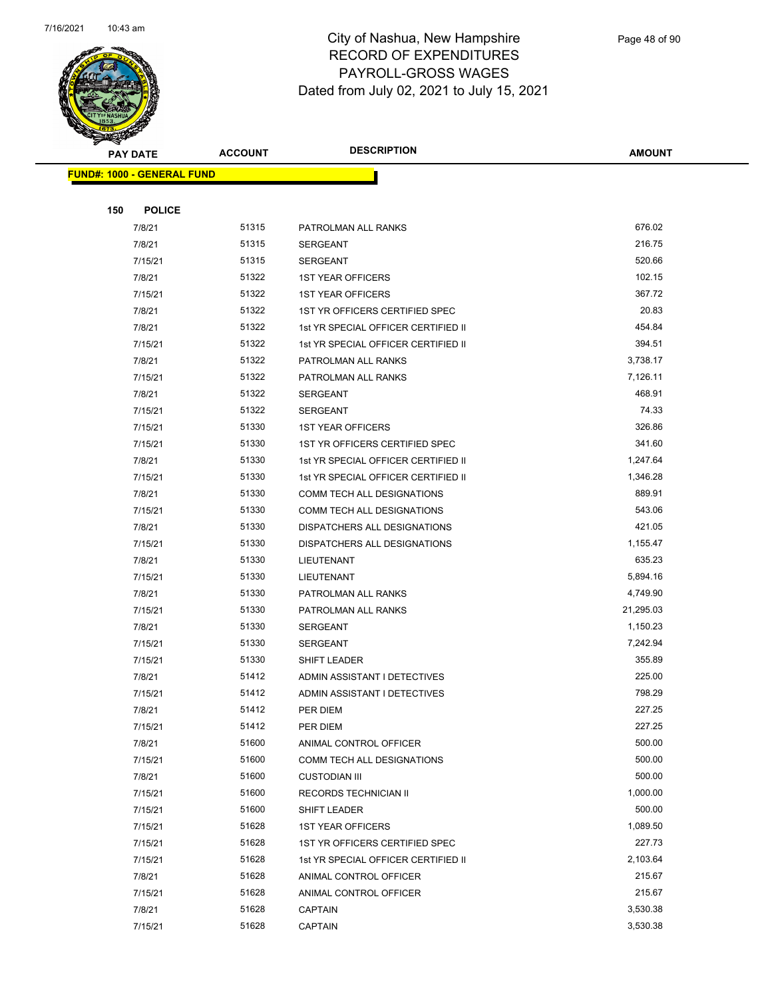

| <b>PAY DATE</b>                   | <b>ACCOUNT</b> | <b>DESCRIPTION</b>                  | <b>AMOUNT</b> |
|-----------------------------------|----------------|-------------------------------------|---------------|
| <b>FUND#: 1000 - GENERAL FUND</b> |                |                                     |               |
|                                   |                |                                     |               |
| 150<br><b>POLICE</b>              |                |                                     |               |
| 7/8/21                            | 51315          | PATROLMAN ALL RANKS                 | 676.02        |
| 7/8/21                            | 51315          | <b>SERGEANT</b>                     | 216.75        |
| 7/15/21                           | 51315          | <b>SERGEANT</b>                     | 520.66        |
| 7/8/21                            | 51322          | <b>1ST YEAR OFFICERS</b>            | 102.15        |
| 7/15/21                           | 51322          | <b>1ST YEAR OFFICERS</b>            | 367.72        |
| 7/8/21                            | 51322          | 1ST YR OFFICERS CERTIFIED SPEC      | 20.83         |
| 7/8/21                            | 51322          | 1st YR SPECIAL OFFICER CERTIFIED II | 454.84        |
| 7/15/21                           | 51322          | 1st YR SPECIAL OFFICER CERTIFIED II | 394.51        |
| 7/8/21                            | 51322          | PATROLMAN ALL RANKS                 | 3,738.17      |
| 7/15/21                           | 51322          | PATROLMAN ALL RANKS                 | 7,126.11      |
| 7/8/21                            | 51322          | <b>SERGEANT</b>                     | 468.91        |
| 7/15/21                           | 51322          | SERGEANT                            | 74.33         |
| 7/15/21                           | 51330          | <b>1ST YEAR OFFICERS</b>            | 326.86        |
| 7/15/21                           | 51330          | 1ST YR OFFICERS CERTIFIED SPEC      | 341.60        |
| 7/8/21                            | 51330          | 1st YR SPECIAL OFFICER CERTIFIED II | 1,247.64      |
| 7/15/21                           | 51330          | 1st YR SPECIAL OFFICER CERTIFIED II | 1,346.28      |
| 7/8/21                            | 51330          | COMM TECH ALL DESIGNATIONS          | 889.91        |
| 7/15/21                           | 51330          | COMM TECH ALL DESIGNATIONS          | 543.06        |
| 7/8/21                            | 51330          | DISPATCHERS ALL DESIGNATIONS        | 421.05        |
| 7/15/21                           | 51330          | DISPATCHERS ALL DESIGNATIONS        | 1,155.47      |
| 7/8/21                            | 51330          | <b>LIEUTENANT</b>                   | 635.23        |
| 7/15/21                           | 51330          | <b>LIEUTENANT</b>                   | 5,894.16      |
| 7/8/21                            | 51330          | PATROLMAN ALL RANKS                 | 4,749.90      |
| 7/15/21                           | 51330          | PATROLMAN ALL RANKS                 | 21,295.03     |
| 7/8/21                            | 51330          | SERGEANT                            | 1,150.23      |
| 7/15/21                           | 51330          | SERGEANT                            | 7,242.94      |
| 7/15/21                           | 51330          | SHIFT LEADER                        | 355.89        |
| 7/8/21                            | 51412          | ADMIN ASSISTANT I DETECTIVES        | 225.00        |
| 7/15/21                           | 51412          | ADMIN ASSISTANT I DETECTIVES        | 798.29        |
| 7/8/21                            | 51412          | PER DIEM                            | 227.25        |
| 7/15/21                           | 51412          | PER DIEM                            | 227.25        |
| 7/8/21                            | 51600          | ANIMAL CONTROL OFFICER              | 500.00        |
| 7/15/21                           | 51600          | <b>COMM TECH ALL DESIGNATIONS</b>   | 500.00        |
| 7/8/21                            | 51600          | <b>CUSTODIAN III</b>                | 500.00        |
| 7/15/21                           | 51600          | RECORDS TECHNICIAN II               | 1,000.00      |
| 7/15/21                           | 51600          | SHIFT LEADER                        | 500.00        |
| 7/15/21                           | 51628          | <b>1ST YEAR OFFICERS</b>            | 1,089.50      |
| 7/15/21                           | 51628          | 1ST YR OFFICERS CERTIFIED SPEC      | 227.73        |
| 7/15/21                           | 51628          | 1st YR SPECIAL OFFICER CERTIFIED II | 2,103.64      |
| 7/8/21                            | 51628          | ANIMAL CONTROL OFFICER              | 215.67        |
| 7/15/21                           | 51628          | ANIMAL CONTROL OFFICER              | 215.67        |
| 7/8/21                            | 51628          | <b>CAPTAIN</b>                      | 3,530.38      |
| 7/15/21                           | 51628          | <b>CAPTAIN</b>                      | 3,530.38      |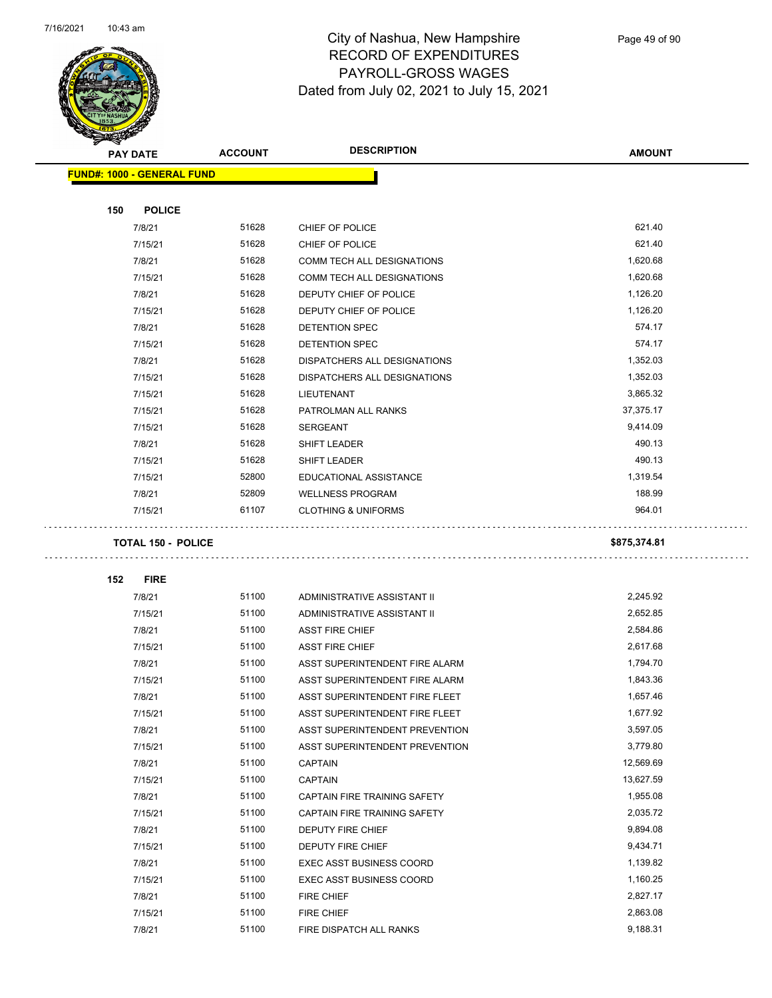

Page 49 of 90

| <b>STARBURGEN</b>                 |                           |                                 |               |
|-----------------------------------|---------------------------|---------------------------------|---------------|
| <b>PAY DATE</b>                   | <b>ACCOUNT</b>            | <b>DESCRIPTION</b>              | <b>AMOUNT</b> |
| <b>FUND#: 1000 - GENERAL FUND</b> |                           |                                 |               |
|                                   |                           |                                 |               |
| 150                               | <b>POLICE</b>             |                                 |               |
| 7/8/21                            | 51628                     | CHIEF OF POLICE                 | 621.40        |
| 7/15/21                           | 51628                     | CHIEF OF POLICE                 | 621.40        |
| 7/8/21                            | 51628                     | COMM TECH ALL DESIGNATIONS      | 1,620.68      |
| 7/15/21                           | 51628                     | COMM TECH ALL DESIGNATIONS      | 1,620.68      |
| 7/8/21                            | 51628                     | DEPUTY CHIEF OF POLICE          | 1,126.20      |
| 7/15/21                           | 51628                     | DEPUTY CHIEF OF POLICE          | 1,126.20      |
| 7/8/21                            | 51628                     | DETENTION SPEC                  | 574.17        |
| 7/15/21                           | 51628                     | DETENTION SPEC                  | 574.17        |
| 7/8/21                            | 51628                     | DISPATCHERS ALL DESIGNATIONS    | 1,352.03      |
| 7/15/21                           | 51628                     | DISPATCHERS ALL DESIGNATIONS    | 1,352.03      |
| 7/15/21                           | 51628                     | LIEUTENANT                      | 3,865.32      |
| 7/15/21                           | 51628                     | PATROLMAN ALL RANKS             | 37,375.17     |
| 7/15/21                           | 51628                     | <b>SERGEANT</b>                 | 9,414.09      |
| 7/8/21                            | 51628                     | <b>SHIFT LEADER</b>             | 490.13        |
| 7/15/21                           | 51628                     | <b>SHIFT LEADER</b>             | 490.13        |
| 7/15/21                           | 52800                     | EDUCATIONAL ASSISTANCE          | 1,319.54      |
| 7/8/21                            | 52809                     | <b>WELLNESS PROGRAM</b>         | 188.99        |
| 7/15/21                           | 61107                     | <b>CLOTHING &amp; UNIFORMS</b>  | 964.01        |
|                                   | <b>TOTAL 150 - POLICE</b> |                                 | \$875,374.81  |
| 152<br><b>FIRE</b>                |                           |                                 |               |
| 7/8/21                            | 51100                     | ADMINISTRATIVE ASSISTANT II     | 2,245.92      |
| 7/15/21                           | 51100                     | ADMINISTRATIVE ASSISTANT II     | 2,652.85      |
| 7/8/21                            | 51100                     | <b>ASST FIRE CHIEF</b>          | 2,584.86      |
| 7/15/21                           | 51100                     | <b>ASST FIRE CHIEF</b>          | 2,617.68      |
| 7/8/21                            | 51100                     | ASST SUPERINTENDENT FIRE ALARM  | 1,794.70      |
| 7/15/21                           | 51100                     | ASST SUPERINTENDENT FIRE ALARM  | 1,843.36      |
| 7/8/21                            | 51100                     | ASST SUPERINTENDENT FIRE FLEET  | 1,657.46      |
| 7/15/21                           | 51100                     | ASST SUPERINTENDENT FIRE FLEET  | 1,677.92      |
| 7/8/21                            | 51100                     | ASST SUPERINTENDENT PREVENTION  | 3,597.05      |
| 7/15/21                           | 51100                     | ASST SUPERINTENDENT PREVENTION  | 3,779.80      |
| 7/8/21                            | 51100                     | <b>CAPTAIN</b>                  | 12,569.69     |
| 7/15/21                           | 51100                     | <b>CAPTAIN</b>                  | 13,627.59     |
| 7/8/21                            | 51100                     | CAPTAIN FIRE TRAINING SAFETY    | 1,955.08      |
| 7/15/21                           | 51100                     | CAPTAIN FIRE TRAINING SAFETY    | 2,035.72      |
| 7/8/21                            | 51100                     | DEPUTY FIRE CHIEF               | 9,894.08      |
| 7/15/21                           | 51100                     | DEPUTY FIRE CHIEF               | 9,434.71      |
| 7/8/21                            | 51100                     | <b>EXEC ASST BUSINESS COORD</b> | 1,139.82      |
| 7/15/21                           | 51100                     | <b>EXEC ASST BUSINESS COORD</b> | 1,160.25      |
| 7/8/21                            | 51100                     | FIRE CHIEF                      | 2,827.17      |
| 7/15/21                           | 51100                     | FIRE CHIEF                      | 2,863.08      |
| 7/8/21                            | 51100                     | FIRE DISPATCH ALL RANKS         | 9,188.31      |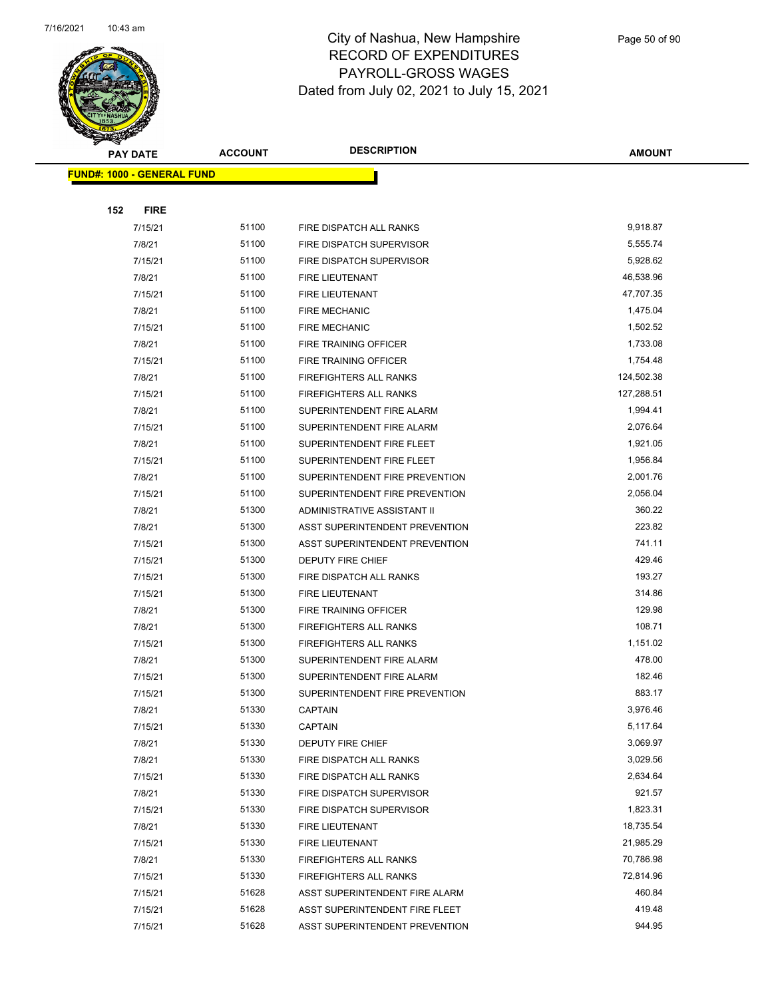

|     | <b>PAY DATE</b>                    | <b>ACCOUNT</b> | <b>DESCRIPTION</b>             | <b>AMOUNT</b> |
|-----|------------------------------------|----------------|--------------------------------|---------------|
|     | <u> FUND#: 1000 - GENERAL FUND</u> |                |                                |               |
|     |                                    |                |                                |               |
| 152 | <b>FIRE</b>                        |                |                                |               |
|     | 7/15/21                            | 51100          | FIRE DISPATCH ALL RANKS        | 9,918.87      |
|     | 7/8/21                             | 51100          | FIRE DISPATCH SUPERVISOR       | 5,555.74      |
|     | 7/15/21                            | 51100          | FIRE DISPATCH SUPERVISOR       | 5,928.62      |
|     | 7/8/21                             | 51100          | FIRE LIEUTENANT                | 46,538.96     |
|     | 7/15/21                            | 51100          | FIRE LIEUTENANT                | 47,707.35     |
|     | 7/8/21                             | 51100          | <b>FIRE MECHANIC</b>           | 1,475.04      |
|     | 7/15/21                            | 51100          | <b>FIRE MECHANIC</b>           | 1,502.52      |
|     | 7/8/21                             | 51100          | FIRE TRAINING OFFICER          | 1,733.08      |
|     | 7/15/21                            | 51100          | FIRE TRAINING OFFICER          | 1,754.48      |
|     | 7/8/21                             | 51100          | <b>FIREFIGHTERS ALL RANKS</b>  | 124,502.38    |
|     | 7/15/21                            | 51100          | FIREFIGHTERS ALL RANKS         | 127,288.51    |
|     | 7/8/21                             | 51100          | SUPERINTENDENT FIRE ALARM      | 1,994.41      |
|     | 7/15/21                            | 51100          | SUPERINTENDENT FIRE ALARM      | 2,076.64      |
|     | 7/8/21                             | 51100          | SUPERINTENDENT FIRE FLEET      | 1,921.05      |
|     | 7/15/21                            | 51100          | SUPERINTENDENT FIRE FLEET      | 1,956.84      |
|     | 7/8/21                             | 51100          | SUPERINTENDENT FIRE PREVENTION | 2,001.76      |
|     | 7/15/21                            | 51100          | SUPERINTENDENT FIRE PREVENTION | 2,056.04      |
|     | 7/8/21                             | 51300          | ADMINISTRATIVE ASSISTANT II    | 360.22        |
|     | 7/8/21                             | 51300          | ASST SUPERINTENDENT PREVENTION | 223.82        |
|     | 7/15/21                            | 51300          | ASST SUPERINTENDENT PREVENTION | 741.11        |
|     | 7/15/21                            | 51300          | DEPUTY FIRE CHIEF              | 429.46        |
|     | 7/15/21                            | 51300          | FIRE DISPATCH ALL RANKS        | 193.27        |
|     | 7/15/21                            | 51300          | <b>FIRE LIEUTENANT</b>         | 314.86        |
|     | 7/8/21                             | 51300          | FIRE TRAINING OFFICER          | 129.98        |
|     | 7/8/21                             | 51300          | <b>FIREFIGHTERS ALL RANKS</b>  | 108.71        |
|     | 7/15/21                            | 51300          | FIREFIGHTERS ALL RANKS         | 1,151.02      |
|     | 7/8/21                             | 51300          | SUPERINTENDENT FIRE ALARM      | 478.00        |
|     | 7/15/21                            | 51300          | SUPERINTENDENT FIRE ALARM      | 182.46        |
|     | 7/15/21                            | 51300          | SUPERINTENDENT FIRE PREVENTION | 883.17        |
|     | 7/8/21                             | 51330          | <b>CAPTAIN</b>                 | 3,976.46      |
|     | 7/15/21                            | 51330          | <b>CAPTAIN</b>                 | 5,117.64      |
|     | 7/8/21                             | 51330          | DEPUTY FIRE CHIEF              | 3,069.97      |
|     | 7/8/21                             | 51330          | FIRE DISPATCH ALL RANKS        | 3,029.56      |
|     | 7/15/21                            | 51330          | FIRE DISPATCH ALL RANKS        | 2,634.64      |
|     | 7/8/21                             | 51330          | FIRE DISPATCH SUPERVISOR       | 921.57        |
|     | 7/15/21                            | 51330          | FIRE DISPATCH SUPERVISOR       | 1,823.31      |
|     | 7/8/21                             | 51330          | FIRE LIEUTENANT                | 18,735.54     |
|     | 7/15/21                            | 51330          | FIRE LIEUTENANT                | 21,985.29     |
|     | 7/8/21                             | 51330          | FIREFIGHTERS ALL RANKS         | 70,786.98     |
|     | 7/15/21                            | 51330          | FIREFIGHTERS ALL RANKS         | 72,814.96     |
|     | 7/15/21                            | 51628          | ASST SUPERINTENDENT FIRE ALARM | 460.84        |
|     | 7/15/21                            | 51628          | ASST SUPERINTENDENT FIRE FLEET | 419.48        |
|     | 7/15/21                            | 51628          | ASST SUPERINTENDENT PREVENTION | 944.95        |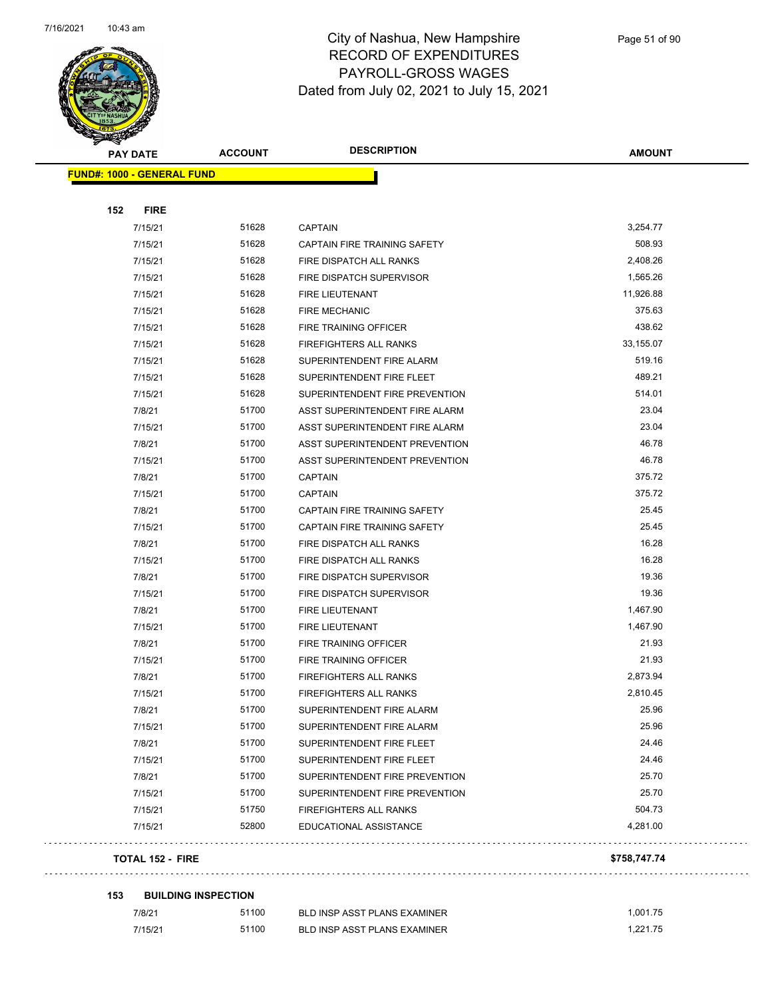

| <b>PAY DATE</b>                   | <b>ACCOUNT</b>          | <b>DESCRIPTION</b>             | <b>AMOUNT</b> |
|-----------------------------------|-------------------------|--------------------------------|---------------|
| <b>FUND#: 1000 - GENERAL FUND</b> |                         |                                |               |
|                                   |                         |                                |               |
| 152<br><b>FIRE</b>                |                         |                                |               |
| 7/15/21                           | 51628                   | <b>CAPTAIN</b>                 | 3,254.77      |
| 7/15/21                           | 51628                   | CAPTAIN FIRE TRAINING SAFETY   | 508.93        |
| 7/15/21                           | 51628                   | FIRE DISPATCH ALL RANKS        | 2,408.26      |
| 7/15/21                           | 51628                   | FIRE DISPATCH SUPERVISOR       | 1,565.26      |
| 7/15/21                           | 51628                   | FIRE LIEUTENANT                | 11,926.88     |
| 7/15/21                           | 51628                   | <b>FIRE MECHANIC</b>           | 375.63        |
| 7/15/21                           | 51628                   | FIRE TRAINING OFFICER          | 438.62        |
| 7/15/21                           | 51628                   | <b>FIREFIGHTERS ALL RANKS</b>  | 33,155.07     |
| 7/15/21                           | 51628                   | SUPERINTENDENT FIRE ALARM      | 519.16        |
| 7/15/21                           | 51628                   | SUPERINTENDENT FIRE FLEET      | 489.21        |
| 7/15/21                           | 51628                   | SUPERINTENDENT FIRE PREVENTION | 514.01        |
| 7/8/21                            | 51700                   | ASST SUPERINTENDENT FIRE ALARM | 23.04         |
| 7/15/21                           | 51700                   | ASST SUPERINTENDENT FIRE ALARM | 23.04         |
| 7/8/21                            | 51700                   | ASST SUPERINTENDENT PREVENTION | 46.78         |
| 7/15/21                           | 51700                   | ASST SUPERINTENDENT PREVENTION | 46.78         |
| 7/8/21                            | 51700                   | <b>CAPTAIN</b>                 | 375.72        |
| 7/15/21                           | 51700                   | <b>CAPTAIN</b>                 | 375.72        |
| 7/8/21                            | 51700                   | CAPTAIN FIRE TRAINING SAFETY   | 25.45         |
| 7/15/21                           | 51700                   | CAPTAIN FIRE TRAINING SAFETY   | 25.45         |
| 7/8/21                            | 51700                   | FIRE DISPATCH ALL RANKS        | 16.28         |
| 7/15/21                           | 51700                   | FIRE DISPATCH ALL RANKS        | 16.28         |
| 7/8/21                            | 51700                   | FIRE DISPATCH SUPERVISOR       | 19.36         |
| 7/15/21                           | 51700                   | FIRE DISPATCH SUPERVISOR       | 19.36         |
| 7/8/21                            | 51700                   | FIRE LIEUTENANT                | 1,467.90      |
| 7/15/21                           | 51700                   | FIRE LIEUTENANT                | 1,467.90      |
| 7/8/21                            | 51700                   | FIRE TRAINING OFFICER          | 21.93         |
| 7/15/21                           | 51700                   | FIRE TRAINING OFFICER          | 21.93         |
| 7/8/21                            | 51700                   | <b>FIREFIGHTERS ALL RANKS</b>  | 2,873.94      |
| 7/15/21                           | 51700                   | FIREFIGHTERS ALL RANKS         | 2,810.45      |
| 7/8/21                            | 51700                   | SUPERINTENDENT FIRE ALARM      | 25.96         |
| 7/15/21                           | 51700                   | SUPERINTENDENT FIRE ALARM      | 25.96         |
| 7/8/21                            | 51700                   | SUPERINTENDENT FIRE FLEET      | 24.46         |
| 7/15/21                           | 51700                   | SUPERINTENDENT FIRE FLEET      | 24.46         |
| 7/8/21                            | 51700                   | SUPERINTENDENT FIRE PREVENTION | 25.70         |
| 7/15/21                           | 51700                   | SUPERINTENDENT FIRE PREVENTION | 25.70         |
| 7/15/21                           | 51750                   | <b>FIREFIGHTERS ALL RANKS</b>  | 504.73        |
| 7/15/21                           | 52800                   | EDUCATIONAL ASSISTANCE         | 4,281.00      |
|                                   | <b>TOTAL 152 - FIRE</b> |                                | \$758,747.74  |

#### **153 BUILDING INSPECTION**

| 7/8/21  | 51100 | <b>BLD INSP ASST PLANS EXAMINER</b> | .001.75  |
|---------|-------|-------------------------------------|----------|
| 7/15/21 | 51100 | BLD INSP ASST PLANS EXAMINER        | 1.221.75 |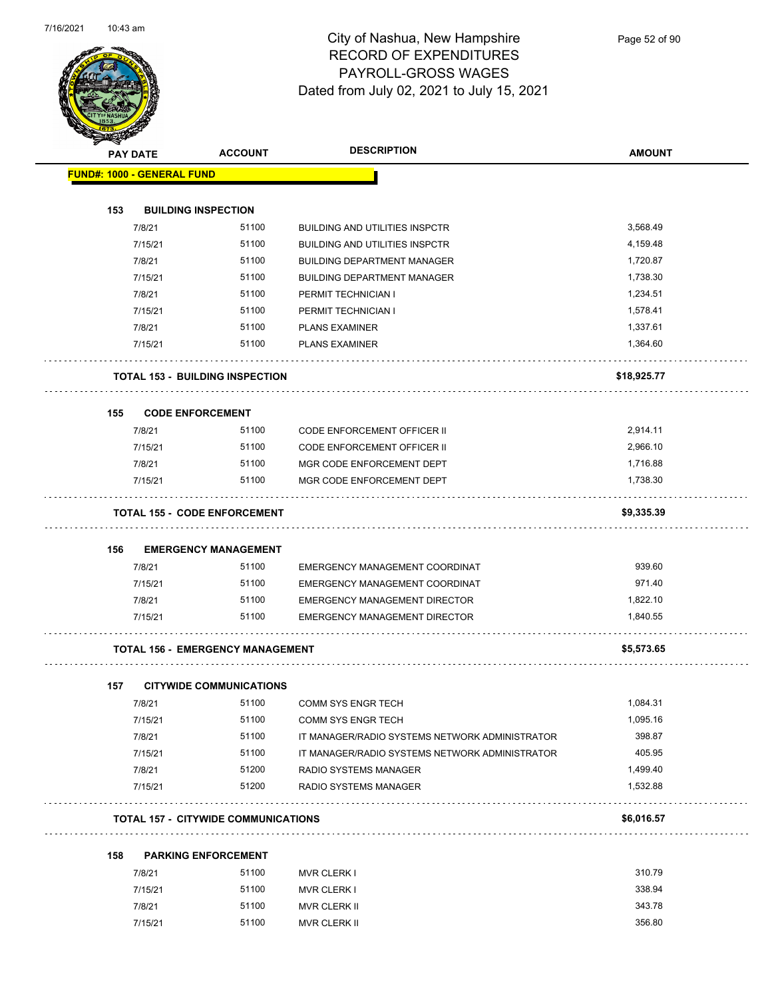

Page 52 of 90

|     | <b>THE COLUMN STATE</b>           |                                            |                                                |                      |
|-----|-----------------------------------|--------------------------------------------|------------------------------------------------|----------------------|
|     | <b>PAY DATE</b>                   | <b>ACCOUNT</b>                             | <b>DESCRIPTION</b>                             | <b>AMOUNT</b>        |
|     | <b>FUND#: 1000 - GENERAL FUND</b> |                                            |                                                |                      |
|     |                                   |                                            |                                                |                      |
| 153 | <b>BUILDING INSPECTION</b>        |                                            |                                                |                      |
|     | 7/8/21                            | 51100                                      | <b>BUILDING AND UTILITIES INSPCTR</b>          | 3,568.49             |
|     | 7/15/21                           | 51100                                      | <b>BUILDING AND UTILITIES INSPCTR</b>          | 4,159.48             |
|     | 7/8/21                            | 51100                                      | <b>BUILDING DEPARTMENT MANAGER</b>             | 1,720.87             |
|     | 7/15/21                           | 51100                                      | <b>BUILDING DEPARTMENT MANAGER</b>             | 1,738.30             |
|     | 7/8/21                            | 51100                                      | PERMIT TECHNICIAN I                            | 1,234.51             |
|     | 7/15/21                           | 51100                                      | PERMIT TECHNICIAN I                            | 1,578.41             |
|     | 7/8/21                            | 51100                                      | <b>PLANS EXAMINER</b>                          | 1,337.61             |
|     | 7/15/21                           | 51100                                      | <b>PLANS EXAMINER</b>                          | 1,364.60             |
|     |                                   | <b>TOTAL 153 - BUILDING INSPECTION</b>     |                                                | \$18,925.77          |
|     |                                   |                                            |                                                |                      |
| 155 | <b>CODE ENFORCEMENT</b>           |                                            |                                                |                      |
|     | 7/8/21                            | 51100                                      | <b>CODE ENFORCEMENT OFFICER II</b>             | 2,914.11             |
|     | 7/15/21                           | 51100                                      | CODE ENFORCEMENT OFFICER II                    | 2,966.10             |
|     | 7/8/21                            | 51100                                      | MGR CODE ENFORCEMENT DEPT                      | 1,716.88             |
|     | 7/15/21                           | 51100                                      | MGR CODE ENFORCEMENT DEPT                      | 1,738.30             |
|     |                                   | <b>TOTAL 155 - CODE ENFORCEMENT</b>        |                                                | \$9,335.39           |
| 156 |                                   | <b>EMERGENCY MANAGEMENT</b>                |                                                |                      |
|     | 7/8/21                            | 51100                                      | EMERGENCY MANAGEMENT COORDINAT                 | 939.60               |
|     | 7/15/21                           | 51100                                      | EMERGENCY MANAGEMENT COORDINAT                 | 971.40               |
|     | 7/8/21                            | 51100                                      | <b>EMERGENCY MANAGEMENT DIRECTOR</b>           | 1,822.10             |
|     | 7/15/21                           | 51100                                      | EMERGENCY MANAGEMENT DIRECTOR                  | 1,840.55             |
|     |                                   | <b>TOTAL 156 - EMERGENCY MANAGEMENT</b>    |                                                | \$5,573.65           |
|     |                                   |                                            |                                                |                      |
| 157 |                                   | <b>CITYWIDE COMMUNICATIONS</b>             |                                                |                      |
|     | 7/8/21                            | 51100                                      | COMM SYS ENGR TECH                             | 1,084.31<br>1,095.16 |
|     | 7/15/21                           | 51100                                      | <b>COMM SYS ENGR TECH</b>                      |                      |
|     | 7/8/21                            | 51100                                      | IT MANAGER/RADIO SYSTEMS NETWORK ADMINISTRATOR | 398.87               |
|     | 7/15/21                           | 51100                                      | IT MANAGER/RADIO SYSTEMS NETWORK ADMINISTRATOR | 405.95               |
|     | 7/8/21                            | 51200                                      | RADIO SYSTEMS MANAGER                          | 1,499.40             |
|     | 7/15/21                           | 51200                                      | RADIO SYSTEMS MANAGER                          | 1,532.88             |
|     |                                   | <b>TOTAL 157 - CITYWIDE COMMUNICATIONS</b> |                                                | \$6,016.57           |
| 158 |                                   | <b>PARKING ENFORCEMENT</b>                 |                                                |                      |
|     | 7/8/21                            | 51100                                      | <b>MVR CLERK I</b>                             | 310.79               |
|     | 7/15/21                           | 51100                                      | <b>MVR CLERK I</b>                             | 338.94               |
|     |                                   | 51100                                      |                                                | 343.78               |
|     | 7/8/21                            |                                            | MVR CLERK II                                   | 356.80               |
|     | 7/15/21                           | 51100                                      | MVR CLERK II                                   |                      |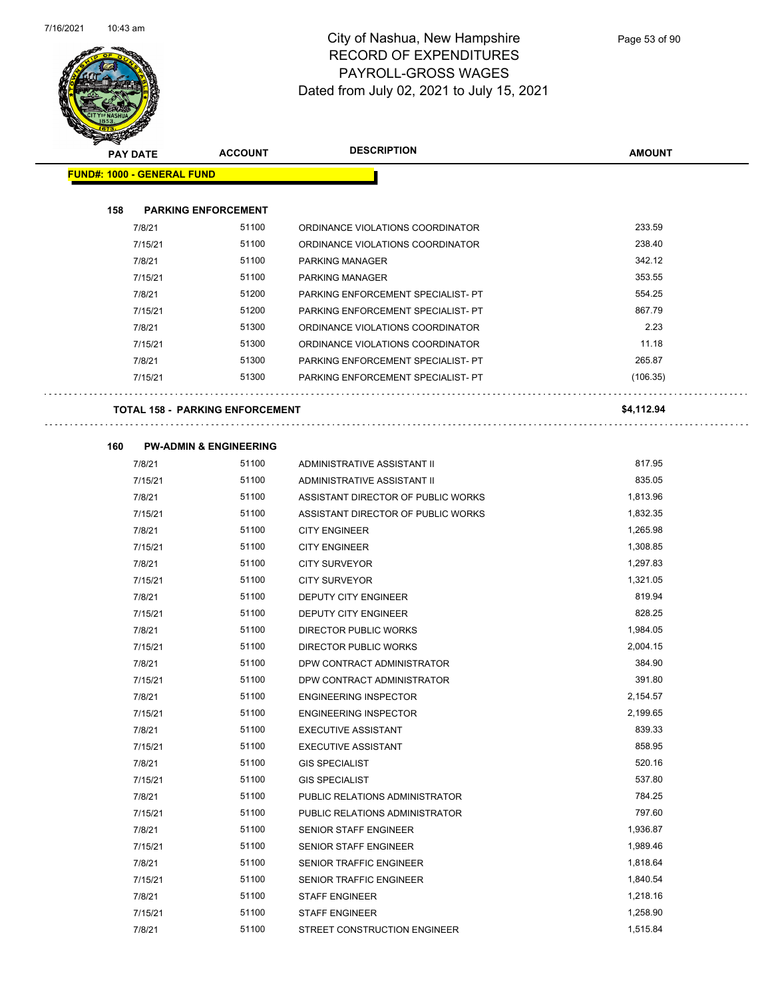

 $\sim$   $\sim$ 

 $\ddot{\phantom{1}}$ 

|     | <b>PAY DATE</b>                        | <b>ACCOUNT</b> | <b>DESCRIPTION</b>                 | <b>AMOUNT</b> |
|-----|----------------------------------------|----------------|------------------------------------|---------------|
|     | <b>FUND#: 1000 - GENERAL FUND</b>      |                |                                    |               |
|     |                                        |                |                                    |               |
| 158 | <b>PARKING ENFORCEMENT</b>             |                |                                    |               |
|     | 7/8/21                                 | 51100          | ORDINANCE VIOLATIONS COORDINATOR   | 233.59        |
|     | 7/15/21                                | 51100          | ORDINANCE VIOLATIONS COORDINATOR   | 238.40        |
|     | 7/8/21                                 | 51100          | PARKING MANAGER                    | 342.12        |
|     | 7/15/21                                | 51100          | PARKING MANAGER                    | 353.55        |
|     | 7/8/21                                 | 51200          | PARKING ENFORCEMENT SPECIALIST- PT | 554.25        |
|     | 7/15/21                                | 51200          | PARKING ENFORCEMENT SPECIALIST- PT | 867.79        |
|     | 7/8/21                                 | 51300          | ORDINANCE VIOLATIONS COORDINATOR   | 2.23          |
|     | 7/15/21                                | 51300          | ORDINANCE VIOLATIONS COORDINATOR   | 11.18         |
|     | 7/8/21                                 | 51300          | PARKING ENFORCEMENT SPECIALIST- PT | 265.87        |
|     | 7/15/21                                | 51300          | PARKING ENFORCEMENT SPECIALIST- PT | (106.35)      |
|     |                                        |                |                                    |               |
|     | <b>TOTAL 158 - PARKING ENFORCEMENT</b> |                |                                    | \$4,112.94    |
| 160 | <b>PW-ADMIN &amp; ENGINEERING</b>      |                |                                    |               |
|     | 7/8/21                                 | 51100          | ADMINISTRATIVE ASSISTANT II        | 817.95        |
|     | 7/15/21                                | 51100          | ADMINISTRATIVE ASSISTANT II        | 835.05        |
|     | 7/8/21                                 | 51100          | ASSISTANT DIRECTOR OF PUBLIC WORKS | 1,813.96      |
|     | 7/15/21                                | 51100          | ASSISTANT DIRECTOR OF PUBLIC WORKS | 1,832.35      |
|     | 7/8/21                                 | 51100          | <b>CITY ENGINEER</b>               | 1,265.98      |
|     | 7/15/21                                | 51100          | <b>CITY ENGINEER</b>               | 1,308.85      |
|     | 7/8/21                                 | 51100          | <b>CITY SURVEYOR</b>               | 1,297.83      |
|     | 7/15/21                                | 51100          | <b>CITY SURVEYOR</b>               | 1,321.05      |
|     | 7/8/21                                 | 51100          | DEPUTY CITY ENGINEER               | 819.94        |
|     | 7/15/21                                | 51100          | DEPUTY CITY ENGINEER               | 828.25        |
|     | 7/8/21                                 | 51100          | <b>DIRECTOR PUBLIC WORKS</b>       | 1,984.05      |
|     | 7/15/21                                | 51100          | <b>DIRECTOR PUBLIC WORKS</b>       | 2,004.15      |
|     | 7/8/21                                 | 51100          | DPW CONTRACT ADMINISTRATOR         | 384.90        |
|     | 7/15/21                                | 51100          | DPW CONTRACT ADMINISTRATOR         | 391.80        |
|     | 7/8/21                                 | 51100          | <b>ENGINEERING INSPECTOR</b>       | 2,154.57      |
|     | 7/15/21                                | 51100          | ENGINEERING INSPECTOR              | 2,199.65      |
|     | 7/8/21                                 | 51100          | <b>EXECUTIVE ASSISTANT</b>         | 839.33        |
|     | 7/15/21                                | 51100          | <b>EXECUTIVE ASSISTANT</b>         | 858.95        |
|     | 7/8/21                                 | 51100          | <b>GIS SPECIALIST</b>              | 520.16        |
|     | 7/15/21                                | 51100          | <b>GIS SPECIALIST</b>              | 537.80        |
|     | 7/8/21                                 | 51100          | PUBLIC RELATIONS ADMINISTRATOR     | 784.25        |
|     | 7/15/21                                | 51100          | PUBLIC RELATIONS ADMINISTRATOR     | 797.60        |
|     | 7/8/21                                 | 51100          | SENIOR STAFF ENGINEER              | 1,936.87      |
|     | 7/15/21                                | 51100          | SENIOR STAFF ENGINEER              | 1,989.46      |
|     | 7/8/21                                 | 51100          | SENIOR TRAFFIC ENGINEER            | 1,818.64      |
|     | 7/15/21                                | 51100          | SENIOR TRAFFIC ENGINEER            | 1,840.54      |
|     | 7/8/21                                 | 51100          | <b>STAFF ENGINEER</b>              | 1,218.16      |
|     | 7/15/21                                | 51100          | <b>STAFF ENGINEER</b>              | 1,258.90      |
|     | 7/8/21                                 | 51100          | STREET CONSTRUCTION ENGINEER       | 1,515.84      |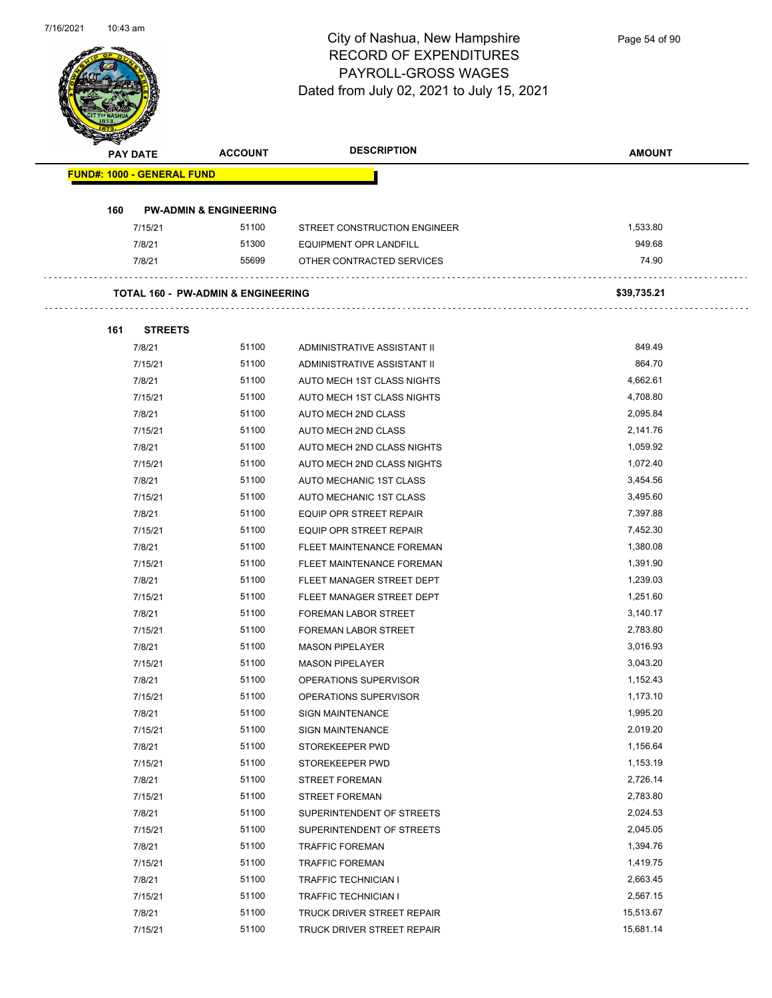

 $\overline{\phantom{0}}$ 

| <b>PAY DATE</b>                   | <b>ACCOUNT</b>                                | <b>DESCRIPTION</b>           | <b>AMOUNT</b> |
|-----------------------------------|-----------------------------------------------|------------------------------|---------------|
| <b>FUND#: 1000 - GENERAL FUND</b> |                                               |                              |               |
|                                   |                                               |                              |               |
| 160                               | <b>PW-ADMIN &amp; ENGINEERING</b>             |                              |               |
| 7/15/21                           | 51100                                         | STREET CONSTRUCTION ENGINEER | 1,533.80      |
| 7/8/21                            | 51300                                         | EQUIPMENT OPR LANDFILL       | 949.68        |
| 7/8/21                            | 55699                                         | OTHER CONTRACTED SERVICES    | 74.90         |
|                                   |                                               |                              |               |
|                                   | <b>TOTAL 160 - PW-ADMIN &amp; ENGINEERING</b> |                              | \$39,735.21   |
|                                   |                                               |                              |               |
| 161<br><b>STREETS</b>             |                                               |                              |               |
| 7/8/21                            | 51100                                         | ADMINISTRATIVE ASSISTANT II  | 849.49        |
| 7/15/21                           | 51100                                         | ADMINISTRATIVE ASSISTANT II  | 864.70        |
| 7/8/21                            | 51100                                         | AUTO MECH 1ST CLASS NIGHTS   | 4,662.61      |
| 7/15/21                           | 51100                                         | AUTO MECH 1ST CLASS NIGHTS   | 4,708.80      |
| 7/8/21                            | 51100                                         | AUTO MECH 2ND CLASS          | 2,095.84      |
| 7/15/21                           | 51100                                         | <b>AUTO MECH 2ND CLASS</b>   | 2,141.76      |
| 7/8/21                            | 51100                                         | AUTO MECH 2ND CLASS NIGHTS   | 1,059.92      |
| 7/15/21                           | 51100                                         | AUTO MECH 2ND CLASS NIGHTS   | 1,072.40      |
| 7/8/21                            | 51100                                         | AUTO MECHANIC 1ST CLASS      | 3,454.56      |
| 7/15/21                           | 51100                                         | AUTO MECHANIC 1ST CLASS      | 3,495.60      |
| 7/8/21                            | 51100                                         | EQUIP OPR STREET REPAIR      | 7,397.88      |
| 7/15/21                           | 51100                                         | EQUIP OPR STREET REPAIR      | 7,452.30      |
| 7/8/21                            | 51100                                         | FLEET MAINTENANCE FOREMAN    | 1,380.08      |
| 7/15/21                           | 51100                                         | FLEET MAINTENANCE FOREMAN    | 1,391.90      |
| 7/8/21                            | 51100                                         | FLEET MANAGER STREET DEPT    | 1,239.03      |
| 7/15/21                           | 51100                                         | FLEET MANAGER STREET DEPT    | 1,251.60      |
| 7/8/21                            | 51100                                         | <b>FOREMAN LABOR STREET</b>  | 3,140.17      |
| 7/15/21                           | 51100                                         | <b>FOREMAN LABOR STREET</b>  | 2,783.80      |
| 7/8/21                            | 51100                                         | <b>MASON PIPELAYER</b>       | 3,016.93      |
| 7/15/21                           | 51100                                         | <b>MASON PIPELAYER</b>       | 3,043.20      |
| 7/8/21                            | 51100                                         | OPERATIONS SUPERVISOR        | 1,152.43      |
| 7/15/21                           | 51100                                         | OPERATIONS SUPERVISOR        | 1,173.10      |
| 7/8/21                            | 51100                                         | <b>SIGN MAINTENANCE</b>      | 1,995.20      |
| 7/15/21                           | 51100                                         | <b>SIGN MAINTENANCE</b>      | 2,019.20      |
| 7/8/21                            | 51100                                         | STOREKEEPER PWD              | 1,156.64      |
| 7/15/21                           | 51100                                         | STOREKEEPER PWD              | 1,153.19      |
| 7/8/21                            | 51100                                         | <b>STREET FOREMAN</b>        | 2,726.14      |
| 7/15/21                           | 51100                                         | <b>STREET FOREMAN</b>        | 2,783.80      |
| 7/8/21                            | 51100                                         | SUPERINTENDENT OF STREETS    | 2,024.53      |
| 7/15/21                           | 51100                                         | SUPERINTENDENT OF STREETS    | 2,045.05      |
| 7/8/21                            | 51100                                         | <b>TRAFFIC FOREMAN</b>       | 1,394.76      |
| 7/15/21                           | 51100                                         | <b>TRAFFIC FOREMAN</b>       | 1,419.75      |
| 7/8/21                            | 51100                                         | TRAFFIC TECHNICIAN I         | 2,663.45      |
| 7/15/21                           | 51100                                         | TRAFFIC TECHNICIAN I         | 2,567.15      |
| 7/8/21                            | 51100                                         | TRUCK DRIVER STREET REPAIR   | 15,513.67     |
| 7/15/21                           | 51100                                         | TRUCK DRIVER STREET REPAIR   | 15,681.14     |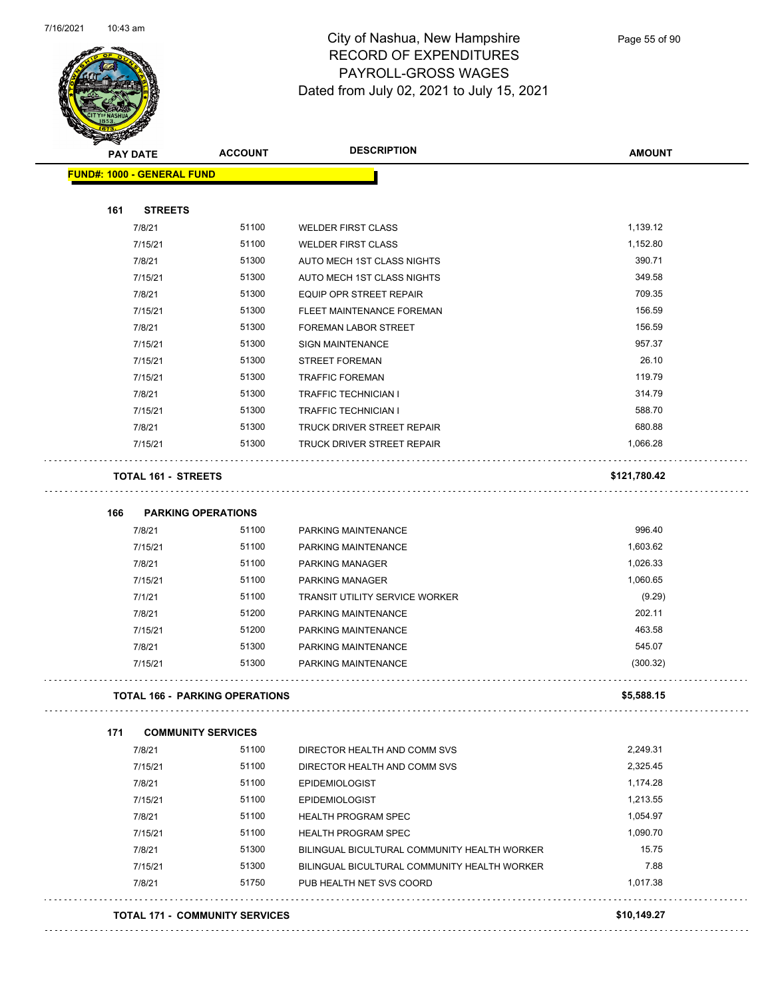

Page 55 of 90

| <b>PAY DATE</b>                   | <b>ACCOUNT</b>                        | <b>DESCRIPTION</b>                           | <b>AMOUNT</b> |
|-----------------------------------|---------------------------------------|----------------------------------------------|---------------|
| <b>FUND#: 1000 - GENERAL FUND</b> |                                       |                                              |               |
| <b>STREETS</b><br>161             |                                       |                                              |               |
| 7/8/21                            | 51100                                 | <b>WELDER FIRST CLASS</b>                    | 1,139.12      |
| 7/15/21                           | 51100                                 | <b>WELDER FIRST CLASS</b>                    | 1,152.80      |
| 7/8/21                            | 51300                                 | AUTO MECH 1ST CLASS NIGHTS                   | 390.71        |
| 7/15/21                           | 51300                                 | AUTO MECH 1ST CLASS NIGHTS                   | 349.58        |
| 7/8/21                            | 51300                                 | <b>EQUIP OPR STREET REPAIR</b>               | 709.35        |
| 7/15/21                           | 51300                                 | FLEET MAINTENANCE FOREMAN                    | 156.59        |
| 7/8/21                            | 51300                                 | FOREMAN LABOR STREET                         | 156.59        |
| 7/15/21                           | 51300                                 | <b>SIGN MAINTENANCE</b>                      | 957.37        |
| 7/15/21                           | 51300                                 | <b>STREET FOREMAN</b>                        | 26.10         |
| 7/15/21                           | 51300                                 | <b>TRAFFIC FOREMAN</b>                       | 119.79        |
| 7/8/21                            | 51300                                 | <b>TRAFFIC TECHNICIAN I</b>                  | 314.79        |
| 7/15/21                           | 51300                                 | TRAFFIC TECHNICIAN I                         | 588.70        |
| 7/8/21                            | 51300                                 | <b>TRUCK DRIVER STREET REPAIR</b>            | 680.88        |
| 7/15/21                           | 51300                                 | <b>TRUCK DRIVER STREET REPAIR</b>            | 1,066.28      |
| <b>TOTAL 161 - STREETS</b>        |                                       |                                              | \$121,780.42  |
| 166                               | <b>PARKING OPERATIONS</b>             |                                              |               |
| 7/8/21                            | 51100                                 | PARKING MAINTENANCE                          | 996.40        |
| 7/15/21                           | 51100                                 | PARKING MAINTENANCE                          | 1,603.62      |
| 7/8/21                            | 51100                                 | PARKING MANAGER                              | 1,026.33      |
| 7/15/21                           | 51100                                 | PARKING MANAGER                              | 1,060.65      |
| 7/1/21                            | 51100                                 | <b>TRANSIT UTILITY SERVICE WORKER</b>        | (9.29)        |
| 7/8/21                            | 51200                                 | PARKING MAINTENANCE                          | 202.11        |
| 7/15/21                           | 51200                                 | PARKING MAINTENANCE                          | 463.58        |
| 7/8/21                            | 51300                                 | PARKING MAINTENANCE                          | 545.07        |
| 7/15/21                           | 51300                                 | PARKING MAINTENANCE                          | (300.32)      |
|                                   |                                       |                                              |               |
|                                   | <b>TOTAL 166 - PARKING OPERATIONS</b> |                                              | \$5,588.15    |
| 171                               | <b>COMMUNITY SERVICES</b>             |                                              |               |
| 7/8/21                            | 51100                                 | DIRECTOR HEALTH AND COMM SVS                 | 2,249.31      |
| 7/15/21                           | 51100                                 | DIRECTOR HEALTH AND COMM SVS                 | 2,325.45      |
| 7/8/21                            | 51100                                 | <b>EPIDEMIOLOGIST</b>                        | 1,174.28      |
| 7/15/21                           | 51100                                 | <b>EPIDEMIOLOGIST</b>                        | 1,213.55      |
| 7/8/21                            | 51100                                 | <b>HEALTH PROGRAM SPEC</b>                   | 1,054.97      |
| 7/15/21                           | 51100                                 | <b>HEALTH PROGRAM SPEC</b>                   | 1,090.70      |
| 7/8/21                            | 51300                                 | BILINGUAL BICULTURAL COMMUNITY HEALTH WORKER | 15.75         |
| 7/15/21                           | 51300                                 | BILINGUAL BICULTURAL COMMUNITY HEALTH WORKER | 7.88          |
| 7/8/21                            | 51750                                 | PUB HEALTH NET SVS COORD                     | 1,017.38      |
|                                   | <b>TOTAL 171 - COMMUNITY SERVICES</b> |                                              | \$10,149.27   |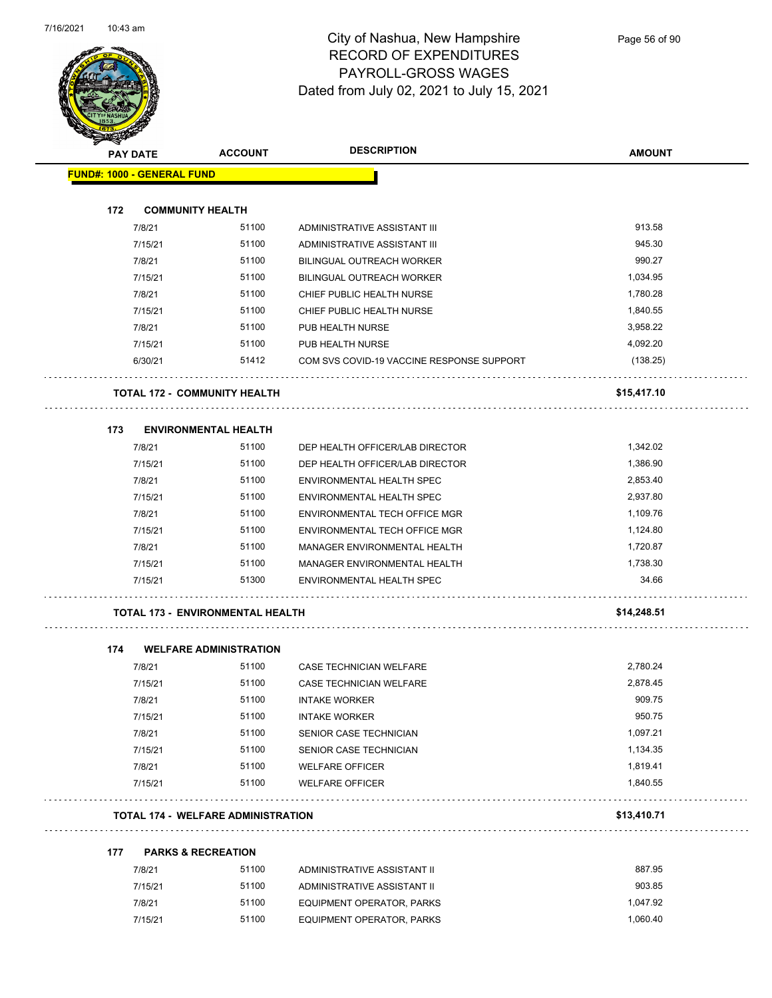

| <b>MERRE</b>                      |                                           |                                           |               |
|-----------------------------------|-------------------------------------------|-------------------------------------------|---------------|
| <b>PAY DATE</b>                   | <b>DESCRIPTION</b><br><b>ACCOUNT</b>      |                                           | <b>AMOUNT</b> |
| <b>FUND#: 1000 - GENERAL FUND</b> |                                           |                                           |               |
| 172                               | <b>COMMUNITY HEALTH</b>                   |                                           |               |
| 7/8/21                            | 51100                                     | ADMINISTRATIVE ASSISTANT III              | 913.58        |
| 7/15/21                           | 51100                                     | ADMINISTRATIVE ASSISTANT III              | 945.30        |
| 7/8/21                            | 51100                                     | <b>BILINGUAL OUTREACH WORKER</b>          | 990.27        |
| 7/15/21                           | 51100                                     | <b>BILINGUAL OUTREACH WORKER</b>          | 1,034.95      |
| 7/8/21                            | 51100                                     | CHIEF PUBLIC HEALTH NURSE                 | 1,780.28      |
| 7/15/21                           | 51100                                     | CHIEF PUBLIC HEALTH NURSE                 | 1,840.55      |
| 7/8/21                            | 51100                                     | PUB HEALTH NURSE                          | 3,958.22      |
| 7/15/21                           | 51100                                     | PUB HEALTH NURSE                          | 4,092.20      |
| 6/30/21                           | 51412                                     | COM SVS COVID-19 VACCINE RESPONSE SUPPORT | (138.25)      |
|                                   | <b>TOTAL 172 - COMMUNITY HEALTH</b>       |                                           | \$15,417.10   |
| 173                               | <b>ENVIRONMENTAL HEALTH</b>               |                                           |               |
| 7/8/21                            | 51100                                     | DEP HEALTH OFFICER/LAB DIRECTOR           | 1,342.02      |
| 7/15/21                           | 51100                                     | DEP HEALTH OFFICER/LAB DIRECTOR           | 1,386.90      |
| 7/8/21                            | 51100                                     | ENVIRONMENTAL HEALTH SPEC                 | 2,853.40      |
| 7/15/21                           | 51100                                     | ENVIRONMENTAL HEALTH SPEC                 | 2,937.80      |
| 7/8/21                            | 51100                                     | ENVIRONMENTAL TECH OFFICE MGR             | 1,109.76      |
| 7/15/21                           | 51100                                     | ENVIRONMENTAL TECH OFFICE MGR             | 1,124.80      |
| 7/8/21                            | 51100                                     | MANAGER ENVIRONMENTAL HEALTH              | 1,720.87      |
| 7/15/21                           | 51100                                     | MANAGER ENVIRONMENTAL HEALTH              | 1,738.30      |
| 7/15/21                           | 51300                                     | ENVIRONMENTAL HEALTH SPEC                 | 34.66         |
|                                   | <b>TOTAL 173 - ENVIRONMENTAL HEALTH</b>   |                                           | \$14,248.51   |
| 174                               | <b>WELFARE ADMINISTRATION</b>             |                                           |               |
| 7/8/21                            | 51100                                     | <b>CASE TECHNICIAN WELFARE</b>            | 2,780.24      |
| 7/15/21                           | 51100                                     | CASE TECHNICIAN WELFARE                   | 2,878.45      |
| 7/8/21                            | 51100                                     | <b>INTAKE WORKER</b>                      | 909.75        |
| 7/15/21                           | 51100                                     | <b>INTAKE WORKER</b>                      | 950.75        |
| 7/8/21                            | 51100                                     | SENIOR CASE TECHNICIAN                    | 1,097.21      |
| 7/15/21                           | 51100                                     | SENIOR CASE TECHNICIAN                    | 1,134.35      |
| 7/8/21                            | 51100                                     | <b>WELFARE OFFICER</b>                    | 1,819.41      |
| 7/15/21                           | 51100                                     | <b>WELFARE OFFICER</b>                    | 1,840.55      |
|                                   | <b>TOTAL 174 - WELFARE ADMINISTRATION</b> |                                           | \$13,410.71   |
| 177                               | <b>PARKS &amp; RECREATION</b>             |                                           |               |
| 7/8/21                            | 51100                                     | ADMINISTRATIVE ASSISTANT II               | 887.95        |
| 7/15/21                           | 51100                                     | ADMINISTRATIVE ASSISTANT II               | 903.85        |

7/8/21 51100 EQUIPMENT OPERATOR, PARKS 1,047.92 7/15/21 51100 EQUIPMENT OPERATOR, PARKS 1,060.40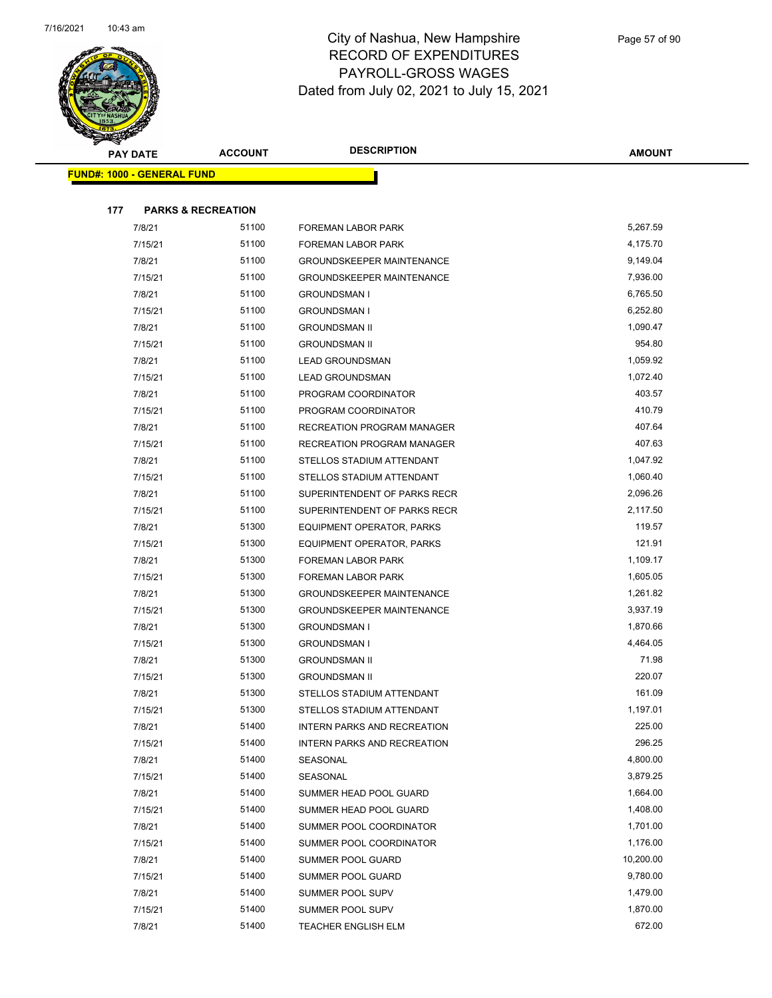

| <b>PAY DATE</b>                      | <b>ACCOUNT</b> | <b>DESCRIPTION</b>                 | <b>AMOUNT</b> |
|--------------------------------------|----------------|------------------------------------|---------------|
| <b>FUND#: 1000 - GENERAL FUND</b>    |                |                                    |               |
|                                      |                |                                    |               |
| 177<br><b>PARKS &amp; RECREATION</b> |                |                                    |               |
| 7/8/21                               | 51100          | <b>FOREMAN LABOR PARK</b>          | 5,267.59      |
| 7/15/21                              | 51100          | <b>FOREMAN LABOR PARK</b>          | 4,175.70      |
| 7/8/21                               | 51100          | <b>GROUNDSKEEPER MAINTENANCE</b>   | 9,149.04      |
| 7/15/21                              | 51100          | <b>GROUNDSKEEPER MAINTENANCE</b>   | 7,936.00      |
| 7/8/21                               | 51100          | <b>GROUNDSMAN I</b>                | 6,765.50      |
| 7/15/21                              | 51100          | <b>GROUNDSMAN I</b>                | 6,252.80      |
| 7/8/21                               | 51100          | <b>GROUNDSMAN II</b>               | 1,090.47      |
| 7/15/21                              | 51100          | <b>GROUNDSMAN II</b>               | 954.80        |
| 7/8/21                               | 51100          | <b>LEAD GROUNDSMAN</b>             | 1,059.92      |
| 7/15/21                              | 51100          | <b>LEAD GROUNDSMAN</b>             | 1,072.40      |
| 7/8/21                               | 51100          | PROGRAM COORDINATOR                | 403.57        |
| 7/15/21                              | 51100          | PROGRAM COORDINATOR                | 410.79        |
| 7/8/21                               | 51100          | <b>RECREATION PROGRAM MANAGER</b>  | 407.64        |
| 7/15/21                              | 51100          | RECREATION PROGRAM MANAGER         | 407.63        |
| 7/8/21                               | 51100          | STELLOS STADIUM ATTENDANT          | 1,047.92      |
| 7/15/21                              | 51100          | STELLOS STADIUM ATTENDANT          | 1,060.40      |
| 7/8/21                               | 51100          | SUPERINTENDENT OF PARKS RECR       | 2,096.26      |
| 7/15/21                              | 51100          | SUPERINTENDENT OF PARKS RECR       | 2,117.50      |
| 7/8/21                               | 51300          | EQUIPMENT OPERATOR, PARKS          | 119.57        |
| 7/15/21                              | 51300          | EQUIPMENT OPERATOR, PARKS          | 121.91        |
| 7/8/21                               | 51300          | <b>FOREMAN LABOR PARK</b>          | 1,109.17      |
| 7/15/21                              | 51300          | <b>FOREMAN LABOR PARK</b>          | 1,605.05      |
| 7/8/21                               | 51300          | <b>GROUNDSKEEPER MAINTENANCE</b>   | 1,261.82      |
| 7/15/21                              | 51300          | <b>GROUNDSKEEPER MAINTENANCE</b>   | 3,937.19      |
| 7/8/21                               | 51300          | <b>GROUNDSMAN I</b>                | 1,870.66      |
| 7/15/21                              | 51300          | <b>GROUNDSMAN I</b>                | 4,464.05      |
| 7/8/21                               | 51300          | <b>GROUNDSMAN II</b>               | 71.98         |
| 7/15/21                              | 51300          | <b>GROUNDSMAN II</b>               | 220.07        |
| 7/8/21                               | 51300          | STELLOS STADIUM ATTENDANT          | 161.09        |
| 7/15/21                              | 51300          | STELLOS STADIUM ATTENDANT          | 1,197.01      |
| 7/8/21                               | 51400          | <b>INTERN PARKS AND RECREATION</b> | 225.00        |
| 7/15/21                              | 51400          | <b>INTERN PARKS AND RECREATION</b> | 296.25        |
| 7/8/21                               | 51400          | SEASONAL                           | 4,800.00      |
| 7/15/21                              | 51400          | SEASONAL                           | 3,879.25      |
| 7/8/21                               | 51400          | SUMMER HEAD POOL GUARD             | 1,664.00      |
| 7/15/21                              | 51400          | SUMMER HEAD POOL GUARD             | 1,408.00      |
| 7/8/21                               | 51400          | SUMMER POOL COORDINATOR            | 1,701.00      |
| 7/15/21                              | 51400          | SUMMER POOL COORDINATOR            | 1,176.00      |
| 7/8/21                               | 51400          | SUMMER POOL GUARD                  | 10,200.00     |
| 7/15/21                              | 51400          | SUMMER POOL GUARD                  | 9,780.00      |
| 7/8/21                               | 51400          | SUMMER POOL SUPV                   | 1,479.00      |
| 7/15/21                              | 51400          | SUMMER POOL SUPV                   | 1,870.00      |
| 7/8/21                               | 51400          | <b>TEACHER ENGLISH ELM</b>         | 672.00        |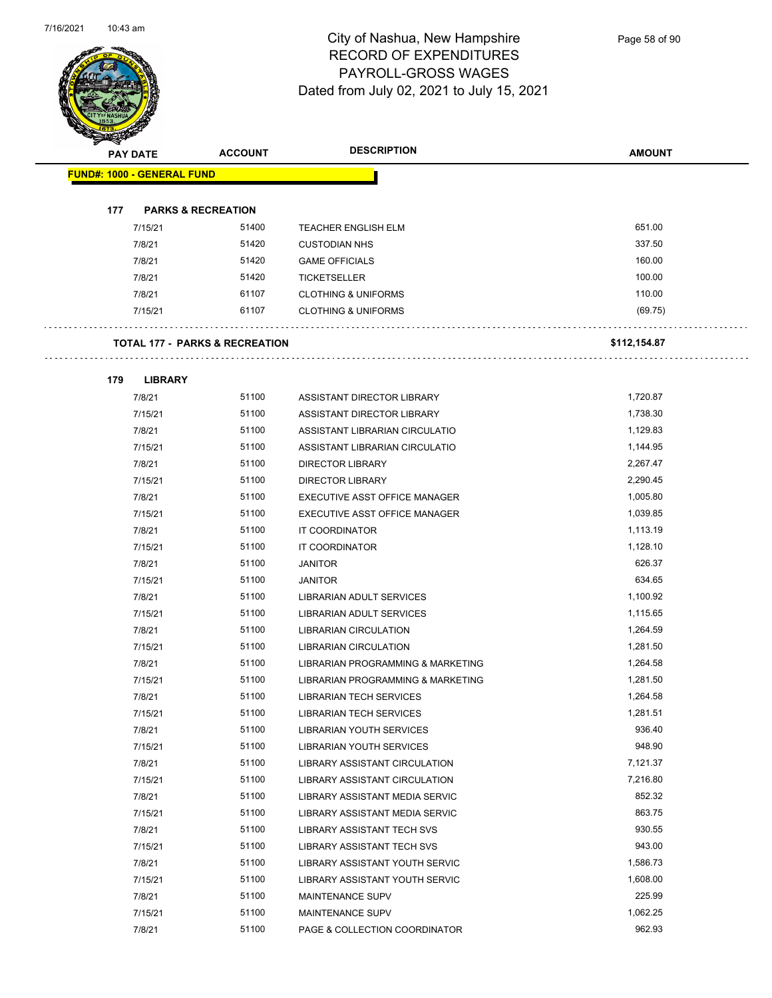

| <b>RECORDS</b> |                                   |                                           |                                   |               |
|----------------|-----------------------------------|-------------------------------------------|-----------------------------------|---------------|
|                | <b>PAY DATE</b>                   | <b>ACCOUNT</b>                            | <b>DESCRIPTION</b>                | <b>AMOUNT</b> |
|                | <b>FUND#: 1000 - GENERAL FUND</b> |                                           |                                   |               |
|                |                                   |                                           |                                   |               |
| 177            |                                   | <b>PARKS &amp; RECREATION</b>             |                                   |               |
|                | 7/15/21                           | 51400                                     | <b>TEACHER ENGLISH ELM</b>        | 651.00        |
|                | 7/8/21                            | 51420                                     | <b>CUSTODIAN NHS</b>              | 337.50        |
|                | 7/8/21                            | 51420                                     | <b>GAME OFFICIALS</b>             | 160.00        |
|                | 7/8/21                            | 51420                                     | <b>TICKETSELLER</b>               | 100.00        |
|                | 7/8/21                            | 61107                                     | <b>CLOTHING &amp; UNIFORMS</b>    | 110.00        |
|                | 7/15/21                           | 61107                                     | <b>CLOTHING &amp; UNIFORMS</b>    | (69.75)       |
|                |                                   | <b>TOTAL 177 - PARKS &amp; RECREATION</b> |                                   | \$112,154.87  |
| 179            | <b>LIBRARY</b>                    |                                           |                                   |               |
|                | 7/8/21                            | 51100                                     | ASSISTANT DIRECTOR LIBRARY        | 1,720.87      |
|                | 7/15/21                           | 51100                                     | ASSISTANT DIRECTOR LIBRARY        | 1,738.30      |
|                | 7/8/21                            | 51100                                     | ASSISTANT LIBRARIAN CIRCULATIO    | 1,129.83      |
|                | 7/15/21                           | 51100                                     | ASSISTANT LIBRARIAN CIRCULATIO    | 1,144.95      |
|                | 7/8/21                            | 51100                                     | <b>DIRECTOR LIBRARY</b>           | 2,267.47      |
|                | 7/15/21                           | 51100                                     | <b>DIRECTOR LIBRARY</b>           | 2,290.45      |
|                | 7/8/21                            | 51100                                     | EXECUTIVE ASST OFFICE MANAGER     | 1,005.80      |
|                | 7/15/21                           | 51100                                     | EXECUTIVE ASST OFFICE MANAGER     | 1,039.85      |
|                | 7/8/21                            | 51100                                     | IT COORDINATOR                    | 1,113.19      |
|                | 7/15/21                           | 51100                                     | IT COORDINATOR                    | 1,128.10      |
|                | 7/8/21                            | 51100                                     | <b>JANITOR</b>                    | 626.37        |
|                | 7/15/21                           | 51100                                     | <b>JANITOR</b>                    | 634.65        |
|                | 7/8/21                            | 51100                                     | LIBRARIAN ADULT SERVICES          | 1,100.92      |
|                | 7/15/21                           | 51100                                     | LIBRARIAN ADULT SERVICES          | 1,115.65      |
|                | 7/8/21                            | 51100                                     | <b>LIBRARIAN CIRCULATION</b>      | 1,264.59      |
|                | 7/15/21                           | 51100                                     | <b>LIBRARIAN CIRCULATION</b>      | 1,281.50      |
|                | 7/8/21                            | 51100                                     | LIBRARIAN PROGRAMMING & MARKETING | 1,264.58      |
|                | 7/15/21                           | 51100                                     | LIBRARIAN PROGRAMMING & MARKETING | 1,281.50      |
|                | 7/8/21                            | 51100                                     | <b>LIBRARIAN TECH SERVICES</b>    | 1,264.58      |
|                | 7/15/21                           | 51100                                     | <b>LIBRARIAN TECH SERVICES</b>    | 1,281.51      |
|                | 7/8/21                            | 51100                                     | LIBRARIAN YOUTH SERVICES          | 936.40        |
|                | 7/15/21                           | 51100                                     | LIBRARIAN YOUTH SERVICES          | 948.90        |
|                | 7/8/21                            | 51100                                     | LIBRARY ASSISTANT CIRCULATION     | 7,121.37      |
|                | 7/15/21                           | 51100                                     | LIBRARY ASSISTANT CIRCULATION     | 7,216.80      |
|                | 7/8/21                            | 51100                                     | LIBRARY ASSISTANT MEDIA SERVIC    | 852.32        |
|                | 7/15/21                           | 51100                                     | LIBRARY ASSISTANT MEDIA SERVIC    | 863.75        |
|                | 7/8/21                            | 51100                                     | <b>LIBRARY ASSISTANT TECH SVS</b> | 930.55        |
|                | 7/15/21                           | 51100                                     | LIBRARY ASSISTANT TECH SVS        | 943.00        |
|                | 7/8/21                            | 51100                                     | LIBRARY ASSISTANT YOUTH SERVIC    | 1,586.73      |
|                | 7/15/21                           | 51100                                     | LIBRARY ASSISTANT YOUTH SERVIC    | 1,608.00      |
|                | 7/8/21                            | 51100                                     | MAINTENANCE SUPV                  | 225.99        |
|                | 7/15/21                           | 51100                                     | MAINTENANCE SUPV                  | 1,062.25      |

7/8/21 51100 PAGE & COLLECTION COORDINATOR 962.93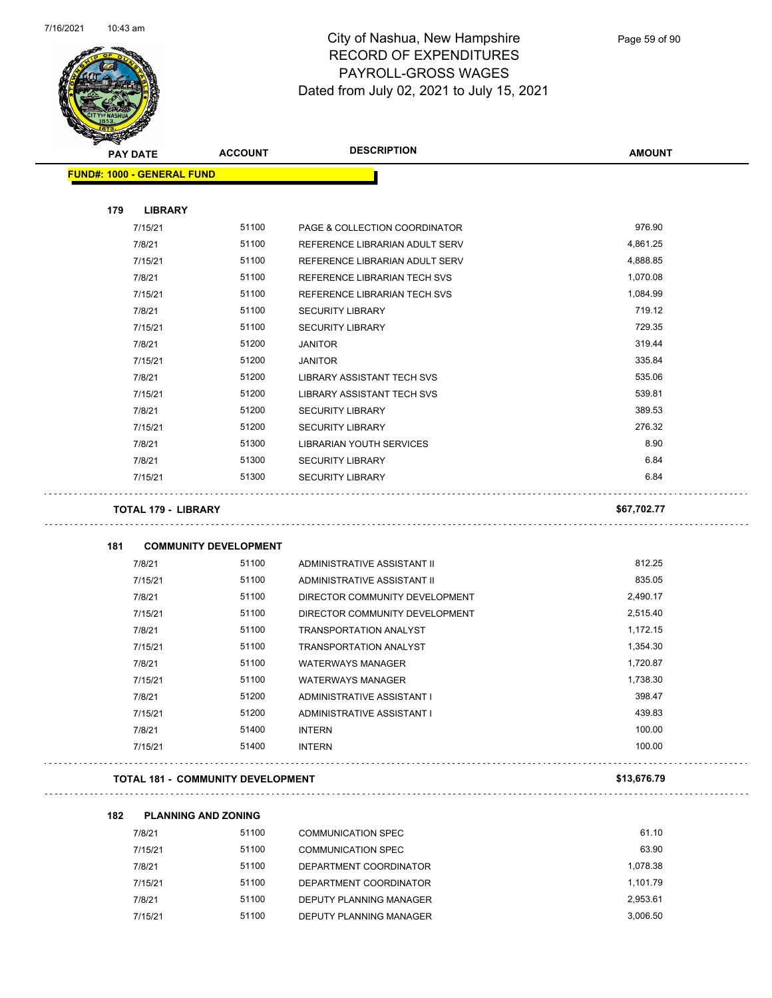

### City of Nashua, New Hampshire RECORD OF EXPENDITURES PAYROLL-GROSS WAGES Dated from July 02, 2021 to July 15, 2021

| <b>PAY DATE</b>                   | <b>ACCOUNT</b>               | <b>DESCRIPTION</b>                | <b>AMOUNT</b> |
|-----------------------------------|------------------------------|-----------------------------------|---------------|
| <b>FUND#: 1000 - GENERAL FUND</b> |                              |                                   |               |
| 179<br><b>LIBRARY</b>             |                              |                                   |               |
| 7/15/21                           | 51100                        | PAGE & COLLECTION COORDINATOR     | 976.90        |
| 7/8/21                            | 51100                        | REFERENCE LIBRARIAN ADULT SERV    | 4,861.25      |
| 7/15/21                           | 51100                        | REFERENCE LIBRARIAN ADULT SERV    | 4,888.85      |
| 7/8/21                            | 51100                        | REFERENCE LIBRARIAN TECH SVS      | 1,070.08      |
| 7/15/21                           | 51100                        | REFERENCE LIBRARIAN TECH SVS      | 1,084.99      |
| 7/8/21                            | 51100                        | <b>SECURITY LIBRARY</b>           | 719.12        |
| 7/15/21                           | 51100                        | <b>SECURITY LIBRARY</b>           | 729.35        |
| 7/8/21                            | 51200                        | <b>JANITOR</b>                    | 319.44        |
| 7/15/21                           | 51200                        | <b>JANITOR</b>                    | 335.84        |
| 7/8/21                            | 51200                        | <b>LIBRARY ASSISTANT TECH SVS</b> | 535.06        |
| 7/15/21                           | 51200                        | <b>LIBRARY ASSISTANT TECH SVS</b> | 539.81        |
| 7/8/21                            | 51200                        | <b>SECURITY LIBRARY</b>           | 389.53        |
| 7/15/21                           | 51200                        | <b>SECURITY LIBRARY</b>           | 276.32        |
| 7/8/21                            | 51300                        | <b>LIBRARIAN YOUTH SERVICES</b>   | 8.90          |
| 7/8/21                            | 51300                        | <b>SECURITY LIBRARY</b>           | 6.84          |
| 7/15/21                           | 51300                        | <b>SECURITY LIBRARY</b>           | 6.84          |
| <b>TOTAL 179 - LIBRARY</b>        |                              |                                   | \$67,702.77   |
| 181                               | <b>COMMUNITY DEVELOPMENT</b> |                                   |               |
| 7/8/21                            | 51100                        | ADMINISTRATIVE ASSISTANT II       | 812.25        |
| 7/15/21                           | 51100                        | ADMINISTRATIVE ASSISTANT II       | 835.05        |
| 7/8/21                            | 51100                        | DIRECTOR COMMUNITY DEVELOPMENT    | 2,490.17      |
| 7/15/21                           | 51100                        | DIRECTOR COMMUNITY DEVELOPMENT    | 2,515.40      |
| 7/8/21                            | 51100                        | <b>TRANSPORTATION ANALYST</b>     | 1,172.15      |
| 7/15/21                           | 51100                        | <b>TRANSPORTATION ANALYST</b>     | 1,354.30      |
| 7/8/21                            | 51100                        | <b>WATERWAYS MANAGER</b>          | 1,720.87      |
| 7/15/21                           | 51100                        | <b>WATERWAYS MANAGER</b>          | 1,738.30      |
| 7/8/21                            | 51200                        | ADMINISTRATIVE ASSISTANT I        | 398.47        |
| 7/15/21                           | 51200                        | ADMINISTRATIVE ASSISTANT I        | 439.83        |
| 7/8/21                            | 51400                        | <b>INTERN</b>                     | 100.00        |
| 7/15/21                           | 51400                        | <b>INTERN</b>                     | 100.00        |
|                                   |                              |                                   |               |

| 7/8/21  | 51100 | COMMUNICATION SPEC      | 61.10    |
|---------|-------|-------------------------|----------|
| 7/15/21 | 51100 | COMMUNICATION SPEC      | 63.90    |
| 7/8/21  | 51100 | DEPARTMENT COORDINATOR  | 1.078.38 |
| 7/15/21 | 51100 | DEPARTMENT COORDINATOR  | 1.101.79 |
| 7/8/21  | 51100 | DEPUTY PLANNING MANAGER | 2.953.61 |
| 7/15/21 | 51100 | DEPUTY PLANNING MANAGER | 3.006.50 |

**182 PLANNING AND ZONING**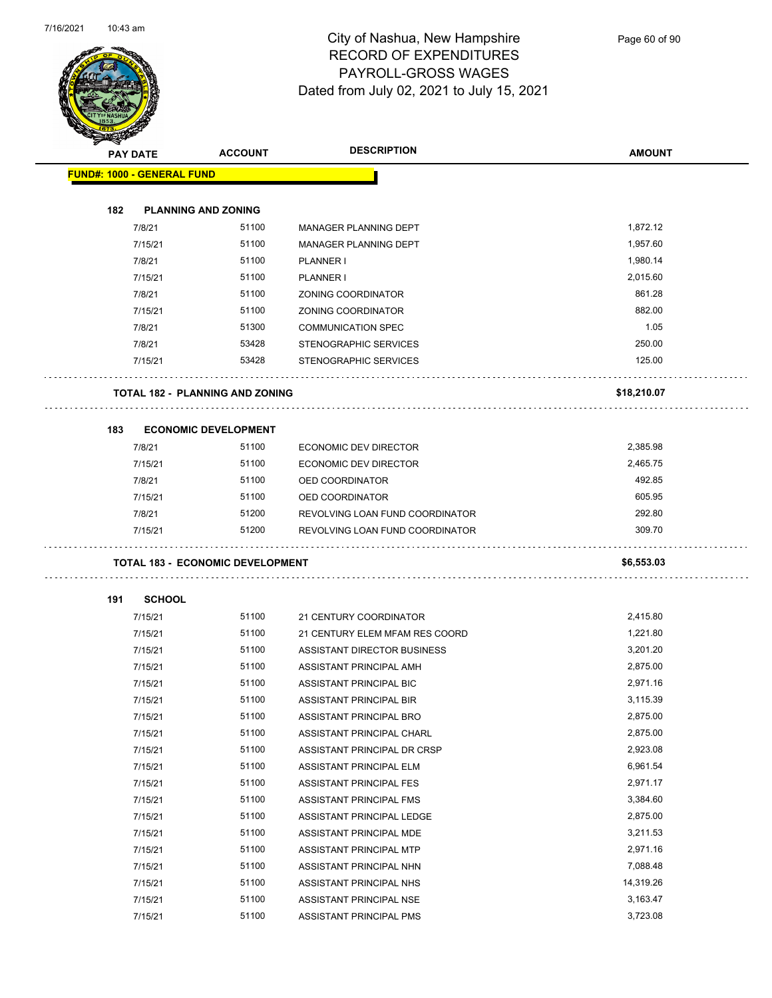

Page 60 of 90

|     | <b>PAY DATE</b>                   | <b>ACCOUNT</b>                          | <b>DESCRIPTION</b>              | <b>AMOUNT</b> |
|-----|-----------------------------------|-----------------------------------------|---------------------------------|---------------|
|     | <b>FUND#: 1000 - GENERAL FUND</b> |                                         |                                 |               |
|     |                                   |                                         |                                 |               |
| 182 |                                   | <b>PLANNING AND ZONING</b>              |                                 |               |
|     | 7/8/21                            | 51100                                   | <b>MANAGER PLANNING DEPT</b>    | 1,872.12      |
|     | 7/15/21                           | 51100                                   | MANAGER PLANNING DEPT           | 1,957.60      |
|     | 7/8/21                            | 51100                                   | PLANNER I                       | 1,980.14      |
|     | 7/15/21                           | 51100                                   | PLANNER I                       | 2,015.60      |
|     | 7/8/21                            | 51100                                   | ZONING COORDINATOR              | 861.28        |
|     | 7/15/21                           | 51100                                   | ZONING COORDINATOR              | 882.00        |
|     | 7/8/21                            | 51300                                   | <b>COMMUNICATION SPEC</b>       | 1.05          |
|     | 7/8/21                            | 53428                                   | STENOGRAPHIC SERVICES           | 250.00        |
|     | 7/15/21                           | 53428                                   | STENOGRAPHIC SERVICES           | 125.00        |
|     |                                   | <b>TOTAL 182 - PLANNING AND ZONING</b>  |                                 | \$18,210.07   |
| 183 |                                   | <b>ECONOMIC DEVELOPMENT</b>             |                                 |               |
|     | 7/8/21                            | 51100                                   | <b>ECONOMIC DEV DIRECTOR</b>    | 2,385.98      |
|     | 7/15/21                           | 51100                                   | <b>ECONOMIC DEV DIRECTOR</b>    | 2,465.75      |
|     | 7/8/21                            | 51100                                   | OED COORDINATOR                 | 492.85        |
|     | 7/15/21                           | 51100                                   | OED COORDINATOR                 | 605.95        |
|     | 7/8/21                            | 51200                                   | REVOLVING LOAN FUND COORDINATOR | 292.80        |
|     | 7/15/21                           | 51200                                   | REVOLVING LOAN FUND COORDINATOR | 309.70        |
|     |                                   | <b>TOTAL 183 - ECONOMIC DEVELOPMENT</b> |                                 | \$6,553.03    |
| 191 | <b>SCHOOL</b>                     |                                         |                                 |               |
|     | 7/15/21                           | 51100                                   | 21 CENTURY COORDINATOR          | 2,415.80      |
|     | 7/15/21                           | 51100                                   | 21 CENTURY ELEM MFAM RES COORD  | 1,221.80      |
|     | 7/15/21                           | 51100                                   | ASSISTANT DIRECTOR BUSINESS     | 3,201.20      |
|     | 7/15/21                           | 51100                                   | ASSISTANT PRINCIPAL AMH         | 2,875.00      |
|     | 7/15/21                           | 51100                                   | ASSISTANT PRINCIPAL BIC         | 2,971.16      |
|     | 7/15/21                           | 51100                                   | ASSISTANT PRINCIPAL BIR         | 3,115.39      |
|     | 7/15/21                           | 51100                                   | ASSISTANT PRINCIPAL BRO         | 2,875.00      |
|     | 7/15/21                           | 51100                                   | ASSISTANT PRINCIPAL CHARL       | 2,875.00      |
|     | 7/15/21                           | 51100                                   | ASSISTANT PRINCIPAL DR CRSP     | 2,923.08      |
|     | 7/15/21                           | 51100                                   | ASSISTANT PRINCIPAL ELM         | 6,961.54      |
|     | 7/15/21                           | 51100                                   | ASSISTANT PRINCIPAL FES         | 2,971.17      |
|     | 7/15/21                           | 51100                                   | ASSISTANT PRINCIPAL FMS         | 3,384.60      |
|     | 7/15/21                           | 51100                                   | ASSISTANT PRINCIPAL LEDGE       | 2,875.00      |
|     | 7/15/21                           | 51100                                   | ASSISTANT PRINCIPAL MDE         | 3,211.53      |
|     | 7/15/21                           | 51100                                   | ASSISTANT PRINCIPAL MTP         | 2,971.16      |
|     | 7/15/21                           | 51100                                   | ASSISTANT PRINCIPAL NHN         | 7,088.48      |
|     | 7/15/21                           | 51100                                   | ASSISTANT PRINCIPAL NHS         | 14,319.26     |
|     | 7/15/21                           | 51100                                   | ASSISTANT PRINCIPAL NSE         | 3,163.47      |
|     | 7/15/21                           | 51100                                   | ASSISTANT PRINCIPAL PMS         | 3,723.08      |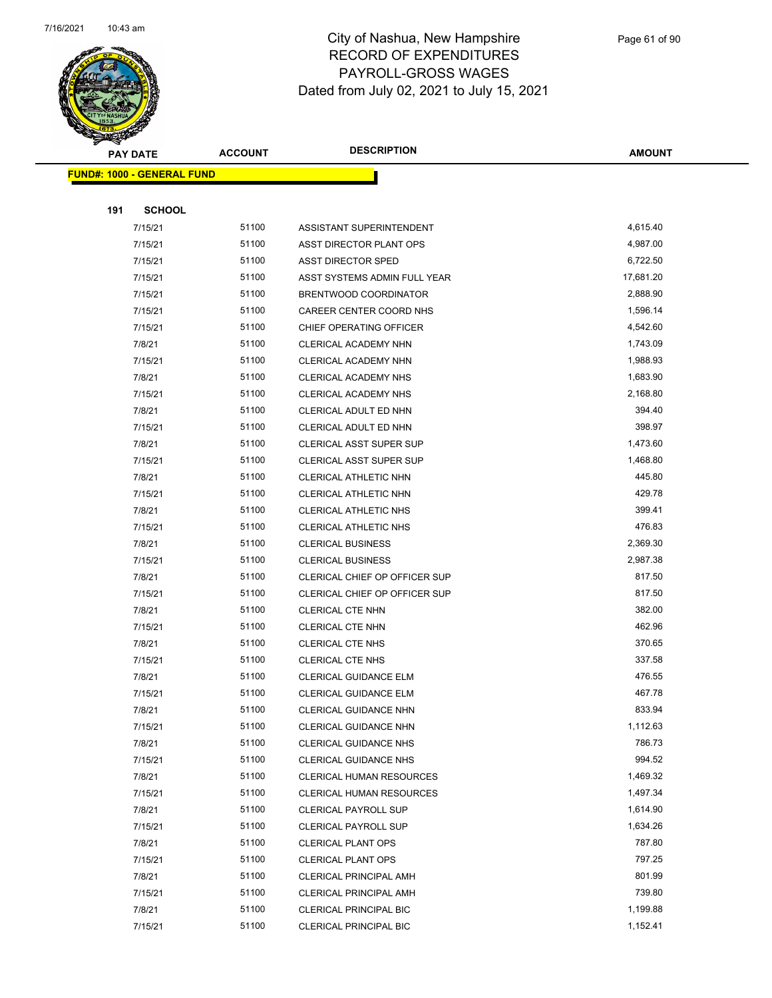

|     | <b>PAY DATE</b>                   | <b>ACCOUNT</b> | <b>DESCRIPTION</b>              | <b>AMOUNT</b> |
|-----|-----------------------------------|----------------|---------------------------------|---------------|
|     | <b>FUND#: 1000 - GENERAL FUND</b> |                |                                 |               |
|     |                                   |                |                                 |               |
| 191 | <b>SCHOOL</b>                     |                |                                 |               |
|     | 7/15/21                           | 51100          | ASSISTANT SUPERINTENDENT        | 4,615.40      |
|     | 7/15/21                           | 51100          | ASST DIRECTOR PLANT OPS         | 4,987.00      |
|     | 7/15/21                           | 51100          | ASST DIRECTOR SPED              | 6,722.50      |
|     | 7/15/21                           | 51100          | ASST SYSTEMS ADMIN FULL YEAR    | 17,681.20     |
|     | 7/15/21                           | 51100          | BRENTWOOD COORDINATOR           | 2,888.90      |
|     | 7/15/21                           | 51100          | CAREER CENTER COORD NHS         | 1,596.14      |
|     | 7/15/21                           | 51100          | CHIEF OPERATING OFFICER         | 4,542.60      |
|     | 7/8/21                            | 51100          | CLERICAL ACADEMY NHN            | 1,743.09      |
|     | 7/15/21                           | 51100          | CLERICAL ACADEMY NHN            | 1,988.93      |
|     | 7/8/21                            | 51100          | CLERICAL ACADEMY NHS            | 1,683.90      |
|     | 7/15/21                           | 51100          | <b>CLERICAL ACADEMY NHS</b>     | 2,168.80      |
|     | 7/8/21                            | 51100          | CLERICAL ADULT ED NHN           | 394.40        |
|     | 7/15/21                           | 51100          | CLERICAL ADULT ED NHN           | 398.97        |
|     | 7/8/21                            | 51100          | <b>CLERICAL ASST SUPER SUP</b>  | 1,473.60      |
|     | 7/15/21                           | 51100          | <b>CLERICAL ASST SUPER SUP</b>  | 1,468.80      |
|     | 7/8/21                            | 51100          | CLERICAL ATHLETIC NHN           | 445.80        |
|     | 7/15/21                           | 51100          | CLERICAL ATHLETIC NHN           | 429.78        |
|     | 7/8/21                            | 51100          | CLERICAL ATHLETIC NHS           | 399.41        |
|     | 7/15/21                           | 51100          | CLERICAL ATHLETIC NHS           | 476.83        |
|     | 7/8/21                            | 51100          | <b>CLERICAL BUSINESS</b>        | 2,369.30      |
|     | 7/15/21                           | 51100          | <b>CLERICAL BUSINESS</b>        | 2,987.38      |
|     | 7/8/21                            | 51100          | CLERICAL CHIEF OP OFFICER SUP   | 817.50        |
|     | 7/15/21                           | 51100          | CLERICAL CHIEF OP OFFICER SUP   | 817.50        |
|     | 7/8/21                            | 51100          | <b>CLERICAL CTE NHN</b>         | 382.00        |
|     | 7/15/21                           | 51100          | <b>CLERICAL CTE NHN</b>         | 462.96        |
|     | 7/8/21                            | 51100          | <b>CLERICAL CTE NHS</b>         | 370.65        |
|     | 7/15/21                           | 51100          | <b>CLERICAL CTE NHS</b>         | 337.58        |
|     | 7/8/21                            | 51100          | CLERICAL GUIDANCE ELM           | 476.55        |
|     | 7/15/21                           | 51100          | CLERICAL GUIDANCE ELM           | 467.78        |
|     | 7/8/21                            | 51100          | <b>CLERICAL GUIDANCE NHN</b>    | 833.94        |
|     | 7/15/21                           | 51100          | <b>CLERICAL GUIDANCE NHN</b>    | 1,112.63      |
|     | 7/8/21                            | 51100          | <b>CLERICAL GUIDANCE NHS</b>    | 786.73        |
|     | 7/15/21                           | 51100          | <b>CLERICAL GUIDANCE NHS</b>    | 994.52        |
|     | 7/8/21                            | 51100          | CLERICAL HUMAN RESOURCES        | 1,469.32      |
|     | 7/15/21                           | 51100          | <b>CLERICAL HUMAN RESOURCES</b> | 1,497.34      |
|     | 7/8/21                            | 51100          | <b>CLERICAL PAYROLL SUP</b>     | 1,614.90      |
|     | 7/15/21                           | 51100          | <b>CLERICAL PAYROLL SUP</b>     | 1,634.26      |
|     | 7/8/21                            | 51100          | <b>CLERICAL PLANT OPS</b>       | 787.80        |
|     | 7/15/21                           | 51100          | <b>CLERICAL PLANT OPS</b>       | 797.25        |
|     | 7/8/21                            | 51100          | <b>CLERICAL PRINCIPAL AMH</b>   | 801.99        |
|     | 7/15/21                           | 51100          | <b>CLERICAL PRINCIPAL AMH</b>   | 739.80        |
|     | 7/8/21                            | 51100          | <b>CLERICAL PRINCIPAL BIC</b>   | 1,199.88      |
|     | 7/15/21                           | 51100          | <b>CLERICAL PRINCIPAL BIC</b>   | 1,152.41      |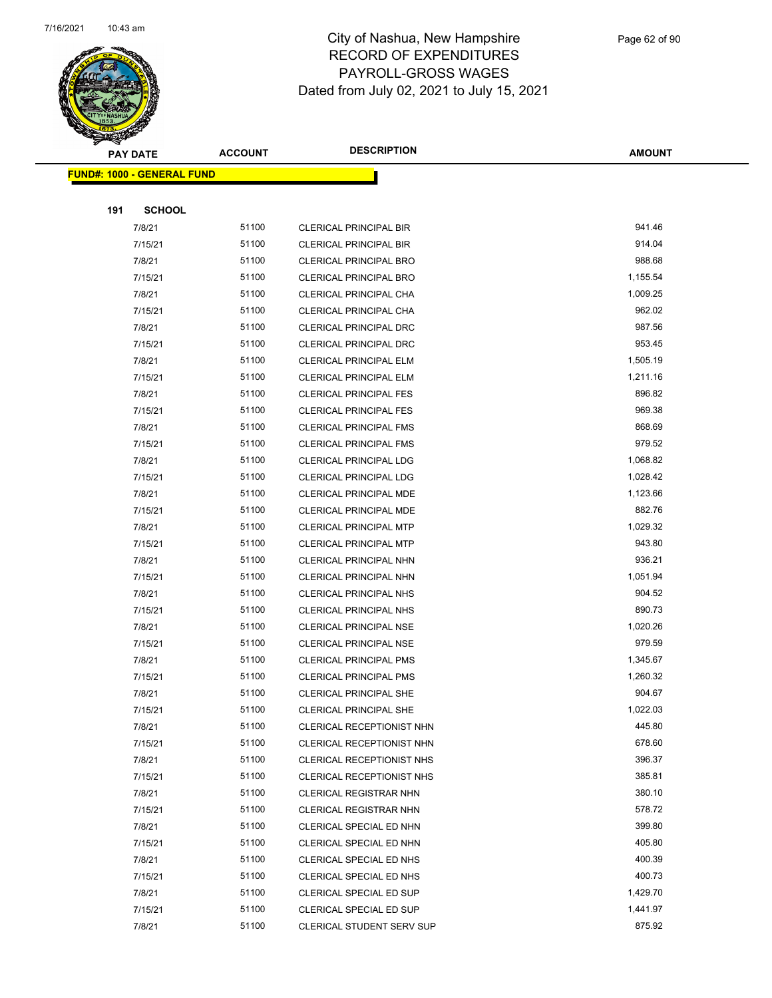

|     | <b>PAY DATE</b>                    | <b>ACCOUNT</b> | <b>DESCRIPTION</b>                                             | <b>AMOUNT</b>      |
|-----|------------------------------------|----------------|----------------------------------------------------------------|--------------------|
|     | <u> FUND#: 1000 - GENERAL FUND</u> |                |                                                                |                    |
|     |                                    |                |                                                                |                    |
| 191 | <b>SCHOOL</b>                      |                |                                                                |                    |
|     | 7/8/21                             | 51100          | <b>CLERICAL PRINCIPAL BIR</b>                                  | 941.46             |
|     | 7/15/21                            | 51100          | <b>CLERICAL PRINCIPAL BIR</b>                                  | 914.04             |
|     | 7/8/21                             | 51100          | <b>CLERICAL PRINCIPAL BRO</b>                                  | 988.68             |
|     | 7/15/21                            | 51100          | <b>CLERICAL PRINCIPAL BRO</b>                                  | 1,155.54           |
|     | 7/8/21                             | 51100          | CLERICAL PRINCIPAL CHA                                         | 1,009.25           |
|     | 7/15/21                            | 51100          | CLERICAL PRINCIPAL CHA                                         | 962.02             |
|     | 7/8/21                             | 51100          | CLERICAL PRINCIPAL DRC                                         | 987.56             |
|     | 7/15/21                            | 51100          | <b>CLERICAL PRINCIPAL DRC</b>                                  | 953.45             |
|     | 7/8/21                             | 51100          | <b>CLERICAL PRINCIPAL ELM</b>                                  | 1,505.19           |
|     | 7/15/21                            | 51100          | <b>CLERICAL PRINCIPAL ELM</b>                                  | 1,211.16           |
|     | 7/8/21                             | 51100          | <b>CLERICAL PRINCIPAL FES</b>                                  | 896.82             |
|     | 7/15/21                            | 51100          | <b>CLERICAL PRINCIPAL FES</b>                                  | 969.38             |
|     | 7/8/21                             | 51100          | <b>CLERICAL PRINCIPAL FMS</b>                                  | 868.69             |
|     | 7/15/21                            | 51100          | <b>CLERICAL PRINCIPAL FMS</b>                                  | 979.52             |
|     | 7/8/21                             | 51100          | <b>CLERICAL PRINCIPAL LDG</b>                                  | 1,068.82           |
|     | 7/15/21                            | 51100          | <b>CLERICAL PRINCIPAL LDG</b>                                  | 1,028.42           |
|     | 7/8/21                             | 51100          | <b>CLERICAL PRINCIPAL MDE</b>                                  | 1,123.66           |
|     | 7/15/21                            | 51100          | CLERICAL PRINCIPAL MDE                                         | 882.76             |
|     | 7/8/21                             | 51100          | <b>CLERICAL PRINCIPAL MTP</b>                                  | 1,029.32           |
|     | 7/15/21                            | 51100          | <b>CLERICAL PRINCIPAL MTP</b>                                  | 943.80             |
|     | 7/8/21                             | 51100          | CLERICAL PRINCIPAL NHN                                         | 936.21             |
|     | 7/15/21                            | 51100          | CLERICAL PRINCIPAL NHN                                         | 1,051.94           |
|     | 7/8/21                             | 51100          | <b>CLERICAL PRINCIPAL NHS</b>                                  | 904.52             |
|     | 7/15/21                            | 51100          | <b>CLERICAL PRINCIPAL NHS</b>                                  | 890.73             |
|     | 7/8/21                             | 51100<br>51100 | <b>CLERICAL PRINCIPAL NSE</b>                                  | 1,020.26<br>979.59 |
|     | 7/15/21<br>7/8/21                  | 51100          | <b>CLERICAL PRINCIPAL NSE</b>                                  | 1,345.67           |
|     | 7/15/21                            | 51100          | <b>CLERICAL PRINCIPAL PMS</b><br><b>CLERICAL PRINCIPAL PMS</b> | 1,260.32           |
|     | 7/8/21                             | 51100          | <b>CLERICAL PRINCIPAL SHE</b>                                  | 904.67             |
|     | 7/15/21                            | 51100          | <b>CLERICAL PRINCIPAL SHE</b>                                  | 1,022.03           |
|     | 7/8/21                             | 51100          | CLERICAL RECEPTIONIST NHN                                      | 445.80             |
|     | 7/15/21                            | 51100          | CLERICAL RECEPTIONIST NHN                                      | 678.60             |
|     | 7/8/21                             | 51100          | CLERICAL RECEPTIONIST NHS                                      | 396.37             |
|     | 7/15/21                            | 51100          | CLERICAL RECEPTIONIST NHS                                      | 385.81             |
|     | 7/8/21                             | 51100          | <b>CLERICAL REGISTRAR NHN</b>                                  | 380.10             |
|     | 7/15/21                            | 51100          | <b>CLERICAL REGISTRAR NHN</b>                                  | 578.72             |
|     | 7/8/21                             | 51100          | CLERICAL SPECIAL ED NHN                                        | 399.80             |
|     | 7/15/21                            | 51100          | CLERICAL SPECIAL ED NHN                                        | 405.80             |
|     | 7/8/21                             | 51100          | CLERICAL SPECIAL ED NHS                                        | 400.39             |
|     | 7/15/21                            | 51100          | CLERICAL SPECIAL ED NHS                                        | 400.73             |
|     | 7/8/21                             | 51100          | CLERICAL SPECIAL ED SUP                                        | 1,429.70           |
|     | 7/15/21                            | 51100          | CLERICAL SPECIAL ED SUP                                        | 1,441.97           |
|     | 7/8/21                             | 51100          | <b>CLERICAL STUDENT SERV SUP</b>                               | 875.92             |
|     |                                    |                |                                                                |                    |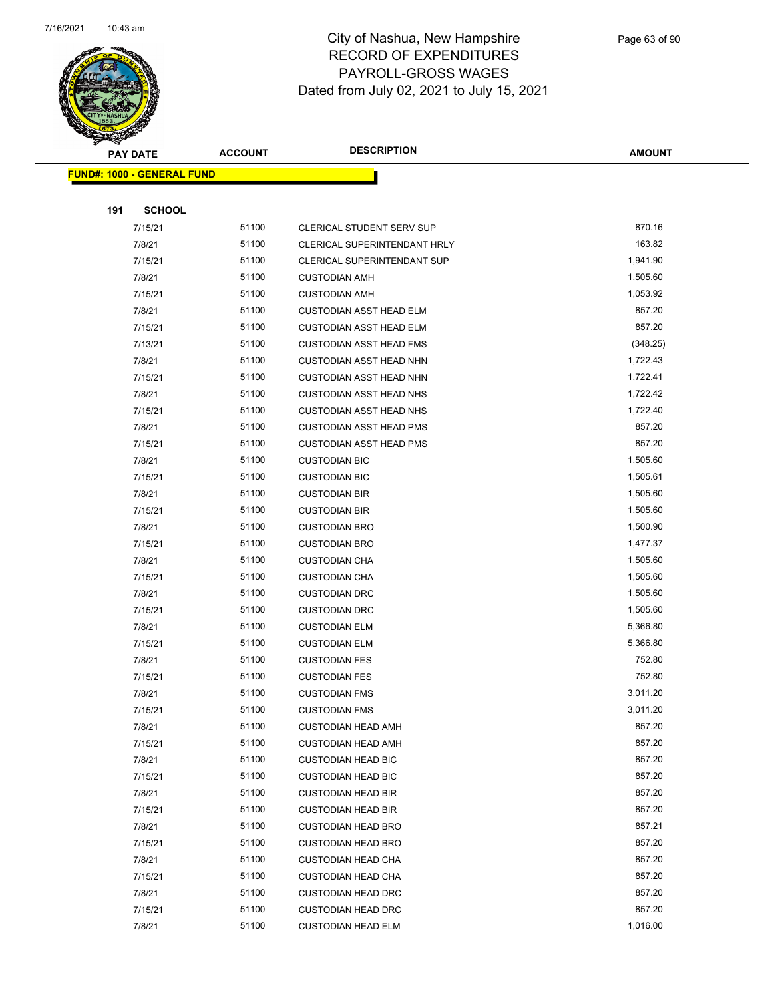

|     | <b>PAY DATE</b>                   | <b>ACCOUNT</b> | <b>DESCRIPTION</b>             | <b>AMOUNT</b> |
|-----|-----------------------------------|----------------|--------------------------------|---------------|
|     | <b>FUND#: 1000 - GENERAL FUND</b> |                |                                |               |
|     |                                   |                |                                |               |
| 191 | <b>SCHOOL</b>                     |                |                                |               |
|     | 7/15/21                           | 51100          | CLERICAL STUDENT SERV SUP      | 870.16        |
|     | 7/8/21                            | 51100          | CLERICAL SUPERINTENDANT HRLY   | 163.82        |
|     | 7/15/21                           | 51100          | CLERICAL SUPERINTENDANT SUP    | 1,941.90      |
|     | 7/8/21                            | 51100          | <b>CUSTODIAN AMH</b>           | 1,505.60      |
|     | 7/15/21                           | 51100          | <b>CUSTODIAN AMH</b>           | 1,053.92      |
|     | 7/8/21                            | 51100          | <b>CUSTODIAN ASST HEAD ELM</b> | 857.20        |
|     | 7/15/21                           | 51100          | CUSTODIAN ASST HEAD ELM        | 857.20        |
|     | 7/13/21                           | 51100          | <b>CUSTODIAN ASST HEAD FMS</b> | (348.25)      |
|     | 7/8/21                            | 51100          | <b>CUSTODIAN ASST HEAD NHN</b> | 1,722.43      |
|     | 7/15/21                           | 51100          | <b>CUSTODIAN ASST HEAD NHN</b> | 1,722.41      |
|     | 7/8/21                            | 51100          | <b>CUSTODIAN ASST HEAD NHS</b> | 1,722.42      |
|     | 7/15/21                           | 51100          | <b>CUSTODIAN ASST HEAD NHS</b> | 1,722.40      |
|     | 7/8/21                            | 51100          | <b>CUSTODIAN ASST HEAD PMS</b> | 857.20        |
|     | 7/15/21                           | 51100          | <b>CUSTODIAN ASST HEAD PMS</b> | 857.20        |
|     | 7/8/21                            | 51100          | <b>CUSTODIAN BIC</b>           | 1,505.60      |
|     | 7/15/21                           | 51100          | <b>CUSTODIAN BIC</b>           | 1,505.61      |
|     | 7/8/21                            | 51100          | <b>CUSTODIAN BIR</b>           | 1,505.60      |
|     | 7/15/21                           | 51100          | <b>CUSTODIAN BIR</b>           | 1,505.60      |
|     | 7/8/21                            | 51100          | <b>CUSTODIAN BRO</b>           | 1,500.90      |
|     | 7/15/21                           | 51100          | <b>CUSTODIAN BRO</b>           | 1,477.37      |
|     | 7/8/21                            | 51100          | <b>CUSTODIAN CHA</b>           | 1,505.60      |
|     | 7/15/21                           | 51100          | <b>CUSTODIAN CHA</b>           | 1,505.60      |
|     | 7/8/21                            | 51100          | <b>CUSTODIAN DRC</b>           | 1,505.60      |
|     | 7/15/21                           | 51100          | <b>CUSTODIAN DRC</b>           | 1,505.60      |
|     | 7/8/21                            | 51100          | <b>CUSTODIAN ELM</b>           | 5,366.80      |
|     | 7/15/21                           | 51100          | <b>CUSTODIAN ELM</b>           | 5,366.80      |
|     | 7/8/21                            | 51100          | <b>CUSTODIAN FES</b>           | 752.80        |
|     | 7/15/21                           | 51100          | <b>CUSTODIAN FES</b>           | 752.80        |
|     | 7/8/21                            | 51100          | <b>CUSTODIAN FMS</b>           | 3,011.20      |
|     | 7/15/21                           | 51100          | <b>CUSTODIAN FMS</b>           | 3,011.20      |
|     | 7/8/21                            | 51100          | <b>CUSTODIAN HEAD AMH</b>      | 857.20        |
|     | 7/15/21                           | 51100          | <b>CUSTODIAN HEAD AMH</b>      | 857.20        |
|     | 7/8/21                            | 51100          | <b>CUSTODIAN HEAD BIC</b>      | 857.20        |
|     | 7/15/21                           | 51100          | <b>CUSTODIAN HEAD BIC</b>      | 857.20        |
|     | 7/8/21                            | 51100          | <b>CUSTODIAN HEAD BIR</b>      | 857.20        |
|     | 7/15/21                           | 51100          | <b>CUSTODIAN HEAD BIR</b>      | 857.20        |
|     | 7/8/21                            | 51100          | <b>CUSTODIAN HEAD BRO</b>      | 857.21        |
|     | 7/15/21                           | 51100          | <b>CUSTODIAN HEAD BRO</b>      | 857.20        |
|     | 7/8/21                            | 51100          | <b>CUSTODIAN HEAD CHA</b>      | 857.20        |
|     | 7/15/21                           | 51100          | <b>CUSTODIAN HEAD CHA</b>      | 857.20        |
|     | 7/8/21                            | 51100          | <b>CUSTODIAN HEAD DRC</b>      | 857.20        |
|     | 7/15/21                           | 51100          | <b>CUSTODIAN HEAD DRC</b>      | 857.20        |
|     | 7/8/21                            | 51100          | <b>CUSTODIAN HEAD ELM</b>      | 1,016.00      |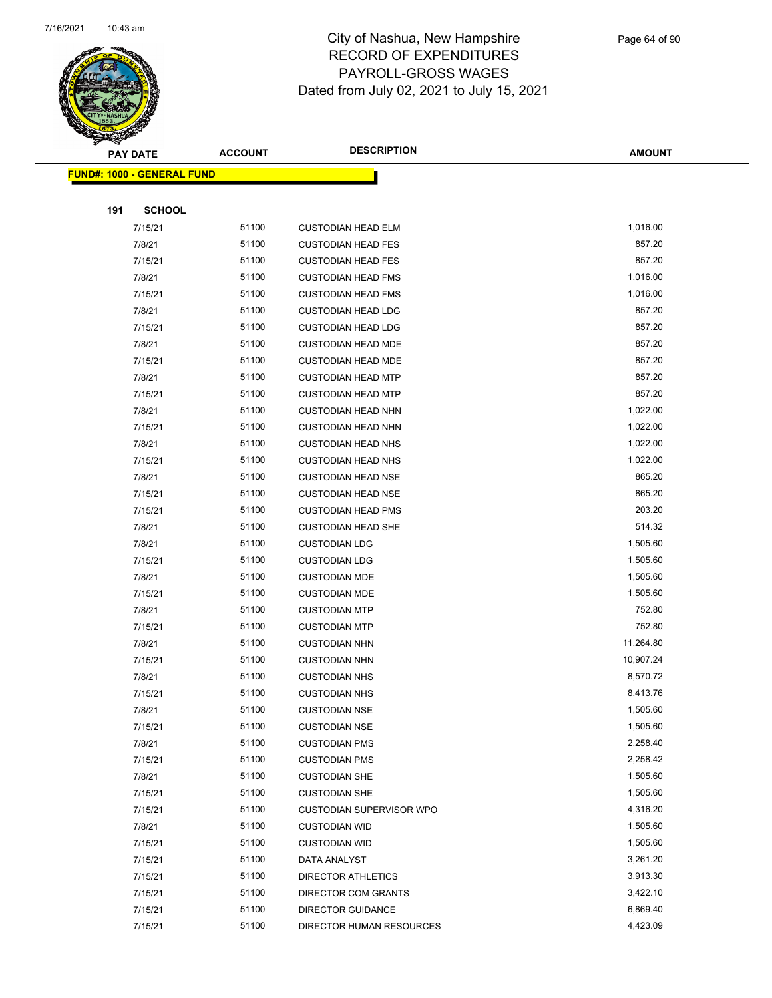

|     | <b>PAY DATE</b>            | <b>ACCOUNT</b> | <b>DESCRIPTION</b>        | <b>AMOUNT</b> |
|-----|----------------------------|----------------|---------------------------|---------------|
|     | FUND#: 1000 - GENERAL FUND |                |                           |               |
|     |                            |                |                           |               |
| 191 | <b>SCHOOL</b>              |                |                           |               |
|     | 7/15/21                    | 51100          | <b>CUSTODIAN HEAD ELM</b> | 1,016.00      |
|     | 7/8/21                     | 51100          | <b>CUSTODIAN HEAD FES</b> | 857.20        |
|     | 7/15/21                    | 51100          | <b>CUSTODIAN HEAD FES</b> | 857.20        |
|     | 7/8/21                     | 51100          | <b>CUSTODIAN HEAD FMS</b> | 1,016.00      |
|     | 7/15/21                    | 51100          | <b>CUSTODIAN HEAD FMS</b> | 1,016.00      |
|     | 7/8/21                     | 51100          | <b>CUSTODIAN HEAD LDG</b> | 857.20        |
|     | 7/15/21                    | 51100          | <b>CUSTODIAN HEAD LDG</b> | 857.20        |
|     | 7/8/21                     | 51100          | <b>CUSTODIAN HEAD MDE</b> | 857.20        |
|     | 7/15/21                    | 51100          | <b>CUSTODIAN HEAD MDE</b> | 857.20        |
|     | 7/8/21                     | 51100          | <b>CUSTODIAN HEAD MTP</b> | 857.20        |
|     | 7/15/21                    | 51100          | <b>CUSTODIAN HEAD MTP</b> | 857.20        |
|     | 7/8/21                     | 51100          | <b>CUSTODIAN HEAD NHN</b> | 1,022.00      |
|     | 7/15/21                    | 51100          | <b>CUSTODIAN HEAD NHN</b> | 1,022.00      |
|     | 7/8/21                     | 51100          | <b>CUSTODIAN HEAD NHS</b> | 1,022.00      |
|     | 7/15/21                    | 51100          | <b>CUSTODIAN HEAD NHS</b> | 1,022.00      |
|     | 7/8/21                     | 51100          | <b>CUSTODIAN HEAD NSE</b> | 865.20        |
|     | 7/15/21                    | 51100          | <b>CUSTODIAN HEAD NSE</b> | 865.20        |
|     | 7/15/21                    | 51100          | <b>CUSTODIAN HEAD PMS</b> | 203.20        |
|     | 7/8/21                     | 51100          | <b>CUSTODIAN HEAD SHE</b> | 514.32        |
|     | 7/8/21                     | 51100          | <b>CUSTODIAN LDG</b>      | 1,505.60      |
|     | 7/15/21                    | 51100          | <b>CUSTODIAN LDG</b>      | 1,505.60      |
|     | 7/8/21                     | 51100          | <b>CUSTODIAN MDE</b>      | 1,505.60      |
|     | 7/15/21                    | 51100          | <b>CUSTODIAN MDE</b>      | 1,505.60      |
|     | 7/8/21                     | 51100          | <b>CUSTODIAN MTP</b>      | 752.80        |
|     | 7/15/21                    | 51100          | <b>CUSTODIAN MTP</b>      | 752.80        |
|     | 7/8/21                     | 51100          | <b>CUSTODIAN NHN</b>      | 11,264.80     |
|     | 7/15/21                    | 51100          | <b>CUSTODIAN NHN</b>      | 10,907.24     |
|     | 7/8/21                     | 51100          | <b>CUSTODIAN NHS</b>      | 8,570.72      |
|     | 7/15/21                    | 51100          | <b>CUSTODIAN NHS</b>      | 8,413.76      |
|     | 7/8/21                     | 51100          | <b>CUSTODIAN NSE</b>      | 1,505.60      |
|     | 7/15/21                    | 51100          | <b>CUSTODIAN NSE</b>      | 1,505.60      |
|     | 7/8/21                     | 51100          | <b>CUSTODIAN PMS</b>      | 2,258.40      |
|     | 7/15/21                    | 51100          | <b>CUSTODIAN PMS</b>      | 2,258.42      |
|     | 7/8/21                     | 51100          | <b>CUSTODIAN SHE</b>      | 1,505.60      |
|     | 7/15/21                    | 51100          | <b>CUSTODIAN SHE</b>      | 1,505.60      |
|     | 7/15/21                    | 51100          | CUSTODIAN SUPERVISOR WPO  | 4,316.20      |
|     | 7/8/21                     | 51100          | <b>CUSTODIAN WID</b>      | 1,505.60      |
|     | 7/15/21                    | 51100          | <b>CUSTODIAN WID</b>      | 1,505.60      |
|     | 7/15/21                    | 51100          | DATA ANALYST              | 3,261.20      |
|     | 7/15/21                    | 51100          | DIRECTOR ATHLETICS        | 3,913.30      |
|     | 7/15/21                    | 51100          | DIRECTOR COM GRANTS       | 3,422.10      |
|     | 7/15/21                    | 51100          | <b>DIRECTOR GUIDANCE</b>  | 6,869.40      |
|     | 7/15/21                    | 51100          | DIRECTOR HUMAN RESOURCES  | 4,423.09      |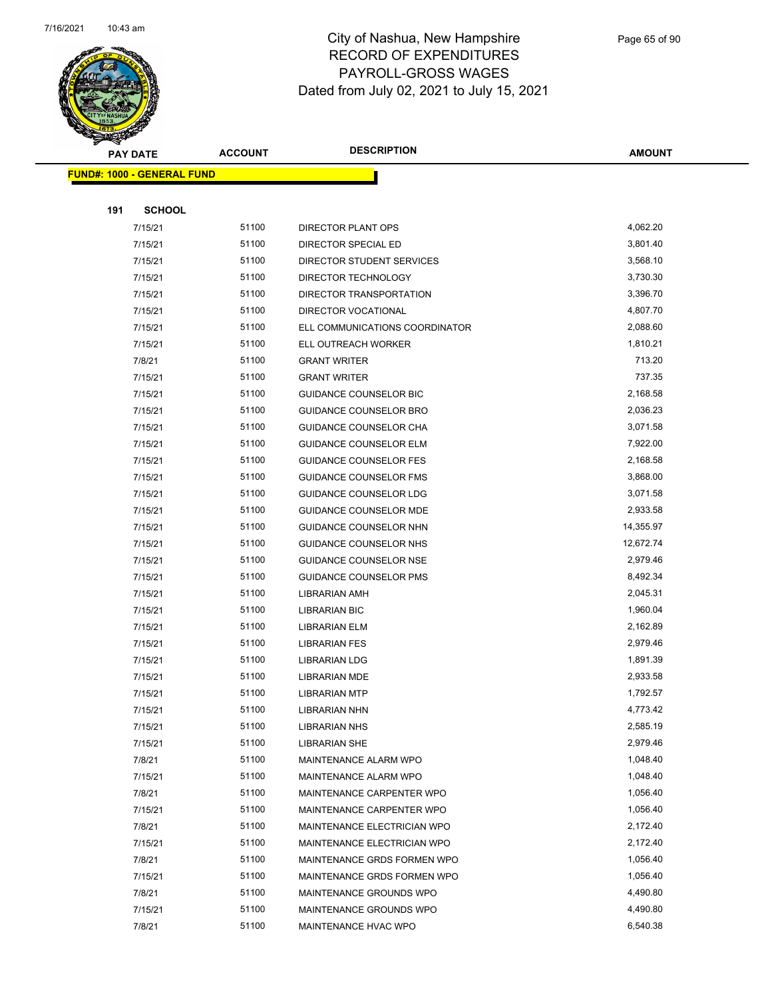

|     | <b>PAY DATE</b>                   | <b>ACCOUNT</b> | <b>DESCRIPTION</b>                           | <b>AMOUNT</b>        |
|-----|-----------------------------------|----------------|----------------------------------------------|----------------------|
|     | <b>FUND#: 1000 - GENERAL FUND</b> |                |                                              |                      |
|     |                                   |                |                                              |                      |
| 191 | <b>SCHOOL</b>                     |                |                                              |                      |
|     | 7/15/21                           | 51100          | DIRECTOR PLANT OPS                           | 4,062.20             |
|     | 7/15/21                           | 51100          | DIRECTOR SPECIAL ED                          | 3,801.40             |
|     | 7/15/21                           | 51100          | DIRECTOR STUDENT SERVICES                    | 3,568.10             |
|     | 7/15/21                           | 51100          | DIRECTOR TECHNOLOGY                          | 3,730.30             |
|     | 7/15/21                           | 51100          | DIRECTOR TRANSPORTATION                      | 3,396.70             |
|     | 7/15/21                           | 51100          | DIRECTOR VOCATIONAL                          | 4,807.70             |
|     | 7/15/21                           | 51100          | ELL COMMUNICATIONS COORDINATOR               | 2,088.60             |
|     | 7/15/21                           | 51100          | ELL OUTREACH WORKER                          | 1,810.21             |
|     | 7/8/21                            | 51100          | <b>GRANT WRITER</b>                          | 713.20               |
|     | 7/15/21                           | 51100          | <b>GRANT WRITER</b>                          | 737.35               |
|     | 7/15/21                           | 51100          | <b>GUIDANCE COUNSELOR BIC</b>                | 2,168.58             |
|     | 7/15/21                           | 51100          | GUIDANCE COUNSELOR BRO                       | 2,036.23             |
|     | 7/15/21                           | 51100          | GUIDANCE COUNSELOR CHA                       | 3,071.58             |
|     | 7/15/21                           | 51100          | <b>GUIDANCE COUNSELOR ELM</b>                | 7,922.00             |
|     | 7/15/21                           | 51100          | <b>GUIDANCE COUNSELOR FES</b>                | 2,168.58             |
|     | 7/15/21                           | 51100          | <b>GUIDANCE COUNSELOR FMS</b>                | 3,868.00             |
|     | 7/15/21                           | 51100          | <b>GUIDANCE COUNSELOR LDG</b>                | 3,071.58             |
|     | 7/15/21                           | 51100          | <b>GUIDANCE COUNSELOR MDE</b>                | 2,933.58             |
|     | 7/15/21                           | 51100          | GUIDANCE COUNSELOR NHN                       | 14,355.97            |
|     | 7/15/21                           | 51100          | GUIDANCE COUNSELOR NHS                       | 12,672.74            |
|     | 7/15/21                           | 51100          | <b>GUIDANCE COUNSELOR NSE</b>                | 2,979.46             |
|     | 7/15/21                           | 51100          | <b>GUIDANCE COUNSELOR PMS</b>                | 8,492.34             |
|     | 7/15/21                           | 51100          | <b>LIBRARIAN AMH</b>                         | 2,045.31             |
|     | 7/15/21                           | 51100          | <b>LIBRARIAN BIC</b>                         | 1,960.04             |
|     | 7/15/21                           | 51100          | LIBRARIAN ELM                                | 2,162.89             |
|     | 7/15/21                           | 51100          | <b>LIBRARIAN FES</b>                         | 2,979.46             |
|     | 7/15/21                           | 51100          | <b>LIBRARIAN LDG</b>                         | 1,891.39             |
|     | 7/15/21<br>7/15/21                | 51100<br>51100 | <b>LIBRARIAN MDE</b><br><b>LIBRARIAN MTP</b> | 2,933.58<br>1,792.57 |
|     | 7/15/21                           | 51100          | <b>LIBRARIAN NHN</b>                         | 4,773.42             |
|     | 7/15/21                           | 51100          | <b>LIBRARIAN NHS</b>                         | 2,585.19             |
|     | 7/15/21                           | 51100          | <b>LIBRARIAN SHE</b>                         | 2,979.46             |
|     | 7/8/21                            | 51100          | MAINTENANCE ALARM WPO                        | 1,048.40             |
|     | 7/15/21                           | 51100          | MAINTENANCE ALARM WPO                        | 1,048.40             |
|     | 7/8/21                            | 51100          | MAINTENANCE CARPENTER WPO                    | 1,056.40             |
|     | 7/15/21                           | 51100          | MAINTENANCE CARPENTER WPO                    | 1,056.40             |
|     | 7/8/21                            | 51100          | MAINTENANCE ELECTRICIAN WPO                  | 2,172.40             |
|     | 7/15/21                           | 51100          | MAINTENANCE ELECTRICIAN WPO                  | 2,172.40             |
|     | 7/8/21                            | 51100          | MAINTENANCE GRDS FORMEN WPO                  | 1,056.40             |
|     | 7/15/21                           | 51100          | MAINTENANCE GRDS FORMEN WPO                  | 1,056.40             |
|     | 7/8/21                            | 51100          | MAINTENANCE GROUNDS WPO                      | 4,490.80             |
|     | 7/15/21                           | 51100          | MAINTENANCE GROUNDS WPO                      | 4,490.80             |
|     | 7/8/21                            | 51100          | MAINTENANCE HVAC WPO                         | 6,540.38             |
|     |                                   |                |                                              |                      |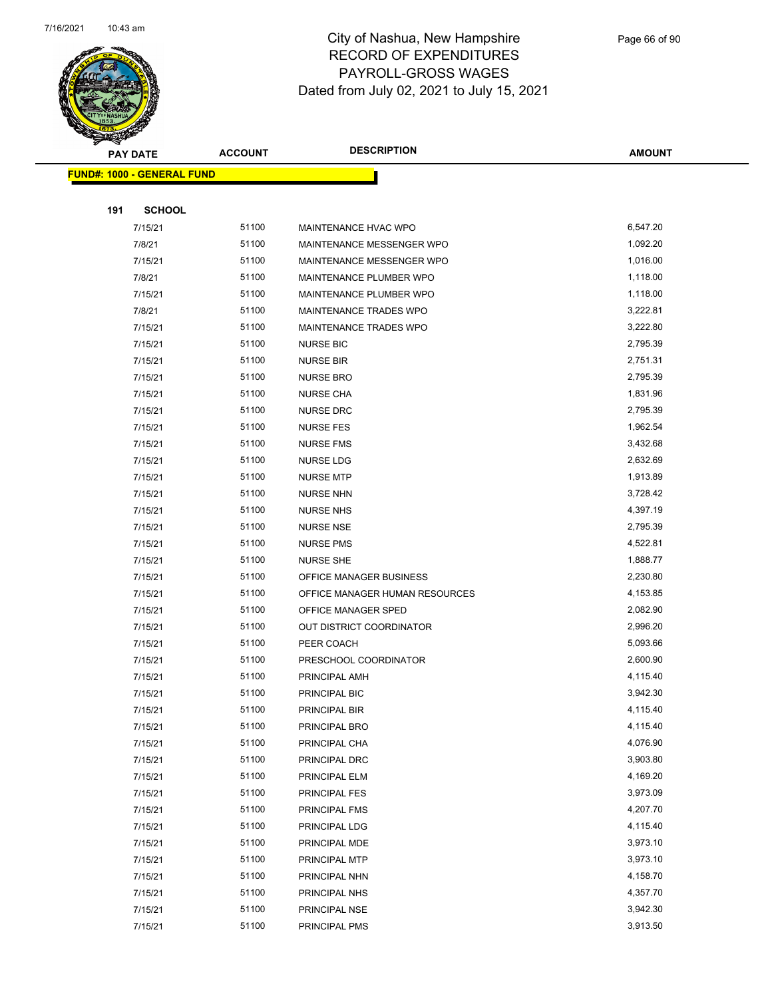

|     | <b>PAY DATE</b>                   | <b>ACCOUNT</b> | <b>DESCRIPTION</b>             | <b>AMOUNT</b> |
|-----|-----------------------------------|----------------|--------------------------------|---------------|
|     | <b>FUND#: 1000 - GENERAL FUND</b> |                |                                |               |
|     |                                   |                |                                |               |
| 191 | <b>SCHOOL</b>                     |                |                                |               |
|     | 7/15/21                           | 51100          | MAINTENANCE HVAC WPO           | 6,547.20      |
|     | 7/8/21                            | 51100          | MAINTENANCE MESSENGER WPO      | 1,092.20      |
|     | 7/15/21                           | 51100          | MAINTENANCE MESSENGER WPO      | 1,016.00      |
|     | 7/8/21                            | 51100          | MAINTENANCE PLUMBER WPO        | 1,118.00      |
|     | 7/15/21                           | 51100          | MAINTENANCE PLUMBER WPO        | 1,118.00      |
|     | 7/8/21                            | 51100          | MAINTENANCE TRADES WPO         | 3,222.81      |
|     | 7/15/21                           | 51100          | MAINTENANCE TRADES WPO         | 3,222.80      |
|     | 7/15/21                           | 51100          | <b>NURSE BIC</b>               | 2,795.39      |
|     | 7/15/21                           | 51100          | <b>NURSE BIR</b>               | 2,751.31      |
|     | 7/15/21                           | 51100          | <b>NURSE BRO</b>               | 2,795.39      |
|     | 7/15/21                           | 51100          | <b>NURSE CHA</b>               | 1,831.96      |
|     | 7/15/21                           | 51100          | <b>NURSE DRC</b>               | 2,795.39      |
|     | 7/15/21                           | 51100          | <b>NURSE FES</b>               | 1,962.54      |
|     | 7/15/21                           | 51100          | <b>NURSE FMS</b>               | 3,432.68      |
|     | 7/15/21                           | 51100          | NURSE LDG                      | 2,632.69      |
|     | 7/15/21                           | 51100          | <b>NURSE MTP</b>               | 1,913.89      |
|     | 7/15/21                           | 51100          | <b>NURSE NHN</b>               | 3,728.42      |
|     | 7/15/21                           | 51100          | <b>NURSE NHS</b>               | 4,397.19      |
|     | 7/15/21                           | 51100          | <b>NURSE NSE</b>               | 2,795.39      |
|     | 7/15/21                           | 51100          | <b>NURSE PMS</b>               | 4,522.81      |
|     | 7/15/21                           | 51100          | <b>NURSE SHE</b>               | 1,888.77      |
|     | 7/15/21                           | 51100          | OFFICE MANAGER BUSINESS        | 2,230.80      |
|     | 7/15/21                           | 51100          | OFFICE MANAGER HUMAN RESOURCES | 4,153.85      |
|     | 7/15/21                           | 51100          | OFFICE MANAGER SPED            | 2,082.90      |
|     | 7/15/21                           | 51100          | OUT DISTRICT COORDINATOR       | 2,996.20      |
|     | 7/15/21                           | 51100          | PEER COACH                     | 5,093.66      |
|     | 7/15/21                           | 51100          | PRESCHOOL COORDINATOR          | 2,600.90      |
|     | 7/15/21                           | 51100          | PRINCIPAL AMH                  | 4,115.40      |
|     | 7/15/21                           | 51100          | PRINCIPAL BIC                  | 3,942.30      |
|     | 7/15/21                           | 51100          | PRINCIPAL BIR                  | 4,115.40      |
|     | 7/15/21                           | 51100          | PRINCIPAL BRO                  | 4,115.40      |
|     | 7/15/21                           | 51100          | PRINCIPAL CHA                  | 4,076.90      |
|     | 7/15/21                           | 51100          | PRINCIPAL DRC                  | 3,903.80      |
|     | 7/15/21                           | 51100          | PRINCIPAL ELM                  | 4,169.20      |
|     | 7/15/21                           | 51100          | PRINCIPAL FES                  | 3,973.09      |
|     | 7/15/21                           | 51100          | PRINCIPAL FMS                  | 4,207.70      |
|     | 7/15/21                           | 51100          | PRINCIPAL LDG                  | 4,115.40      |
|     | 7/15/21                           | 51100          | PRINCIPAL MDE                  | 3,973.10      |
|     | 7/15/21                           | 51100          | PRINCIPAL MTP                  | 3,973.10      |
|     | 7/15/21                           | 51100          | PRINCIPAL NHN                  | 4,158.70      |
|     | 7/15/21                           | 51100          | PRINCIPAL NHS                  | 4,357.70      |
|     | 7/15/21                           | 51100          | PRINCIPAL NSE                  | 3,942.30      |
|     | 7/15/21                           | 51100          | PRINCIPAL PMS                  | 3,913.50      |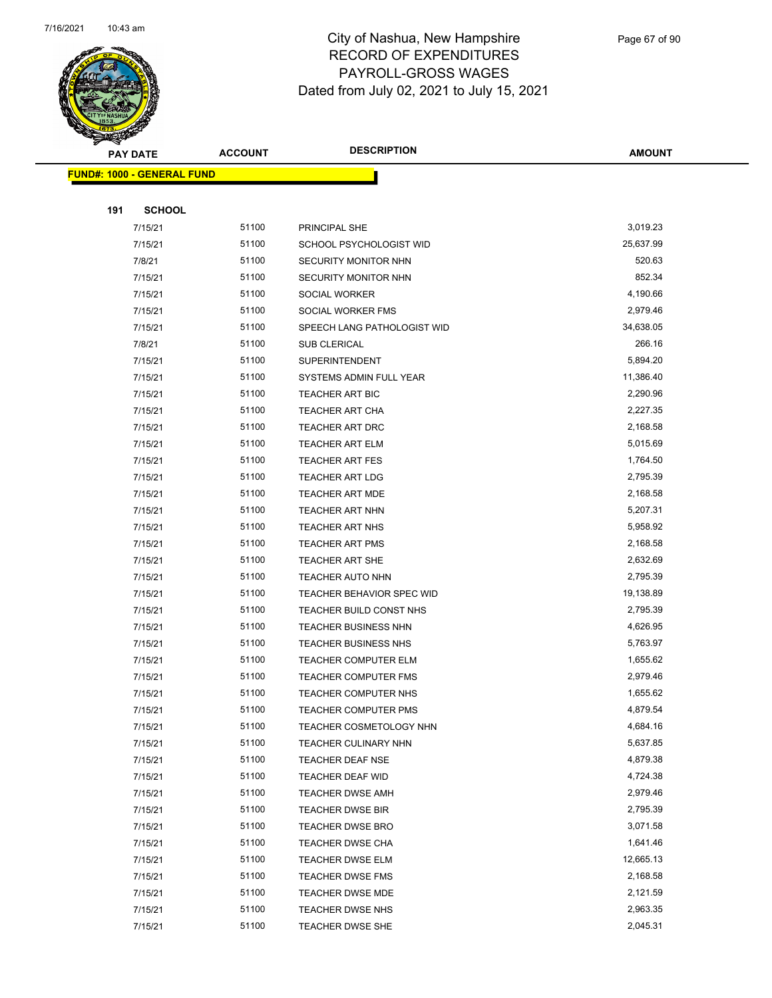

|     | <b>PAY DATE</b>                   | <b>ACCOUNT</b> | <b>DESCRIPTION</b>                                  | <b>AMOUNT</b>        |
|-----|-----------------------------------|----------------|-----------------------------------------------------|----------------------|
|     | <b>FUND#: 1000 - GENERAL FUND</b> |                |                                                     |                      |
|     |                                   |                |                                                     |                      |
| 191 | <b>SCHOOL</b>                     |                |                                                     |                      |
|     | 7/15/21                           | 51100          | PRINCIPAL SHE                                       | 3,019.23             |
|     | 7/15/21                           | 51100          | SCHOOL PSYCHOLOGIST WID                             | 25,637.99            |
|     | 7/8/21                            | 51100          | <b>SECURITY MONITOR NHN</b>                         | 520.63               |
|     | 7/15/21                           | 51100          | SECURITY MONITOR NHN                                | 852.34               |
|     | 7/15/21                           | 51100          | <b>SOCIAL WORKER</b>                                | 4,190.66             |
|     | 7/15/21                           | 51100          | SOCIAL WORKER FMS                                   | 2,979.46             |
|     | 7/15/21                           | 51100          | SPEECH LANG PATHOLOGIST WID                         | 34,638.05            |
|     | 7/8/21                            | 51100          | SUB CLERICAL                                        | 266.16               |
|     | 7/15/21                           | 51100          | <b>SUPERINTENDENT</b>                               | 5,894.20             |
|     | 7/15/21                           | 51100          | SYSTEMS ADMIN FULL YEAR                             | 11,386.40            |
|     | 7/15/21                           | 51100          | <b>TEACHER ART BIC</b>                              | 2,290.96             |
|     | 7/15/21                           | 51100          | <b>TEACHER ART CHA</b>                              | 2,227.35             |
|     | 7/15/21                           | 51100          | TEACHER ART DRC                                     | 2,168.58             |
|     | 7/15/21                           | 51100          | <b>TEACHER ART ELM</b>                              | 5,015.69             |
|     | 7/15/21                           | 51100          | <b>TEACHER ART FES</b>                              | 1,764.50             |
|     | 7/15/21                           | 51100          | <b>TEACHER ART LDG</b>                              | 2,795.39             |
|     | 7/15/21                           | 51100          | <b>TEACHER ART MDE</b>                              | 2,168.58             |
|     | 7/15/21                           | 51100          | <b>TEACHER ART NHN</b>                              | 5,207.31             |
|     | 7/15/21                           | 51100          | <b>TEACHER ART NHS</b>                              | 5,958.92             |
|     | 7/15/21                           | 51100          | <b>TEACHER ART PMS</b>                              | 2,168.58             |
|     | 7/15/21                           | 51100          | <b>TEACHER ART SHE</b>                              | 2,632.69             |
|     | 7/15/21                           | 51100          | TEACHER AUTO NHN                                    | 2,795.39             |
|     | 7/15/21                           | 51100          | TEACHER BEHAVIOR SPEC WID                           | 19,138.89            |
|     | 7/15/21                           | 51100          | TEACHER BUILD CONST NHS                             | 2,795.39             |
|     | 7/15/21                           | 51100          | TEACHER BUSINESS NHN                                | 4,626.95             |
|     | 7/15/21                           | 51100          | TEACHER BUSINESS NHS                                | 5,763.97             |
|     | 7/15/21                           | 51100<br>51100 | <b>TEACHER COMPUTER ELM</b>                         | 1,655.62<br>2,979.46 |
|     | 7/15/21<br>7/15/21                | 51100          | <b>TEACHER COMPUTER FMS</b><br>TEACHER COMPUTER NHS | 1,655.62             |
|     | 7/15/21                           | 51100          | TEACHER COMPUTER PMS                                | 4,879.54             |
|     | 7/15/21                           | 51100          | TEACHER COSMETOLOGY NHN                             | 4,684.16             |
|     | 7/15/21                           | 51100          | TEACHER CULINARY NHN                                | 5,637.85             |
|     | 7/15/21                           | 51100          | TEACHER DEAF NSE                                    | 4,879.38             |
|     | 7/15/21                           | 51100          | TEACHER DEAF WID                                    | 4,724.38             |
|     | 7/15/21                           | 51100          | TEACHER DWSE AMH                                    | 2,979.46             |
|     | 7/15/21                           | 51100          | <b>TEACHER DWSE BIR</b>                             | 2,795.39             |
|     | 7/15/21                           | 51100          | <b>TEACHER DWSE BRO</b>                             | 3,071.58             |
|     | 7/15/21                           | 51100          | TEACHER DWSE CHA                                    | 1,641.46             |
|     | 7/15/21                           | 51100          | TEACHER DWSE ELM                                    | 12,665.13            |
|     | 7/15/21                           | 51100          | <b>TEACHER DWSE FMS</b>                             | 2,168.58             |
|     | 7/15/21                           | 51100          | <b>TEACHER DWSE MDE</b>                             | 2,121.59             |
|     | 7/15/21                           | 51100          | <b>TEACHER DWSE NHS</b>                             | 2,963.35             |
|     | 7/15/21                           | 51100          | TEACHER DWSE SHE                                    | 2,045.31             |
|     |                                   |                |                                                     |                      |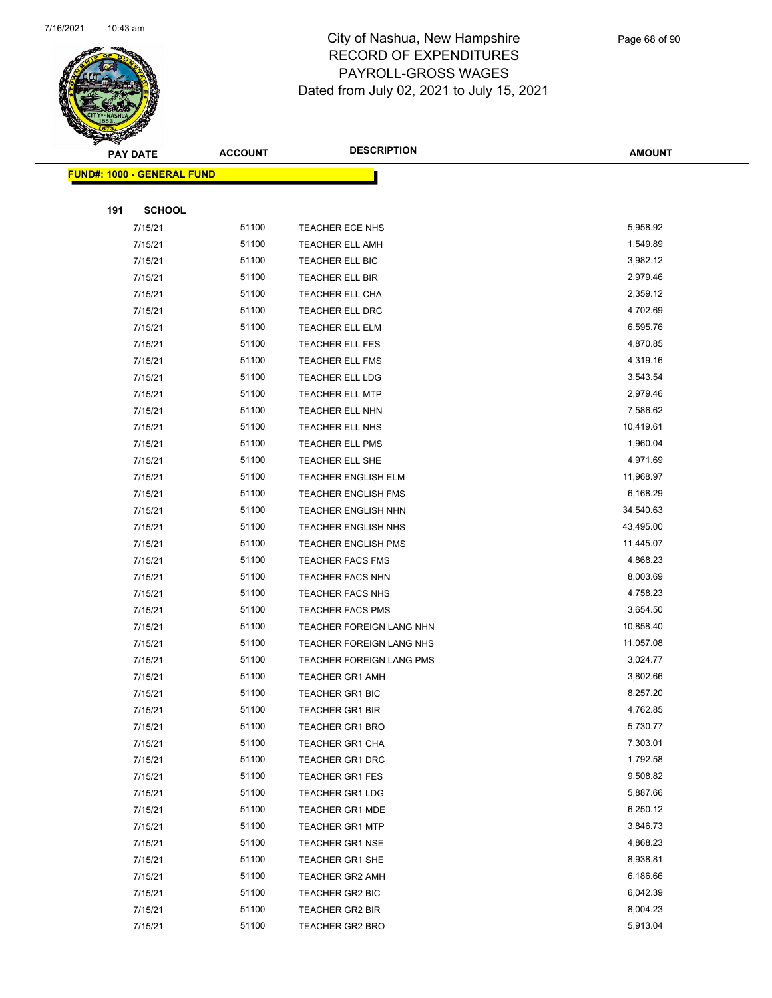

|     | <b>PAY DATE</b>                    | <b>ACCOUNT</b> | <b>DESCRIPTION</b>         | <b>AMOUNT</b> |
|-----|------------------------------------|----------------|----------------------------|---------------|
|     | <u> FUND#: 1000 - GENERAL FUND</u> |                |                            |               |
|     |                                    |                |                            |               |
| 191 | <b>SCHOOL</b>                      |                |                            |               |
|     | 7/15/21                            | 51100          | TEACHER ECE NHS            | 5,958.92      |
|     | 7/15/21                            | 51100          | <b>TEACHER ELL AMH</b>     | 1,549.89      |
|     | 7/15/21                            | 51100          | TEACHER ELL BIC            | 3,982.12      |
|     | 7/15/21                            | 51100          | TEACHER ELL BIR            | 2,979.46      |
|     | 7/15/21                            | 51100          | <b>TEACHER ELL CHA</b>     | 2,359.12      |
|     | 7/15/21                            | 51100          | TEACHER ELL DRC            | 4,702.69      |
|     | 7/15/21                            | 51100          | <b>TEACHER ELL ELM</b>     | 6,595.76      |
|     | 7/15/21                            | 51100          | <b>TEACHER ELL FES</b>     | 4,870.85      |
|     | 7/15/21                            | 51100          | <b>TEACHER ELL FMS</b>     | 4,319.16      |
|     | 7/15/21                            | 51100          | TEACHER ELL LDG            | 3,543.54      |
|     | 7/15/21                            | 51100          | <b>TEACHER ELL MTP</b>     | 2,979.46      |
|     | 7/15/21                            | 51100          | TEACHER ELL NHN            | 7,586.62      |
|     | 7/15/21                            | 51100          | TEACHER ELL NHS            | 10,419.61     |
|     | 7/15/21                            | 51100          | <b>TEACHER ELL PMS</b>     | 1,960.04      |
|     | 7/15/21                            | 51100          | <b>TEACHER ELL SHE</b>     | 4,971.69      |
|     | 7/15/21                            | 51100          | TEACHER ENGLISH ELM        | 11,968.97     |
|     | 7/15/21                            | 51100          | <b>TEACHER ENGLISH FMS</b> | 6,168.29      |
|     | 7/15/21                            | 51100          | <b>TEACHER ENGLISH NHN</b> | 34,540.63     |
|     | 7/15/21                            | 51100          | <b>TEACHER ENGLISH NHS</b> | 43,495.00     |
|     | 7/15/21                            | 51100          | TEACHER ENGLISH PMS        | 11,445.07     |
|     | 7/15/21                            | 51100          | TEACHER FACS FMS           | 4,868.23      |
|     | 7/15/21                            | 51100          | <b>TEACHER FACS NHN</b>    | 8,003.69      |
|     | 7/15/21                            | 51100          | <b>TEACHER FACS NHS</b>    | 4,758.23      |
|     | 7/15/21                            | 51100          | <b>TEACHER FACS PMS</b>    | 3,654.50      |
|     | 7/15/21                            | 51100          | TEACHER FOREIGN LANG NHN   | 10,858.40     |
|     | 7/15/21                            | 51100          | TEACHER FOREIGN LANG NHS   | 11,057.08     |
|     | 7/15/21                            | 51100          | TEACHER FOREIGN LANG PMS   | 3,024.77      |
|     | 7/15/21                            | 51100          | <b>TEACHER GR1 AMH</b>     | 3,802.66      |
|     | 7/15/21                            | 51100          | <b>TEACHER GR1 BIC</b>     | 8,257.20      |
|     | 7/15/21                            | 51100          | <b>TEACHER GR1 BIR</b>     | 4,762.85      |
|     | 7/15/21                            | 51100          | <b>TEACHER GR1 BRO</b>     | 5,730.77      |
|     | 7/15/21                            | 51100          | <b>TEACHER GR1 CHA</b>     | 7,303.01      |
|     | 7/15/21                            | 51100          | <b>TEACHER GR1 DRC</b>     | 1,792.58      |
|     | 7/15/21                            | 51100          | TEACHER GR1 FES            | 9,508.82      |
|     | 7/15/21                            | 51100          | <b>TEACHER GR1 LDG</b>     | 5,887.66      |
|     | 7/15/21                            | 51100          | <b>TEACHER GR1 MDE</b>     | 6,250.12      |
|     | 7/15/21                            | 51100          | <b>TEACHER GR1 MTP</b>     | 3,846.73      |
|     | 7/15/21                            | 51100          | <b>TEACHER GR1 NSE</b>     | 4,868.23      |
|     | 7/15/21                            | 51100          | TEACHER GR1 SHE            | 8,938.81      |
|     | 7/15/21                            | 51100          | <b>TEACHER GR2 AMH</b>     | 6,186.66      |
|     | 7/15/21                            | 51100          | TEACHER GR2 BIC            | 6,042.39      |
|     | 7/15/21                            | 51100          | TEACHER GR2 BIR            | 8,004.23      |
|     | 7/15/21                            | 51100          | <b>TEACHER GR2 BRO</b>     | 5,913.04      |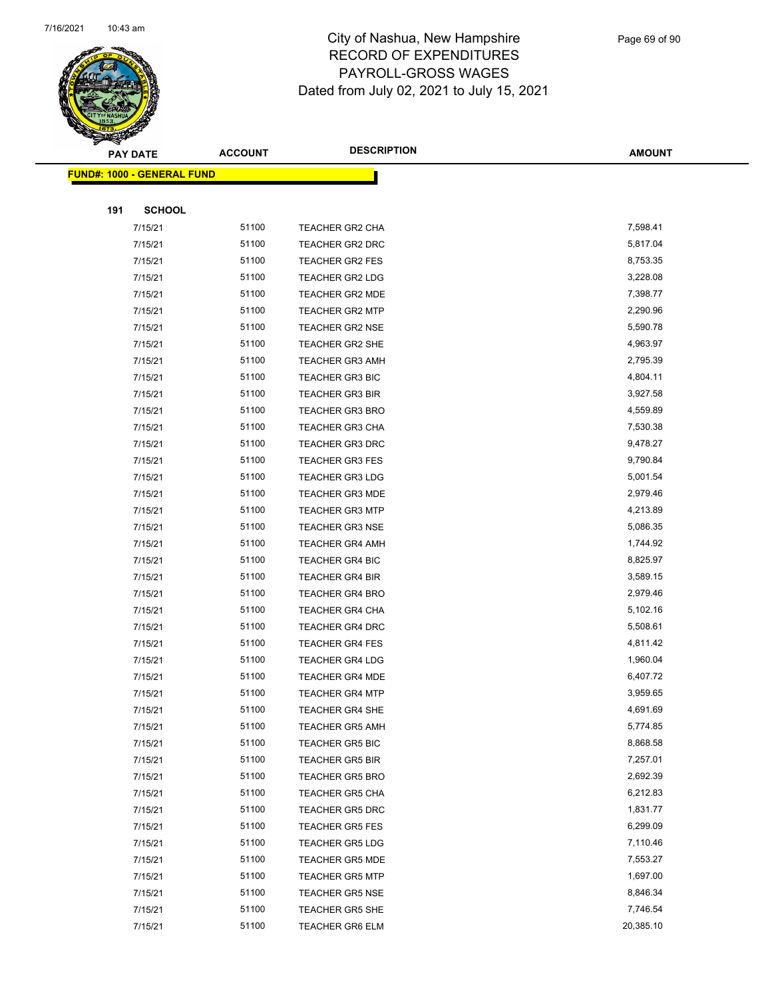

|     | <b>PAY DATE</b>                    | <b>ACCOUNT</b> | <b>DESCRIPTION</b>     | <b>AMOUNT</b> |  |
|-----|------------------------------------|----------------|------------------------|---------------|--|
|     | <u> FUND#: 1000 - GENERAL FUND</u> |                |                        |               |  |
|     |                                    |                |                        |               |  |
| 191 | <b>SCHOOL</b>                      |                |                        |               |  |
|     | 7/15/21                            | 51100          | TEACHER GR2 CHA        | 7,598.41      |  |
|     | 7/15/21                            | 51100          | <b>TEACHER GR2 DRC</b> | 5,817.04      |  |
|     | 7/15/21                            | 51100          | TEACHER GR2 FES        | 8,753.35      |  |
|     | 7/15/21                            | 51100          | <b>TEACHER GR2 LDG</b> | 3,228.08      |  |
|     | 7/15/21                            | 51100          | TEACHER GR2 MDE        | 7,398.77      |  |
|     | 7/15/21                            | 51100          | <b>TEACHER GR2 MTP</b> | 2,290.96      |  |
|     | 7/15/21                            | 51100          | <b>TEACHER GR2 NSE</b> | 5,590.78      |  |
|     | 7/15/21                            | 51100          | <b>TEACHER GR2 SHE</b> | 4,963.97      |  |
|     | 7/15/21                            | 51100          | <b>TEACHER GR3 AMH</b> | 2,795.39      |  |
|     | 7/15/21                            | 51100          | <b>TEACHER GR3 BIC</b> | 4,804.11      |  |
|     | 7/15/21                            | 51100          | <b>TEACHER GR3 BIR</b> | 3,927.58      |  |
|     | 7/15/21                            | 51100          | <b>TEACHER GR3 BRO</b> | 4,559.89      |  |
|     | 7/15/21                            | 51100          | <b>TEACHER GR3 CHA</b> | 7,530.38      |  |
|     | 7/15/21                            | 51100          | TEACHER GR3 DRC        | 9,478.27      |  |
|     | 7/15/21                            | 51100          | <b>TEACHER GR3 FES</b> | 9,790.84      |  |
|     | 7/15/21                            | 51100          | <b>TEACHER GR3 LDG</b> | 5,001.54      |  |
|     | 7/15/21                            | 51100          | <b>TEACHER GR3 MDE</b> | 2,979.46      |  |
|     | 7/15/21                            | 51100          | <b>TEACHER GR3 MTP</b> | 4,213.89      |  |
|     | 7/15/21                            | 51100          | <b>TEACHER GR3 NSE</b> | 5,086.35      |  |
|     | 7/15/21                            | 51100          | <b>TEACHER GR4 AMH</b> | 1,744.92      |  |
|     | 7/15/21                            | 51100          | TEACHER GR4 BIC        | 8,825.97      |  |
|     | 7/15/21                            | 51100          | <b>TEACHER GR4 BIR</b> | 3,589.15      |  |
|     | 7/15/21                            | 51100          | <b>TEACHER GR4 BRO</b> | 2,979.46      |  |
|     | 7/15/21                            | 51100          | <b>TEACHER GR4 CHA</b> | 5,102.16      |  |
|     | 7/15/21                            | 51100          | <b>TEACHER GR4 DRC</b> | 5,508.61      |  |
|     | 7/15/21                            | 51100          | <b>TEACHER GR4 FES</b> | 4,811.42      |  |
|     | 7/15/21                            | 51100          | <b>TEACHER GR4 LDG</b> | 1,960.04      |  |
|     | 7/15/21                            | 51100          | <b>TEACHER GR4 MDE</b> | 6,407.72      |  |
|     | 7/15/21                            | 51100          | <b>TEACHER GR4 MTP</b> | 3,959.65      |  |
|     | 7/15/21                            | 51100          | <b>TEACHER GR4 SHE</b> | 4,691.69      |  |
|     | 7/15/21                            | 51100          | <b>TEACHER GR5 AMH</b> | 5,774.85      |  |
|     | 7/15/21                            | 51100          | <b>TEACHER GR5 BIC</b> | 8,868.58      |  |
|     | 7/15/21                            | 51100          | <b>TEACHER GR5 BIR</b> | 7,257.01      |  |
|     | 7/15/21                            | 51100          | <b>TEACHER GR5 BRO</b> | 2,692.39      |  |
|     | 7/15/21                            | 51100          | <b>TEACHER GR5 CHA</b> | 6,212.83      |  |
|     | 7/15/21                            | 51100          | TEACHER GR5 DRC        | 1,831.77      |  |
|     | 7/15/21                            | 51100          | <b>TEACHER GR5 FES</b> | 6,299.09      |  |
|     | 7/15/21                            | 51100          | <b>TEACHER GR5 LDG</b> | 7,110.46      |  |
|     | 7/15/21                            | 51100          | <b>TEACHER GR5 MDE</b> | 7,553.27      |  |
|     | 7/15/21                            | 51100          | <b>TEACHER GR5 MTP</b> | 1,697.00      |  |
|     | 7/15/21                            | 51100          | TEACHER GR5 NSE        | 8,846.34      |  |
|     | 7/15/21                            | 51100          | <b>TEACHER GR5 SHE</b> | 7,746.54      |  |
|     | 7/15/21                            | 51100          | <b>TEACHER GR6 ELM</b> | 20,385.10     |  |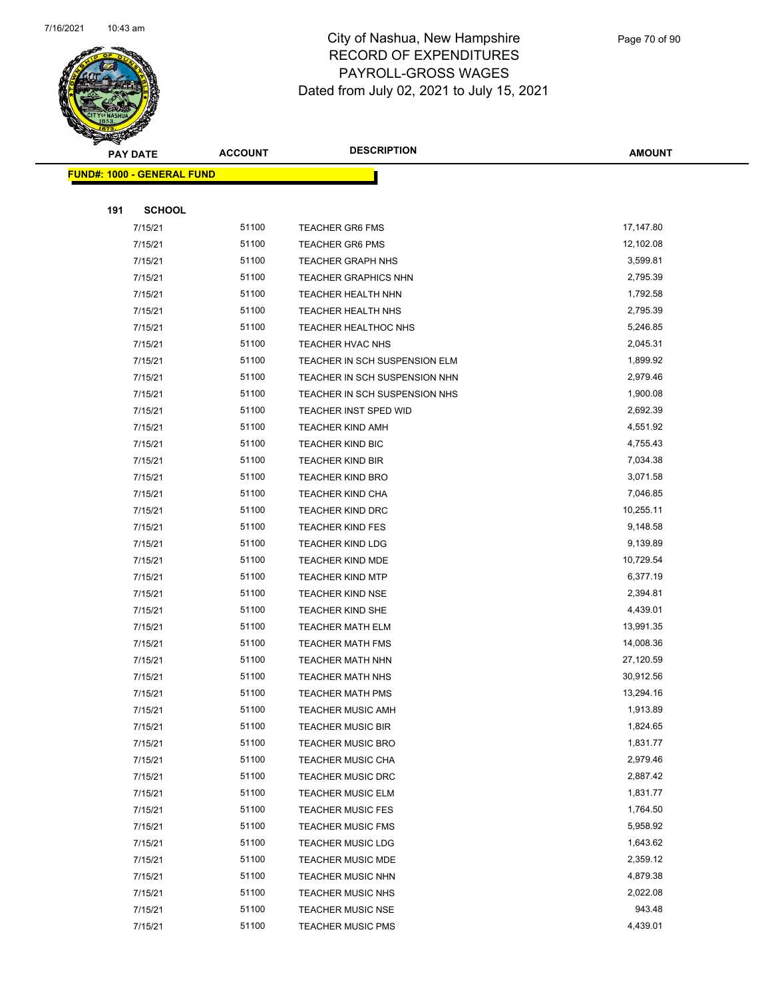

|     | <b>PAY DATE</b>                   | <b>ACCOUNT</b> | <b>DESCRIPTION</b>                                   | <b>AMOUNT</b>        |
|-----|-----------------------------------|----------------|------------------------------------------------------|----------------------|
|     | <b>FUND#: 1000 - GENERAL FUND</b> |                |                                                      |                      |
|     |                                   |                |                                                      |                      |
| 191 | <b>SCHOOL</b>                     |                |                                                      |                      |
|     | 7/15/21                           | 51100          | <b>TEACHER GR6 FMS</b>                               | 17,147.80            |
|     | 7/15/21                           | 51100          | <b>TEACHER GR6 PMS</b>                               | 12,102.08            |
|     | 7/15/21                           | 51100          | <b>TEACHER GRAPH NHS</b>                             | 3,599.81             |
|     | 7/15/21                           | 51100          | <b>TEACHER GRAPHICS NHN</b>                          | 2,795.39             |
|     | 7/15/21                           | 51100          | TEACHER HEALTH NHN                                   | 1,792.58             |
|     | 7/15/21                           | 51100          | TEACHER HEALTH NHS                                   | 2,795.39             |
|     | 7/15/21                           | 51100          | <b>TEACHER HEALTHOC NHS</b>                          | 5,246.85             |
|     | 7/15/21                           | 51100          | TEACHER HVAC NHS                                     | 2,045.31             |
|     | 7/15/21                           | 51100          | TEACHER IN SCH SUSPENSION ELM                        | 1,899.92             |
|     | 7/15/21                           | 51100          | TEACHER IN SCH SUSPENSION NHN                        | 2,979.46             |
|     | 7/15/21                           | 51100          | TEACHER IN SCH SUSPENSION NHS                        | 1,900.08             |
|     | 7/15/21                           | 51100          | <b>TEACHER INST SPED WID</b>                         | 2,692.39             |
|     | 7/15/21                           | 51100          | <b>TEACHER KIND AMH</b>                              | 4,551.92             |
|     | 7/15/21                           | 51100          | <b>TEACHER KIND BIC</b>                              | 4,755.43             |
|     | 7/15/21                           | 51100          | <b>TEACHER KIND BIR</b>                              | 7,034.38             |
|     | 7/15/21                           | 51100          | <b>TEACHER KIND BRO</b>                              | 3,071.58             |
|     | 7/15/21                           | 51100          | <b>TEACHER KIND CHA</b>                              | 7,046.85             |
|     | 7/15/21                           | 51100          | <b>TEACHER KIND DRC</b>                              | 10,255.11            |
|     | 7/15/21                           | 51100          | <b>TEACHER KIND FES</b>                              | 9,148.58             |
|     | 7/15/21                           | 51100          | <b>TEACHER KIND LDG</b>                              | 9,139.89             |
|     | 7/15/21                           | 51100          | TEACHER KIND MDE                                     | 10,729.54            |
|     | 7/15/21                           | 51100          | <b>TEACHER KIND MTP</b>                              | 6,377.19             |
|     | 7/15/21                           | 51100          | <b>TEACHER KIND NSE</b>                              | 2,394.81             |
|     | 7/15/21                           | 51100          | <b>TEACHER KIND SHE</b>                              | 4,439.01             |
|     | 7/15/21                           | 51100          | <b>TEACHER MATH ELM</b>                              | 13,991.35            |
|     | 7/15/21                           | 51100          | <b>TEACHER MATH FMS</b>                              | 14,008.36            |
|     | 7/15/21                           | 51100          | <b>TEACHER MATH NHN</b>                              | 27,120.59            |
|     | 7/15/21                           | 51100          | <b>TEACHER MATH NHS</b>                              | 30,912.56            |
|     | 7/15/21                           | 51100          | <b>TEACHER MATH PMS</b>                              | 13,294.16            |
|     | 7/15/21                           | 51100<br>51100 | <b>TEACHER MUSIC AMH</b><br><b>TEACHER MUSIC BIR</b> | 1,913.89<br>1,824.65 |
|     | 7/15/21<br>7/15/21                | 51100          | <b>TEACHER MUSIC BRO</b>                             | 1,831.77             |
|     | 7/15/21                           | 51100          | <b>TEACHER MUSIC CHA</b>                             | 2,979.46             |
|     | 7/15/21                           | 51100          | <b>TEACHER MUSIC DRC</b>                             | 2,887.42             |
|     | 7/15/21                           | 51100          | <b>TEACHER MUSIC ELM</b>                             | 1,831.77             |
|     | 7/15/21                           | 51100          | <b>TEACHER MUSIC FES</b>                             | 1,764.50             |
|     | 7/15/21                           | 51100          | <b>TEACHER MUSIC FMS</b>                             | 5,958.92             |
|     | 7/15/21                           | 51100          | <b>TEACHER MUSIC LDG</b>                             | 1,643.62             |
|     | 7/15/21                           | 51100          | <b>TEACHER MUSIC MDE</b>                             | 2,359.12             |
|     | 7/15/21                           | 51100          | <b>TEACHER MUSIC NHN</b>                             | 4,879.38             |
|     | 7/15/21                           | 51100          | <b>TEACHER MUSIC NHS</b>                             | 2,022.08             |
|     | 7/15/21                           | 51100          | <b>TEACHER MUSIC NSE</b>                             | 943.48               |
|     | 7/15/21                           | 51100          | <b>TEACHER MUSIC PMS</b>                             | 4,439.01             |
|     |                                   |                |                                                      |                      |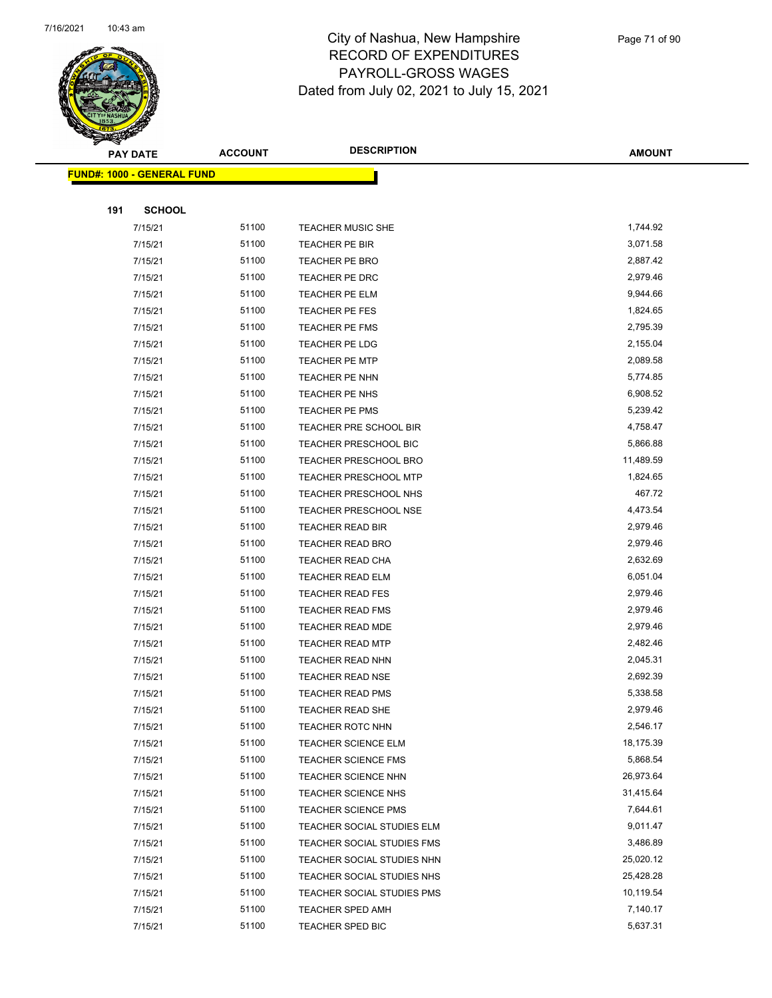

|     | <b>PAY DATE</b>                   | <b>ACCOUNT</b> | <b>DESCRIPTION</b>           | <b>AMOUNT</b> |
|-----|-----------------------------------|----------------|------------------------------|---------------|
|     | <b>FUND#: 1000 - GENERAL FUND</b> |                |                              |               |
|     |                                   |                |                              |               |
| 191 | <b>SCHOOL</b>                     |                |                              |               |
|     | 7/15/21                           | 51100          | TEACHER MUSIC SHE            | 1,744.92      |
|     | 7/15/21                           | 51100          | TEACHER PE BIR               | 3,071.58      |
|     | 7/15/21                           | 51100          | TEACHER PE BRO               | 2,887.42      |
|     | 7/15/21                           | 51100          | TEACHER PE DRC               | 2,979.46      |
|     | 7/15/21                           | 51100          | TEACHER PE ELM               | 9,944.66      |
|     | 7/15/21                           | 51100          | TEACHER PE FES               | 1,824.65      |
|     | 7/15/21                           | 51100          | <b>TEACHER PE FMS</b>        | 2,795.39      |
|     | 7/15/21                           | 51100          | TEACHER PE LDG               | 2,155.04      |
|     | 7/15/21                           | 51100          | <b>TEACHER PE MTP</b>        | 2,089.58      |
|     | 7/15/21                           | 51100          | TEACHER PE NHN               | 5,774.85      |
|     | 7/15/21                           | 51100          | TEACHER PE NHS               | 6,908.52      |
|     | 7/15/21                           | 51100          | TEACHER PE PMS               | 5,239.42      |
|     | 7/15/21                           | 51100          | TEACHER PRE SCHOOL BIR       | 4,758.47      |
|     | 7/15/21                           | 51100          | <b>TEACHER PRESCHOOL BIC</b> | 5,866.88      |
|     | 7/15/21                           | 51100          | TEACHER PRESCHOOL BRO        | 11,489.59     |
|     | 7/15/21                           | 51100          | TEACHER PRESCHOOL MTP        | 1,824.65      |
|     | 7/15/21                           | 51100          | TEACHER PRESCHOOL NHS        | 467.72        |
|     | 7/15/21                           | 51100          | <b>TEACHER PRESCHOOL NSE</b> | 4,473.54      |
|     | 7/15/21                           | 51100          | TEACHER READ BIR             | 2,979.46      |
|     | 7/15/21                           | 51100          | TEACHER READ BRO             | 2,979.46      |
|     | 7/15/21                           | 51100          | TEACHER READ CHA             | 2,632.69      |
|     | 7/15/21                           | 51100          | <b>TEACHER READ ELM</b>      | 6,051.04      |
|     | 7/15/21                           | 51100          | TEACHER READ FES             | 2,979.46      |
|     | 7/15/21                           | 51100          | <b>TEACHER READ FMS</b>      | 2,979.46      |
|     | 7/15/21                           | 51100          | <b>TEACHER READ MDE</b>      | 2,979.46      |
|     | 7/15/21                           | 51100          | <b>TEACHER READ MTP</b>      | 2,482.46      |
|     | 7/15/21                           | 51100          | <b>TEACHER READ NHN</b>      | 2,045.31      |
|     | 7/15/21                           | 51100          | <b>TEACHER READ NSE</b>      | 2,692.39      |
|     | 7/15/21                           | 51100          | <b>TEACHER READ PMS</b>      | 5,338.58      |
|     | 7/15/21                           | 51100          | TEACHER READ SHE             | 2,979.46      |
|     | 7/15/21                           | 51100          | <b>TEACHER ROTC NHN</b>      | 2,546.17      |
|     | 7/15/21                           | 51100          | <b>TEACHER SCIENCE ELM</b>   | 18,175.39     |
|     | 7/15/21                           | 51100          | <b>TEACHER SCIENCE FMS</b>   | 5,868.54      |
|     | 7/15/21                           | 51100          | TEACHER SCIENCE NHN          | 26,973.64     |
|     | 7/15/21                           | 51100          | TEACHER SCIENCE NHS          | 31,415.64     |
|     | 7/15/21                           | 51100          | <b>TEACHER SCIENCE PMS</b>   | 7,644.61      |
|     | 7/15/21                           | 51100          | TEACHER SOCIAL STUDIES ELM   | 9,011.47      |
|     | 7/15/21                           | 51100          | TEACHER SOCIAL STUDIES FMS   | 3,486.89      |
|     | 7/15/21                           | 51100          | TEACHER SOCIAL STUDIES NHN   | 25,020.12     |
|     | 7/15/21                           | 51100          | TEACHER SOCIAL STUDIES NHS   | 25,428.28     |
|     | 7/15/21                           | 51100          | TEACHER SOCIAL STUDIES PMS   | 10,119.54     |
|     | 7/15/21                           | 51100          | <b>TEACHER SPED AMH</b>      | 7,140.17      |
|     | 7/15/21                           | 51100          | TEACHER SPED BIC             | 5,637.31      |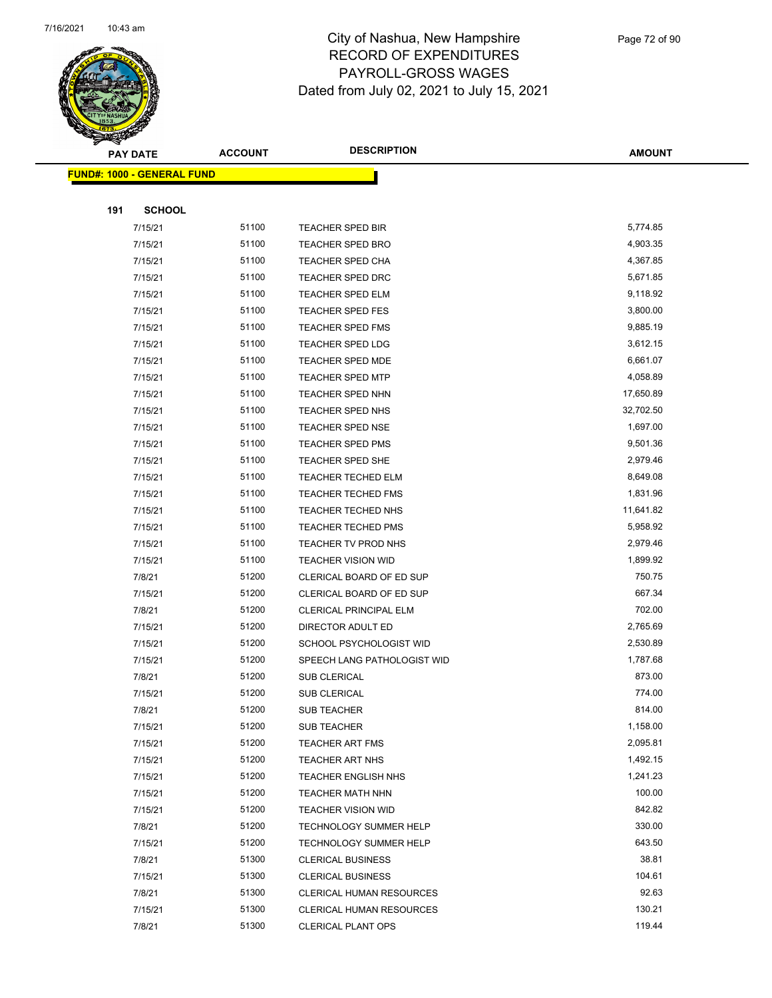

Page 72 of 90

|     | <b>PAY DATE</b>                   | <b>ACCOUNT</b> | <b>DESCRIPTION</b>                               | <b>AMOUNT</b>        |  |
|-----|-----------------------------------|----------------|--------------------------------------------------|----------------------|--|
|     | <b>FUND#: 1000 - GENERAL FUND</b> |                |                                                  |                      |  |
|     |                                   |                |                                                  |                      |  |
| 191 | <b>SCHOOL</b>                     |                |                                                  |                      |  |
|     | 7/15/21                           | 51100          | TEACHER SPED BIR                                 | 5,774.85             |  |
|     | 7/15/21                           | 51100          | TEACHER SPED BRO                                 | 4,903.35             |  |
|     | 7/15/21                           | 51100          | <b>TEACHER SPED CHA</b>                          | 4,367.85             |  |
|     | 7/15/21                           | 51100          | <b>TEACHER SPED DRC</b>                          | 5,671.85             |  |
|     | 7/15/21                           | 51100          | TEACHER SPED ELM                                 | 9,118.92             |  |
|     | 7/15/21                           | 51100          | <b>TEACHER SPED FES</b>                          | 3,800.00             |  |
|     | 7/15/21                           | 51100          | <b>TEACHER SPED FMS</b>                          | 9,885.19             |  |
|     | 7/15/21                           | 51100          | TEACHER SPED LDG                                 | 3,612.15             |  |
|     | 7/15/21                           | 51100          | <b>TEACHER SPED MDE</b>                          | 6,661.07             |  |
|     | 7/15/21                           | 51100          | <b>TEACHER SPED MTP</b>                          | 4,058.89             |  |
|     | 7/15/21                           | 51100          | TEACHER SPED NHN                                 | 17,650.89            |  |
|     | 7/15/21                           | 51100          | TEACHER SPED NHS                                 | 32,702.50            |  |
|     | 7/15/21                           | 51100          | <b>TEACHER SPED NSE</b>                          | 1,697.00             |  |
|     | 7/15/21                           | 51100          | <b>TEACHER SPED PMS</b>                          | 9,501.36             |  |
|     | 7/15/21                           | 51100          | TEACHER SPED SHE                                 | 2,979.46             |  |
|     | 7/15/21                           | 51100          | <b>TEACHER TECHED ELM</b>                        | 8,649.08             |  |
|     | 7/15/21                           | 51100          | TEACHER TECHED FMS                               | 1,831.96             |  |
|     | 7/15/21                           | 51100          | <b>TEACHER TECHED NHS</b>                        | 11,641.82            |  |
|     | 7/15/21                           | 51100<br>51100 | <b>TEACHER TECHED PMS</b>                        | 5,958.92<br>2,979.46 |  |
|     | 7/15/21<br>7/15/21                | 51100          | TEACHER TV PROD NHS<br><b>TEACHER VISION WID</b> | 1,899.92             |  |
|     | 7/8/21                            | 51200          | CLERICAL BOARD OF ED SUP                         | 750.75               |  |
|     | 7/15/21                           | 51200          | CLERICAL BOARD OF ED SUP                         | 667.34               |  |
|     | 7/8/21                            | 51200          | <b>CLERICAL PRINCIPAL ELM</b>                    | 702.00               |  |
|     | 7/15/21                           | 51200          | DIRECTOR ADULT ED                                | 2,765.69             |  |
|     | 7/15/21                           | 51200          | SCHOOL PSYCHOLOGIST WID                          | 2,530.89             |  |
|     | 7/15/21                           | 51200          | SPEECH LANG PATHOLOGIST WID                      | 1,787.68             |  |
|     | 7/8/21                            | 51200          | <b>SUB CLERICAL</b>                              | 873.00               |  |
|     | 7/15/21                           | 51200          | <b>SUB CLERICAL</b>                              | 774.00               |  |
|     | 7/8/21                            | 51200          | <b>SUB TEACHER</b>                               | 814.00               |  |
|     | 7/15/21                           | 51200          | <b>SUB TEACHER</b>                               | 1,158.00             |  |
|     | 7/15/21                           | 51200          | <b>TEACHER ART FMS</b>                           | 2,095.81             |  |
|     | 7/15/21                           | 51200          | <b>TEACHER ART NHS</b>                           | 1,492.15             |  |
|     | 7/15/21                           | 51200          | <b>TEACHER ENGLISH NHS</b>                       | 1,241.23             |  |
|     | 7/15/21                           | 51200          | <b>TEACHER MATH NHN</b>                          | 100.00               |  |
|     | 7/15/21                           | 51200          | TEACHER VISION WID                               | 842.82               |  |
|     | 7/8/21                            | 51200          | <b>TECHNOLOGY SUMMER HELP</b>                    | 330.00               |  |
|     | 7/15/21                           | 51200          | <b>TECHNOLOGY SUMMER HELP</b>                    | 643.50               |  |
|     | 7/8/21                            | 51300          | <b>CLERICAL BUSINESS</b>                         | 38.81                |  |
|     | 7/15/21                           | 51300          | <b>CLERICAL BUSINESS</b>                         | 104.61               |  |
|     | 7/8/21                            | 51300          | CLERICAL HUMAN RESOURCES                         | 92.63                |  |
|     | 7/15/21                           | 51300          | CLERICAL HUMAN RESOURCES                         | 130.21               |  |
|     | 7/8/21                            | 51300          | <b>CLERICAL PLANT OPS</b>                        | 119.44               |  |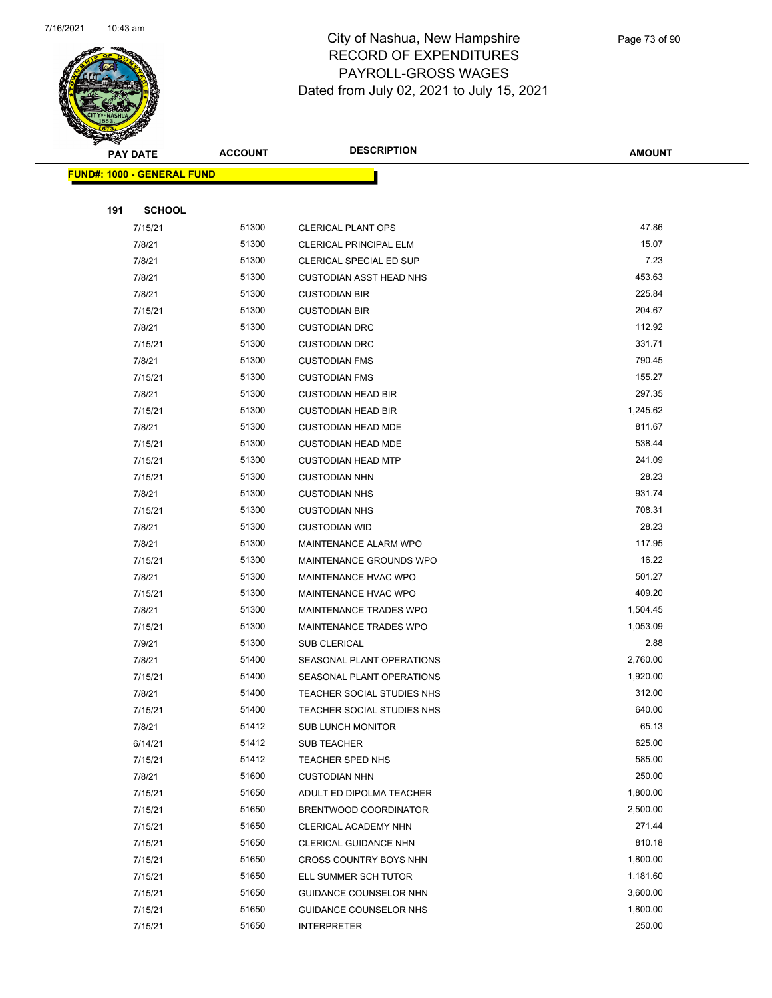

|     | <b>PAY DATE</b>                   | <b>ACCOUNT</b> | <b>DESCRIPTION</b>             | <b>AMOUNT</b> |
|-----|-----------------------------------|----------------|--------------------------------|---------------|
|     | <b>FUND#: 1000 - GENERAL FUND</b> |                |                                |               |
|     |                                   |                |                                |               |
| 191 | <b>SCHOOL</b>                     |                |                                |               |
|     | 7/15/21                           | 51300          | <b>CLERICAL PLANT OPS</b>      | 47.86         |
|     | 7/8/21                            | 51300          | <b>CLERICAL PRINCIPAL ELM</b>  | 15.07         |
|     | 7/8/21                            | 51300          | CLERICAL SPECIAL ED SUP        | 7.23          |
|     | 7/8/21                            | 51300          | <b>CUSTODIAN ASST HEAD NHS</b> | 453.63        |
|     | 7/8/21                            | 51300          | <b>CUSTODIAN BIR</b>           | 225.84        |
|     | 7/15/21                           | 51300          | <b>CUSTODIAN BIR</b>           | 204.67        |
|     | 7/8/21                            | 51300          | <b>CUSTODIAN DRC</b>           | 112.92        |
|     | 7/15/21                           | 51300          | <b>CUSTODIAN DRC</b>           | 331.71        |
|     | 7/8/21                            | 51300          | <b>CUSTODIAN FMS</b>           | 790.45        |
|     | 7/15/21                           | 51300          | <b>CUSTODIAN FMS</b>           | 155.27        |
|     | 7/8/21                            | 51300          | <b>CUSTODIAN HEAD BIR</b>      | 297.35        |
|     | 7/15/21                           | 51300          | <b>CUSTODIAN HEAD BIR</b>      | 1,245.62      |
|     | 7/8/21                            | 51300          | <b>CUSTODIAN HEAD MDE</b>      | 811.67        |
|     | 7/15/21                           | 51300          | <b>CUSTODIAN HEAD MDE</b>      | 538.44        |
|     | 7/15/21                           | 51300          | <b>CUSTODIAN HEAD MTP</b>      | 241.09        |
|     | 7/15/21                           | 51300          | <b>CUSTODIAN NHN</b>           | 28.23         |
|     | 7/8/21                            | 51300          | <b>CUSTODIAN NHS</b>           | 931.74        |
|     | 7/15/21                           | 51300          | <b>CUSTODIAN NHS</b>           | 708.31        |
|     | 7/8/21                            | 51300          | <b>CUSTODIAN WID</b>           | 28.23         |
|     | 7/8/21                            | 51300          | MAINTENANCE ALARM WPO          | 117.95        |
|     | 7/15/21                           | 51300          | <b>MAINTENANCE GROUNDS WPO</b> | 16.22         |
|     | 7/8/21                            | 51300          | <b>MAINTENANCE HVAC WPO</b>    | 501.27        |
|     | 7/15/21                           | 51300          | MAINTENANCE HVAC WPO           | 409.20        |
|     | 7/8/21                            | 51300          | MAINTENANCE TRADES WPO         | 1,504.45      |
|     | 7/15/21                           | 51300          | MAINTENANCE TRADES WPO         | 1,053.09      |
|     | 7/9/21                            | 51300          | <b>SUB CLERICAL</b>            | 2.88          |
|     | 7/8/21                            | 51400          | SEASONAL PLANT OPERATIONS      | 2,760.00      |
|     | 7/15/21                           | 51400          | SEASONAL PLANT OPERATIONS      | 1,920.00      |
|     | 7/8/21                            | 51400          | TEACHER SOCIAL STUDIES NHS     | 312.00        |
|     | 7/15/21                           | 51400          | TEACHER SOCIAL STUDIES NHS     | 640.00        |
|     | 7/8/21                            | 51412          | <b>SUB LUNCH MONITOR</b>       | 65.13         |
|     | 6/14/21                           | 51412          | SUB TEACHER                    | 625.00        |
|     | 7/15/21                           | 51412          | <b>TEACHER SPED NHS</b>        | 585.00        |
|     | 7/8/21                            | 51600          | <b>CUSTODIAN NHN</b>           | 250.00        |
|     | 7/15/21                           | 51650          | ADULT ED DIPOLMA TEACHER       | 1,800.00      |
|     | 7/15/21                           | 51650          | BRENTWOOD COORDINATOR          | 2,500.00      |
|     | 7/15/21                           | 51650          | CLERICAL ACADEMY NHN           | 271.44        |
|     | 7/15/21                           | 51650          | CLERICAL GUIDANCE NHN          | 810.18        |
|     | 7/15/21                           | 51650          | CROSS COUNTRY BOYS NHN         | 1,800.00      |
|     | 7/15/21                           | 51650          | ELL SUMMER SCH TUTOR           | 1,181.60      |
|     | 7/15/21                           | 51650          | GUIDANCE COUNSELOR NHN         | 3,600.00      |
|     | 7/15/21                           | 51650          | GUIDANCE COUNSELOR NHS         | 1,800.00      |
|     | 7/15/21                           | 51650          | <b>INTERPRETER</b>             | 250.00        |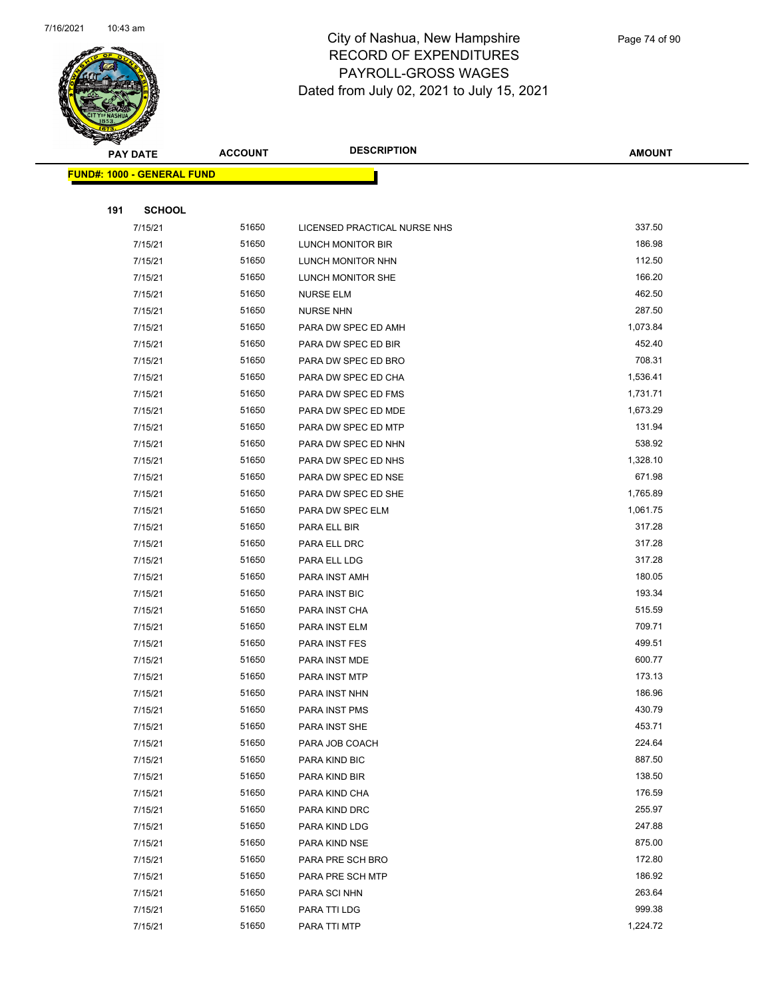

|     | <b>PAY DATE</b>                   | <b>ACCOUNT</b> | <b>DESCRIPTION</b>           | <b>AMOUNT</b> |
|-----|-----------------------------------|----------------|------------------------------|---------------|
|     | <b>FUND#: 1000 - GENERAL FUND</b> |                |                              |               |
|     |                                   |                |                              |               |
| 191 | <b>SCHOOL</b>                     |                |                              |               |
|     | 7/15/21                           | 51650          | LICENSED PRACTICAL NURSE NHS | 337.50        |
|     | 7/15/21                           | 51650          | LUNCH MONITOR BIR            | 186.98        |
|     | 7/15/21                           | 51650          | LUNCH MONITOR NHN            | 112.50        |
|     | 7/15/21                           | 51650          | LUNCH MONITOR SHE            | 166.20        |
|     | 7/15/21                           | 51650          | <b>NURSE ELM</b>             | 462.50        |
|     | 7/15/21                           | 51650          | <b>NURSE NHN</b>             | 287.50        |
|     | 7/15/21                           | 51650          | PARA DW SPEC ED AMH          | 1,073.84      |
|     | 7/15/21                           | 51650          | PARA DW SPEC ED BIR          | 452.40        |
|     | 7/15/21                           | 51650          | PARA DW SPEC ED BRO          | 708.31        |
|     | 7/15/21                           | 51650          | PARA DW SPEC ED CHA          | 1,536.41      |
|     | 7/15/21                           | 51650          | PARA DW SPEC ED FMS          | 1,731.71      |
|     | 7/15/21                           | 51650          | PARA DW SPEC ED MDE          | 1,673.29      |
|     | 7/15/21                           | 51650          | PARA DW SPEC ED MTP          | 131.94        |
|     | 7/15/21                           | 51650          | PARA DW SPEC ED NHN          | 538.92        |
|     | 7/15/21                           | 51650          | PARA DW SPEC ED NHS          | 1,328.10      |
|     | 7/15/21                           | 51650          | PARA DW SPEC ED NSE          | 671.98        |
|     | 7/15/21                           | 51650          | PARA DW SPEC ED SHE          | 1,765.89      |
|     | 7/15/21                           | 51650          | PARA DW SPEC ELM             | 1,061.75      |
|     | 7/15/21                           | 51650          | PARA ELL BIR                 | 317.28        |
|     | 7/15/21                           | 51650          | PARA ELL DRC                 | 317.28        |
|     | 7/15/21                           | 51650          | PARA ELL LDG                 | 317.28        |
|     | 7/15/21                           | 51650          | PARA INST AMH                | 180.05        |
|     | 7/15/21                           | 51650          | PARA INST BIC                | 193.34        |
|     | 7/15/21                           | 51650          | PARA INST CHA                | 515.59        |
|     | 7/15/21                           | 51650          | PARA INST ELM                | 709.71        |
|     | 7/15/21                           | 51650          | PARA INST FES                | 499.51        |
|     | 7/15/21                           | 51650          | PARA INST MDE                | 600.77        |
|     | 7/15/21                           | 51650          | PARA INST MTP                | 173.13        |
|     | 7/15/21                           | 51650          | PARA INST NHN                | 186.96        |
|     | 7/15/21                           | 51650          | PARA INST PMS                | 430.79        |
|     | 7/15/21                           | 51650          | PARA INST SHE                | 453.71        |
|     | 7/15/21                           | 51650          | PARA JOB COACH               | 224.64        |
|     | 7/15/21                           | 51650          | PARA KIND BIC                | 887.50        |
|     | 7/15/21                           | 51650          | PARA KIND BIR                | 138.50        |
|     | 7/15/21                           | 51650          | PARA KIND CHA                | 176.59        |
|     | 7/15/21                           | 51650          | PARA KIND DRC                | 255.97        |
|     | 7/15/21                           | 51650          | PARA KIND LDG                | 247.88        |
|     | 7/15/21                           | 51650          | PARA KIND NSE                | 875.00        |
|     | 7/15/21                           | 51650          | PARA PRE SCH BRO             | 172.80        |
|     | 7/15/21                           | 51650          | PARA PRE SCH MTP             | 186.92        |
|     | 7/15/21                           | 51650          | PARA SCI NHN                 | 263.64        |
|     | 7/15/21                           | 51650          | PARA TTI LDG                 | 999.38        |
|     | 7/15/21                           | 51650          | PARA TTI MTP                 | 1,224.72      |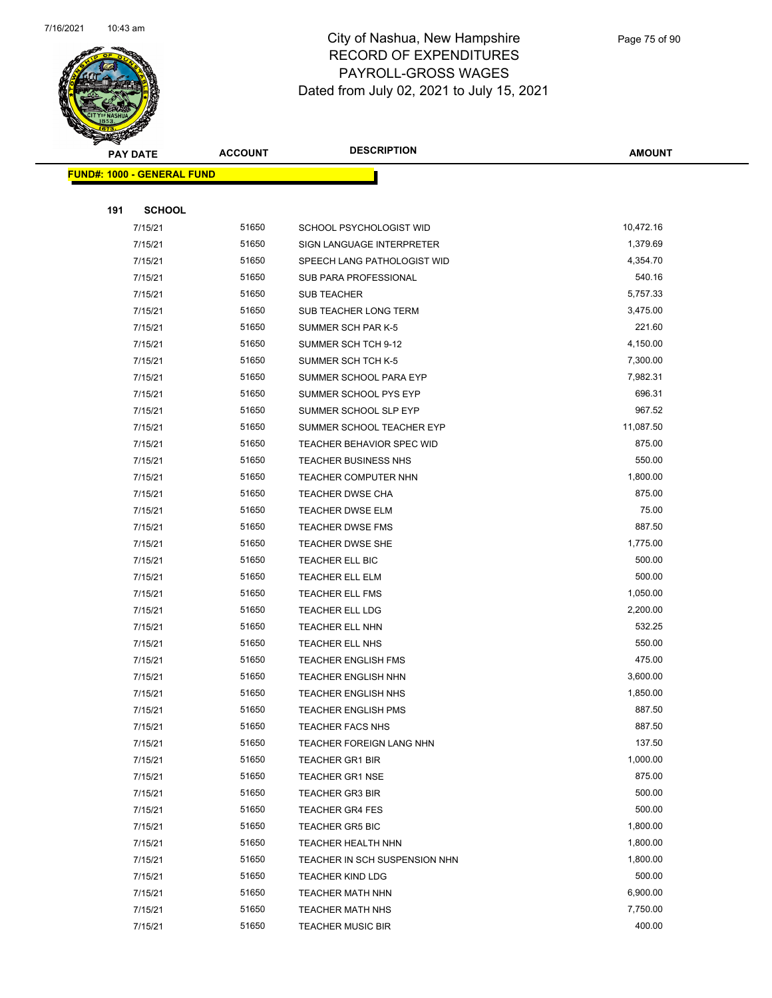

|     | <b>PAY DATE</b>                   | <b>ACCOUNT</b> | <b>DESCRIPTION</b>            | <b>AMOUNT</b> |
|-----|-----------------------------------|----------------|-------------------------------|---------------|
|     | <b>FUND#: 1000 - GENERAL FUND</b> |                |                               |               |
|     |                                   |                |                               |               |
| 191 | <b>SCHOOL</b>                     |                |                               |               |
|     | 7/15/21                           | 51650          | SCHOOL PSYCHOLOGIST WID       | 10,472.16     |
|     | 7/15/21                           | 51650          | SIGN LANGUAGE INTERPRETER     | 1,379.69      |
|     | 7/15/21                           | 51650          | SPEECH LANG PATHOLOGIST WID   | 4,354.70      |
|     | 7/15/21                           | 51650          | SUB PARA PROFESSIONAL         | 540.16        |
|     | 7/15/21                           | 51650          | <b>SUB TEACHER</b>            | 5,757.33      |
|     | 7/15/21                           | 51650          | SUB TEACHER LONG TERM         | 3,475.00      |
|     | 7/15/21                           | 51650          | SUMMER SCH PAR K-5            | 221.60        |
|     | 7/15/21                           | 51650          | SUMMER SCH TCH 9-12           | 4,150.00      |
|     | 7/15/21                           | 51650          | SUMMER SCH TCH K-5            | 7,300.00      |
|     | 7/15/21                           | 51650          | SUMMER SCHOOL PARA EYP        | 7,982.31      |
|     | 7/15/21                           | 51650          | SUMMER SCHOOL PYS EYP         | 696.31        |
|     | 7/15/21                           | 51650          | SUMMER SCHOOL SLP EYP         | 967.52        |
|     | 7/15/21                           | 51650          | SUMMER SCHOOL TEACHER EYP     | 11,087.50     |
|     | 7/15/21                           | 51650          | TEACHER BEHAVIOR SPEC WID     | 875.00        |
|     | 7/15/21                           | 51650          | <b>TEACHER BUSINESS NHS</b>   | 550.00        |
|     | 7/15/21                           | 51650          | TEACHER COMPUTER NHN          | 1,800.00      |
|     | 7/15/21                           | 51650          | <b>TEACHER DWSE CHA</b>       | 875.00        |
|     | 7/15/21                           | 51650          | <b>TEACHER DWSE ELM</b>       | 75.00         |
|     | 7/15/21                           | 51650          | <b>TEACHER DWSE FMS</b>       | 887.50        |
|     | 7/15/21                           | 51650          | TEACHER DWSE SHE              | 1,775.00      |
|     | 7/15/21                           | 51650          | TEACHER ELL BIC               | 500.00        |
|     | 7/15/21                           | 51650          | TEACHER ELL ELM               | 500.00        |
|     | 7/15/21                           | 51650          | <b>TEACHER ELL FMS</b>        | 1,050.00      |
|     | 7/15/21                           | 51650          | TEACHER ELL LDG               | 2,200.00      |
|     | 7/15/21                           | 51650          | <b>TEACHER ELL NHN</b>        | 532.25        |
|     | 7/15/21                           | 51650          | TEACHER ELL NHS               | 550.00        |
|     | 7/15/21                           | 51650          | <b>TEACHER ENGLISH FMS</b>    | 475.00        |
|     | 7/15/21                           | 51650          | <b>TEACHER ENGLISH NHN</b>    | 3,600.00      |
|     | 7/15/21                           | 51650          | TEACHER ENGLISH NHS           | 1,850.00      |
|     | 7/15/21                           | 51650          | <b>TEACHER ENGLISH PMS</b>    | 887.50        |
|     | 7/15/21                           | 51650          | <b>TEACHER FACS NHS</b>       | 887.50        |
|     | 7/15/21                           | 51650          | TEACHER FOREIGN LANG NHN      | 137.50        |
|     | 7/15/21                           | 51650          | <b>TEACHER GR1 BIR</b>        | 1,000.00      |
|     | 7/15/21                           | 51650          | <b>TEACHER GR1 NSE</b>        | 875.00        |
|     | 7/15/21                           | 51650          | <b>TEACHER GR3 BIR</b>        | 500.00        |
|     | 7/15/21                           | 51650          | <b>TEACHER GR4 FES</b>        | 500.00        |
|     | 7/15/21                           | 51650          | <b>TEACHER GR5 BIC</b>        | 1,800.00      |
|     | 7/15/21                           | 51650          | <b>TEACHER HEALTH NHN</b>     | 1,800.00      |
|     | 7/15/21                           | 51650          | TEACHER IN SCH SUSPENSION NHN | 1,800.00      |
|     | 7/15/21                           | 51650          | <b>TEACHER KIND LDG</b>       | 500.00        |
|     | 7/15/21                           | 51650          | <b>TEACHER MATH NHN</b>       | 6,900.00      |
|     | 7/15/21                           | 51650          | <b>TEACHER MATH NHS</b>       | 7,750.00      |
|     | 7/15/21                           | 51650          | <b>TEACHER MUSIC BIR</b>      | 400.00        |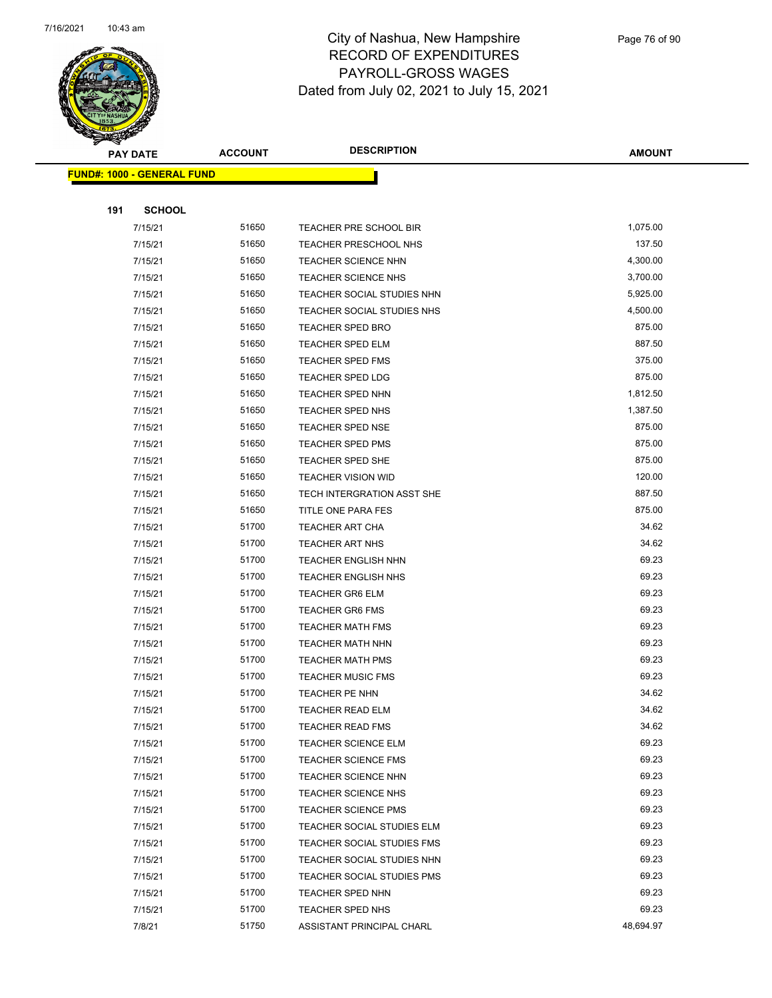

|     | <b>PAY DATE</b>                   | <b>ACCOUNT</b> | <b>DESCRIPTION</b>                | <b>AMOUNT</b> |  |
|-----|-----------------------------------|----------------|-----------------------------------|---------------|--|
|     | <b>FUND#: 1000 - GENERAL FUND</b> |                |                                   |               |  |
|     |                                   |                |                                   |               |  |
| 191 | <b>SCHOOL</b>                     |                |                                   |               |  |
|     | 7/15/21                           | 51650          | TEACHER PRE SCHOOL BIR            | 1,075.00      |  |
|     | 7/15/21                           | 51650          | TEACHER PRESCHOOL NHS             | 137.50        |  |
|     | 7/15/21                           | 51650          | <b>TEACHER SCIENCE NHN</b>        | 4,300.00      |  |
|     | 7/15/21                           | 51650          | <b>TEACHER SCIENCE NHS</b>        | 3,700.00      |  |
|     | 7/15/21                           | 51650          | TEACHER SOCIAL STUDIES NHN        | 5,925.00      |  |
|     | 7/15/21                           | 51650          | TEACHER SOCIAL STUDIES NHS        | 4,500.00      |  |
|     | 7/15/21                           | 51650          | <b>TEACHER SPED BRO</b>           | 875.00        |  |
|     | 7/15/21                           | 51650          | <b>TEACHER SPED ELM</b>           | 887.50        |  |
|     | 7/15/21                           | 51650          | TEACHER SPED FMS                  | 375.00        |  |
|     | 7/15/21                           | 51650          | TEACHER SPED LDG                  | 875.00        |  |
|     | 7/15/21                           | 51650          | <b>TEACHER SPED NHN</b>           | 1,812.50      |  |
|     | 7/15/21                           | 51650          | <b>TEACHER SPED NHS</b>           | 1,387.50      |  |
|     | 7/15/21                           | 51650          | <b>TEACHER SPED NSE</b>           | 875.00        |  |
|     | 7/15/21                           | 51650          | <b>TEACHER SPED PMS</b>           | 875.00        |  |
|     | 7/15/21                           | 51650          | <b>TEACHER SPED SHE</b>           | 875.00        |  |
|     | 7/15/21                           | 51650          | <b>TEACHER VISION WID</b>         | 120.00        |  |
|     | 7/15/21                           | 51650          | TECH INTERGRATION ASST SHE        | 887.50        |  |
|     | 7/15/21                           | 51650          | TITLE ONE PARA FES                | 875.00        |  |
|     | 7/15/21                           | 51700          | <b>TEACHER ART CHA</b>            | 34.62         |  |
|     | 7/15/21                           | 51700          | <b>TEACHER ART NHS</b>            | 34.62         |  |
|     | 7/15/21                           | 51700          | <b>TEACHER ENGLISH NHN</b>        | 69.23         |  |
|     | 7/15/21                           | 51700          | <b>TEACHER ENGLISH NHS</b>        | 69.23         |  |
|     | 7/15/21                           | 51700          | <b>TEACHER GR6 ELM</b>            | 69.23         |  |
|     | 7/15/21                           | 51700          | <b>TEACHER GR6 FMS</b>            | 69.23         |  |
|     | 7/15/21                           | 51700          | <b>TEACHER MATH FMS</b>           | 69.23         |  |
|     | 7/15/21                           | 51700          | <b>TEACHER MATH NHN</b>           | 69.23         |  |
|     | 7/15/21                           | 51700          | <b>TEACHER MATH PMS</b>           | 69.23         |  |
|     | 7/15/21                           | 51700          | <b>TEACHER MUSIC FMS</b>          | 69.23         |  |
|     | 7/15/21                           | 51700          | TEACHER PE NHN                    | 34.62         |  |
|     | 7/15/21                           | 51700          | TEACHER READ ELM                  | 34.62         |  |
|     | 7/15/21                           | 51700          | <b>TEACHER READ FMS</b>           | 34.62         |  |
|     | 7/15/21                           | 51700          | <b>TEACHER SCIENCE ELM</b>        | 69.23         |  |
|     | 7/15/21                           | 51700          | <b>TEACHER SCIENCE FMS</b>        | 69.23         |  |
|     | 7/15/21                           | 51700          | <b>TEACHER SCIENCE NHN</b>        | 69.23         |  |
|     | 7/15/21                           | 51700          | <b>TEACHER SCIENCE NHS</b>        | 69.23         |  |
|     | 7/15/21                           | 51700          | TEACHER SCIENCE PMS               | 69.23         |  |
|     | 7/15/21                           | 51700          | <b>TEACHER SOCIAL STUDIES ELM</b> | 69.23         |  |
|     | 7/15/21                           | 51700          | <b>TEACHER SOCIAL STUDIES FMS</b> | 69.23         |  |
|     | 7/15/21                           | 51700          | TEACHER SOCIAL STUDIES NHN        | 69.23         |  |
|     | 7/15/21                           | 51700          | <b>TEACHER SOCIAL STUDIES PMS</b> | 69.23         |  |
|     | 7/15/21                           | 51700          | <b>TEACHER SPED NHN</b>           | 69.23         |  |
|     | 7/15/21                           | 51700          | <b>TEACHER SPED NHS</b>           | 69.23         |  |
|     | 7/8/21                            | 51750          | ASSISTANT PRINCIPAL CHARL         | 48,694.97     |  |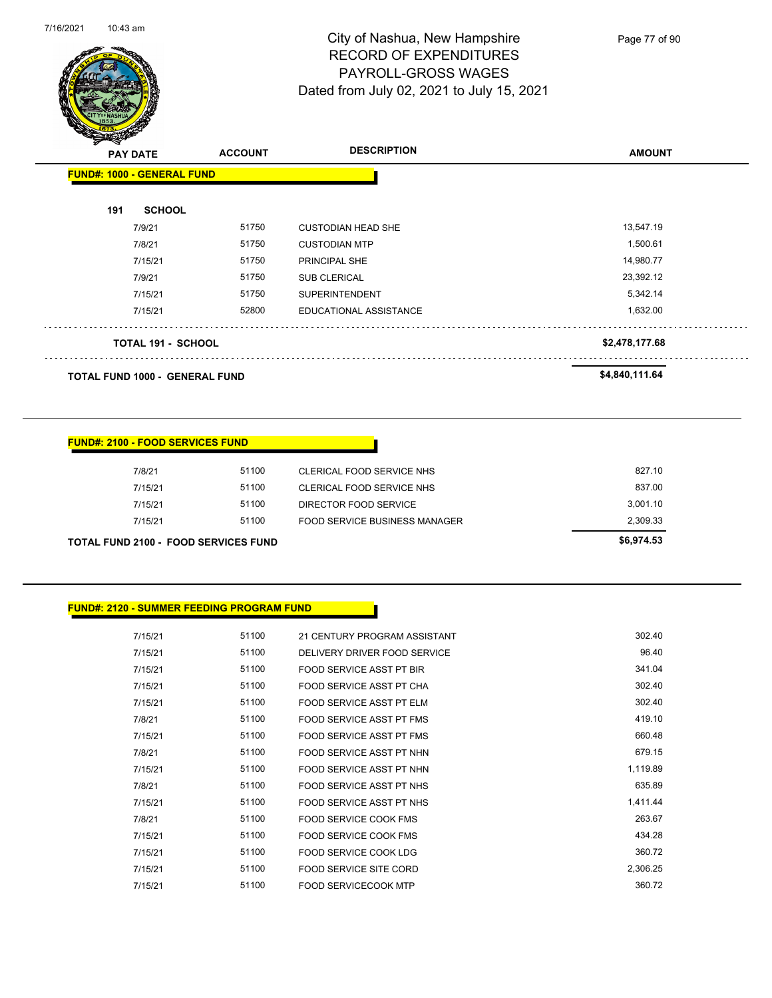

Page 77 of 90

| <b>PAY DATE</b>                   | <b>ACCOUNT</b> | <b>DESCRIPTION</b>        | <b>AMOUNT</b>  |
|-----------------------------------|----------------|---------------------------|----------------|
| <b>FUND#: 1000 - GENERAL FUND</b> |                |                           |                |
| 191<br><b>SCHOOL</b>              |                |                           |                |
| 7/9/21                            | 51750          | <b>CUSTODIAN HEAD SHE</b> | 13,547.19      |
| 7/8/21                            | 51750          | <b>CUSTODIAN MTP</b>      | 1,500.61       |
| 7/15/21                           | 51750          | <b>PRINCIPAL SHE</b>      | 14,980.77      |
| 7/9/21                            | 51750          | <b>SUB CLERICAL</b>       | 23,392.12      |
| 7/15/21                           | 51750          | <b>SUPERINTENDENT</b>     | 5,342.14       |
| 7/15/21                           | 52800          | EDUCATIONAL ASSISTANCE    | 1,632.00       |
| <b>TOTAL 191 - SCHOOL</b>         |                |                           | \$2,478,177.68 |
| TOTAL FUND 1000 - GENERAL FUND    |                |                           | \$4,840,111.64 |

| <b>FUND#: 2100 - FOOD SERVICES FUND</b> |  |
|-----------------------------------------|--|
|                                         |  |

| <b>TOTAL FUND 2100 - FOOD SERVICES FUND</b> |       |                               | \$6,974.53 |
|---------------------------------------------|-------|-------------------------------|------------|
| 7/15/21                                     | 51100 | FOOD SERVICE BUSINESS MANAGER | 2.309.33   |
| 7/15/21                                     | 51100 | DIRECTOR FOOD SERVICE         | 3.001.10   |
| 7/15/21                                     | 51100 | CLERICAL FOOD SERVICE NHS     | 837.00     |
| 7/8/21                                      | 51100 | CLERICAL FOOD SERVICE NHS     | 827.10     |
|                                             |       |                               |            |

| <b>FUND#: 2120 - SUMMER FEEDING PROGRAM FUND</b> |
|--------------------------------------------------|
|                                                  |

| 7/15/21 | 51100 | 21 CENTURY PROGRAM ASSISTANT    | 302.40   |
|---------|-------|---------------------------------|----------|
| 7/15/21 | 51100 | DELIVERY DRIVER FOOD SERVICE    | 96.40    |
| 7/15/21 | 51100 | <b>FOOD SERVICE ASST PT BIR</b> | 341.04   |
| 7/15/21 | 51100 | FOOD SERVICE ASST PT CHA        | 302.40   |
| 7/15/21 | 51100 | FOOD SERVICE ASST PT ELM        | 302.40   |
| 7/8/21  | 51100 | <b>FOOD SERVICE ASST PT FMS</b> | 419.10   |
| 7/15/21 | 51100 | FOOD SERVICE ASST PT FMS        | 660.48   |
| 7/8/21  | 51100 | FOOD SERVICE ASST PT NHN        | 679.15   |
| 7/15/21 | 51100 | FOOD SERVICE ASST PT NHN        | 1,119.89 |
| 7/8/21  | 51100 | FOOD SERVICE ASST PT NHS        | 635.89   |
| 7/15/21 | 51100 | FOOD SERVICE ASST PT NHS        | 1,411.44 |
| 7/8/21  | 51100 | FOOD SERVICE COOK FMS           | 263.67   |
| 7/15/21 | 51100 | <b>FOOD SERVICE COOK FMS</b>    | 434.28   |
| 7/15/21 | 51100 | <b>FOOD SERVICE COOK LDG</b>    | 360.72   |
| 7/15/21 | 51100 | <b>FOOD SERVICE SITE CORD</b>   | 2,306.25 |
| 7/15/21 | 51100 | <b>FOOD SERVICECOOK MTP</b>     | 360.72   |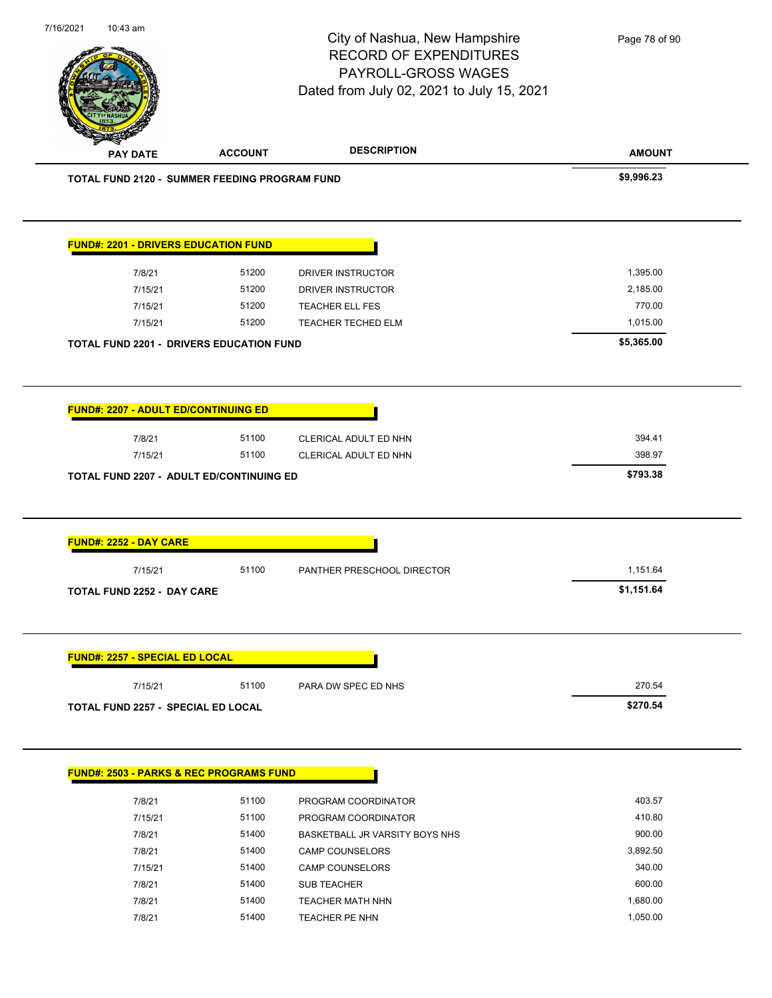|                                                               |                | City of Nashua, New Hampshire<br><b>RECORD OF EXPENDITURES</b><br>PAYROLL-GROSS WAGES<br>Dated from July 02, 2021 to July 15, 2021 | Page 78 of 90                |
|---------------------------------------------------------------|----------------|------------------------------------------------------------------------------------------------------------------------------------|------------------------------|
| <b>PAY DATE</b>                                               | <b>ACCOUNT</b> | <b>DESCRIPTION</b>                                                                                                                 | <b>AMOUNT</b>                |
| <b>TOTAL FUND 2120 - SUMMER FEEDING PROGRAM FUND</b>          |                |                                                                                                                                    | \$9,996.23                   |
| <b>FUND#: 2201 - DRIVERS EDUCATION FUND</b>                   |                |                                                                                                                                    |                              |
| 7/8/21                                                        | 51200          | DRIVER INSTRUCTOR                                                                                                                  | 1,395.00                     |
| 7/15/21                                                       | 51200          | DRIVER INSTRUCTOR                                                                                                                  | 2,185.00                     |
| 7/15/21                                                       | 51200          | TEACHER ELL FES                                                                                                                    | 770.00                       |
| 7/15/21                                                       | 51200          | TEACHER TECHED ELM                                                                                                                 | 1,015.00                     |
| TOTAL FUND 2201 - DRIVERS EDUCATION FUND                      |                |                                                                                                                                    | \$5,365.00                   |
| <b>FUND#: 2207 - ADULT ED/CONTINUING ED</b>                   |                |                                                                                                                                    |                              |
| 7/8/21<br>7/15/21<br>TOTAL FUND 2207 - ADULT ED/CONTINUING ED | 51100<br>51100 | CLERICAL ADULT ED NHN<br>CLERICAL ADULT ED NHN                                                                                     | 394.41<br>398.97<br>\$793.38 |
| FUND#: 2252 - DAY CARE                                        |                |                                                                                                                                    |                              |
| 7/15/21                                                       | 51100          | PANTHER PRESCHOOL DIRECTOR                                                                                                         | 1,151.64                     |
| TOTAL FUND 2252 - DAY CARE                                    |                |                                                                                                                                    | \$1,151.64                   |
| <b>FUND#: 2257 - SPECIAL ED LOCAL</b>                         |                |                                                                                                                                    |                              |
| 7/15/21                                                       | 51100          | PARA DW SPEC ED NHS                                                                                                                | 270.54                       |
| <b>TOTAL FUND 2257 - SPECIAL ED LOCAL</b>                     |                |                                                                                                                                    | \$270.54                     |
|                                                               |                |                                                                                                                                    |                              |
| <b>FUND#: 2503 - PARKS &amp; REC PROGRAMS FUND</b>            |                |                                                                                                                                    |                              |
| 7/8/21                                                        | 51100          | PROGRAM COORDINATOR                                                                                                                | 403.57                       |
| 7/15/21                                                       | 51100          | PROGRAM COORDINATOR                                                                                                                | 410.80                       |
| 7/8/21                                                        | 51400          | BASKETBALL JR VARSITY BOYS NHS                                                                                                     | 900.00                       |
| 7/8/21                                                        | 51400          | <b>CAMP COUNSELORS</b>                                                                                                             | 3,892.50                     |
| 7/15/21<br>7/8/21                                             | 51400<br>51400 | <b>CAMP COUNSELORS</b><br>SUB TEACHER                                                                                              | 340.00<br>600.00             |

7/8/21 51400 TEACHER PE NHN 1,050.00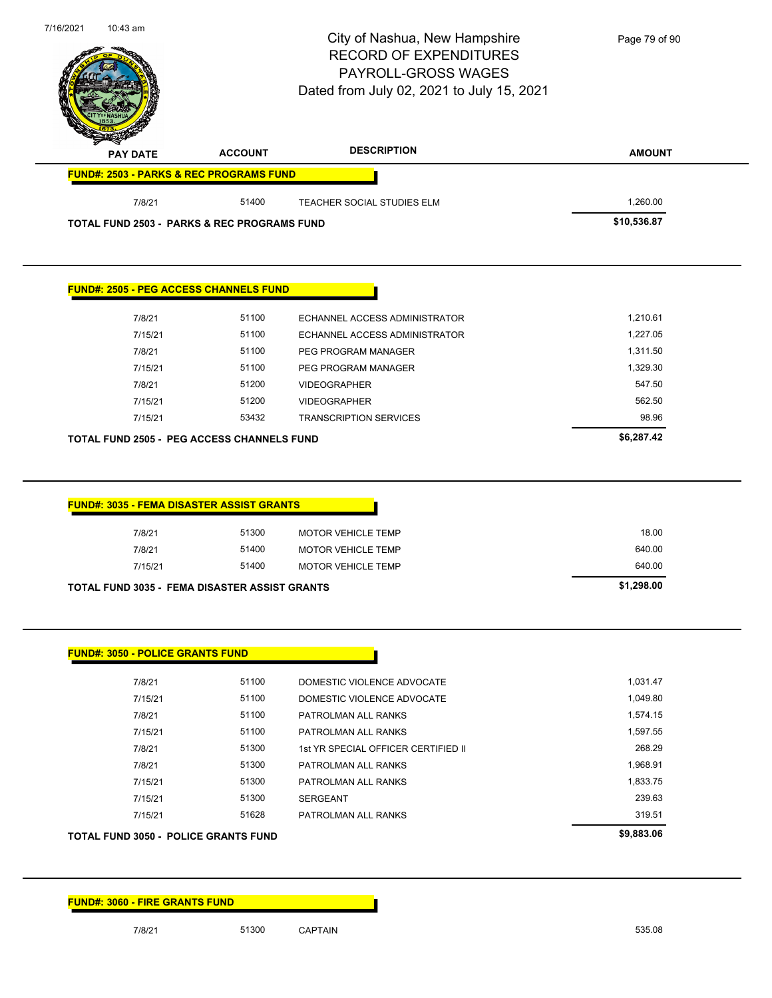|                                             |                                                        | City of Nashua, New Hampshire<br><b>RECORD OF EXPENDITURES</b><br>PAYROLL-GROSS WAGES<br>Dated from July 02, 2021 to July 15, 2021 | Page 79 of 90 |
|---------------------------------------------|--------------------------------------------------------|------------------------------------------------------------------------------------------------------------------------------------|---------------|
| <b>PAY DATE</b>                             | <b>ACCOUNT</b>                                         | <b>DESCRIPTION</b>                                                                                                                 | <b>AMOUNT</b> |
|                                             | <b>FUND#: 2503 - PARKS &amp; REC PROGRAMS FUND</b>     |                                                                                                                                    |               |
| 7/8/21                                      | 51400                                                  | TEACHER SOCIAL STUDIES ELM                                                                                                         | 1,260.00      |
|                                             | <b>TOTAL FUND 2503 - PARKS &amp; REC PROGRAMS FUND</b> |                                                                                                                                    | \$10,536.87   |
|                                             | <b>FUND#: 2505 - PEG ACCESS CHANNELS FUND</b>          |                                                                                                                                    |               |
| 7/8/21                                      | 51100                                                  | ECHANNEL ACCESS ADMINISTRATOR                                                                                                      | 1,210.61      |
| 7/15/21                                     | 51100                                                  | ECHANNEL ACCESS ADMINISTRATOR                                                                                                      | 1,227.05      |
| 7/8/21                                      | 51100                                                  | PEG PROGRAM MANAGER                                                                                                                | 1,311.50      |
| 7/15/21                                     | 51100                                                  | PEG PROGRAM MANAGER                                                                                                                | 1,329.30      |
| 7/8/21                                      | 51200                                                  | <b>VIDEOGRAPHER</b>                                                                                                                | 547.50        |
| 7/15/21                                     | 51200                                                  | <b>VIDEOGRAPHER</b>                                                                                                                | 562.50        |
| 7/15/21                                     | 53432                                                  | <b>TRANSCRIPTION SERVICES</b>                                                                                                      | 98.96         |
|                                             | <b>TOTAL FUND 2505 - PEG ACCESS CHANNELS FUND</b>      |                                                                                                                                    | \$6,287.42    |
|                                             | <b>FUND#: 3035 - FEMA DISASTER ASSIST GRANTS</b>       |                                                                                                                                    |               |
| 7/8/21                                      | 51300                                                  | <b>MOTOR VEHICLE TEMP</b>                                                                                                          | 18.00         |
| 7/8/21                                      | 51400                                                  | MOTOR VEHICLE TEMP                                                                                                                 | 640.00        |
| 7/15/21                                     | 51400                                                  | <b>MOTOR VEHICLE TEMP</b>                                                                                                          | 640.00        |
|                                             | TOTAL FUND 3035 - FEMA DISASTER ASSIST GRANTS          |                                                                                                                                    | \$1,298.00    |
| <b>FUND#: 3050 - POLICE GRANTS FUND</b>     |                                                        |                                                                                                                                    |               |
| 7/8/21                                      | 51100                                                  | DOMESTIC VIOLENCE ADVOCATE                                                                                                         | 1,031.47      |
| 7/15/21                                     | 51100                                                  | DOMESTIC VIOLENCE ADVOCATE                                                                                                         | 1,049.80      |
| 7/8/21                                      | 51100                                                  | PATROLMAN ALL RANKS                                                                                                                | 1,574.15      |
| 7/15/21                                     | 51100                                                  | PATROLMAN ALL RANKS                                                                                                                | 1,597.55      |
| 7/8/21                                      | 51300                                                  | 1st YR SPECIAL OFFICER CERTIFIED II                                                                                                | 268.29        |
| 7/8/21                                      | 51300                                                  | PATROLMAN ALL RANKS                                                                                                                | 1,968.91      |
| 7/15/21                                     | 51300                                                  | PATROLMAN ALL RANKS                                                                                                                | 1,833.75      |
| 7/15/21                                     | 51300                                                  | <b>SERGEANT</b>                                                                                                                    | 239.63        |
| 7/15/21                                     | 51628                                                  | PATROLMAN ALL RANKS                                                                                                                | 319.51        |
| <b>TOTAL FUND 3050 - POLICE GRANTS FUND</b> |                                                        |                                                                                                                                    | \$9,883.06    |

7/8/21 51300 CAPTAIN 560 535.08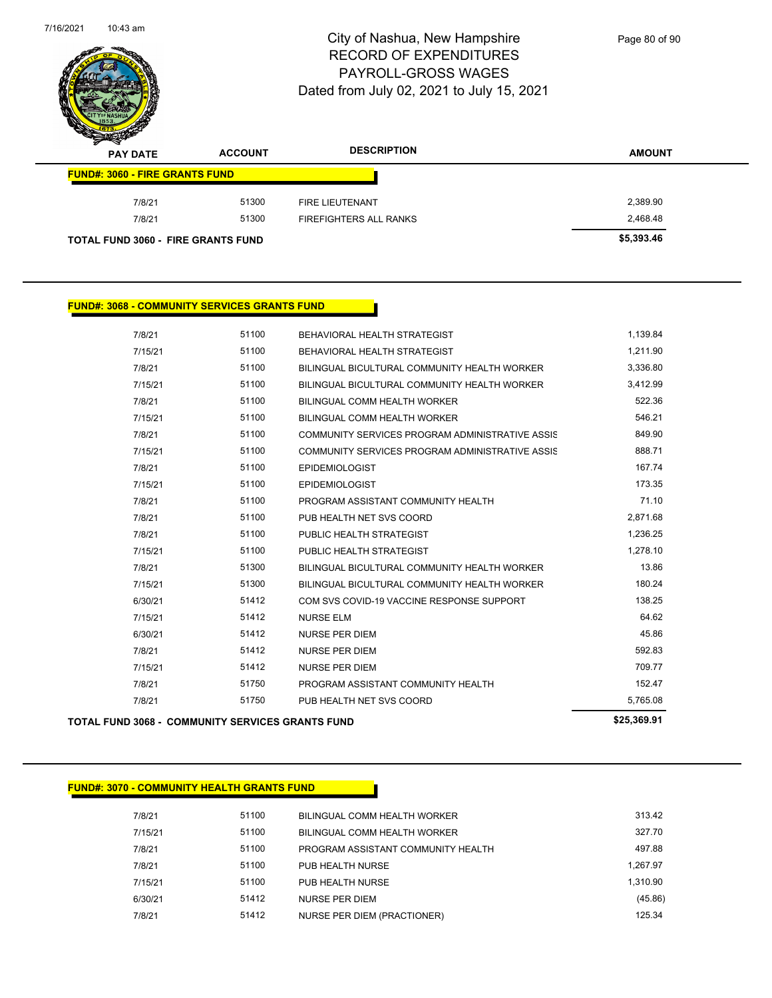

Page 80 of 90

| s<br>$\tilde{\phantom{a}}$<br><b>PAY DATE</b> | <b>ACCOUNT</b> | <b>DESCRIPTION</b>     | <b>AMOUNT</b> |
|-----------------------------------------------|----------------|------------------------|---------------|
| <b>FUND#: 3060 - FIRE GRANTS FUND</b>         |                |                        |               |
| 7/8/21                                        | 51300          | <b>FIRE LIEUTENANT</b> | 2,389.90      |
| 7/8/21                                        | 51300          | FIREFIGHTERS ALL RANKS | 2,468.48      |
| <b>TOTAL FUND 3060 - FIRE GRANTS FUND</b>     |                |                        | \$5,393.46    |

### **FUND#: 3068 - COMMUNITY SERVICES GRANTS FUND**

| TOTAL FUND 3068 -  COMMUNITY SERVICES GRANTS FUND |       |                                                 | \$25,369.91 |
|---------------------------------------------------|-------|-------------------------------------------------|-------------|
| 7/8/21                                            | 51750 | PUB HEALTH NET SVS COORD                        | 5,765.08    |
| 7/8/21                                            | 51750 | PROGRAM ASSISTANT COMMUNITY HEALTH              | 152.47      |
| 7/15/21                                           | 51412 | <b>NURSE PER DIEM</b>                           | 709.77      |
| 7/8/21                                            | 51412 | <b>NURSE PER DIEM</b>                           | 592.83      |
| 6/30/21                                           | 51412 | <b>NURSE PER DIEM</b>                           | 45.86       |
| 7/15/21                                           | 51412 | <b>NURSE ELM</b>                                | 64.62       |
| 6/30/21                                           | 51412 | COM SVS COVID-19 VACCINE RESPONSE SUPPORT       | 138.25      |
| 7/15/21                                           | 51300 | BILINGUAL BICULTURAL COMMUNITY HEALTH WORKER    | 180.24      |
| 7/8/21                                            | 51300 | BILINGUAL BICULTURAL COMMUNITY HEALTH WORKER    | 13.86       |
| 7/15/21                                           | 51100 | PUBLIC HEALTH STRATEGIST                        | 1,278.10    |
| 7/8/21                                            | 51100 | PUBLIC HEALTH STRATEGIST                        | 1,236.25    |
| 7/8/21                                            | 51100 | PUB HEALTH NET SVS COORD                        | 2,871.68    |
| 7/8/21                                            | 51100 | PROGRAM ASSISTANT COMMUNITY HEALTH              | 71.10       |
| 7/15/21                                           | 51100 | <b>EPIDEMIOLOGIST</b>                           | 173.35      |
| 7/8/21                                            | 51100 | <b>EPIDEMIOLOGIST</b>                           | 167.74      |
| 7/15/21                                           | 51100 | COMMUNITY SERVICES PROGRAM ADMINISTRATIVE ASSIS | 888.71      |
| 7/8/21                                            | 51100 | COMMUNITY SERVICES PROGRAM ADMINISTRATIVE ASSIS | 849.90      |
| 7/15/21                                           | 51100 | BILINGUAL COMM HEALTH WORKER                    | 546.21      |
| 7/8/21                                            | 51100 | BILINGUAL COMM HEALTH WORKER                    | 522.36      |
| 7/15/21                                           | 51100 | BILINGUAL BICULTURAL COMMUNITY HEALTH WORKER    | 3,412.99    |
| 7/8/21                                            | 51100 | BILINGUAL BICULTURAL COMMUNITY HEALTH WORKER    | 3,336.80    |
| 7/15/21                                           | 51100 | BEHAVIORAL HEALTH STRATEGIST                    | 1,211.90    |
| 7/8/21                                            | 51100 | BEHAVIORAL HEALTH STRATEGIST                    | 1,139.84    |

### **FUND#: 3070 - COMMUNITY HEALTH GRANTS FUND**

| 7/8/21  | 51100 | BILINGUAL COMM HEALTH WORKER       | 313.42   |
|---------|-------|------------------------------------|----------|
| 7/15/21 | 51100 | BILINGUAL COMM HEALTH WORKER       | 327.70   |
| 7/8/21  | 51100 | PROGRAM ASSISTANT COMMUNITY HEALTH | 497.88   |
| 7/8/21  | 51100 | PUB HEALTH NURSE                   | 1.267.97 |
| 7/15/21 | 51100 | PUB HEALTH NURSE                   | 1.310.90 |
| 6/30/21 | 51412 | NURSE PER DIEM                     | (45.86)  |
| 7/8/21  | 51412 | NURSE PER DIEM (PRACTIONER)        | 125.34   |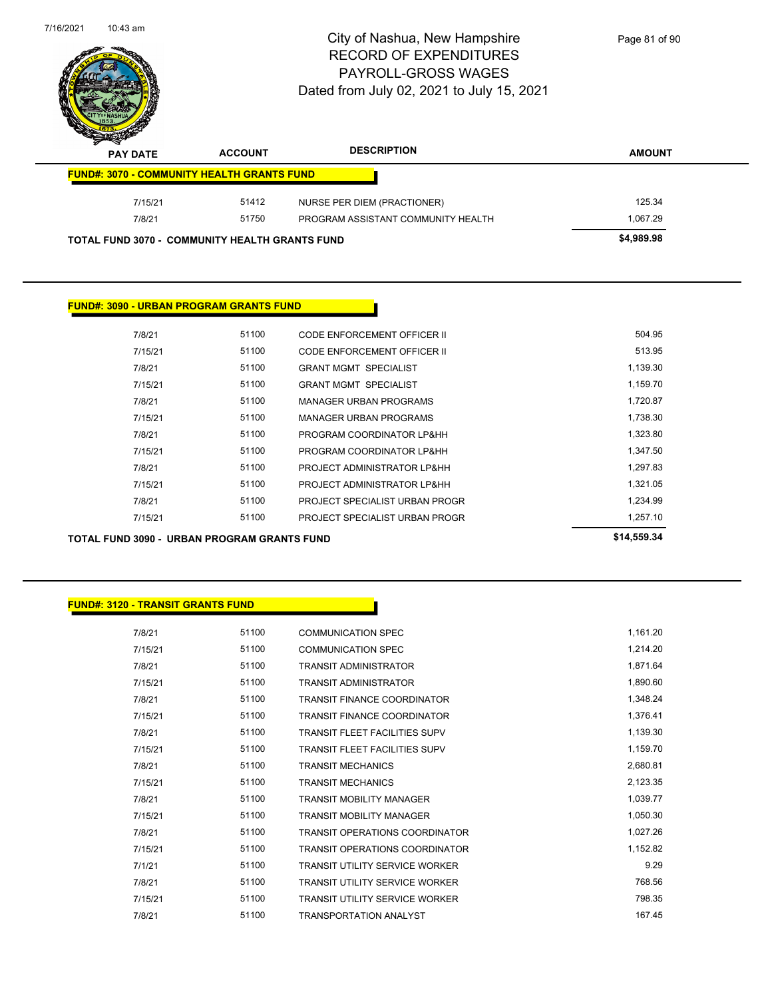| $10:43$ am<br>7/16/2021                           |                | City of Nashua, New Hampshire<br><b>RECORD OF EXPENDITURES</b><br><b>PAYROLL-GROSS WAGES</b><br>Dated from July 02, 2021 to July 15, 2021 | Page 81 of 90 |
|---------------------------------------------------|----------------|-------------------------------------------------------------------------------------------------------------------------------------------|---------------|
|                                                   | <b>ACCOUNT</b> | <b>DESCRIPTION</b>                                                                                                                        | <b>AMOUNT</b> |
| <b>PAY DATE</b>                                   |                |                                                                                                                                           |               |
| <b>FUND#: 3070 - COMMUNITY HEALTH GRANTS FUND</b> |                |                                                                                                                                           |               |
| 7/15/21                                           | 51412          | NURSE PER DIEM (PRACTIONER)                                                                                                               | 125.34        |
| 7/8/21                                            | 51750          | PROGRAM ASSISTANT COMMUNITY HEALTH                                                                                                        | 1,067.29      |

### **FUND#: 3090 - URBAN PROGRAM GRANTS FUND**

| TOTAL FUND 3090 - URBAN PROGRAM GRANTS FUND |       |                                | \$14,559.34 |
|---------------------------------------------|-------|--------------------------------|-------------|
| 7/15/21                                     | 51100 | PROJECT SPECIALIST URBAN PROGR | 1,257.10    |
| 7/8/21                                      | 51100 | PROJECT SPECIALIST URBAN PROGR | 1,234.99    |
| 7/15/21                                     | 51100 | PROJECT ADMINISTRATOR LP&HH    | 1.321.05    |
| 7/8/21                                      | 51100 | PROJECT ADMINISTRATOR LP&HH    | 1.297.83    |
| 7/15/21                                     | 51100 | PROGRAM COORDINATOR LP&HH      | 1,347.50    |
| 7/8/21                                      | 51100 | PROGRAM COORDINATOR LP&HH      | 1,323.80    |
| 7/15/21                                     | 51100 | <b>MANAGER URBAN PROGRAMS</b>  | 1,738.30    |
| 7/8/21                                      | 51100 | <b>MANAGER URBAN PROGRAMS</b>  | 1,720.87    |
| 7/15/21                                     | 51100 | <b>GRANT MGMT SPECIALIST</b>   | 1,159.70    |
| 7/8/21                                      | 51100 | <b>GRANT MGMT SPECIALIST</b>   | 1,139.30    |
| 7/15/21                                     | 51100 | CODE ENFORCEMENT OFFICER II    | 513.95      |
| 7/8/21                                      | 51100 | CODE ENFORCEMENT OFFICER II    | 504.95      |
|                                             |       |                                |             |

| <u> FUND#: 3120 - TRANSIT GRANTS FUND</u> |  |  |  |
|-------------------------------------------|--|--|--|
|-------------------------------------------|--|--|--|

| 7/8/21  | 51100 | <b>COMMUNICATION SPEC</b>             | 1,161.20 |
|---------|-------|---------------------------------------|----------|
| 7/15/21 | 51100 | <b>COMMUNICATION SPEC</b>             | 1,214.20 |
| 7/8/21  | 51100 | <b>TRANSIT ADMINISTRATOR</b>          | 1,871.64 |
| 7/15/21 | 51100 | <b>TRANSIT ADMINISTRATOR</b>          | 1,890.60 |
| 7/8/21  | 51100 | <b>TRANSIT FINANCE COORDINATOR</b>    | 1,348.24 |
| 7/15/21 | 51100 | <b>TRANSIT FINANCE COORDINATOR</b>    | 1,376.41 |
| 7/8/21  | 51100 | <b>TRANSIT FLEET FACILITIES SUPV</b>  | 1,139.30 |
| 7/15/21 | 51100 | <b>TRANSIT FLEET FACILITIES SUPV</b>  | 1,159.70 |
| 7/8/21  | 51100 | <b>TRANSIT MECHANICS</b>              | 2,680.81 |
| 7/15/21 | 51100 | <b>TRANSIT MECHANICS</b>              | 2,123.35 |
| 7/8/21  | 51100 | <b>TRANSIT MOBILITY MANAGER</b>       | 1,039.77 |
| 7/15/21 | 51100 | <b>TRANSIT MOBILITY MANAGER</b>       | 1,050.30 |
| 7/8/21  | 51100 | <b>TRANSIT OPERATIONS COORDINATOR</b> | 1,027.26 |
| 7/15/21 | 51100 | <b>TRANSIT OPERATIONS COORDINATOR</b> | 1,152.82 |
| 7/1/21  | 51100 | <b>TRANSIT UTILITY SERVICE WORKER</b> | 9.29     |
| 7/8/21  | 51100 | <b>TRANSIT UTILITY SERVICE WORKER</b> | 768.56   |
| 7/15/21 | 51100 | <b>TRANSIT UTILITY SERVICE WORKER</b> | 798.35   |
| 7/8/21  | 51100 | <b>TRANSPORTATION ANALYST</b>         | 167.45   |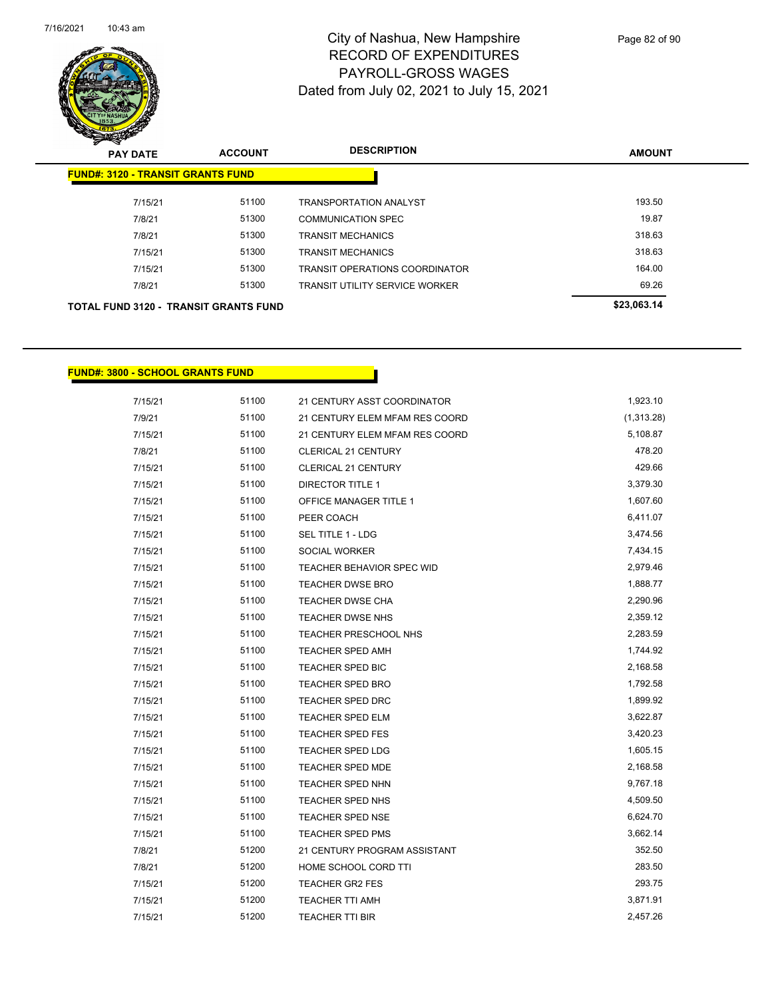

| <b>PAY DATE</b>                              | <b>ACCOUNT</b> | <b>DESCRIPTION</b>                    | <b>AMOUNT</b> |
|----------------------------------------------|----------------|---------------------------------------|---------------|
| <b>FUND#: 3120 - TRANSIT GRANTS FUND</b>     |                |                                       |               |
| 7/15/21                                      | 51100          | <b>TRANSPORTATION ANALYST</b>         | 193.50        |
| 7/8/21                                       | 51300          | COMMUNICATION SPEC                    | 19.87         |
| 7/8/21                                       | 51300          | <b>TRANSIT MECHANICS</b>              | 318.63        |
| 7/15/21                                      | 51300          | <b>TRANSIT MECHANICS</b>              | 318.63        |
| 7/15/21                                      | 51300          | <b>TRANSIT OPERATIONS COORDINATOR</b> | 164.00        |
| 7/8/21                                       | 51300          | <b>TRANSIT UTILITY SERVICE WORKER</b> | 69.26         |
| <b>TOTAL FUND 3120 - TRANSIT GRANTS FUND</b> |                |                                       | \$23,063.14   |

#### **FUND#: 3800 - SCHOOL GRANTS FUND**

| 7/15/21 | 51100 | 21 CENTURY ASST COORDINATOR    | 1,923.10   |
|---------|-------|--------------------------------|------------|
| 7/9/21  | 51100 | 21 CENTURY ELEM MFAM RES COORD | (1,313.28) |
| 7/15/21 | 51100 | 21 CENTURY ELEM MFAM RES COORD | 5,108.87   |
| 7/8/21  | 51100 | CLERICAL 21 CENTURY            | 478.20     |
| 7/15/21 | 51100 | <b>CLERICAL 21 CENTURY</b>     | 429.66     |
| 7/15/21 | 51100 | <b>DIRECTOR TITLE 1</b>        | 3,379.30   |
| 7/15/21 | 51100 | OFFICE MANAGER TITLE 1         | 1,607.60   |
| 7/15/21 | 51100 | PEER COACH                     | 6,411.07   |
| 7/15/21 | 51100 | SEL TITLE 1 - LDG              | 3,474.56   |
| 7/15/21 | 51100 | SOCIAL WORKER                  | 7,434.15   |
| 7/15/21 | 51100 | TEACHER BEHAVIOR SPEC WID      | 2,979.46   |
| 7/15/21 | 51100 | <b>TEACHER DWSE BRO</b>        | 1,888.77   |
| 7/15/21 | 51100 | <b>TEACHER DWSE CHA</b>        | 2,290.96   |
| 7/15/21 | 51100 | <b>TEACHER DWSE NHS</b>        | 2,359.12   |
| 7/15/21 | 51100 | <b>TEACHER PRESCHOOL NHS</b>   | 2,283.59   |
| 7/15/21 | 51100 | <b>TEACHER SPED AMH</b>        | 1,744.92   |
| 7/15/21 | 51100 | <b>TEACHER SPED BIC</b>        | 2,168.58   |
| 7/15/21 | 51100 | <b>TEACHER SPED BRO</b>        | 1,792.58   |
| 7/15/21 | 51100 | TEACHER SPED DRC               | 1,899.92   |
| 7/15/21 | 51100 | <b>TEACHER SPED ELM</b>        | 3,622.87   |
| 7/15/21 | 51100 | <b>TEACHER SPED FES</b>        | 3,420.23   |
| 7/15/21 | 51100 | <b>TEACHER SPED LDG</b>        | 1,605.15   |
| 7/15/21 | 51100 | <b>TEACHER SPED MDE</b>        | 2,168.58   |
| 7/15/21 | 51100 | TEACHER SPED NHN               | 9,767.18   |
| 7/15/21 | 51100 | <b>TEACHER SPED NHS</b>        | 4,509.50   |
| 7/15/21 | 51100 | TEACHER SPED NSE               | 6,624.70   |
| 7/15/21 | 51100 | <b>TEACHER SPED PMS</b>        | 3,662.14   |
| 7/8/21  | 51200 | 21 CENTURY PROGRAM ASSISTANT   | 352.50     |
| 7/8/21  | 51200 | HOME SCHOOL CORD TTI           | 283.50     |
| 7/15/21 | 51200 | <b>TEACHER GR2 FES</b>         | 293.75     |
| 7/15/21 | 51200 | <b>TEACHER TTI AMH</b>         | 3,871.91   |
| 7/15/21 | 51200 | <b>TEACHER TTI BIR</b>         | 2,457.26   |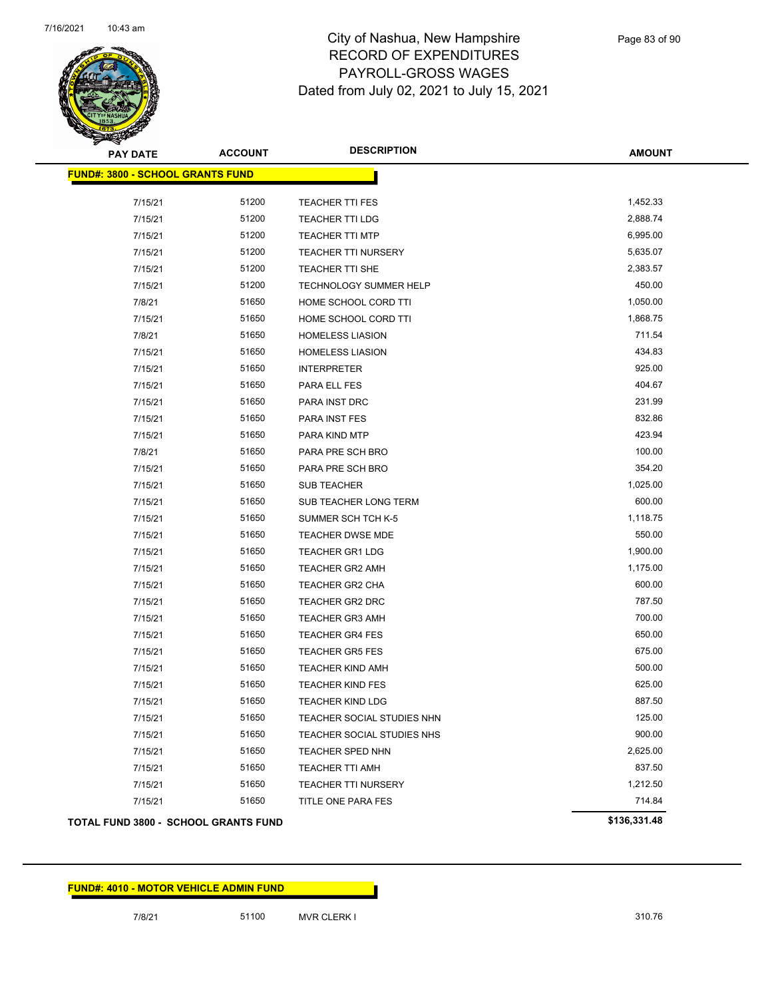

| <b>PAY DATE</b>                         | <b>ACCOUNT</b> | <b>DESCRIPTION</b>                | <b>AMOUNT</b> |  |  |  |
|-----------------------------------------|----------------|-----------------------------------|---------------|--|--|--|
| <b>FUND#: 3800 - SCHOOL GRANTS FUND</b> |                |                                   |               |  |  |  |
| 7/15/21                                 | 51200          | <b>TEACHER TTI FES</b>            | 1,452.33      |  |  |  |
| 7/15/21                                 | 51200          | <b>TEACHER TTI LDG</b>            | 2,888.74      |  |  |  |
| 7/15/21                                 | 51200          | <b>TEACHER TTI MTP</b>            | 6,995.00      |  |  |  |
| 7/15/21                                 | 51200          | TEACHER TTI NURSERY               | 5,635.07      |  |  |  |
| 7/15/21                                 | 51200          | TEACHER TTI SHE                   | 2,383.57      |  |  |  |
| 7/15/21                                 | 51200          | TECHNOLOGY SUMMER HELP            | 450.00        |  |  |  |
| 7/8/21                                  | 51650          | HOME SCHOOL CORD TTI              | 1,050.00      |  |  |  |
| 7/15/21                                 | 51650          | HOME SCHOOL CORD TTI              | 1,868.75      |  |  |  |
| 7/8/21                                  | 51650          | <b>HOMELESS LIASION</b>           | 711.54        |  |  |  |
| 7/15/21                                 | 51650          | <b>HOMELESS LIASION</b>           | 434.83        |  |  |  |
| 7/15/21                                 | 51650          | <b>INTERPRETER</b>                | 925.00        |  |  |  |
| 7/15/21                                 | 51650          | PARA ELL FES                      | 404.67        |  |  |  |
| 7/15/21                                 | 51650          | PARA INST DRC                     | 231.99        |  |  |  |
| 7/15/21                                 | 51650          | PARA INST FES                     | 832.86        |  |  |  |
| 7/15/21                                 | 51650          | PARA KIND MTP                     | 423.94        |  |  |  |
| 7/8/21                                  | 51650          | PARA PRE SCH BRO                  | 100.00        |  |  |  |
| 7/15/21                                 | 51650          | PARA PRE SCH BRO                  | 354.20        |  |  |  |
| 7/15/21                                 | 51650          | <b>SUB TEACHER</b>                | 1,025.00      |  |  |  |
| 7/15/21                                 | 51650          | SUB TEACHER LONG TERM             | 600.00        |  |  |  |
| 7/15/21                                 | 51650          | SUMMER SCH TCH K-5                | 1,118.75      |  |  |  |
| 7/15/21                                 | 51650          | TEACHER DWSE MDE                  | 550.00        |  |  |  |
| 7/15/21                                 | 51650          | <b>TEACHER GR1 LDG</b>            | 1,900.00      |  |  |  |
| 7/15/21                                 | 51650          | TEACHER GR2 AMH                   | 1,175.00      |  |  |  |
| 7/15/21                                 | 51650          | TEACHER GR2 CHA                   | 600.00        |  |  |  |
| 7/15/21                                 | 51650          | TEACHER GR2 DRC                   | 787.50        |  |  |  |
| 7/15/21                                 | 51650          | <b>TEACHER GR3 AMH</b>            | 700.00        |  |  |  |
| 7/15/21                                 | 51650          | <b>TEACHER GR4 FES</b>            | 650.00        |  |  |  |
| 7/15/21                                 | 51650          | <b>TEACHER GR5 FES</b>            | 675.00        |  |  |  |
| 7/15/21                                 | 51650          | <b>TEACHER KIND AMH</b>           | 500.00        |  |  |  |
| 7/15/21                                 | 51650          | <b>TEACHER KIND FES</b>           | 625.00        |  |  |  |
| 7/15/21                                 | 51650          | <b>TEACHER KIND LDG</b>           | 887.50        |  |  |  |
| 7/15/21                                 | 51650          | TEACHER SOCIAL STUDIES NHN        | 125.00        |  |  |  |
| 7/15/21                                 | 51650          | <b>TEACHER SOCIAL STUDIES NHS</b> | 900.00        |  |  |  |
| 7/15/21                                 | 51650          | TEACHER SPED NHN                  | 2,625.00      |  |  |  |
| 7/15/21                                 | 51650          | TEACHER TTI AMH                   | 837.50        |  |  |  |
| 7/15/21                                 | 51650          | <b>TEACHER TTI NURSERY</b>        | 1,212.50      |  |  |  |
| 7/15/21                                 | 51650          | TITLE ONE PARA FES                | 714.84        |  |  |  |
| TOTAL FUND 3800 - SCHOOL GRANTS FUND    |                |                                   | \$136,331.48  |  |  |  |

#### **FUND#: 4010 - MOTOR VEHICLE ADMIN FUND**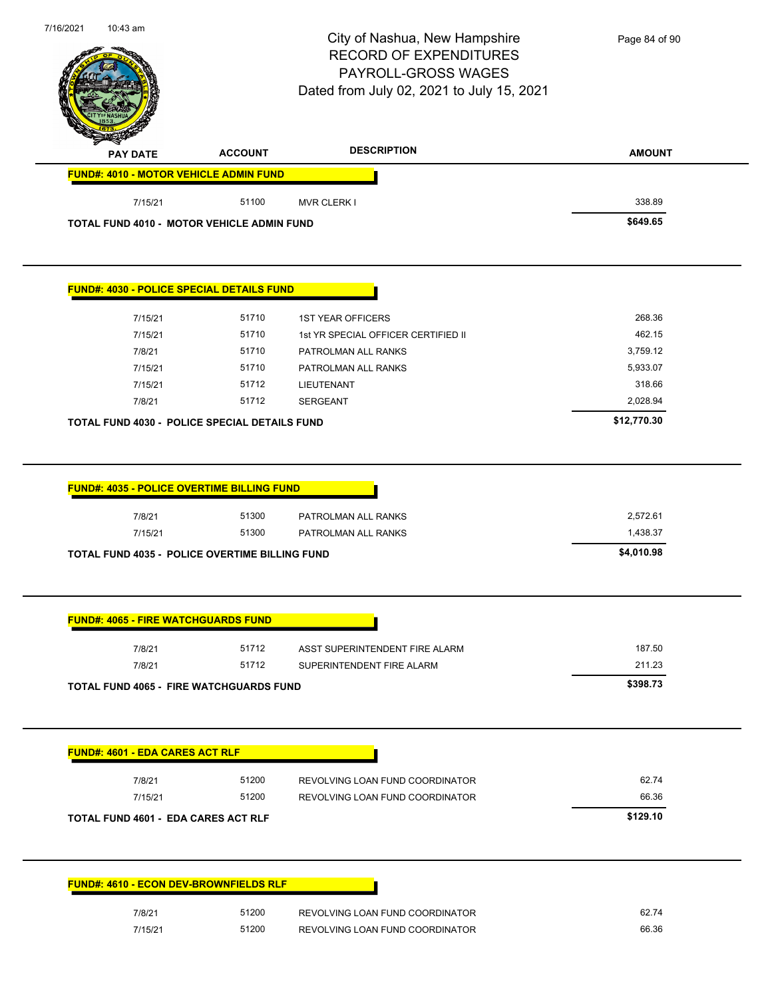|                                                                     |                | City of Nashua, New Hampshire<br><b>RECORD OF EXPENDITURES</b><br>PAYROLL-GROSS WAGES<br>Dated from July 02, 2021 to July 15, 2021 | Page 84 of 90                      |
|---------------------------------------------------------------------|----------------|------------------------------------------------------------------------------------------------------------------------------------|------------------------------------|
| <b>PAY DATE</b>                                                     | <b>ACCOUNT</b> | <b>DESCRIPTION</b>                                                                                                                 | <b>AMOUNT</b>                      |
| FUND#: 4010 - MOTOR VEHICLE ADMIN FUND                              |                |                                                                                                                                    |                                    |
| 7/15/21                                                             | 51100          | <b>MVR CLERK I</b>                                                                                                                 | 338.89                             |
| TOTAL FUND 4010 - MOTOR VEHICLE ADMIN FUND                          |                |                                                                                                                                    | \$649.65                           |
| FUND#: 4030 - POLICE SPECIAL DETAILS FUND                           |                |                                                                                                                                    |                                    |
| 7/15/21                                                             | 51710          | <b>1ST YEAR OFFICERS</b>                                                                                                           | 268.36                             |
| 7/15/21                                                             | 51710          | 1st YR SPECIAL OFFICER CERTIFIED II                                                                                                | 462.15                             |
| 7/8/21                                                              | 51710          | PATROLMAN ALL RANKS                                                                                                                | 3,759.12                           |
| 7/15/21                                                             | 51710          | PATROLMAN ALL RANKS                                                                                                                | 5,933.07                           |
| 7/15/21                                                             | 51712          | <b>LIEUTENANT</b>                                                                                                                  | 318.66                             |
| 7/8/21                                                              | 51712          | <b>SERGEANT</b>                                                                                                                    | 2,028.94                           |
| TOTAL FUND 4030 - POLICE SPECIAL DETAILS FUND                       |                |                                                                                                                                    | \$12,770.30                        |
| <b>FUND#: 4035 - POLICE OVERTIME BILLING FUND</b>                   |                |                                                                                                                                    |                                    |
| 7/8/21<br>7/15/21<br>TOTAL FUND 4035 - POLICE OVERTIME BILLING FUND | 51300<br>51300 | PATROLMAN ALL RANKS<br>PATROLMAN ALL RANKS                                                                                         | 2,572.61<br>1,438.37<br>\$4,010.98 |
| <b>FUND#: 4065 - FIRE WATCHGUARDS FUND</b>                          |                |                                                                                                                                    |                                    |
| 7/8/21                                                              | 51712          | ASST SUPERINTENDENT FIRE ALARM                                                                                                     | 187.50                             |
| 7/8/21                                                              | 51712          | SUPERINTENDENT FIRE ALARM                                                                                                          | 211.23                             |
| <b>TOTAL FUND 4065 - FIRE WATCHGUARDS FUND</b>                      |                |                                                                                                                                    | \$398.73                           |
| <b>FUND#: 4601 - EDA CARES ACT RLF</b>                              |                |                                                                                                                                    |                                    |
| 7/8/21                                                              | 51200          | REVOLVING LOAN FUND COORDINATOR                                                                                                    | 62.74                              |
| 7/15/21                                                             | 51200          | REVOLVING LOAN FUND COORDINATOR                                                                                                    | 66.36                              |
| <b>TOTAL FUND 4601 - EDA CARES ACT RLF</b>                          |                |                                                                                                                                    | \$129.10                           |
| <b>FUND#: 4610 - ECON DEV-BROWNFIELDS RLF</b>                       |                |                                                                                                                                    |                                    |
| 7/8/21                                                              | 51200          | REVOLVING LOAN FUND COORDINATOR                                                                                                    | 62.74                              |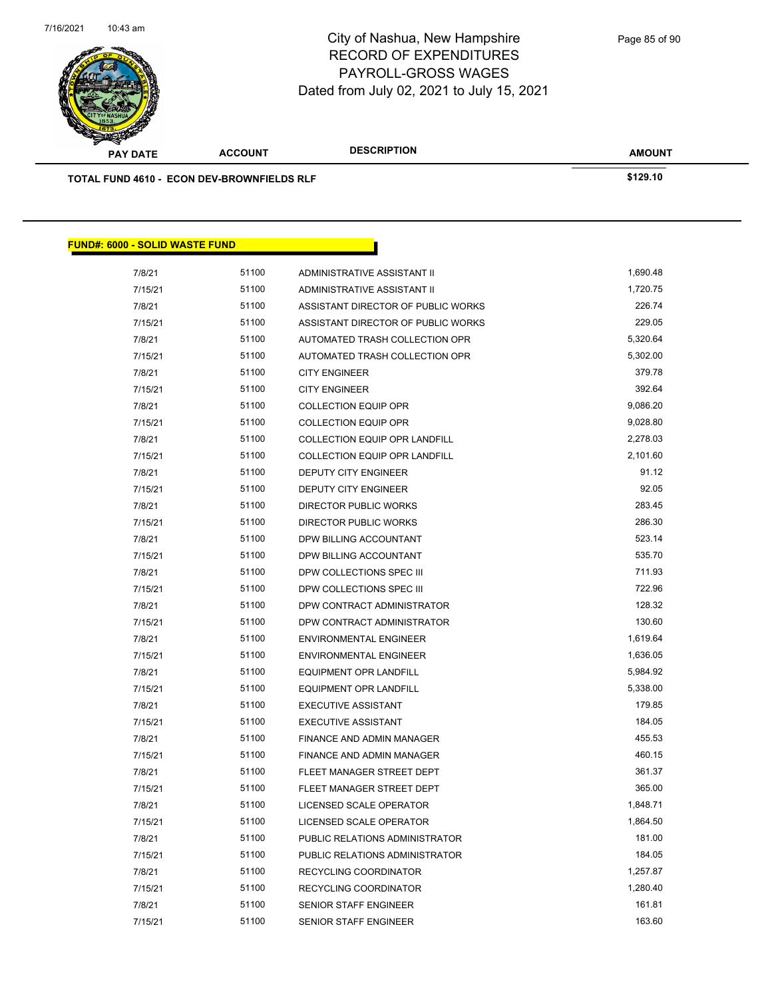

Page 85 of 90

| <b>PAY DATE</b>                                   | <b>ACCOUNT</b> | <b>DESCRIPTION</b>                   | <b>AMOUNT</b> |
|---------------------------------------------------|----------------|--------------------------------------|---------------|
| <b>TOTAL FUND 4610 - ECON DEV-BROWNFIELDS RLF</b> |                |                                      | \$129.10      |
|                                                   |                |                                      |               |
|                                                   |                |                                      |               |
|                                                   |                |                                      |               |
| <b>FUND#: 6000 - SOLID WASTE FUND</b>             |                |                                      |               |
| 7/8/21                                            | 51100          | ADMINISTRATIVE ASSISTANT II          | 1,690.48      |
| 7/15/21                                           | 51100          | ADMINISTRATIVE ASSISTANT II          | 1,720.75      |
| 7/8/21                                            | 51100          | ASSISTANT DIRECTOR OF PUBLIC WORKS   | 226.74        |
| 7/15/21                                           | 51100          | ASSISTANT DIRECTOR OF PUBLIC WORKS   | 229.05        |
| 7/8/21                                            | 51100          | AUTOMATED TRASH COLLECTION OPR       | 5,320.64      |
| 7/15/21                                           | 51100          | AUTOMATED TRASH COLLECTION OPR       | 5,302.00      |
| 7/8/21                                            | 51100          | <b>CITY ENGINEER</b>                 | 379.78        |
| 7/15/21                                           | 51100          | <b>CITY ENGINEER</b>                 | 392.64        |
| 7/8/21                                            | 51100          | <b>COLLECTION EQUIP OPR</b>          | 9,086.20      |
| 7/15/21                                           | 51100          | <b>COLLECTION EQUIP OPR</b>          | 9,028.80      |
| 7/8/21                                            | 51100          | <b>COLLECTION EQUIP OPR LANDFILL</b> | 2,278.03      |
| 7/15/21                                           | 51100          | <b>COLLECTION EQUIP OPR LANDFILL</b> | 2,101.60      |
| 7/8/21                                            | 51100          | <b>DEPUTY CITY ENGINEER</b>          | 91.12         |
| 7/15/21                                           | 51100          | DEPUTY CITY ENGINEER                 | 92.05         |
| 7/8/21                                            | 51100          | DIRECTOR PUBLIC WORKS                | 283.45        |
| 7/15/21                                           | 51100          | DIRECTOR PUBLIC WORKS                | 286.30        |
| 7/8/21                                            | 51100          | DPW BILLING ACCOUNTANT               | 523.14        |
| 7/15/21                                           | 51100          | DPW BILLING ACCOUNTANT               | 535.70        |
| 7/8/21                                            | 51100          | DPW COLLECTIONS SPEC III             | 711.93        |
| 7/15/21                                           | 51100          | DPW COLLECTIONS SPEC III             | 722.96        |
| 7/8/21                                            | 51100          | DPW CONTRACT ADMINISTRATOR           | 128.32        |
| 7/15/21                                           | 51100          | DPW CONTRACT ADMINISTRATOR           | 130.60        |
| 7/8/21                                            | 51100          | <b>ENVIRONMENTAL ENGINEER</b>        | 1,619.64      |
| 7/15/21                                           | 51100          | <b>ENVIRONMENTAL ENGINEER</b>        | 1,636.05      |
| 7/8/21                                            | 51100          | <b>EQUIPMENT OPR LANDFILL</b>        | 5,984.92      |
| 7/15/21                                           | 51100          | <b>EQUIPMENT OPR LANDFILL</b>        | 5,338.00      |
| 7/8/21                                            | 51100          | <b>EXECUTIVE ASSISTANT</b>           | 179.85        |
| 7/15/21                                           | 51100          | <b>EXECUTIVE ASSISTANT</b>           | 184.05        |
| 7/8/21                                            | 51100          | FINANCE AND ADMIN MANAGER            | 455.53        |
| 7/15/21                                           | 51100          | FINANCE AND ADMIN MANAGER            | 460.15        |
| 7/8/21                                            | 51100          | FLEET MANAGER STREET DEPT            | 361.37        |
| 7/15/21                                           | 51100          | FLEET MANAGER STREET DEPT            | 365.00        |
| 7/8/21                                            | 51100          | LICENSED SCALE OPERATOR              | 1,848.71      |
| 7/15/21                                           | 51100          | LICENSED SCALE OPERATOR              | 1,864.50      |
| 7/8/21                                            | 51100          | PUBLIC RELATIONS ADMINISTRATOR       | 181.00        |
| 7/15/21                                           | 51100          | PUBLIC RELATIONS ADMINISTRATOR       | 184.05        |
| 7/8/21                                            | 51100          | RECYCLING COORDINATOR                | 1,257.87      |
| 7/15/21                                           | 51100          | RECYCLING COORDINATOR                | 1,280.40      |
| 7/8/21                                            | 51100          | SENIOR STAFF ENGINEER                | 161.81        |
| 7/15/21                                           | 51100          | SENIOR STAFF ENGINEER                | 163.60        |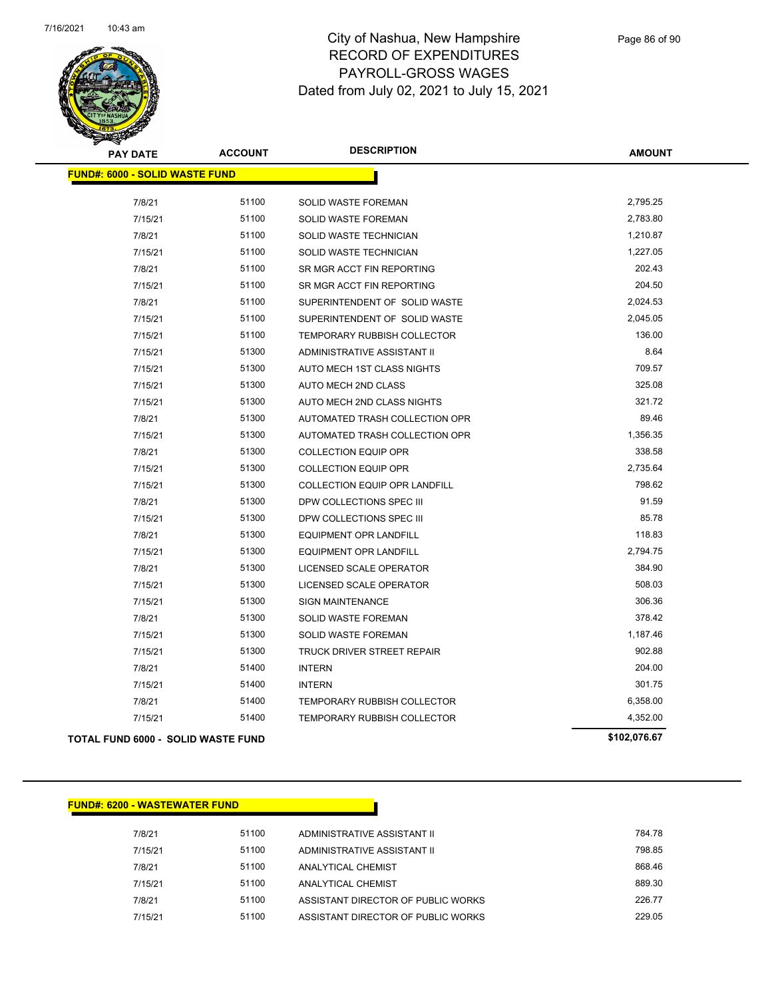

| <b>PAY DATE</b>                           | <b>ACCOUNT</b> | <b>DESCRIPTION</b>                   | <b>AMOUNT</b> |  |  |  |  |
|-------------------------------------------|----------------|--------------------------------------|---------------|--|--|--|--|
| <b>FUND#: 6000 - SOLID WASTE FUND</b>     |                |                                      |               |  |  |  |  |
| 7/8/21                                    | 51100          | <b>SOLID WASTE FOREMAN</b>           | 2,795.25      |  |  |  |  |
| 7/15/21                                   | 51100          | <b>SOLID WASTE FOREMAN</b>           | 2,783.80      |  |  |  |  |
| 7/8/21                                    | 51100          | SOLID WASTE TECHNICIAN               | 1,210.87      |  |  |  |  |
| 7/15/21                                   | 51100          | SOLID WASTE TECHNICIAN               | 1,227.05      |  |  |  |  |
| 7/8/21                                    | 51100          | SR MGR ACCT FIN REPORTING            | 202.43        |  |  |  |  |
| 7/15/21                                   | 51100          | SR MGR ACCT FIN REPORTING            | 204.50        |  |  |  |  |
| 7/8/21                                    | 51100          | SUPERINTENDENT OF SOLID WASTE        | 2,024.53      |  |  |  |  |
| 7/15/21                                   | 51100          | SUPERINTENDENT OF SOLID WASTE        | 2,045.05      |  |  |  |  |
| 7/15/21                                   | 51100          | TEMPORARY RUBBISH COLLECTOR          | 136.00        |  |  |  |  |
| 7/15/21                                   | 51300          | ADMINISTRATIVE ASSISTANT II          | 8.64          |  |  |  |  |
| 7/15/21                                   | 51300          | AUTO MECH 1ST CLASS NIGHTS           | 709.57        |  |  |  |  |
| 7/15/21                                   | 51300          | AUTO MECH 2ND CLASS                  | 325.08        |  |  |  |  |
| 7/15/21                                   | 51300          | AUTO MECH 2ND CLASS NIGHTS           | 321.72        |  |  |  |  |
| 7/8/21                                    | 51300          | AUTOMATED TRASH COLLECTION OPR       | 89.46         |  |  |  |  |
| 7/15/21                                   | 51300          | AUTOMATED TRASH COLLECTION OPR       | 1,356.35      |  |  |  |  |
| 7/8/21                                    | 51300          | <b>COLLECTION EQUIP OPR</b>          | 338.58        |  |  |  |  |
| 7/15/21                                   | 51300          | <b>COLLECTION EQUIP OPR</b>          | 2,735.64      |  |  |  |  |
| 7/15/21                                   | 51300          | <b>COLLECTION EQUIP OPR LANDFILL</b> | 798.62        |  |  |  |  |
| 7/8/21                                    | 51300          | DPW COLLECTIONS SPEC III             | 91.59         |  |  |  |  |
| 7/15/21                                   | 51300          | DPW COLLECTIONS SPEC III             | 85.78         |  |  |  |  |
| 7/8/21                                    | 51300          | EQUIPMENT OPR LANDFILL               | 118.83        |  |  |  |  |
| 7/15/21                                   | 51300          | EQUIPMENT OPR LANDFILL               | 2,794.75      |  |  |  |  |
| 7/8/21                                    | 51300          | LICENSED SCALE OPERATOR              | 384.90        |  |  |  |  |
| 7/15/21                                   | 51300          | LICENSED SCALE OPERATOR              | 508.03        |  |  |  |  |
| 7/15/21                                   | 51300          | <b>SIGN MAINTENANCE</b>              | 306.36        |  |  |  |  |
| 7/8/21                                    | 51300          | SOLID WASTE FOREMAN                  | 378.42        |  |  |  |  |
| 7/15/21                                   | 51300          | SOLID WASTE FOREMAN                  | 1,187.46      |  |  |  |  |
| 7/15/21                                   | 51300          | TRUCK DRIVER STREET REPAIR           | 902.88        |  |  |  |  |
| 7/8/21                                    | 51400          | <b>INTERN</b>                        | 204.00        |  |  |  |  |
| 7/15/21                                   | 51400          | <b>INTERN</b>                        | 301.75        |  |  |  |  |
| 7/8/21                                    | 51400          | TEMPORARY RUBBISH COLLECTOR          | 6,358.00      |  |  |  |  |
| 7/15/21                                   | 51400          | TEMPORARY RUBBISH COLLECTOR          | 4,352.00      |  |  |  |  |
| <b>TOTAL FUND 6000 - SOLID WASTE FUND</b> |                |                                      | \$102,076.67  |  |  |  |  |

#### **FUND#: 6200 - WASTEWATER FUND**

| 7/8/21  | 51100 | ADMINISTRATIVE ASSISTANT II        | 784.78 |
|---------|-------|------------------------------------|--------|
| 7/15/21 | 51100 | ADMINISTRATIVE ASSISTANT II        | 798.85 |
| 7/8/21  | 51100 | ANALYTICAL CHEMIST                 | 868.46 |
| 7/15/21 | 51100 | ANALYTICAL CHEMIST                 | 889.30 |
| 7/8/21  | 51100 | ASSISTANT DIRECTOR OF PUBLIC WORKS | 226 77 |
| 7/15/21 | 51100 | ASSISTANT DIRECTOR OF PUBLIC WORKS | 229.05 |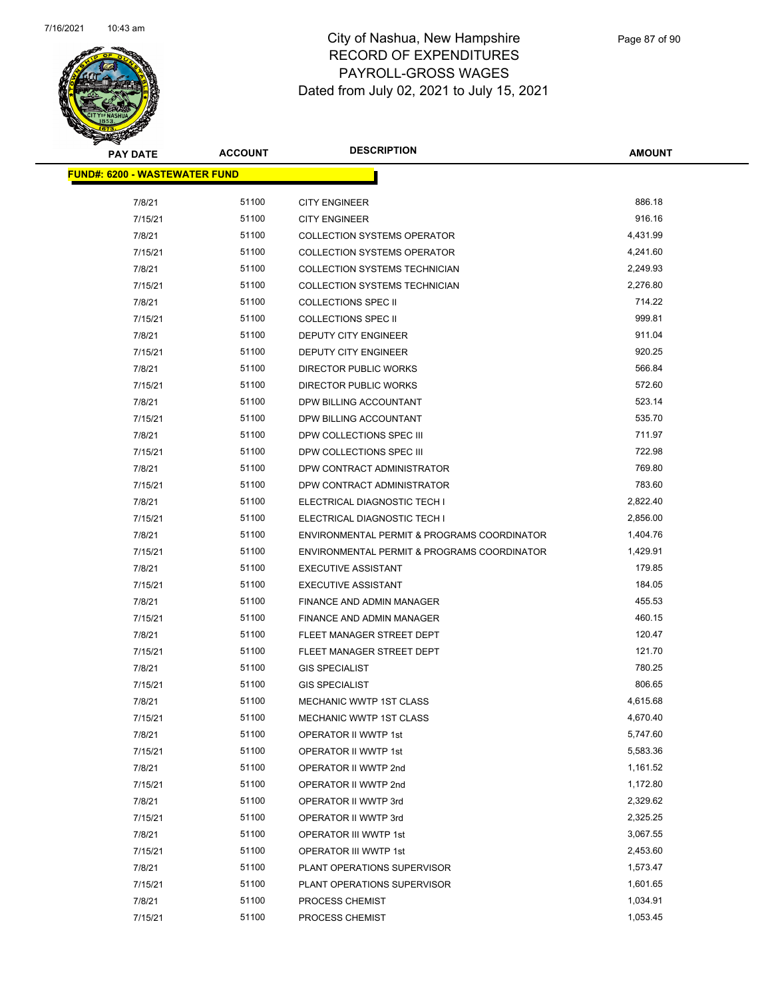

| <b>PAY DATE</b>                       | <b>ACCOUNT</b> | <b>DESCRIPTION</b>                          | <b>AMOUNT</b> |  |
|---------------------------------------|----------------|---------------------------------------------|---------------|--|
| <u> FUND#: 6200 - WASTEWATER FUND</u> |                |                                             |               |  |
| 7/8/21                                | 51100          | <b>CITY ENGINEER</b>                        | 886.18        |  |
| 7/15/21                               | 51100          | <b>CITY ENGINEER</b>                        | 916.16        |  |
| 7/8/21                                | 51100          | <b>COLLECTION SYSTEMS OPERATOR</b>          | 4,431.99      |  |
| 7/15/21                               | 51100          | <b>COLLECTION SYSTEMS OPERATOR</b>          | 4,241.60      |  |
| 7/8/21                                | 51100          | COLLECTION SYSTEMS TECHNICIAN               | 2,249.93      |  |
| 7/15/21                               | 51100          | COLLECTION SYSTEMS TECHNICIAN               | 2,276.80      |  |
| 7/8/21                                | 51100          | <b>COLLECTIONS SPEC II</b>                  | 714.22        |  |
| 7/15/21                               | 51100          | <b>COLLECTIONS SPEC II</b>                  | 999.81        |  |
| 7/8/21                                | 51100          | DEPUTY CITY ENGINEER                        | 911.04        |  |
| 7/15/21                               | 51100          | DEPUTY CITY ENGINEER                        | 920.25        |  |
| 7/8/21                                | 51100          | DIRECTOR PUBLIC WORKS                       | 566.84        |  |
| 7/15/21                               | 51100          | DIRECTOR PUBLIC WORKS                       | 572.60        |  |
| 7/8/21                                | 51100          | DPW BILLING ACCOUNTANT                      | 523.14        |  |
| 7/15/21                               | 51100          | DPW BILLING ACCOUNTANT                      | 535.70        |  |
| 7/8/21                                | 51100          | DPW COLLECTIONS SPEC III                    | 711.97        |  |
| 7/15/21                               | 51100          | DPW COLLECTIONS SPEC III                    | 722.98        |  |
| 7/8/21                                | 51100          | DPW CONTRACT ADMINISTRATOR                  | 769.80        |  |
| 7/15/21                               | 51100          | DPW CONTRACT ADMINISTRATOR                  | 783.60        |  |
| 7/8/21                                | 51100          | ELECTRICAL DIAGNOSTIC TECH I                | 2,822.40      |  |
| 7/15/21                               | 51100          | ELECTRICAL DIAGNOSTIC TECH I                | 2,856.00      |  |
| 7/8/21                                | 51100          | ENVIRONMENTAL PERMIT & PROGRAMS COORDINATOR | 1,404.76      |  |
| 7/15/21                               | 51100          | ENVIRONMENTAL PERMIT & PROGRAMS COORDINATOR | 1,429.91      |  |
| 7/8/21                                | 51100          | <b>EXECUTIVE ASSISTANT</b>                  | 179.85        |  |
| 7/15/21                               | 51100          | <b>EXECUTIVE ASSISTANT</b>                  | 184.05        |  |
| 7/8/21                                | 51100          | FINANCE AND ADMIN MANAGER                   | 455.53        |  |
| 7/15/21                               | 51100          | FINANCE AND ADMIN MANAGER                   | 460.15        |  |
| 7/8/21                                | 51100          | FLEET MANAGER STREET DEPT                   | 120.47        |  |
| 7/15/21                               | 51100          | FLEET MANAGER STREET DEPT                   | 121.70        |  |
| 7/8/21                                | 51100          | <b>GIS SPECIALIST</b>                       | 780.25        |  |
| 7/15/21                               | 51100          | <b>GIS SPECIALIST</b>                       | 806.65        |  |
| 7/8/21                                | 51100          | <b>MECHANIC WWTP 1ST CLASS</b>              | 4,615.68      |  |
| 7/15/21                               | 51100          | MECHANIC WWTP 1ST CLASS                     | 4,670.40      |  |
| 7/8/21                                | 51100          | OPERATOR II WWTP 1st                        | 5,747.60      |  |
| 7/15/21                               | 51100          | OPERATOR II WWTP 1st                        | 5,583.36      |  |
| 7/8/21                                | 51100          | OPERATOR II WWTP 2nd                        | 1,161.52      |  |
| 7/15/21                               | 51100          | OPERATOR II WWTP 2nd                        | 1,172.80      |  |
| 7/8/21                                | 51100          | OPERATOR II WWTP 3rd                        | 2,329.62      |  |
| 7/15/21                               | 51100          | OPERATOR II WWTP 3rd                        | 2,325.25      |  |
| 7/8/21                                | 51100          | OPERATOR III WWTP 1st                       | 3,067.55      |  |
| 7/15/21                               | 51100          | OPERATOR III WWTP 1st                       | 2,453.60      |  |
| 7/8/21                                | 51100          | PLANT OPERATIONS SUPERVISOR                 | 1,573.47      |  |
| 7/15/21                               | 51100          | PLANT OPERATIONS SUPERVISOR                 | 1,601.65      |  |
| 7/8/21                                | 51100          | PROCESS CHEMIST                             | 1,034.91      |  |
| 7/15/21                               | 51100          | PROCESS CHEMIST                             | 1,053.45      |  |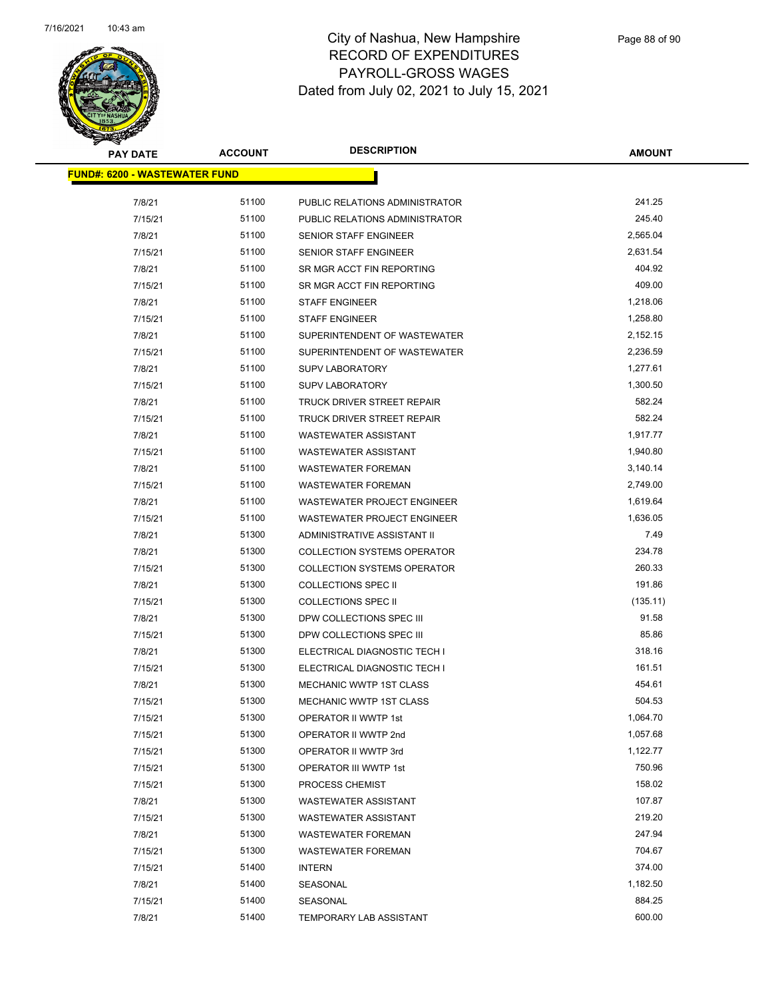

| <b>PAY DATE</b>                      | <b>ACCOUNT</b> | <b>DESCRIPTION</b>                 | AMOUNT   |
|--------------------------------------|----------------|------------------------------------|----------|
| <b>FUND#: 6200 - WASTEWATER FUND</b> |                |                                    |          |
| 7/8/21                               | 51100          | PUBLIC RELATIONS ADMINISTRATOR     | 241.25   |
| 7/15/21                              | 51100          | PUBLIC RELATIONS ADMINISTRATOR     | 245.40   |
| 7/8/21                               | 51100          | SENIOR STAFF ENGINEER              | 2,565.04 |
| 7/15/21                              | 51100          | <b>SENIOR STAFF ENGINEER</b>       | 2,631.54 |
| 7/8/21                               | 51100          | SR MGR ACCT FIN REPORTING          | 404.92   |
| 7/15/21                              | 51100          | SR MGR ACCT FIN REPORTING          | 409.00   |
| 7/8/21                               | 51100          | <b>STAFF ENGINEER</b>              | 1,218.06 |
| 7/15/21                              | 51100          | <b>STAFF ENGINEER</b>              | 1,258.80 |
| 7/8/21                               | 51100          | SUPERINTENDENT OF WASTEWATER       | 2,152.15 |
| 7/15/21                              | 51100          | SUPERINTENDENT OF WASTEWATER       | 2,236.59 |
| 7/8/21                               | 51100          | <b>SUPV LABORATORY</b>             | 1,277.61 |
| 7/15/21                              | 51100          | <b>SUPV LABORATORY</b>             | 1,300.50 |
| 7/8/21                               | 51100          | TRUCK DRIVER STREET REPAIR         | 582.24   |
| 7/15/21                              | 51100          | TRUCK DRIVER STREET REPAIR         | 582.24   |
| 7/8/21                               | 51100          | WASTEWATER ASSISTANT               | 1,917.77 |
| 7/15/21                              | 51100          | <b>WASTEWATER ASSISTANT</b>        | 1,940.80 |
| 7/8/21                               | 51100          | <b>WASTEWATER FOREMAN</b>          | 3,140.14 |
| 7/15/21                              | 51100          | <b>WASTEWATER FOREMAN</b>          | 2,749.00 |
| 7/8/21                               | 51100          | <b>WASTEWATER PROJECT ENGINEER</b> | 1,619.64 |
| 7/15/21                              | 51100          | <b>WASTEWATER PROJECT ENGINEER</b> | 1,636.05 |
| 7/8/21                               | 51300          | ADMINISTRATIVE ASSISTANT II        | 7.49     |
| 7/8/21                               | 51300          | <b>COLLECTION SYSTEMS OPERATOR</b> | 234.78   |
| 7/15/21                              | 51300          | <b>COLLECTION SYSTEMS OPERATOR</b> | 260.33   |
| 7/8/21                               | 51300          | <b>COLLECTIONS SPEC II</b>         | 191.86   |
| 7/15/21                              | 51300          | <b>COLLECTIONS SPEC II</b>         | (135.11) |
| 7/8/21                               | 51300          | DPW COLLECTIONS SPEC III           | 91.58    |
| 7/15/21                              | 51300          | DPW COLLECTIONS SPEC III           | 85.86    |
| 7/8/21                               | 51300          | ELECTRICAL DIAGNOSTIC TECH I       | 318.16   |
| 7/15/21                              | 51300          | ELECTRICAL DIAGNOSTIC TECH I       | 161.51   |
| 7/8/21                               | 51300          | <b>MECHANIC WWTP 1ST CLASS</b>     | 454.61   |
| 7/15/21                              | 51300          | MECHANIC WWTP 1ST CLASS            | 504.53   |
| 7/15/21                              | 51300          | OPERATOR II WWTP 1st               | 1,064.70 |
| 7/15/21                              | 51300          | OPERATOR II WWTP 2nd               | 1,057.68 |
| 7/15/21                              | 51300          | OPERATOR II WWTP 3rd               | 1,122.77 |
| 7/15/21                              | 51300          | OPERATOR III WWTP 1st              | 750.96   |
| 7/15/21                              | 51300          | PROCESS CHEMIST                    | 158.02   |
| 7/8/21                               | 51300          | WASTEWATER ASSISTANT               | 107.87   |
| 7/15/21                              | 51300          | <b>WASTEWATER ASSISTANT</b>        | 219.20   |
| 7/8/21                               | 51300          | <b>WASTEWATER FOREMAN</b>          | 247.94   |
| 7/15/21                              | 51300          | <b>WASTEWATER FOREMAN</b>          | 704.67   |
| 7/15/21                              | 51400          | <b>INTERN</b>                      | 374.00   |
| 7/8/21                               | 51400          | SEASONAL                           | 1,182.50 |
| 7/15/21                              | 51400          | SEASONAL                           | 884.25   |
| 7/8/21                               | 51400          | <b>TEMPORARY LAB ASSISTANT</b>     | 600.00   |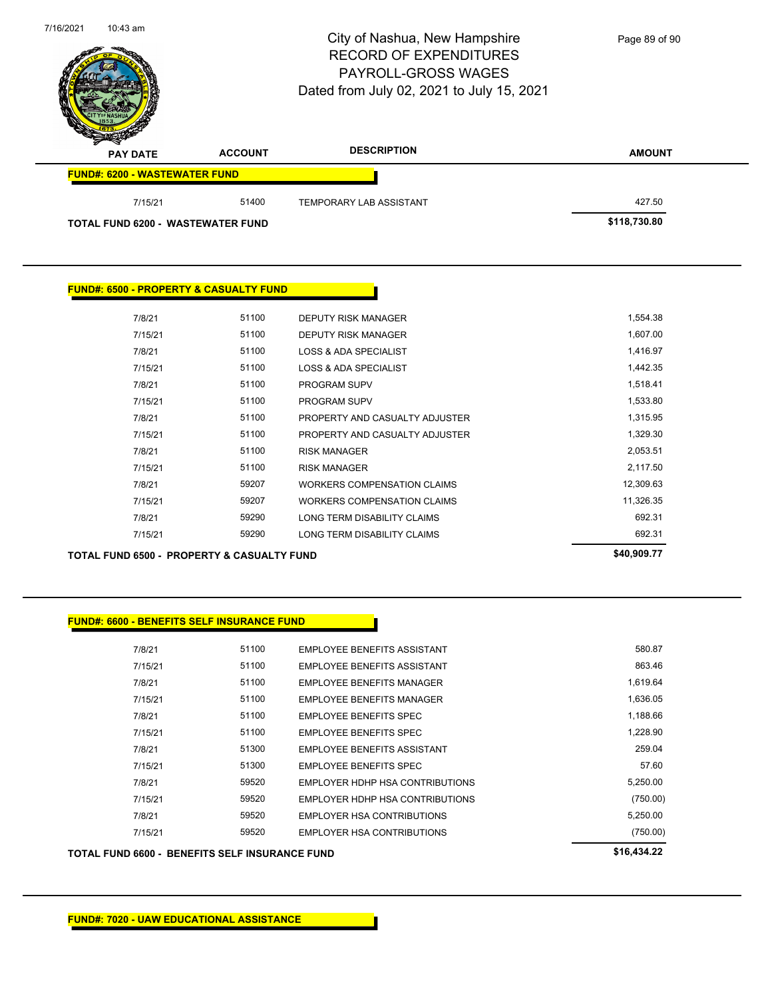| FUND#: 6600 - BENEFITS SELF INSURANCE FUND      |       |                                        |             |
|-------------------------------------------------|-------|----------------------------------------|-------------|
|                                                 |       |                                        |             |
| 7/8/21                                          | 51100 | EMPLOYEE BENEFITS ASSISTANT            | 580.87      |
| 7/15/21                                         | 51100 | <b>EMPLOYEE BENEFITS ASSISTANT</b>     | 863.46      |
| 7/8/21                                          | 51100 | EMPLOYEE BENEFITS MANAGER              | 1,619.64    |
| 7/15/21                                         | 51100 | <b>EMPLOYEE BENEFITS MANAGER</b>       | 1,636.05    |
| 7/8/21                                          | 51100 | <b>EMPLOYEE BENEFITS SPEC</b>          | 1,188.66    |
| 7/15/21                                         | 51100 | <b>EMPLOYEE BENEFITS SPEC</b>          | 1,228.90    |
| 7/8/21                                          | 51300 | <b>EMPLOYEE BENEFITS ASSISTANT</b>     | 259.04      |
| 7/15/21                                         | 51300 | <b>EMPLOYEE BENEFITS SPEC</b>          | 57.60       |
| 7/8/21                                          | 59520 | <b>EMPLOYER HDHP HSA CONTRIBUTIONS</b> | 5,250.00    |
| 7/15/21                                         | 59520 | EMPLOYER HDHP HSA CONTRIBUTIONS        | (750.00)    |
| 7/8/21                                          | 59520 | <b>EMPLOYER HSA CONTRIBUTIONS</b>      | 5,250.00    |
| 7/15/21                                         | 59520 | <b>EMPLOYER HSA CONTRIBUTIONS</b>      | (750.00)    |
| TOTAL FUND 6600 -  BENEFITS SELF INSURANCE FUND |       |                                        | \$16,434.22 |

|         | <b>TOTAL FUND 6500 - PROPERTY &amp; CASUALTY FUND</b> |       |                                    | \$40,909.77 |
|---------|-------------------------------------------------------|-------|------------------------------------|-------------|
| 7/15/21 |                                                       | 59290 | LONG TERM DISABILITY CLAIMS        | 692.31      |
| 7/8/21  |                                                       | 59290 | LONG TERM DISABILITY CLAIMS        | 692.31      |
| 7/15/21 |                                                       | 59207 | <b>WORKERS COMPENSATION CLAIMS</b> | 11,326.35   |
| 7/8/21  |                                                       | 59207 | <b>WORKERS COMPENSATION CLAIMS</b> | 12,309.63   |
| 7/15/21 |                                                       | 51100 | <b>RISK MANAGER</b>                | 2,117.50    |
| 7/8/21  |                                                       | 51100 | <b>RISK MANAGER</b>                | 2,053.51    |
| 7/15/21 |                                                       | 51100 | PROPERTY AND CASUALTY ADJUSTER     | 1,329.30    |
| 7/8/21  |                                                       | 51100 | PROPERTY AND CASUALTY ADJUSTER     | 1,315.95    |
| 7/15/21 |                                                       | 51100 | <b>PROGRAM SUPV</b>                | 1,533.80    |
| 7/8/21  |                                                       | 51100 | <b>PROGRAM SUPV</b>                | 1,518.41    |
| 7/15/21 |                                                       | 51100 | <b>LOSS &amp; ADA SPECIALIST</b>   | 1,442.35    |
| 7/8/21  |                                                       | 51100 | <b>LOSS &amp; ADA SPECIALIST</b>   | 1,416.97    |
| 7/15/21 |                                                       | 51100 | DEPUTY RISK MANAGER                | 1,607.00    |
| 7/8/21  |                                                       | 51100 | <b>DEPUTY RISK MANAGER</b>         | 1,554.38    |
|         |                                                       |       |                                    |             |

|  | <u> FUND#: 6500 - PROPERTY &amp; CASUALTY FUND </u> |  |
|--|-----------------------------------------------------|--|

| <b>PAY DATE</b>                      | <b>ACCOUNT</b>                    | <b>DESCRIPTION</b>      | <b>AMOUNT</b> |
|--------------------------------------|-----------------------------------|-------------------------|---------------|
| <b>FUND#: 6200 - WASTEWATER FUND</b> |                                   |                         |               |
| 7/15/21                              | 51400                             | TEMPORARY LAB ASSISTANT | 427.50        |
|                                      | TOTAL FUND 6200 - WASTEWATER FUND |                         | \$118,730.80  |